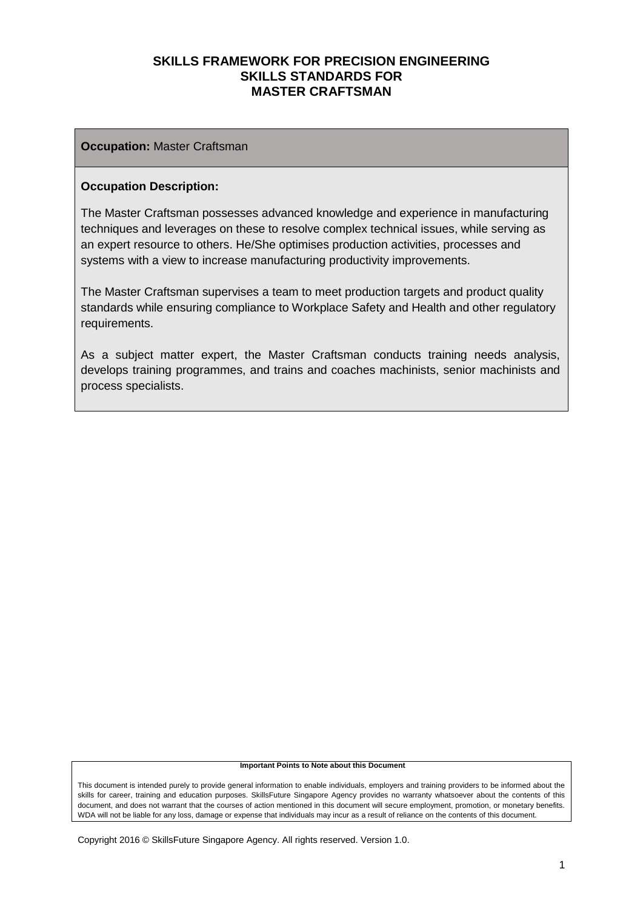#### **Occupation:** Master Craftsman

#### **Occupation Description:**

The Master Craftsman possesses advanced knowledge and experience in manufacturing techniques and leverages on these to resolve complex technical issues, while serving as an expert resource to others. He/She optimises production activities, processes and systems with a view to increase manufacturing productivity improvements.

The Master Craftsman supervises a team to meet production targets and product quality standards while ensuring compliance to Workplace Safety and Health and other regulatory requirements.

As a subject matter expert, the Master Craftsman conducts training needs analysis, develops training programmes, and trains and coaches machinists, senior machinists and process specialists.

#### **Important Points to Note about this Document**

This document is intended purely to provide general information to enable individuals, employers and training providers to be informed about the skills for career, training and education purposes. SkillsFuture Singapore Agency provides no warranty whatsoever about the contents of this document, and does not warrant that the courses of action mentioned in this document will secure employment, promotion, or monetary benefits. WDA will not be liable for any loss, damage or expense that individuals may incur as a result of reliance on the contents of this document.

Copyright 2016 © SkillsFuture Singapore Agency. All rights reserved. Version 1.0.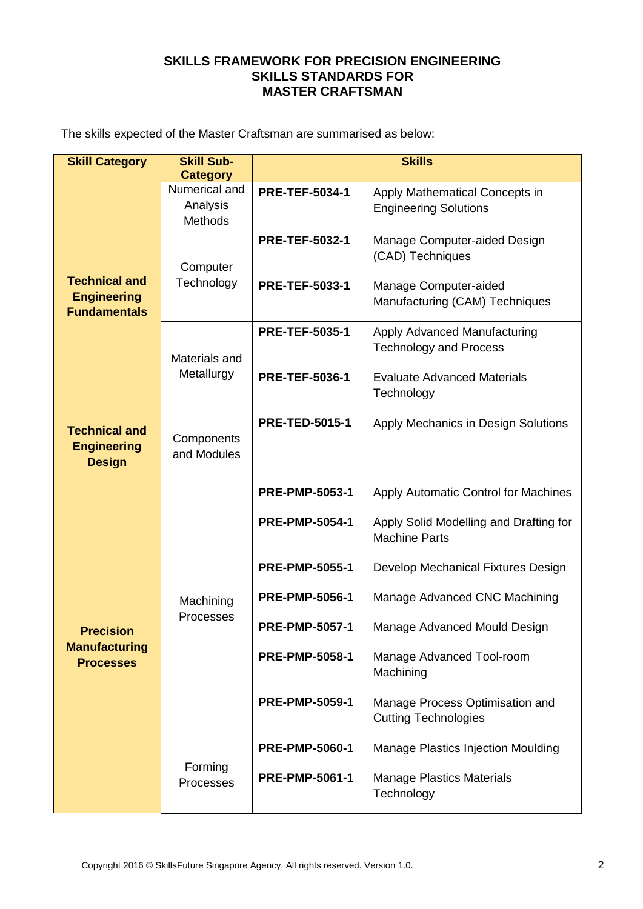The skills expected of the Master Craftsman are summarised as below:

| <b>Skill Category</b>                                             | <b>Skill Sub-</b>                    | <b>Skills</b>         |                                                                |  |
|-------------------------------------------------------------------|--------------------------------------|-----------------------|----------------------------------------------------------------|--|
|                                                                   | <b>Category</b>                      |                       |                                                                |  |
|                                                                   | Numerical and<br>Analysis<br>Methods | <b>PRE-TEF-5034-1</b> | Apply Mathematical Concepts in<br><b>Engineering Solutions</b> |  |
|                                                                   | Computer<br>Technology               | <b>PRE-TEF-5032-1</b> | Manage Computer-aided Design<br>(CAD) Techniques               |  |
| <b>Technical and</b><br><b>Engineering</b><br><b>Fundamentals</b> |                                      | <b>PRE-TEF-5033-1</b> | Manage Computer-aided<br>Manufacturing (CAM) Techniques        |  |
|                                                                   | Materials and                        | <b>PRE-TEF-5035-1</b> | Apply Advanced Manufacturing<br><b>Technology and Process</b>  |  |
|                                                                   | Metallurgy                           | <b>PRE-TEF-5036-1</b> | <b>Evaluate Advanced Materials</b><br>Technology               |  |
| <b>Technical and</b><br><b>Engineering</b><br><b>Design</b>       | Components<br>and Modules            | <b>PRE-TED-5015-1</b> | Apply Mechanics in Design Solutions                            |  |
|                                                                   | Machining<br>Processes               | <b>PRE-PMP-5053-1</b> | Apply Automatic Control for Machines                           |  |
|                                                                   |                                      | <b>PRE-PMP-5054-1</b> | Apply Solid Modelling and Drafting for<br><b>Machine Parts</b> |  |
|                                                                   |                                      | <b>PRE-PMP-5055-1</b> | Develop Mechanical Fixtures Design                             |  |
|                                                                   |                                      | <b>PRE-PMP-5056-1</b> | Manage Advanced CNC Machining                                  |  |
| <b>Precision</b>                                                  |                                      | <b>PRE-PMP-5057-1</b> | Manage Advanced Mould Design                                   |  |
| <b>Manufacturing</b><br><b>Processes</b>                          |                                      | <b>PRE-PMP-5058-1</b> | Manage Advanced Tool-room<br>Machining                         |  |
|                                                                   |                                      | <b>PRE-PMP-5059-1</b> | Manage Process Optimisation and<br><b>Cutting Technologies</b> |  |
|                                                                   |                                      | <b>PRE-PMP-5060-1</b> | Manage Plastics Injection Moulding                             |  |
|                                                                   | Forming<br>Processes                 | <b>PRE-PMP-5061-1</b> | <b>Manage Plastics Materials</b><br>Technology                 |  |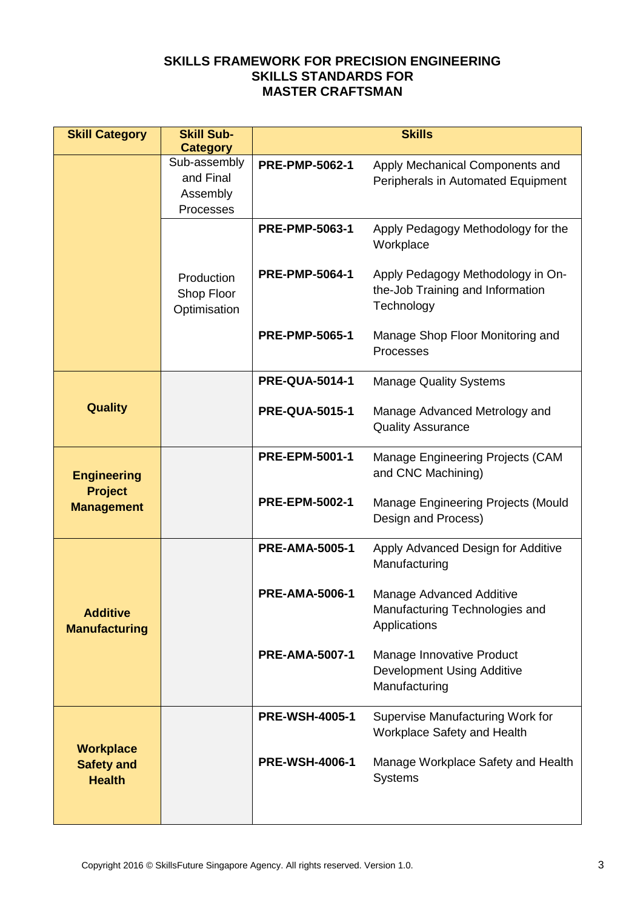| <b>Skill Category</b>                                     | <b>Skill Sub-</b>                        | <b>Skills</b>         |                                                                                     |  |
|-----------------------------------------------------------|------------------------------------------|-----------------------|-------------------------------------------------------------------------------------|--|
|                                                           | <b>Category</b><br>Sub-assembly          |                       |                                                                                     |  |
|                                                           | and Final                                | <b>PRE-PMP-5062-1</b> | Apply Mechanical Components and<br>Peripherals in Automated Equipment               |  |
|                                                           | Assembly                                 |                       |                                                                                     |  |
|                                                           | Processes                                |                       |                                                                                     |  |
|                                                           |                                          | <b>PRE-PMP-5063-1</b> | Apply Pedagogy Methodology for the<br>Workplace                                     |  |
|                                                           | Production<br>Shop Floor<br>Optimisation | <b>PRE-PMP-5064-1</b> | Apply Pedagogy Methodology in On-<br>the-Job Training and Information<br>Technology |  |
|                                                           |                                          | <b>PRE-PMP-5065-1</b> | Manage Shop Floor Monitoring and<br>Processes                                       |  |
|                                                           |                                          | <b>PRE-QUA-5014-1</b> | <b>Manage Quality Systems</b>                                                       |  |
| <b>Quality</b>                                            |                                          | <b>PRE-QUA-5015-1</b> | Manage Advanced Metrology and<br><b>Quality Assurance</b>                           |  |
| <b>Engineering</b><br><b>Project</b><br><b>Management</b> |                                          | <b>PRE-EPM-5001-1</b> | Manage Engineering Projects (CAM<br>and CNC Machining)                              |  |
|                                                           |                                          | <b>PRE-EPM-5002-1</b> | Manage Engineering Projects (Mould<br>Design and Process)                           |  |
|                                                           |                                          | <b>PRE-AMA-5005-1</b> | Apply Advanced Design for Additive<br>Manufacturing                                 |  |
| <b>Additive</b><br><b>Manufacturing</b>                   |                                          | <b>PRE-AMA-5006-1</b> | Manage Advanced Additive<br>Manufacturing Technologies and<br>Applications          |  |
|                                                           |                                          | <b>PRE-AMA-5007-1</b> | Manage Innovative Product<br><b>Development Using Additive</b><br>Manufacturing     |  |
|                                                           |                                          | <b>PRE-WSH-4005-1</b> | Supervise Manufacturing Work for<br>Workplace Safety and Health                     |  |
| <b>Workplace</b><br><b>Safety and</b><br><b>Health</b>    |                                          | <b>PRE-WSH-4006-1</b> | Manage Workplace Safety and Health<br><b>Systems</b>                                |  |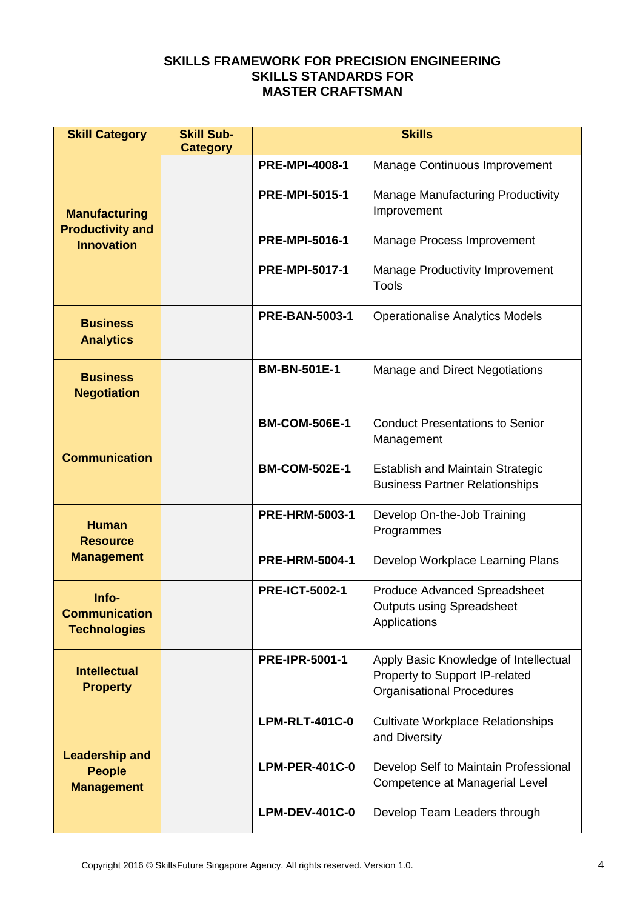| <b>Skill Category</b>                                       | <b>Skill Sub-</b><br><b>Category</b> | <b>Skills</b>         |                                                                                                             |  |
|-------------------------------------------------------------|--------------------------------------|-----------------------|-------------------------------------------------------------------------------------------------------------|--|
|                                                             |                                      | <b>PRE-MPI-4008-1</b> | Manage Continuous Improvement                                                                               |  |
| <b>Manufacturing</b>                                        |                                      | <b>PRE-MPI-5015-1</b> | <b>Manage Manufacturing Productivity</b><br>Improvement                                                     |  |
| <b>Productivity and</b><br><b>Innovation</b>                |                                      | <b>PRE-MPI-5016-1</b> | <b>Manage Process Improvement</b>                                                                           |  |
|                                                             |                                      | <b>PRE-MPI-5017-1</b> | <b>Manage Productivity Improvement</b><br><b>Tools</b>                                                      |  |
| <b>Business</b><br><b>Analytics</b>                         |                                      | <b>PRE-BAN-5003-1</b> | <b>Operationalise Analytics Models</b>                                                                      |  |
| <b>Business</b><br><b>Negotiation</b>                       |                                      | <b>BM-BN-501E-1</b>   | Manage and Direct Negotiations                                                                              |  |
| <b>Communication</b>                                        |                                      | <b>BM-COM-506E-1</b>  | <b>Conduct Presentations to Senior</b><br>Management                                                        |  |
|                                                             |                                      | <b>BM-COM-502E-1</b>  | <b>Establish and Maintain Strategic</b><br><b>Business Partner Relationships</b>                            |  |
| <b>Human</b><br><b>Resource</b>                             |                                      | <b>PRE-HRM-5003-1</b> | Develop On-the-Job Training<br>Programmes                                                                   |  |
| <b>Management</b>                                           |                                      | <b>PRE-HRM-5004-1</b> | Develop Workplace Learning Plans                                                                            |  |
| Info-<br><b>Communication</b><br><b>Technologies</b>        |                                      | <b>PRE-ICT-5002-1</b> | <b>Produce Advanced Spreadsheet</b><br><b>Outputs using Spreadsheet</b><br>Applications                     |  |
| <b>Intellectual</b><br><b>Property</b>                      |                                      | <b>PRE-IPR-5001-1</b> | Apply Basic Knowledge of Intellectual<br>Property to Support IP-related<br><b>Organisational Procedures</b> |  |
| <b>Leadership and</b><br><b>People</b><br><b>Management</b> |                                      | <b>LPM-RLT-401C-0</b> | <b>Cultivate Workplace Relationships</b><br>and Diversity                                                   |  |
|                                                             |                                      | <b>LPM-PER-401C-0</b> | Develop Self to Maintain Professional<br>Competence at Managerial Level                                     |  |
|                                                             |                                      | <b>LPM-DEV-401C-0</b> | Develop Team Leaders through                                                                                |  |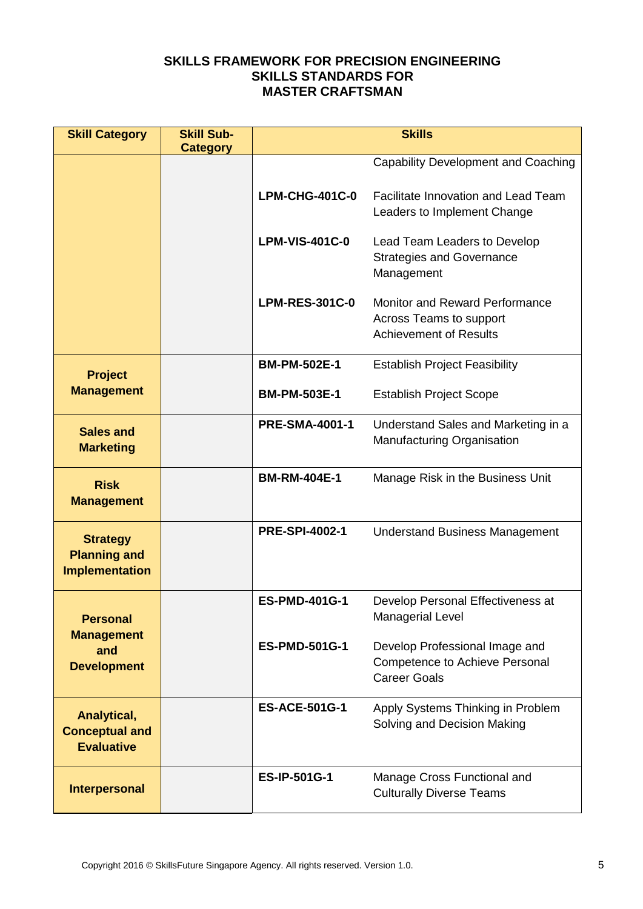| <b>Skill Category</b>                  | <b>Skill Sub-</b> | <b>Skills</b>         |                                                                    |  |
|----------------------------------------|-------------------|-----------------------|--------------------------------------------------------------------|--|
|                                        | <b>Category</b>   |                       | <b>Capability Development and Coaching</b>                         |  |
|                                        |                   |                       |                                                                    |  |
|                                        |                   | <b>LPM-CHG-401C-0</b> | Facilitate Innovation and Lead Team<br>Leaders to Implement Change |  |
|                                        |                   |                       |                                                                    |  |
|                                        |                   | <b>LPM-VIS-401C-0</b> | Lead Team Leaders to Develop<br><b>Strategies and Governance</b>   |  |
|                                        |                   |                       | Management                                                         |  |
|                                        |                   | <b>LPM-RES-301C-0</b> | <b>Monitor and Reward Performance</b>                              |  |
|                                        |                   |                       | Across Teams to support                                            |  |
|                                        |                   |                       | <b>Achievement of Results</b>                                      |  |
|                                        |                   | <b>BM-PM-502E-1</b>   | <b>Establish Project Feasibility</b>                               |  |
| <b>Project</b><br><b>Management</b>    |                   | <b>BM-PM-503E-1</b>   | <b>Establish Project Scope</b>                                     |  |
|                                        |                   |                       |                                                                    |  |
| <b>Sales and</b>                       |                   | <b>PRE-SMA-4001-1</b> | Understand Sales and Marketing in a<br>Manufacturing Organisation  |  |
| <b>Marketing</b>                       |                   |                       |                                                                    |  |
| <b>Risk</b>                            |                   | <b>BM-RM-404E-1</b>   | Manage Risk in the Business Unit                                   |  |
| <b>Management</b>                      |                   |                       |                                                                    |  |
|                                        |                   | <b>PRE-SPI-4002-1</b> | <b>Understand Business Management</b>                              |  |
| <b>Strategy</b><br><b>Planning and</b> |                   |                       |                                                                    |  |
| <b>Implementation</b>                  |                   |                       |                                                                    |  |
|                                        |                   | <b>ES-PMD-401G-1</b>  | Develop Personal Effectiveness at                                  |  |
| <b>Personal</b>                        |                   |                       | <b>Managerial Level</b>                                            |  |
| <b>Management</b><br>and               |                   | <b>ES-PMD-501G-1</b>  | Develop Professional Image and                                     |  |
| <b>Development</b>                     |                   |                       | Competence to Achieve Personal                                     |  |
|                                        |                   |                       | <b>Career Goals</b>                                                |  |
| Analytical,                            |                   | <b>ES-ACE-501G-1</b>  | Apply Systems Thinking in Problem                                  |  |
| <b>Conceptual and</b>                  |                   |                       | Solving and Decision Making                                        |  |
| <b>Evaluative</b>                      |                   |                       |                                                                    |  |
|                                        |                   | <b>ES-IP-501G-1</b>   | Manage Cross Functional and                                        |  |
| <b>Interpersonal</b>                   |                   |                       | <b>Culturally Diverse Teams</b>                                    |  |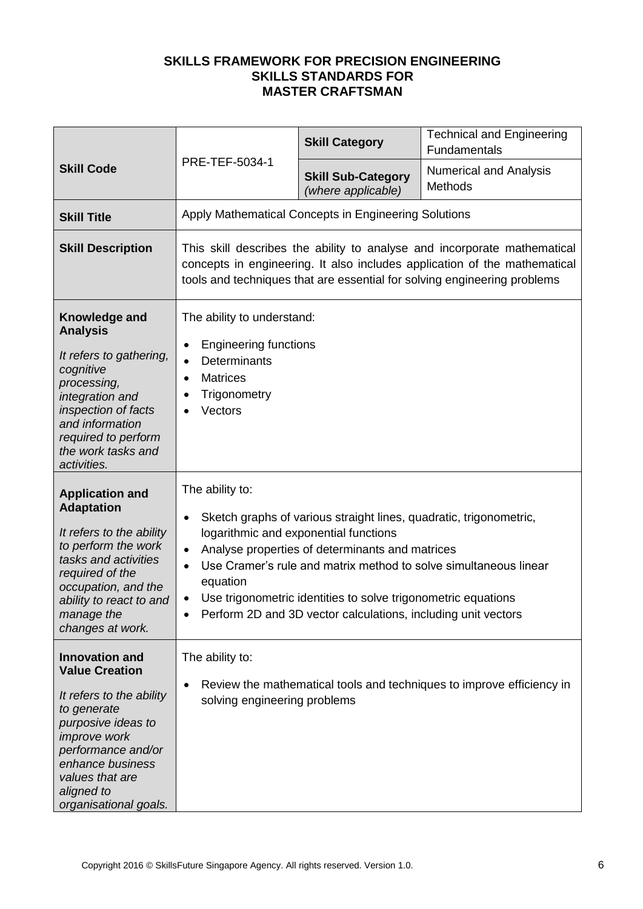|                                                                                                                                                                                                                                            |                                                                                                                                                                                                                                   | <b>Skill Category</b>                                                                                                                                                                                                                                                                            | <b>Technical and Engineering</b><br>Fundamentals                      |  |
|--------------------------------------------------------------------------------------------------------------------------------------------------------------------------------------------------------------------------------------------|-----------------------------------------------------------------------------------------------------------------------------------------------------------------------------------------------------------------------------------|--------------------------------------------------------------------------------------------------------------------------------------------------------------------------------------------------------------------------------------------------------------------------------------------------|-----------------------------------------------------------------------|--|
| <b>Skill Code</b>                                                                                                                                                                                                                          | PRE-TEF-5034-1                                                                                                                                                                                                                    | <b>Skill Sub-Category</b><br>(where applicable)                                                                                                                                                                                                                                                  | <b>Numerical and Analysis</b><br>Methods                              |  |
| <b>Skill Title</b>                                                                                                                                                                                                                         |                                                                                                                                                                                                                                   | Apply Mathematical Concepts in Engineering Solutions                                                                                                                                                                                                                                             |                                                                       |  |
| <b>Skill Description</b>                                                                                                                                                                                                                   | This skill describes the ability to analyse and incorporate mathematical<br>concepts in engineering. It also includes application of the mathematical<br>tools and techniques that are essential for solving engineering problems |                                                                                                                                                                                                                                                                                                  |                                                                       |  |
| Knowledge and<br><b>Analysis</b><br>It refers to gathering,<br>cognitive<br>processing,<br>integration and<br>inspection of facts<br>and information<br>required to perform<br>the work tasks and<br>activities.                           | The ability to understand:<br><b>Engineering functions</b><br>$\bullet$<br><b>Determinants</b><br>$\bullet$<br><b>Matrices</b><br>$\bullet$<br>Trigonometry<br>Vectors                                                            |                                                                                                                                                                                                                                                                                                  |                                                                       |  |
| <b>Application and</b><br><b>Adaptation</b><br>It refers to the ability<br>to perform the work<br>tasks and activities<br>required of the<br>occupation, and the<br>ability to react to and<br>manage the<br>changes at work.              | The ability to:<br>$\bullet$<br>$\bullet$<br>$\bullet$<br>equation<br>$\bullet$                                                                                                                                                   | Sketch graphs of various straight lines, quadratic, trigonometric,<br>logarithmic and exponential functions<br>Analyse properties of determinants and matrices<br>Use trigonometric identities to solve trigonometric equations<br>Perform 2D and 3D vector calculations, including unit vectors | Use Cramer's rule and matrix method to solve simultaneous linear      |  |
| <b>Innovation and</b><br><b>Value Creation</b><br>It refers to the ability<br>to generate<br>purposive ideas to<br><i>improve</i> work<br>performance and/or<br>enhance business<br>values that are<br>aligned to<br>organisational goals. | The ability to:<br>$\bullet$<br>solving engineering problems                                                                                                                                                                      |                                                                                                                                                                                                                                                                                                  | Review the mathematical tools and techniques to improve efficiency in |  |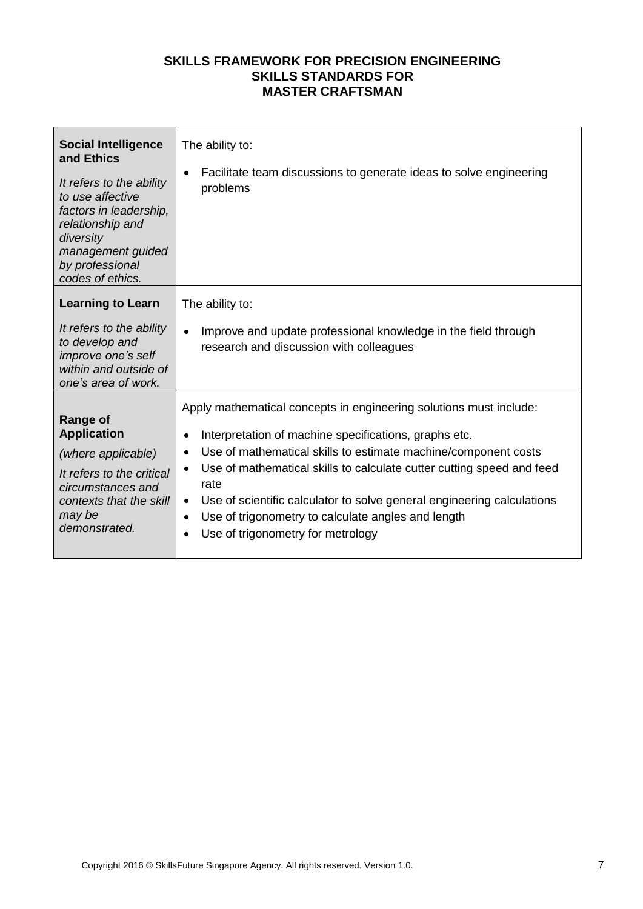| <b>Social Intelligence</b><br>and Ethics<br>It refers to the ability<br>to use affective<br>factors in leadership,<br>relationship and<br>diversity<br>management guided<br>by professional<br>codes of ethics. | The ability to:<br>Facilitate team discussions to generate ideas to solve engineering<br>$\bullet$<br>problems                                                                                                                                                                                                                                                                                                                                                                                                                    |
|-----------------------------------------------------------------------------------------------------------------------------------------------------------------------------------------------------------------|-----------------------------------------------------------------------------------------------------------------------------------------------------------------------------------------------------------------------------------------------------------------------------------------------------------------------------------------------------------------------------------------------------------------------------------------------------------------------------------------------------------------------------------|
| <b>Learning to Learn</b><br>It refers to the ability<br>to develop and<br>improve one's self<br>within and outside of<br>one's area of work.                                                                    | The ability to:<br>Improve and update professional knowledge in the field through<br>$\bullet$<br>research and discussion with colleagues                                                                                                                                                                                                                                                                                                                                                                                         |
| <b>Range of</b><br><b>Application</b><br>(where applicable)<br>It refers to the critical<br>circumstances and<br>contexts that the skill<br>may be<br>demonstrated.                                             | Apply mathematical concepts in engineering solutions must include:<br>Interpretation of machine specifications, graphs etc.<br>$\bullet$<br>Use of mathematical skills to estimate machine/component costs<br>$\bullet$<br>Use of mathematical skills to calculate cutter cutting speed and feed<br>$\bullet$<br>rate<br>Use of scientific calculator to solve general engineering calculations<br>$\bullet$<br>Use of trigonometry to calculate angles and length<br>$\bullet$<br>Use of trigonometry for metrology<br>$\bullet$ |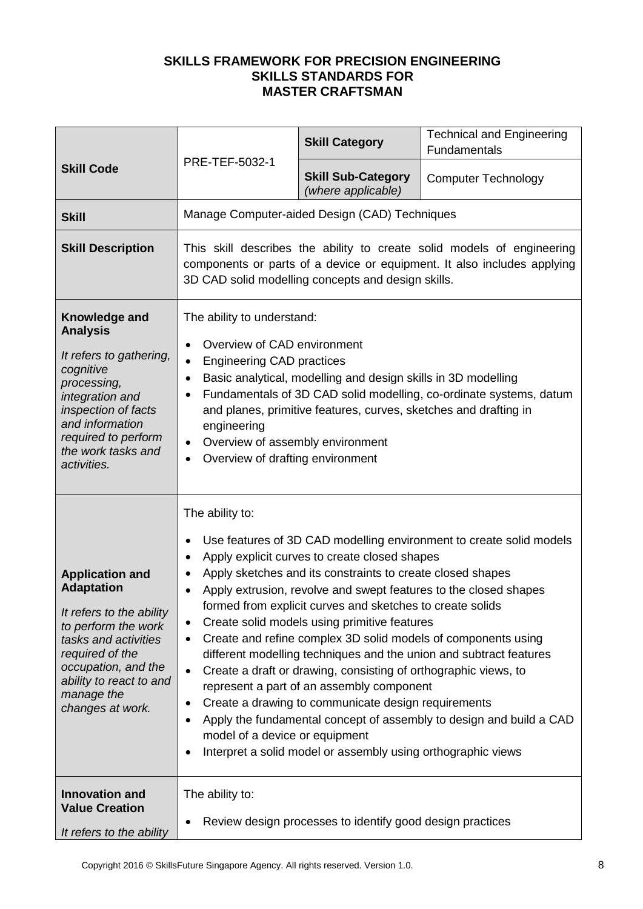|                                                                                                                                                                                                                               |                                                                                                                                                                                                                                                                                                                                                                                                                                                                                                                                                                                                                                                                                                                                                                                                                                                                                                                                                                                    | <b>Skill Category</b>                                     | <b>Technical and Engineering</b><br>Fundamentals |  |
|-------------------------------------------------------------------------------------------------------------------------------------------------------------------------------------------------------------------------------|------------------------------------------------------------------------------------------------------------------------------------------------------------------------------------------------------------------------------------------------------------------------------------------------------------------------------------------------------------------------------------------------------------------------------------------------------------------------------------------------------------------------------------------------------------------------------------------------------------------------------------------------------------------------------------------------------------------------------------------------------------------------------------------------------------------------------------------------------------------------------------------------------------------------------------------------------------------------------------|-----------------------------------------------------------|--------------------------------------------------|--|
| <b>Skill Code</b>                                                                                                                                                                                                             | PRE-TEF-5032-1                                                                                                                                                                                                                                                                                                                                                                                                                                                                                                                                                                                                                                                                                                                                                                                                                                                                                                                                                                     | <b>Skill Sub-Category</b><br>(where applicable)           | <b>Computer Technology</b>                       |  |
| <b>Skill</b>                                                                                                                                                                                                                  |                                                                                                                                                                                                                                                                                                                                                                                                                                                                                                                                                                                                                                                                                                                                                                                                                                                                                                                                                                                    | Manage Computer-aided Design (CAD) Techniques             |                                                  |  |
| <b>Skill Description</b>                                                                                                                                                                                                      | This skill describes the ability to create solid models of engineering<br>components or parts of a device or equipment. It also includes applying<br>3D CAD solid modelling concepts and design skills.                                                                                                                                                                                                                                                                                                                                                                                                                                                                                                                                                                                                                                                                                                                                                                            |                                                           |                                                  |  |
| Knowledge and<br><b>Analysis</b><br>It refers to gathering,<br>cognitive<br>processing,<br>integration and<br>inspection of facts<br>and information<br>required to perform<br>the work tasks and<br>activities.              | The ability to understand:<br>Overview of CAD environment<br>$\bullet$<br><b>Engineering CAD practices</b><br>$\bullet$<br>Basic analytical, modelling and design skills in 3D modelling<br>$\bullet$<br>Fundamentals of 3D CAD solid modelling, co-ordinate systems, datum<br>$\bullet$<br>and planes, primitive features, curves, sketches and drafting in<br>engineering<br>Overview of assembly environment<br>$\bullet$<br>Overview of drafting environment                                                                                                                                                                                                                                                                                                                                                                                                                                                                                                                   |                                                           |                                                  |  |
| <b>Application and</b><br><b>Adaptation</b><br>It refers to the ability<br>to perform the work<br>tasks and activities<br>required of the<br>occupation, and the<br>ability to react to and<br>manage the<br>changes at work. | The ability to:<br>Use features of 3D CAD modelling environment to create solid models<br>$\bullet$<br>Apply explicit curves to create closed shapes<br>$\bullet$<br>Apply sketches and its constraints to create closed shapes<br>٠<br>Apply extrusion, revolve and swept features to the closed shapes<br>$\bullet$<br>formed from explicit curves and sketches to create solids<br>Create solid models using primitive features<br>Create and refine complex 3D solid models of components using<br>$\bullet$<br>different modelling techniques and the union and subtract features<br>Create a draft or drawing, consisting of orthographic views, to<br>$\bullet$<br>represent a part of an assembly component<br>Create a drawing to communicate design requirements<br>٠<br>Apply the fundamental concept of assembly to design and build a CAD<br>$\bullet$<br>model of a device or equipment<br>Interpret a solid model or assembly using orthographic views<br>$\bullet$ |                                                           |                                                  |  |
| <b>Innovation and</b><br><b>Value Creation</b><br>It refers to the ability                                                                                                                                                    | The ability to:<br>$\bullet$                                                                                                                                                                                                                                                                                                                                                                                                                                                                                                                                                                                                                                                                                                                                                                                                                                                                                                                                                       | Review design processes to identify good design practices |                                                  |  |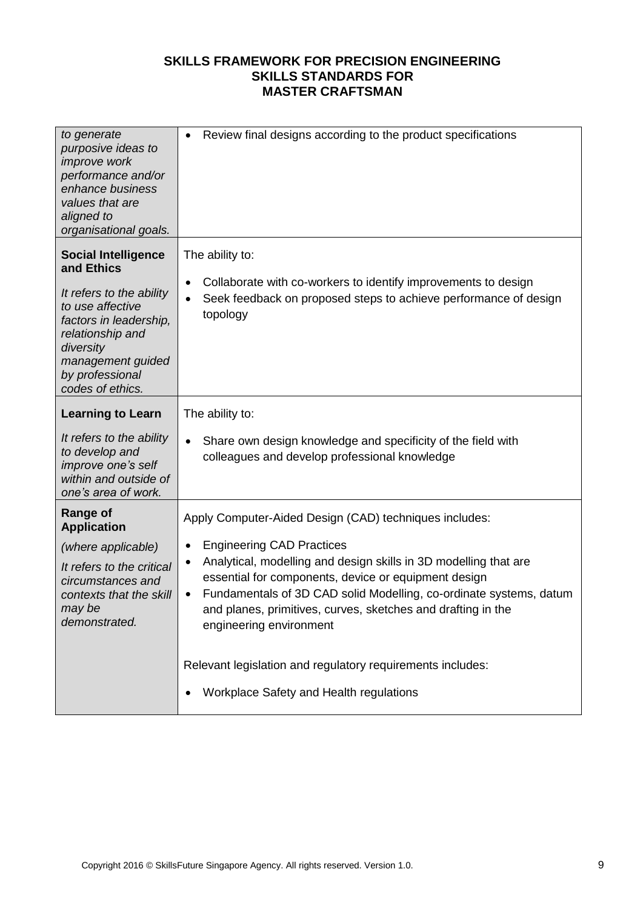| to generate<br>purposive ideas to<br>improve work<br>performance and/or<br>enhance business<br>values that are<br>aligned to<br>organisational goals.                                                           | Review final designs according to the product specifications<br>$\bullet$                                                                                                                                                                                                                                                                                                                                                                                                                                                       |
|-----------------------------------------------------------------------------------------------------------------------------------------------------------------------------------------------------------------|---------------------------------------------------------------------------------------------------------------------------------------------------------------------------------------------------------------------------------------------------------------------------------------------------------------------------------------------------------------------------------------------------------------------------------------------------------------------------------------------------------------------------------|
| <b>Social Intelligence</b><br>and Ethics<br>It refers to the ability<br>to use affective<br>factors in leadership,<br>relationship and<br>diversity<br>management guided<br>by professional<br>codes of ethics. | The ability to:<br>Collaborate with co-workers to identify improvements to design<br>$\bullet$<br>Seek feedback on proposed steps to achieve performance of design<br>$\bullet$<br>topology                                                                                                                                                                                                                                                                                                                                     |
| <b>Learning to Learn</b><br>It refers to the ability<br>to develop and<br>improve one's self<br>within and outside of<br>one's area of work.                                                                    | The ability to:<br>Share own design knowledge and specificity of the field with<br>$\bullet$<br>colleagues and develop professional knowledge                                                                                                                                                                                                                                                                                                                                                                                   |
| <b>Range of</b><br><b>Application</b><br>(where applicable)<br>It refers to the critical<br>circumstances and<br>contexts that the skill<br>may be<br>demonstrated.                                             | Apply Computer-Aided Design (CAD) techniques includes:<br><b>Engineering CAD Practices</b><br>٠<br>Analytical, modelling and design skills in 3D modelling that are<br>$\bullet$<br>essential for components, device or equipment design<br>Fundamentals of 3D CAD solid Modelling, co-ordinate systems, datum<br>$\bullet$<br>and planes, primitives, curves, sketches and drafting in the<br>engineering environment<br>Relevant legislation and regulatory requirements includes:<br>Workplace Safety and Health regulations |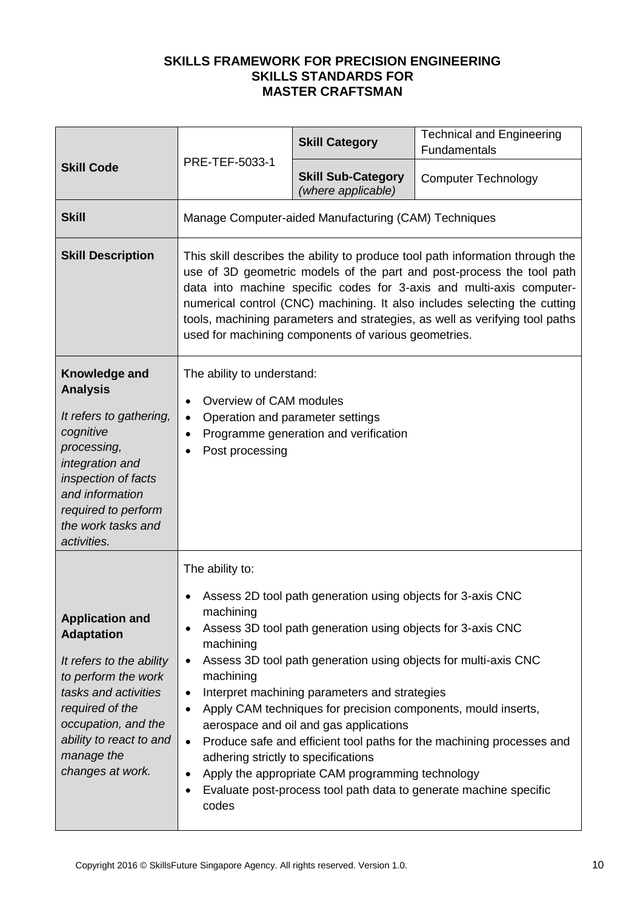|                                                                                                                                                                                                                               | PRE-TEF-5033-1                                                                                                                                                                                                                                                                                                                                                                                                                                     | <b>Skill Category</b>                                                                                                                                                                                                                                                     | <b>Technical and Engineering</b><br>Fundamentals                                                                                                                                                                                                                               |
|-------------------------------------------------------------------------------------------------------------------------------------------------------------------------------------------------------------------------------|----------------------------------------------------------------------------------------------------------------------------------------------------------------------------------------------------------------------------------------------------------------------------------------------------------------------------------------------------------------------------------------------------------------------------------------------------|---------------------------------------------------------------------------------------------------------------------------------------------------------------------------------------------------------------------------------------------------------------------------|--------------------------------------------------------------------------------------------------------------------------------------------------------------------------------------------------------------------------------------------------------------------------------|
| <b>Skill Code</b>                                                                                                                                                                                                             |                                                                                                                                                                                                                                                                                                                                                                                                                                                    | <b>Skill Sub-Category</b><br>(where applicable)                                                                                                                                                                                                                           | <b>Computer Technology</b>                                                                                                                                                                                                                                                     |
| <b>Skill</b>                                                                                                                                                                                                                  |                                                                                                                                                                                                                                                                                                                                                                                                                                                    | Manage Computer-aided Manufacturing (CAM) Techniques                                                                                                                                                                                                                      |                                                                                                                                                                                                                                                                                |
| <b>Skill Description</b>                                                                                                                                                                                                      | This skill describes the ability to produce tool path information through the<br>use of 3D geometric models of the part and post-process the tool path<br>data into machine specific codes for 3-axis and multi-axis computer-<br>numerical control (CNC) machining. It also includes selecting the cutting<br>tools, machining parameters and strategies, as well as verifying tool paths<br>used for machining components of various geometries. |                                                                                                                                                                                                                                                                           |                                                                                                                                                                                                                                                                                |
| Knowledge and<br><b>Analysis</b><br>It refers to gathering,<br>cognitive<br>processing,<br>integration and<br>inspection of facts<br>and information<br>required to perform<br>the work tasks and<br>activities.              | The ability to understand:<br>Overview of CAM modules<br>$\bullet$<br>Operation and parameter settings<br>Programme generation and verification<br>Post processing                                                                                                                                                                                                                                                                                 |                                                                                                                                                                                                                                                                           |                                                                                                                                                                                                                                                                                |
| <b>Application and</b><br><b>Adaptation</b><br>It refers to the ability<br>to perform the work<br>tasks and activities<br>required of the<br>occupation, and the<br>ability to react to and<br>manage the<br>changes at work. | The ability to:<br>machining<br>٠<br>machining<br>$\bullet$<br>machining<br>$\bullet$<br>$\bullet$<br>adhering strictly to specifications<br>٠<br>codes                                                                                                                                                                                                                                                                                            | Assess 2D tool path generation using objects for 3-axis CNC<br>Assess 3D tool path generation using objects for 3-axis CNC<br>Interpret machining parameters and strategies<br>aerospace and oil and gas applications<br>Apply the appropriate CAM programming technology | Assess 3D tool path generation using objects for multi-axis CNC<br>Apply CAM techniques for precision components, mould inserts,<br>Produce safe and efficient tool paths for the machining processes and<br>Evaluate post-process tool path data to generate machine specific |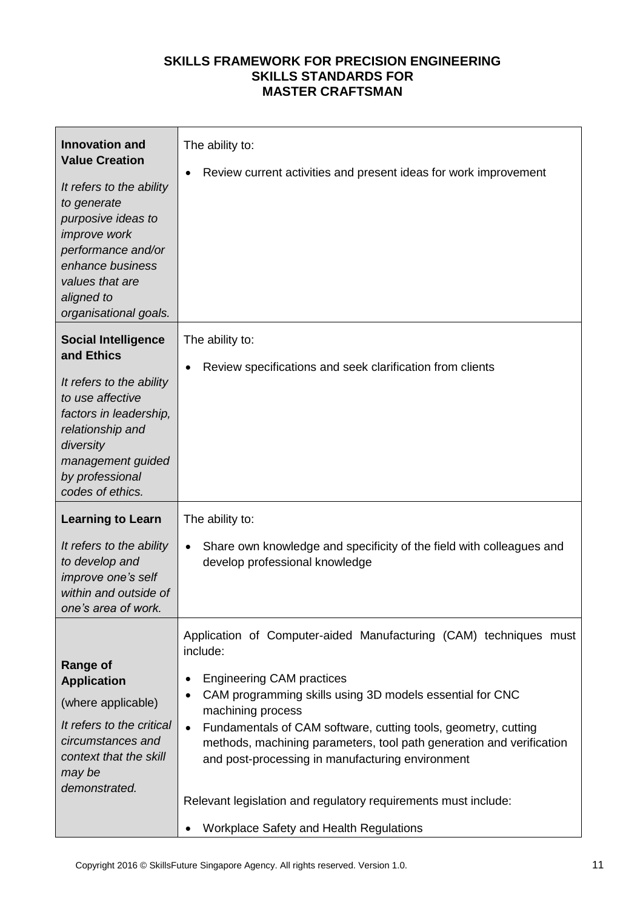| <b>Innovation and</b><br><b>Value Creation</b><br>It refers to the ability<br>to generate<br>purposive ideas to<br>improve work<br>performance and/or<br>enhance business<br>values that are<br>aligned to<br>organisational goals. | The ability to:<br>Review current activities and present ideas for work improvement                                                                                                                                                                                                                                                                                                                                                                                                                                        |
|-------------------------------------------------------------------------------------------------------------------------------------------------------------------------------------------------------------------------------------|----------------------------------------------------------------------------------------------------------------------------------------------------------------------------------------------------------------------------------------------------------------------------------------------------------------------------------------------------------------------------------------------------------------------------------------------------------------------------------------------------------------------------|
| <b>Social Intelligence</b><br>and Ethics<br>It refers to the ability<br>to use affective<br>factors in leadership,<br>relationship and<br>diversity<br>management guided<br>by professional<br>codes of ethics.                     | The ability to:<br>Review specifications and seek clarification from clients                                                                                                                                                                                                                                                                                                                                                                                                                                               |
| <b>Learning to Learn</b><br>It refers to the ability<br>to develop and<br>improve one's self<br>within and outside of<br>one's area of work.                                                                                        | The ability to:<br>Share own knowledge and specificity of the field with colleagues and<br>$\bullet$<br>develop professional knowledge                                                                                                                                                                                                                                                                                                                                                                                     |
| <b>Range of</b><br><b>Application</b><br>(where applicable)<br>It refers to the critical<br>circumstances and<br>context that the skill<br>may be<br>demonstrated.                                                                  | Application of Computer-aided Manufacturing (CAM) techniques must<br>include:<br><b>Engineering CAM practices</b><br>CAM programming skills using 3D models essential for CNC<br>machining process<br>Fundamentals of CAM software, cutting tools, geometry, cutting<br>$\bullet$<br>methods, machining parameters, tool path generation and verification<br>and post-processing in manufacturing environment<br>Relevant legislation and regulatory requirements must include:<br>Workplace Safety and Health Regulations |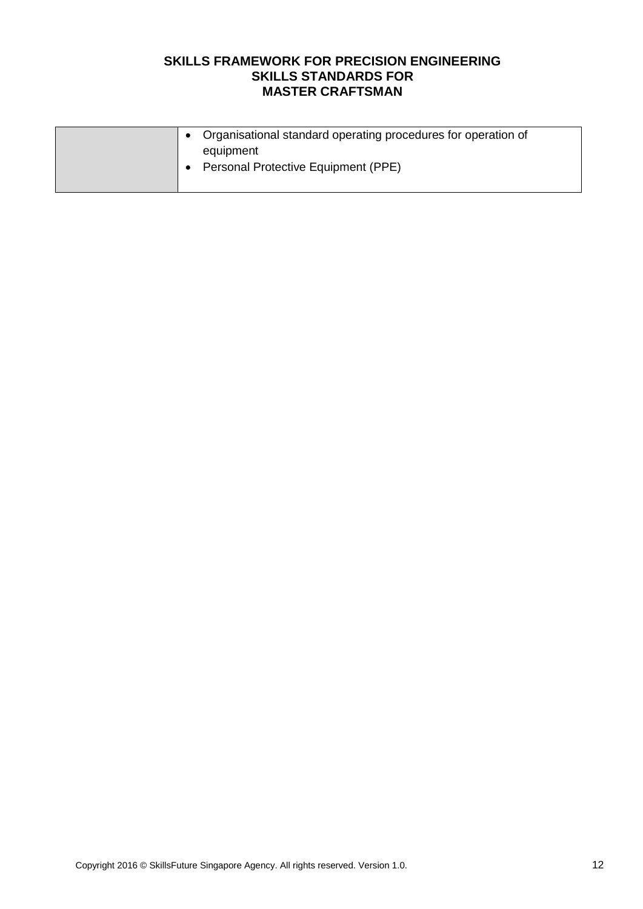|  | • Organisational standard operating procedures for operation of<br>equipment |
|--|------------------------------------------------------------------------------|
|  | <b>Personal Protective Equipment (PPE)</b>                                   |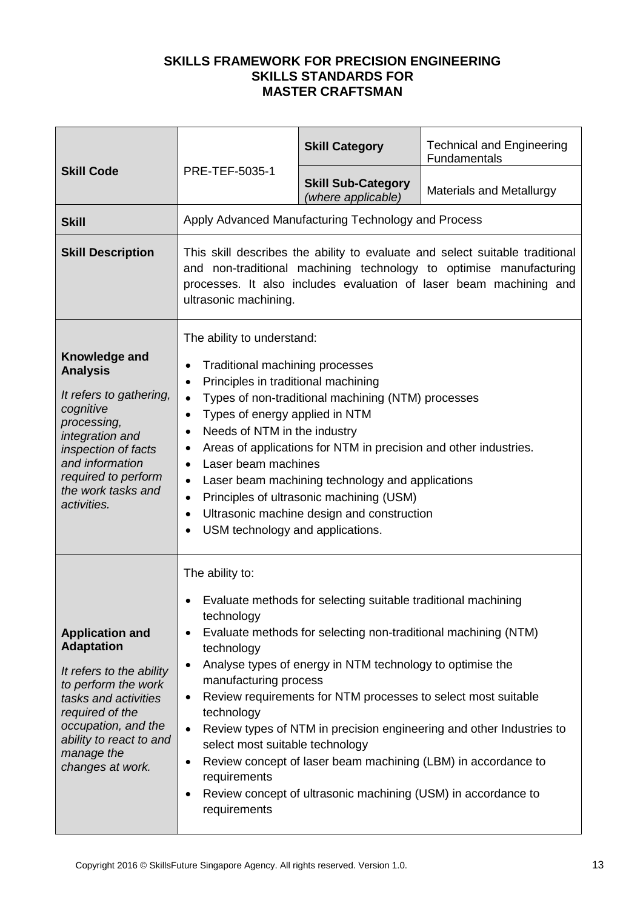|                                                                                                                                                                                                                               |                                                                                                                                                                                                                                                                                                                                                                                                                                                                                                                                                                                                      | <b>Skill Category</b>                                                                                                                                                                                                                                                                                                          | <b>Technical and Engineering</b><br><b>Fundamentals</b>                                                                               |  |
|-------------------------------------------------------------------------------------------------------------------------------------------------------------------------------------------------------------------------------|------------------------------------------------------------------------------------------------------------------------------------------------------------------------------------------------------------------------------------------------------------------------------------------------------------------------------------------------------------------------------------------------------------------------------------------------------------------------------------------------------------------------------------------------------------------------------------------------------|--------------------------------------------------------------------------------------------------------------------------------------------------------------------------------------------------------------------------------------------------------------------------------------------------------------------------------|---------------------------------------------------------------------------------------------------------------------------------------|--|
| <b>Skill Code</b>                                                                                                                                                                                                             | PRE-TEF-5035-1                                                                                                                                                                                                                                                                                                                                                                                                                                                                                                                                                                                       | <b>Skill Sub-Category</b><br>(where applicable)                                                                                                                                                                                                                                                                                | <b>Materials and Metallurgy</b>                                                                                                       |  |
| <b>Skill</b>                                                                                                                                                                                                                  |                                                                                                                                                                                                                                                                                                                                                                                                                                                                                                                                                                                                      | Apply Advanced Manufacturing Technology and Process                                                                                                                                                                                                                                                                            |                                                                                                                                       |  |
| <b>Skill Description</b>                                                                                                                                                                                                      | This skill describes the ability to evaluate and select suitable traditional<br>and non-traditional machining technology to optimise manufacturing<br>processes. It also includes evaluation of laser beam machining and<br>ultrasonic machining.                                                                                                                                                                                                                                                                                                                                                    |                                                                                                                                                                                                                                                                                                                                |                                                                                                                                       |  |
| Knowledge and<br><b>Analysis</b><br>It refers to gathering,<br>cognitive<br>processing,<br>integration and<br>inspection of facts<br>and information<br>required to perform<br>the work tasks and<br>activities.              | The ability to understand:<br>Traditional machining processes<br>Principles in traditional machining<br>$\bullet$<br>Types of non-traditional machining (NTM) processes<br>$\bullet$<br>Types of energy applied in NTM<br>$\bullet$<br>Needs of NTM in the industry<br>Areas of applications for NTM in precision and other industries.<br>$\bullet$<br>Laser beam machines<br>Laser beam machining technology and applications<br>$\bullet$<br>Principles of ultrasonic machining (USM)<br>$\bullet$<br>Ultrasonic machine design and construction<br>$\bullet$<br>USM technology and applications. |                                                                                                                                                                                                                                                                                                                                |                                                                                                                                       |  |
| <b>Application and</b><br><b>Adaptation</b><br>It refers to the ability<br>to perform the work<br>tasks and activities<br>required of the<br>occupation, and the<br>ability to react to and<br>manage the<br>changes at work. | The ability to:<br>technology<br>technology<br>$\bullet$<br>manufacturing process<br>٠<br>technology<br>$\bullet$<br>select most suitable technology<br>٠<br>requirements<br>٠<br>requirements                                                                                                                                                                                                                                                                                                                                                                                                       | Evaluate methods for selecting suitable traditional machining<br>Evaluate methods for selecting non-traditional machining (NTM)<br>Analyse types of energy in NTM technology to optimise the<br>Review requirements for NTM processes to select most suitable<br>Review concept of ultrasonic machining (USM) in accordance to | Review types of NTM in precision engineering and other Industries to<br>Review concept of laser beam machining (LBM) in accordance to |  |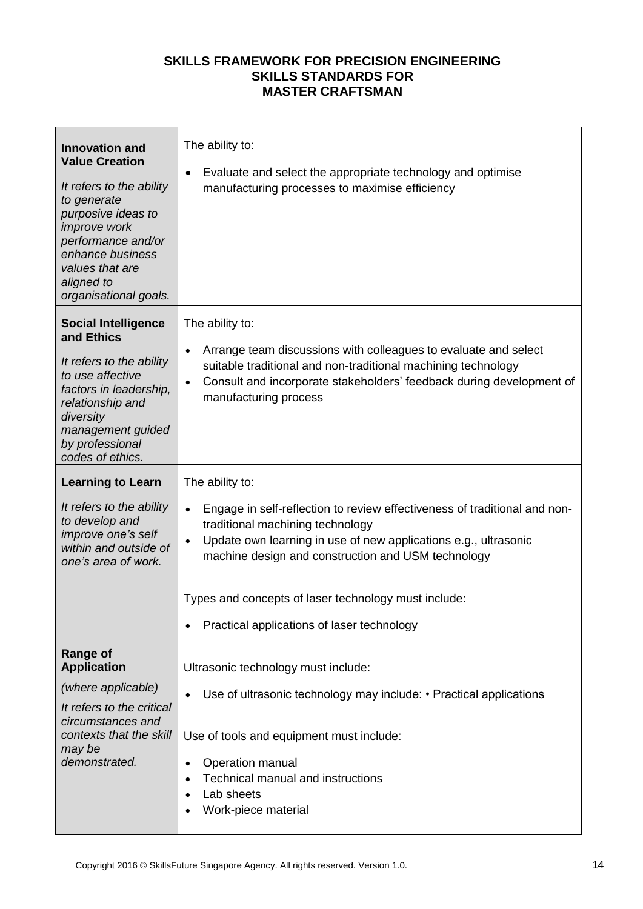| <b>Innovation and</b><br><b>Value Creation</b><br>It refers to the ability<br>to generate<br>purposive ideas to<br>improve work<br>performance and/or<br>enhance business<br>values that are<br>aligned to<br>organisational goals. | The ability to:<br>Evaluate and select the appropriate technology and optimise<br>$\bullet$<br>manufacturing processes to maximise efficiency                                                                                                                                                                                                                                       |
|-------------------------------------------------------------------------------------------------------------------------------------------------------------------------------------------------------------------------------------|-------------------------------------------------------------------------------------------------------------------------------------------------------------------------------------------------------------------------------------------------------------------------------------------------------------------------------------------------------------------------------------|
| <b>Social Intelligence</b><br>and Ethics<br>It refers to the ability<br>to use affective<br>factors in leadership,<br>relationship and<br>diversity<br>management guided<br>by professional<br>codes of ethics.                     | The ability to:<br>Arrange team discussions with colleagues to evaluate and select<br>$\bullet$<br>suitable traditional and non-traditional machining technology<br>Consult and incorporate stakeholders' feedback during development of<br>$\bullet$<br>manufacturing process                                                                                                      |
| <b>Learning to Learn</b><br>It refers to the ability<br>to develop and<br>improve one's self<br>within and outside of<br>one's area of work.                                                                                        | The ability to:<br>Engage in self-reflection to review effectiveness of traditional and non-<br>$\bullet$<br>traditional machining technology<br>Update own learning in use of new applications e.g., ultrasonic<br>$\bullet$<br>machine design and construction and USM technology                                                                                                 |
| <b>Range of</b><br><b>Application</b><br>(where applicable)<br>It refers to the critical<br>circumstances and<br>contexts that the skill<br>may be<br>demonstrated.                                                                 | Types and concepts of laser technology must include:<br>Practical applications of laser technology<br>Ultrasonic technology must include:<br>Use of ultrasonic technology may include: • Practical applications<br>Use of tools and equipment must include:<br>Operation manual<br>$\bullet$<br>Technical manual and instructions<br>Lab sheets<br>$\bullet$<br>Work-piece material |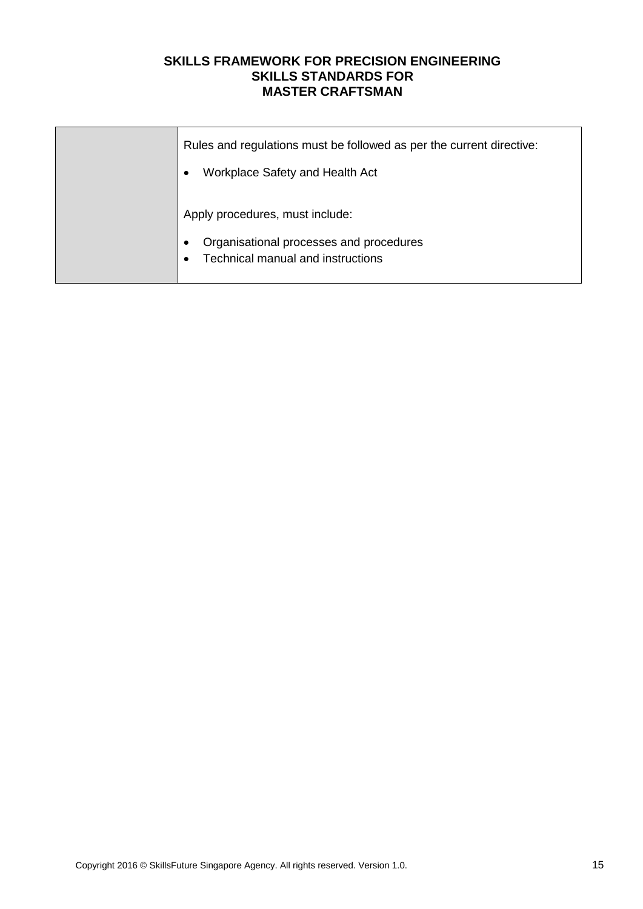| Rules and regulations must be followed as per the current directive:                      |
|-------------------------------------------------------------------------------------------|
| Workplace Safety and Health Act                                                           |
| Apply procedures, must include:                                                           |
| Organisational processes and procedures<br>Technical manual and instructions<br>$\bullet$ |
|                                                                                           |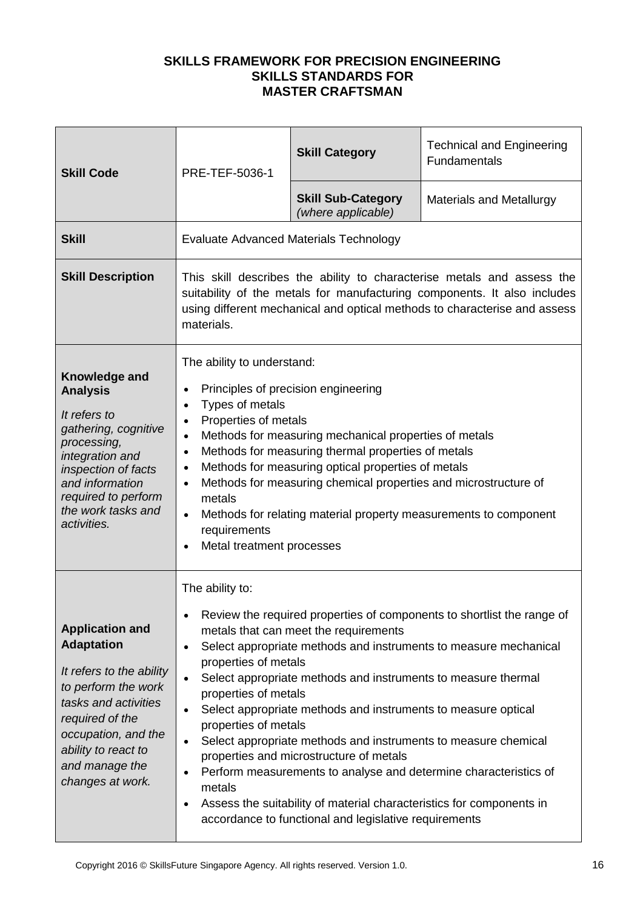| <b>Skill Code</b>                                                                                                                                                                                                             | PRE-TEF-5036-1                                                                                                                                                                                                                                                                                                                                                                                                                                                                                                                                                                                                                                                                                                                                                                                                                          | <b>Skill Category</b>                           | <b>Technical and Engineering</b><br>Fundamentals |
|-------------------------------------------------------------------------------------------------------------------------------------------------------------------------------------------------------------------------------|-----------------------------------------------------------------------------------------------------------------------------------------------------------------------------------------------------------------------------------------------------------------------------------------------------------------------------------------------------------------------------------------------------------------------------------------------------------------------------------------------------------------------------------------------------------------------------------------------------------------------------------------------------------------------------------------------------------------------------------------------------------------------------------------------------------------------------------------|-------------------------------------------------|--------------------------------------------------|
|                                                                                                                                                                                                                               |                                                                                                                                                                                                                                                                                                                                                                                                                                                                                                                                                                                                                                                                                                                                                                                                                                         | <b>Skill Sub-Category</b><br>(where applicable) | <b>Materials and Metallurgy</b>                  |
| <b>Skill</b>                                                                                                                                                                                                                  |                                                                                                                                                                                                                                                                                                                                                                                                                                                                                                                                                                                                                                                                                                                                                                                                                                         | <b>Evaluate Advanced Materials Technology</b>   |                                                  |
| <b>Skill Description</b>                                                                                                                                                                                                      | This skill describes the ability to characterise metals and assess the<br>suitability of the metals for manufacturing components. It also includes<br>using different mechanical and optical methods to characterise and assess<br>materials.                                                                                                                                                                                                                                                                                                                                                                                                                                                                                                                                                                                           |                                                 |                                                  |
| Knowledge and<br><b>Analysis</b><br>It refers to<br>gathering, cognitive<br>processing,<br>integration and<br>inspection of facts<br>and information<br>required to perform<br>the work tasks and<br>activities.              | The ability to understand:<br>Principles of precision engineering<br>$\bullet$<br>Types of metals<br>$\bullet$<br>Properties of metals<br>$\bullet$<br>Methods for measuring mechanical properties of metals<br>$\bullet$<br>Methods for measuring thermal properties of metals<br>$\bullet$<br>Methods for measuring optical properties of metals<br>$\bullet$<br>Methods for measuring chemical properties and microstructure of<br>$\bullet$<br>metals<br>Methods for relating material property measurements to component<br>$\bullet$<br>requirements<br>Metal treatment processes<br>$\bullet$                                                                                                                                                                                                                                    |                                                 |                                                  |
| <b>Application and</b><br><b>Adaptation</b><br>It refers to the ability<br>to perform the work<br>tasks and activities<br>required of the<br>occupation, and the<br>ability to react to<br>and manage the<br>changes at work. | The ability to:<br>Review the required properties of components to shortlist the range of<br>$\bullet$<br>metals that can meet the requirements<br>Select appropriate methods and instruments to measure mechanical<br>$\bullet$<br>properties of metals<br>Select appropriate methods and instruments to measure thermal<br>$\bullet$<br>properties of metals<br>Select appropriate methods and instruments to measure optical<br>$\bullet$<br>properties of metals<br>Select appropriate methods and instruments to measure chemical<br>$\bullet$<br>properties and microstructure of metals<br>Perform measurements to analyse and determine characteristics of<br>$\bullet$<br>metals<br>Assess the suitability of material characteristics for components in<br>$\bullet$<br>accordance to functional and legislative requirements |                                                 |                                                  |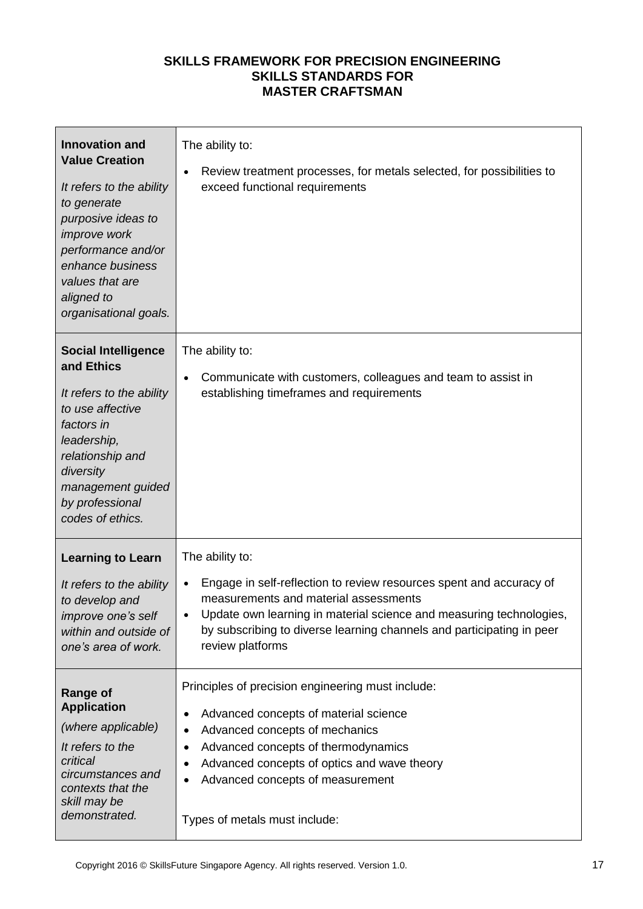| <b>Innovation and</b><br><b>Value Creation</b><br>It refers to the ability<br>to generate<br>purposive ideas to<br>improve work<br>performance and/or<br>enhance business<br>values that are<br>aligned to<br>organisational goals. | The ability to:<br>Review treatment processes, for metals selected, for possibilities to<br>$\bullet$<br>exceed functional requirements                                                                                                                                                                                             |
|-------------------------------------------------------------------------------------------------------------------------------------------------------------------------------------------------------------------------------------|-------------------------------------------------------------------------------------------------------------------------------------------------------------------------------------------------------------------------------------------------------------------------------------------------------------------------------------|
| <b>Social Intelligence</b><br>and Ethics<br>It refers to the ability<br>to use affective<br>factors in<br>leadership,<br>relationship and<br>diversity<br>management guided<br>by professional<br>codes of ethics.                  | The ability to:<br>Communicate with customers, colleagues and team to assist in<br>$\bullet$<br>establishing timeframes and requirements                                                                                                                                                                                            |
| <b>Learning to Learn</b><br>It refers to the ability<br>to develop and<br>improve one's self<br>within and outside of<br>one's area of work.                                                                                        | The ability to:<br>Engage in self-reflection to review resources spent and accuracy of<br>$\bullet$<br>measurements and material assessments<br>Update own learning in material science and measuring technologies,<br>$\bullet$<br>by subscribing to diverse learning channels and participating in peer<br>review platforms       |
| <b>Range of</b><br><b>Application</b><br>(where applicable)<br>It refers to the<br>critical<br>circumstances and<br>contexts that the<br>skill may be<br>demonstrated.                                                              | Principles of precision engineering must include:<br>Advanced concepts of material science<br>٠<br>Advanced concepts of mechanics<br>$\bullet$<br>Advanced concepts of thermodynamics<br>Advanced concepts of optics and wave theory<br>$\bullet$<br>Advanced concepts of measurement<br>$\bullet$<br>Types of metals must include: |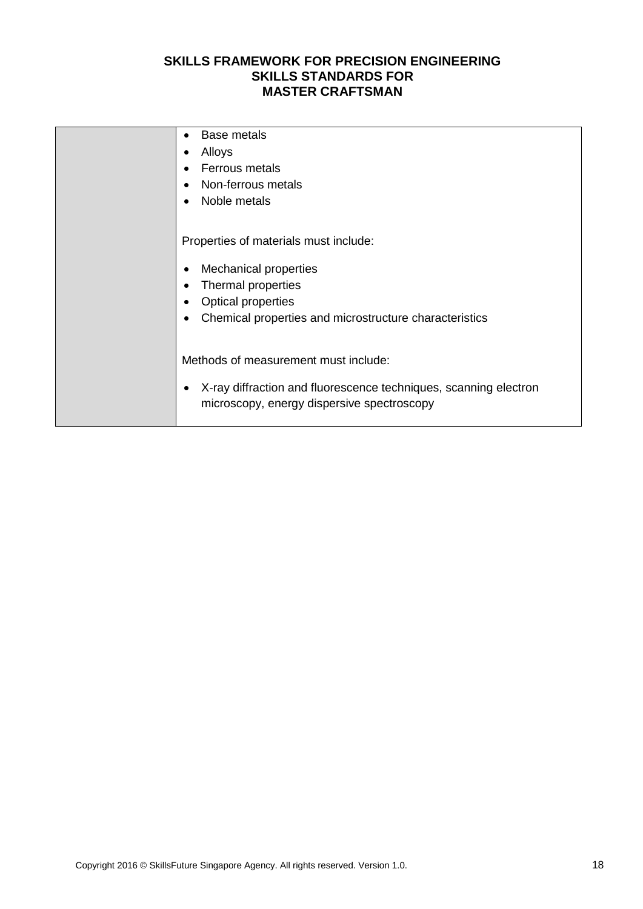| Base metals<br>$\bullet$                                                      |
|-------------------------------------------------------------------------------|
| Alloys<br>$\bullet$                                                           |
| Ferrous metals<br>$\bullet$                                                   |
| Non-ferrous metals<br>$\bullet$                                               |
| Noble metals<br>$\bullet$                                                     |
|                                                                               |
| Properties of materials must include:                                         |
|                                                                               |
| <b>Mechanical properties</b><br>$\bullet$                                     |
| Thermal properties<br>$\bullet$                                               |
| <b>Optical properties</b><br>$\bullet$                                        |
| Chemical properties and microstructure characteristics<br>$\bullet$           |
|                                                                               |
| Methods of measurement must include:                                          |
|                                                                               |
| X-ray diffraction and fluorescence techniques, scanning electron<br>$\bullet$ |
| microscopy, energy dispersive spectroscopy                                    |
|                                                                               |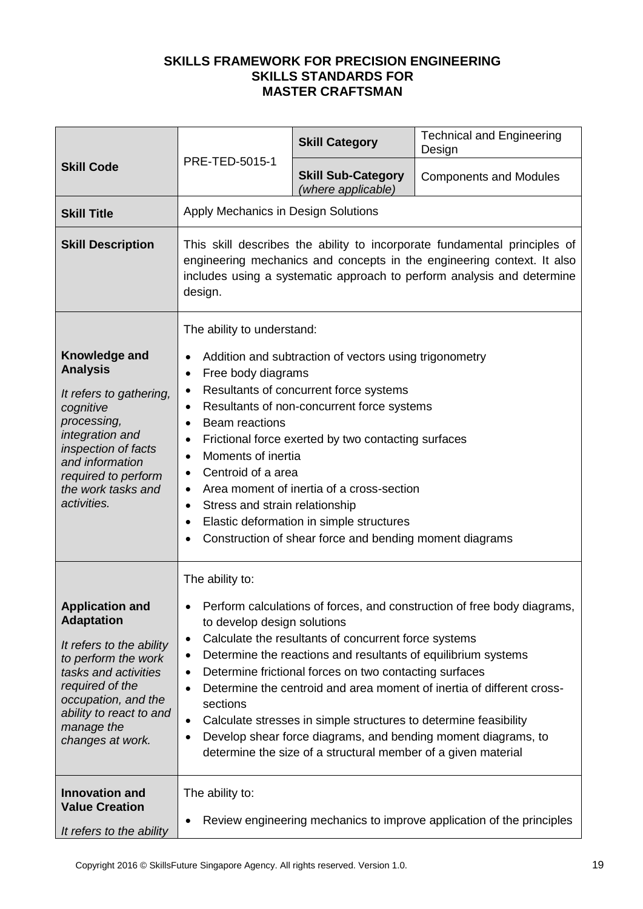|                                                                                                                                                                                                                               | PRE-TED-5015-1                                                                                                                                                                                                                                                                                                                                                                                                                                                                                                                                                                                                                                           | <b>Skill Category</b>                           | <b>Technical and Engineering</b><br>Design |
|-------------------------------------------------------------------------------------------------------------------------------------------------------------------------------------------------------------------------------|----------------------------------------------------------------------------------------------------------------------------------------------------------------------------------------------------------------------------------------------------------------------------------------------------------------------------------------------------------------------------------------------------------------------------------------------------------------------------------------------------------------------------------------------------------------------------------------------------------------------------------------------------------|-------------------------------------------------|--------------------------------------------|
| <b>Skill Code</b>                                                                                                                                                                                                             |                                                                                                                                                                                                                                                                                                                                                                                                                                                                                                                                                                                                                                                          | <b>Skill Sub-Category</b><br>(where applicable) | <b>Components and Modules</b>              |
| <b>Skill Title</b>                                                                                                                                                                                                            | Apply Mechanics in Design Solutions                                                                                                                                                                                                                                                                                                                                                                                                                                                                                                                                                                                                                      |                                                 |                                            |
| <b>Skill Description</b>                                                                                                                                                                                                      | This skill describes the ability to incorporate fundamental principles of<br>engineering mechanics and concepts in the engineering context. It also<br>includes using a systematic approach to perform analysis and determine<br>design.                                                                                                                                                                                                                                                                                                                                                                                                                 |                                                 |                                            |
| Knowledge and<br><b>Analysis</b><br>It refers to gathering,<br>cognitive<br>processing,<br>integration and<br>inspection of facts<br>and information<br>required to perform<br>the work tasks and<br>activities.              | The ability to understand:<br>Addition and subtraction of vectors using trigonometry<br>Free body diagrams<br>$\bullet$<br>Resultants of concurrent force systems<br>$\bullet$<br>Resultants of non-concurrent force systems<br>$\bullet$<br>Beam reactions<br>$\bullet$<br>Frictional force exerted by two contacting surfaces<br>$\bullet$<br>Moments of inertia<br>$\bullet$<br>Centroid of a area<br>Area moment of inertia of a cross-section<br>٠<br>Stress and strain relationship<br>٠<br>Elastic deformation in simple structures<br>$\bullet$<br>Construction of shear force and bending moment diagrams                                       |                                                 |                                            |
| <b>Application and</b><br><b>Adaptation</b><br>It refers to the ability<br>to perform the work<br>tasks and activities<br>required of the<br>occupation, and the<br>ability to react to and<br>manage the<br>changes at work. | The ability to:<br>Perform calculations of forces, and construction of free body diagrams,<br>to develop design solutions<br>Calculate the resultants of concurrent force systems<br>$\bullet$<br>Determine the reactions and resultants of equilibrium systems<br>Determine frictional forces on two contacting surfaces<br>٠<br>Determine the centroid and area moment of inertia of different cross-<br>$\bullet$<br>sections<br>Calculate stresses in simple structures to determine feasibility<br>$\bullet$<br>Develop shear force diagrams, and bending moment diagrams, to<br>٠<br>determine the size of a structural member of a given material |                                                 |                                            |
| <b>Innovation and</b><br><b>Value Creation</b><br>It refers to the ability                                                                                                                                                    | The ability to:<br>Review engineering mechanics to improve application of the principles                                                                                                                                                                                                                                                                                                                                                                                                                                                                                                                                                                 |                                                 |                                            |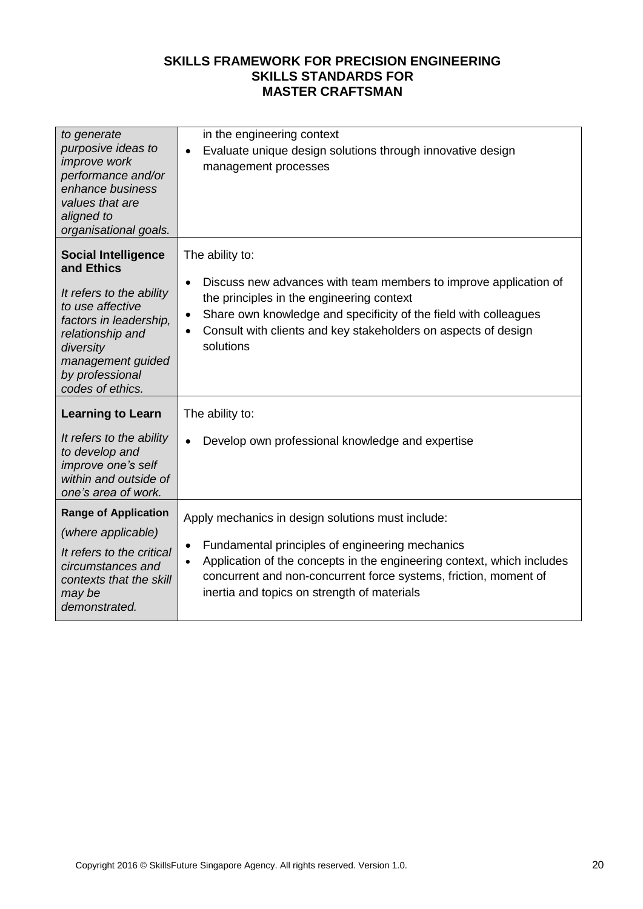| in the engineering context<br>Evaluate unique design solutions through innovative design<br>$\bullet$<br>management processes                                                                                                                                                                                               |
|-----------------------------------------------------------------------------------------------------------------------------------------------------------------------------------------------------------------------------------------------------------------------------------------------------------------------------|
| The ability to:<br>Discuss new advances with team members to improve application of<br>$\bullet$<br>the principles in the engineering context<br>Share own knowledge and specificity of the field with colleagues<br>$\bullet$<br>Consult with clients and key stakeholders on aspects of design<br>$\bullet$<br>solutions  |
| The ability to:                                                                                                                                                                                                                                                                                                             |
| Develop own professional knowledge and expertise                                                                                                                                                                                                                                                                            |
| Apply mechanics in design solutions must include:<br>Fundamental principles of engineering mechanics<br>$\bullet$<br>Application of the concepts in the engineering context, which includes<br>$\bullet$<br>concurrent and non-concurrent force systems, friction, moment of<br>inertia and topics on strength of materials |
|                                                                                                                                                                                                                                                                                                                             |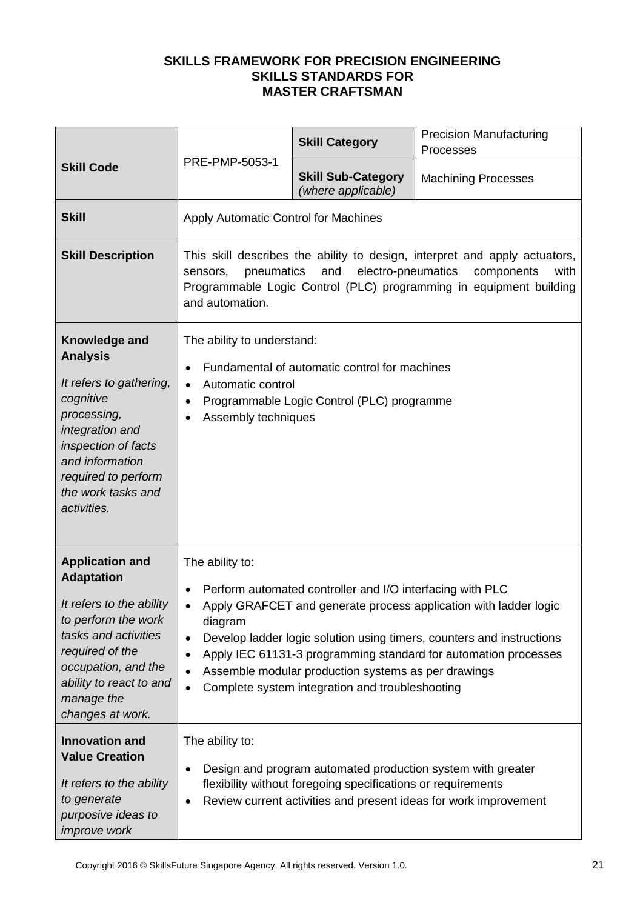| <b>Skill Code</b>                                                                                                                                                                                                             |                                                                                                                                                                                                                                                                                                                                                                                                                                             | <b>Skill Category</b>                           | <b>Precision Manufacturing</b><br>Processes |
|-------------------------------------------------------------------------------------------------------------------------------------------------------------------------------------------------------------------------------|---------------------------------------------------------------------------------------------------------------------------------------------------------------------------------------------------------------------------------------------------------------------------------------------------------------------------------------------------------------------------------------------------------------------------------------------|-------------------------------------------------|---------------------------------------------|
|                                                                                                                                                                                                                               | PRE-PMP-5053-1                                                                                                                                                                                                                                                                                                                                                                                                                              | <b>Skill Sub-Category</b><br>(where applicable) | <b>Machining Processes</b>                  |
| <b>Skill</b>                                                                                                                                                                                                                  | Apply Automatic Control for Machines                                                                                                                                                                                                                                                                                                                                                                                                        |                                                 |                                             |
| <b>Skill Description</b>                                                                                                                                                                                                      | This skill describes the ability to design, interpret and apply actuators,<br>electro-pneumatics<br>pneumatics<br>and<br>components<br>with<br>sensors,<br>Programmable Logic Control (PLC) programming in equipment building<br>and automation.                                                                                                                                                                                            |                                                 |                                             |
| Knowledge and<br><b>Analysis</b><br>It refers to gathering,<br>cognitive<br>processing,<br>integration and<br>inspection of facts<br>and information<br>required to perform<br>the work tasks and<br>activities.              | The ability to understand:<br>Fundamental of automatic control for machines<br>Automatic control<br>$\bullet$<br>Programmable Logic Control (PLC) programme<br>$\bullet$<br>Assembly techniques                                                                                                                                                                                                                                             |                                                 |                                             |
| <b>Application and</b><br><b>Adaptation</b><br>It refers to the ability<br>to perform the work<br>tasks and activities<br>required of the<br>occupation, and the<br>ability to react to and<br>manage the<br>changes at work. | The ability to:<br>Perform automated controller and I/O interfacing with PLC<br>Apply GRAFCET and generate process application with ladder logic<br>diagram<br>Develop ladder logic solution using timers, counters and instructions<br>$\bullet$<br>Apply IEC 61131-3 programming standard for automation processes<br>Assemble modular production systems as per drawings<br>Complete system integration and troubleshooting<br>$\bullet$ |                                                 |                                             |
| <b>Innovation and</b><br><b>Value Creation</b><br>It refers to the ability<br>to generate<br>purposive ideas to<br>improve work                                                                                               | The ability to:<br>Design and program automated production system with greater<br>$\bullet$<br>flexibility without foregoing specifications or requirements<br>Review current activities and present ideas for work improvement<br>$\bullet$                                                                                                                                                                                                |                                                 |                                             |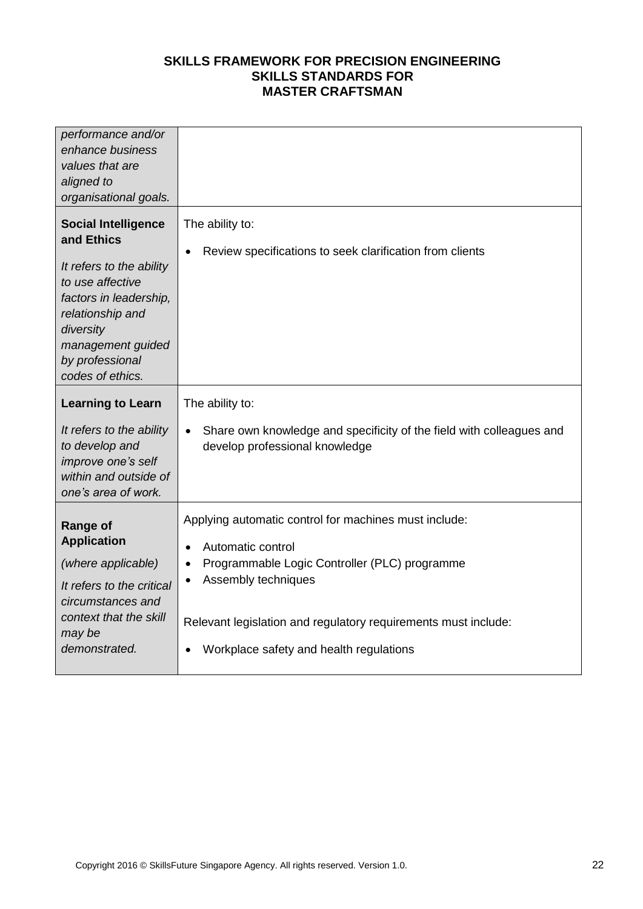| performance and/or<br>enhance business<br>values that are<br>aligned to<br>organisational goals.                                                                                                                |                                                                                                                                                                                                                                                                 |
|-----------------------------------------------------------------------------------------------------------------------------------------------------------------------------------------------------------------|-----------------------------------------------------------------------------------------------------------------------------------------------------------------------------------------------------------------------------------------------------------------|
| <b>Social Intelligence</b><br>and Ethics<br>It refers to the ability<br>to use affective<br>factors in leadership,<br>relationship and<br>diversity<br>management guided<br>by professional<br>codes of ethics. | The ability to:<br>Review specifications to seek clarification from clients                                                                                                                                                                                     |
| <b>Learning to Learn</b><br>It refers to the ability<br>to develop and<br>improve one's self<br>within and outside of<br>one's area of work.                                                                    | The ability to:<br>Share own knowledge and specificity of the field with colleagues and<br>develop professional knowledge                                                                                                                                       |
| <b>Range of</b><br><b>Application</b><br>(where applicable)<br>It refers to the critical<br>circumstances and<br>context that the skill<br>may be<br>demonstrated.                                              | Applying automatic control for machines must include:<br>Automatic control<br>Programmable Logic Controller (PLC) programme<br>Assembly techniques<br>Relevant legislation and regulatory requirements must include:<br>Workplace safety and health regulations |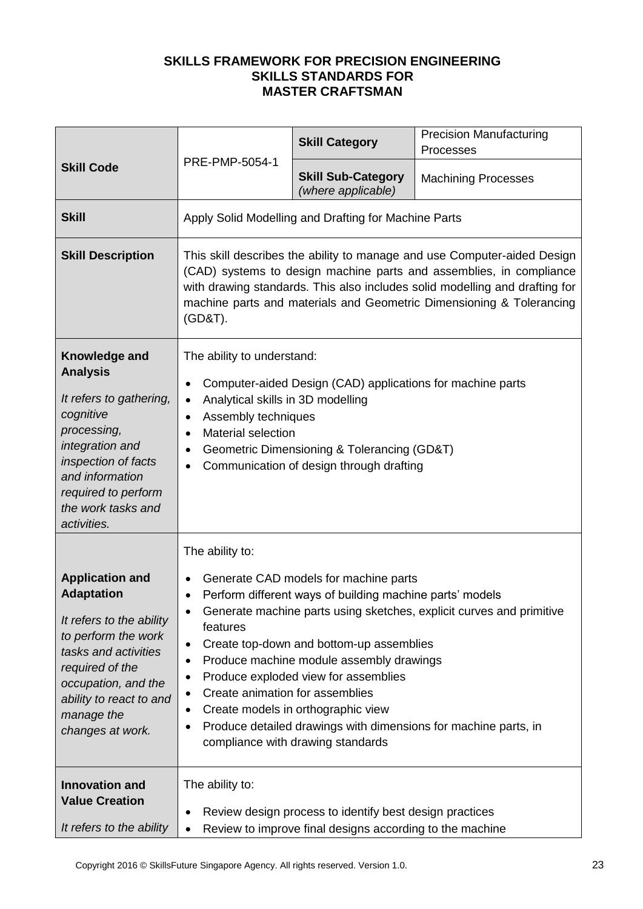| <b>Skill Code</b>                                                                                                                                                                                                             | PRE-PMP-5054-1                                                                                                                                                                                                                                                                                                                                                                                                                                                                                                                                                | <b>Skill Category</b>                                | <b>Precision Manufacturing</b><br>Processes |
|-------------------------------------------------------------------------------------------------------------------------------------------------------------------------------------------------------------------------------|---------------------------------------------------------------------------------------------------------------------------------------------------------------------------------------------------------------------------------------------------------------------------------------------------------------------------------------------------------------------------------------------------------------------------------------------------------------------------------------------------------------------------------------------------------------|------------------------------------------------------|---------------------------------------------|
|                                                                                                                                                                                                                               |                                                                                                                                                                                                                                                                                                                                                                                                                                                                                                                                                               | <b>Skill Sub-Category</b><br>(where applicable)      | <b>Machining Processes</b>                  |
| <b>Skill</b>                                                                                                                                                                                                                  |                                                                                                                                                                                                                                                                                                                                                                                                                                                                                                                                                               | Apply Solid Modelling and Drafting for Machine Parts |                                             |
| <b>Skill Description</b>                                                                                                                                                                                                      | This skill describes the ability to manage and use Computer-aided Design<br>(CAD) systems to design machine parts and assemblies, in compliance<br>with drawing standards. This also includes solid modelling and drafting for<br>machine parts and materials and Geometric Dimensioning & Tolerancing<br>(GD&T).                                                                                                                                                                                                                                             |                                                      |                                             |
| Knowledge and<br><b>Analysis</b><br>It refers to gathering,<br>cognitive<br>processing,<br>integration and<br>inspection of facts<br>and information<br>required to perform<br>the work tasks and<br>activities.              | The ability to understand:<br>Computer-aided Design (CAD) applications for machine parts<br>$\bullet$<br>Analytical skills in 3D modelling<br>$\bullet$<br>Assembly techniques<br>$\bullet$<br>Material selection<br>Geometric Dimensioning & Tolerancing (GD&T)<br>Communication of design through drafting<br>$\bullet$                                                                                                                                                                                                                                     |                                                      |                                             |
| <b>Application and</b><br><b>Adaptation</b><br>It refers to the ability<br>to perform the work<br>tasks and activities<br>required of the<br>occupation, and the<br>ability to react to and<br>manage the<br>changes at work. | The ability to:<br>Generate CAD models for machine parts<br>Perform different ways of building machine parts' models<br>$\bullet$<br>Generate machine parts using sketches, explicit curves and primitive<br>features<br>Create top-down and bottom-up assemblies<br>٠<br>Produce machine module assembly drawings<br>٠<br>Produce exploded view for assemblies<br>Create animation for assemblies<br>$\bullet$<br>Create models in orthographic view<br>Produce detailed drawings with dimensions for machine parts, in<br>compliance with drawing standards |                                                      |                                             |
| <b>Innovation and</b><br><b>Value Creation</b><br>It refers to the ability                                                                                                                                                    | The ability to:<br>Review design process to identify best design practices<br>Review to improve final designs according to the machine                                                                                                                                                                                                                                                                                                                                                                                                                        |                                                      |                                             |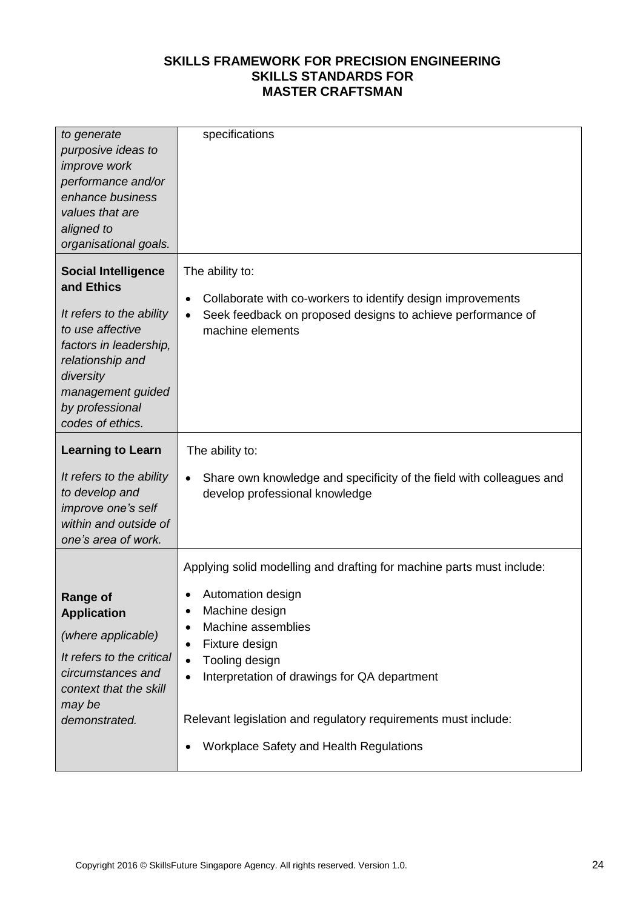| to generate                                  | specifications                                                                    |
|----------------------------------------------|-----------------------------------------------------------------------------------|
| purposive ideas to                           |                                                                                   |
| improve work                                 |                                                                                   |
| performance and/or                           |                                                                                   |
|                                              |                                                                                   |
| enhance business                             |                                                                                   |
| values that are                              |                                                                                   |
| aligned to                                   |                                                                                   |
| organisational goals.                        |                                                                                   |
| <b>Social Intelligence</b><br>and Ethics     | The ability to:                                                                   |
|                                              | Collaborate with co-workers to identify design improvements<br>$\bullet$          |
| It refers to the ability<br>to use affective | Seek feedback on proposed designs to achieve performance of                       |
|                                              | machine elements                                                                  |
| factors in leadership,                       |                                                                                   |
| relationship and                             |                                                                                   |
| diversity                                    |                                                                                   |
| management guided                            |                                                                                   |
| by professional                              |                                                                                   |
| codes of ethics.                             |                                                                                   |
| <b>Learning to Learn</b>                     | The ability to:                                                                   |
| It refers to the ability                     | Share own knowledge and specificity of the field with colleagues and<br>$\bullet$ |
| to develop and                               | develop professional knowledge                                                    |
| improve one's self                           |                                                                                   |
| within and outside of                        |                                                                                   |
| one's area of work.                          |                                                                                   |
|                                              | Applying solid modelling and drafting for machine parts must include:             |
|                                              | Automation design                                                                 |
| <b>Range of</b>                              |                                                                                   |
| <b>Application</b>                           | Machine design                                                                    |
| (where applicable)                           | Machine assemblies<br>Fixture design<br>$\bullet$                                 |
| It refers to the critical                    | Tooling design<br>$\bullet$                                                       |
| circumstances and                            | Interpretation of drawings for QA department<br>$\bullet$                         |
| context that the skill                       |                                                                                   |
| may be                                       |                                                                                   |
| demonstrated.                                | Relevant legislation and regulatory requirements must include:                    |
|                                              | Workplace Safety and Health Regulations<br>$\bullet$                              |
|                                              |                                                                                   |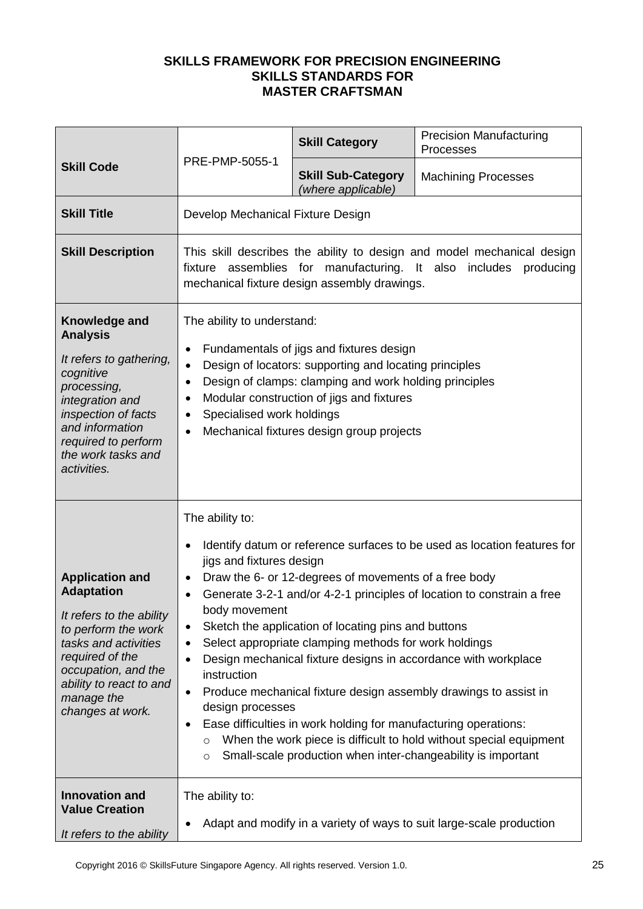| <b>Skill Code</b>                                                                                                                                                                                                             | PRE-PMP-5055-1                                                                                                                                                                                                                                                                                                                                                                                                                                                                                                                                                                                                                                                                                                                                                                                                                          | <b>Skill Category</b>                           | <b>Precision Manufacturing</b><br>Processes |
|-------------------------------------------------------------------------------------------------------------------------------------------------------------------------------------------------------------------------------|-----------------------------------------------------------------------------------------------------------------------------------------------------------------------------------------------------------------------------------------------------------------------------------------------------------------------------------------------------------------------------------------------------------------------------------------------------------------------------------------------------------------------------------------------------------------------------------------------------------------------------------------------------------------------------------------------------------------------------------------------------------------------------------------------------------------------------------------|-------------------------------------------------|---------------------------------------------|
|                                                                                                                                                                                                                               |                                                                                                                                                                                                                                                                                                                                                                                                                                                                                                                                                                                                                                                                                                                                                                                                                                         | <b>Skill Sub-Category</b><br>(where applicable) | <b>Machining Processes</b>                  |
| <b>Skill Title</b>                                                                                                                                                                                                            | Develop Mechanical Fixture Design                                                                                                                                                                                                                                                                                                                                                                                                                                                                                                                                                                                                                                                                                                                                                                                                       |                                                 |                                             |
| <b>Skill Description</b>                                                                                                                                                                                                      | This skill describes the ability to design and model mechanical design<br>fixture assemblies for manufacturing. It also includes<br>producing<br>mechanical fixture design assembly drawings.                                                                                                                                                                                                                                                                                                                                                                                                                                                                                                                                                                                                                                           |                                                 |                                             |
| Knowledge and<br><b>Analysis</b><br>It refers to gathering,<br>cognitive<br>processing,<br>integration and<br>inspection of facts<br>and information<br>required to perform<br>the work tasks and<br>activities.              | The ability to understand:<br>Fundamentals of jigs and fixtures design<br>Design of locators: supporting and locating principles<br>Design of clamps: clamping and work holding principles<br>$\bullet$<br>Modular construction of jigs and fixtures<br>Specialised work holdings<br>Mechanical fixtures design group projects                                                                                                                                                                                                                                                                                                                                                                                                                                                                                                          |                                                 |                                             |
| <b>Application and</b><br><b>Adaptation</b><br>It refers to the ability<br>to perform the work<br>tasks and activities<br>required of the<br>occupation, and the<br>ability to react to and<br>manage the<br>changes at work. | The ability to:<br>Identify datum or reference surfaces to be used as location features for<br>jigs and fixtures design<br>Draw the 6- or 12-degrees of movements of a free body<br>٠<br>Generate 3-2-1 and/or 4-2-1 principles of location to constrain a free<br>body movement<br>Sketch the application of locating pins and buttons<br>٠<br>Select appropriate clamping methods for work holdings<br>Design mechanical fixture designs in accordance with workplace<br>$\bullet$<br>instruction<br>Produce mechanical fixture design assembly drawings to assist in<br>$\bullet$<br>design processes<br>Ease difficulties in work holding for manufacturing operations:<br>When the work piece is difficult to hold without special equipment<br>$\circ$<br>Small-scale production when inter-changeability is important<br>$\circ$ |                                                 |                                             |
| <b>Innovation and</b><br><b>Value Creation</b><br>It refers to the ability                                                                                                                                                    | The ability to:<br>Adapt and modify in a variety of ways to suit large-scale production                                                                                                                                                                                                                                                                                                                                                                                                                                                                                                                                                                                                                                                                                                                                                 |                                                 |                                             |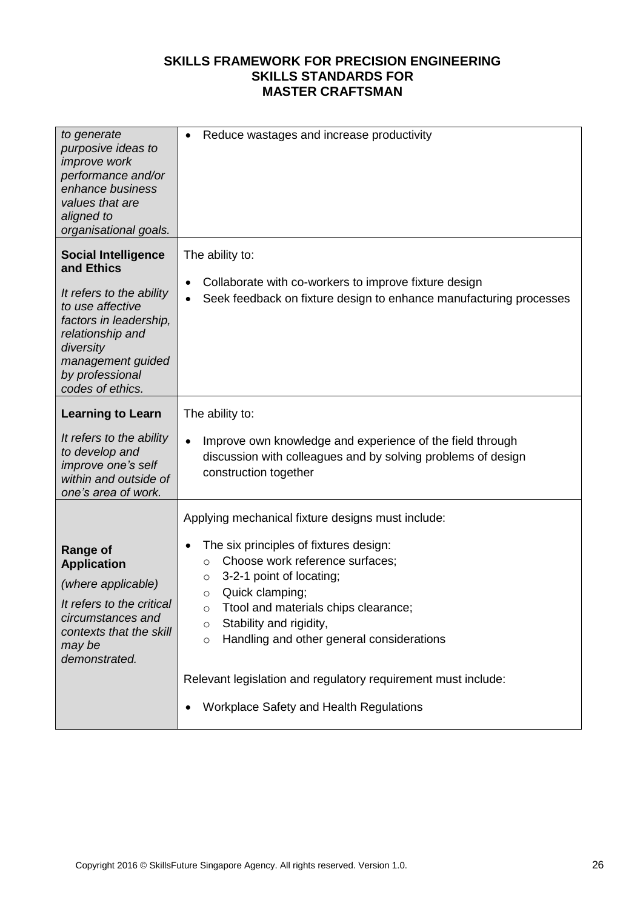| to generate<br>purposive ideas to<br>improve work<br>performance and/or<br>enhance business<br>values that are<br>aligned to<br>organisational goals.                                                           | Reduce wastages and increase productivity<br>$\bullet$                                                                                                                                                                                                                                               |
|-----------------------------------------------------------------------------------------------------------------------------------------------------------------------------------------------------------------|------------------------------------------------------------------------------------------------------------------------------------------------------------------------------------------------------------------------------------------------------------------------------------------------------|
| <b>Social Intelligence</b><br>and Ethics<br>It refers to the ability<br>to use affective<br>factors in leadership,<br>relationship and<br>diversity<br>management guided<br>by professional<br>codes of ethics. | The ability to:<br>Collaborate with co-workers to improve fixture design<br>Seek feedback on fixture design to enhance manufacturing processes                                                                                                                                                       |
| <b>Learning to Learn</b>                                                                                                                                                                                        | The ability to:                                                                                                                                                                                                                                                                                      |
| It refers to the ability<br>to develop and<br>improve one's self<br>within and outside of<br>one's area of work.                                                                                                | Improve own knowledge and experience of the field through<br>$\bullet$<br>discussion with colleagues and by solving problems of design<br>construction together                                                                                                                                      |
|                                                                                                                                                                                                                 | Applying mechanical fixture designs must include:                                                                                                                                                                                                                                                    |
| <b>Range of</b><br><b>Application</b><br>(where applicable)<br>It refers to the critical<br>circumstances and<br>contexts that the skill<br>may be<br>demonstrated.                                             | The six principles of fixtures design:<br>Choose work reference surfaces;<br>$\circ$<br>3-2-1 point of locating;<br>$\circ$<br>Quick clamping;<br>$\circ$<br>Ttool and materials chips clearance;<br>$\circ$<br>Stability and rigidity,<br>O<br>Handling and other general considerations<br>$\circ$ |
|                                                                                                                                                                                                                 | Relevant legislation and regulatory requirement must include:                                                                                                                                                                                                                                        |
|                                                                                                                                                                                                                 | Workplace Safety and Health Regulations                                                                                                                                                                                                                                                              |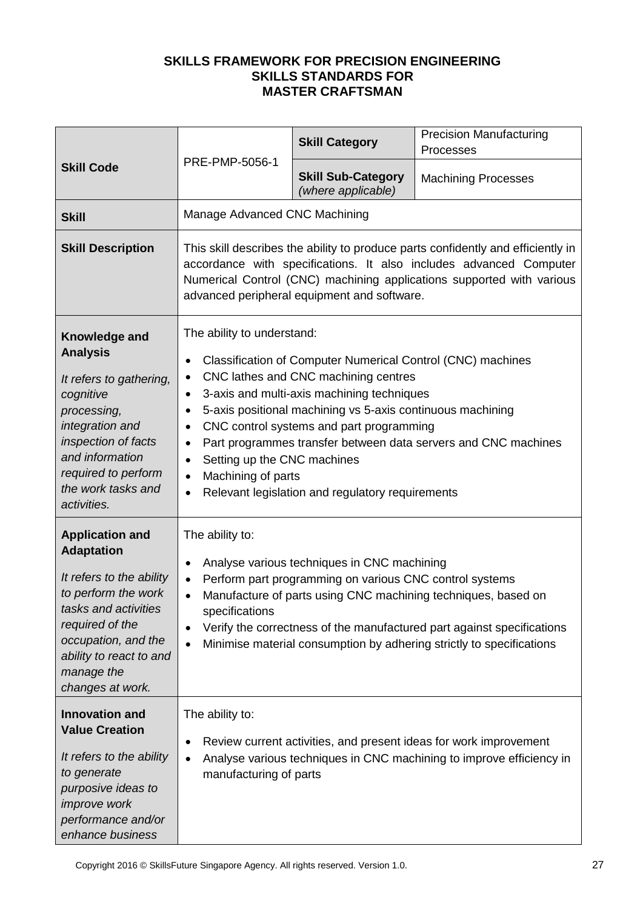| <b>Skill Code</b>                                                                                                                                                                                                             | PRE-PMP-5056-1                                                                                                                                                                                                                                                                                                                                                                                                                                                                                                                                                                            | <b>Skill Category</b>                           | <b>Precision Manufacturing</b><br>Processes |
|-------------------------------------------------------------------------------------------------------------------------------------------------------------------------------------------------------------------------------|-------------------------------------------------------------------------------------------------------------------------------------------------------------------------------------------------------------------------------------------------------------------------------------------------------------------------------------------------------------------------------------------------------------------------------------------------------------------------------------------------------------------------------------------------------------------------------------------|-------------------------------------------------|---------------------------------------------|
|                                                                                                                                                                                                                               |                                                                                                                                                                                                                                                                                                                                                                                                                                                                                                                                                                                           | <b>Skill Sub-Category</b><br>(where applicable) | <b>Machining Processes</b>                  |
| <b>Skill</b>                                                                                                                                                                                                                  | Manage Advanced CNC Machining                                                                                                                                                                                                                                                                                                                                                                                                                                                                                                                                                             |                                                 |                                             |
| <b>Skill Description</b>                                                                                                                                                                                                      | This skill describes the ability to produce parts confidently and efficiently in<br>accordance with specifications. It also includes advanced Computer<br>Numerical Control (CNC) machining applications supported with various<br>advanced peripheral equipment and software.                                                                                                                                                                                                                                                                                                            |                                                 |                                             |
| Knowledge and<br><b>Analysis</b><br>It refers to gathering,<br>cognitive<br>processing,<br>integration and<br>inspection of facts<br>and information<br>required to perform<br>the work tasks and<br>activities.              | The ability to understand:<br>Classification of Computer Numerical Control (CNC) machines<br>$\bullet$<br>CNC lathes and CNC machining centres<br>$\bullet$<br>3-axis and multi-axis machining techniques<br>$\bullet$<br>5-axis positional machining vs 5-axis continuous machining<br>$\bullet$<br>CNC control systems and part programming<br>$\bullet$<br>Part programmes transfer between data servers and CNC machines<br>$\bullet$<br>Setting up the CNC machines<br>$\bullet$<br>Machining of parts<br>$\bullet$<br>Relevant legislation and regulatory requirements<br>$\bullet$ |                                                 |                                             |
| <b>Application and</b><br><b>Adaptation</b><br>It refers to the ability<br>to perform the work<br>tasks and activities<br>required of the<br>occupation, and the<br>ability to react to and<br>manage the<br>changes at work. | The ability to:<br>Analyse various techniques in CNC machining<br>$\bullet$<br>Perform part programming on various CNC control systems<br>$\bullet$<br>Manufacture of parts using CNC machining techniques, based on<br>$\bullet$<br>specifications<br>Verify the correctness of the manufactured part against specifications<br>$\bullet$<br>Minimise material consumption by adhering strictly to specifications<br>$\bullet$                                                                                                                                                           |                                                 |                                             |
| <b>Innovation and</b><br><b>Value Creation</b><br>It refers to the ability<br>to generate<br>purposive ideas to<br><i>improve</i> work<br>performance and/or<br>enhance business                                              | The ability to:<br>Review current activities, and present ideas for work improvement<br>٠<br>Analyse various techniques in CNC machining to improve efficiency in<br>$\bullet$<br>manufacturing of parts                                                                                                                                                                                                                                                                                                                                                                                  |                                                 |                                             |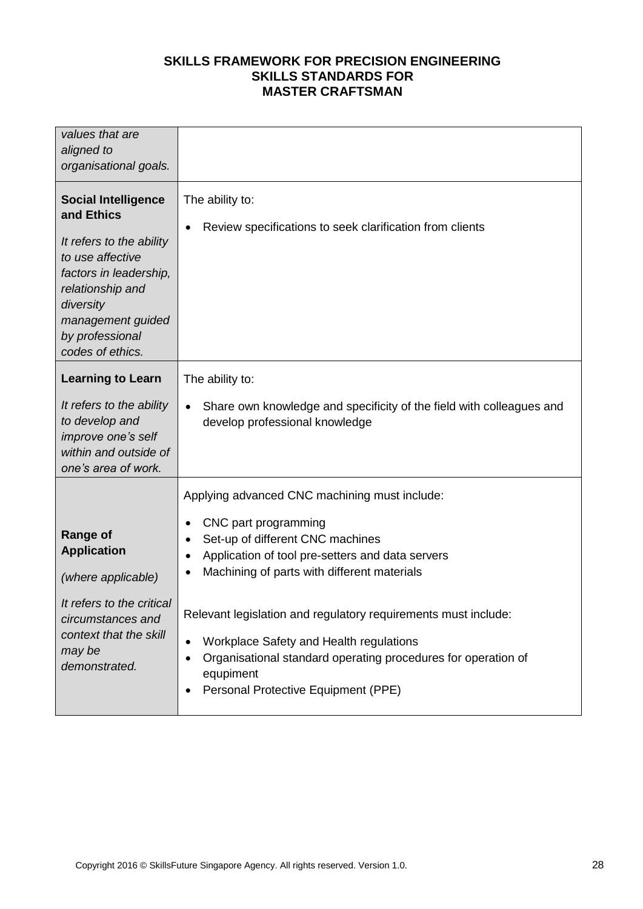| values that are<br>aligned to<br>organisational goals.                                                                                                                                                          |                                                                                                                                                                                                                                                                                                                                                                                                                                                             |
|-----------------------------------------------------------------------------------------------------------------------------------------------------------------------------------------------------------------|-------------------------------------------------------------------------------------------------------------------------------------------------------------------------------------------------------------------------------------------------------------------------------------------------------------------------------------------------------------------------------------------------------------------------------------------------------------|
| <b>Social Intelligence</b><br>and Ethics<br>It refers to the ability<br>to use affective<br>factors in leadership,<br>relationship and<br>diversity<br>management guided<br>by professional<br>codes of ethics. | The ability to:<br>Review specifications to seek clarification from clients                                                                                                                                                                                                                                                                                                                                                                                 |
| <b>Learning to Learn</b><br>It refers to the ability<br>to develop and<br>improve one's self<br>within and outside of<br>one's area of work.                                                                    | The ability to:<br>Share own knowledge and specificity of the field with colleagues and<br>develop professional knowledge                                                                                                                                                                                                                                                                                                                                   |
| <b>Range of</b><br><b>Application</b><br>(where applicable)<br>It refers to the critical<br>circumstances and<br>context that the skill<br>may be<br>demonstrated.                                              | Applying advanced CNC machining must include:<br>CNC part programming<br>Set-up of different CNC machines<br>Application of tool pre-setters and data servers<br>Machining of parts with different materials<br>Relevant legislation and regulatory requirements must include:<br>Workplace Safety and Health regulations<br>$\bullet$<br>Organisational standard operating procedures for operation of<br>equpiment<br>Personal Protective Equipment (PPE) |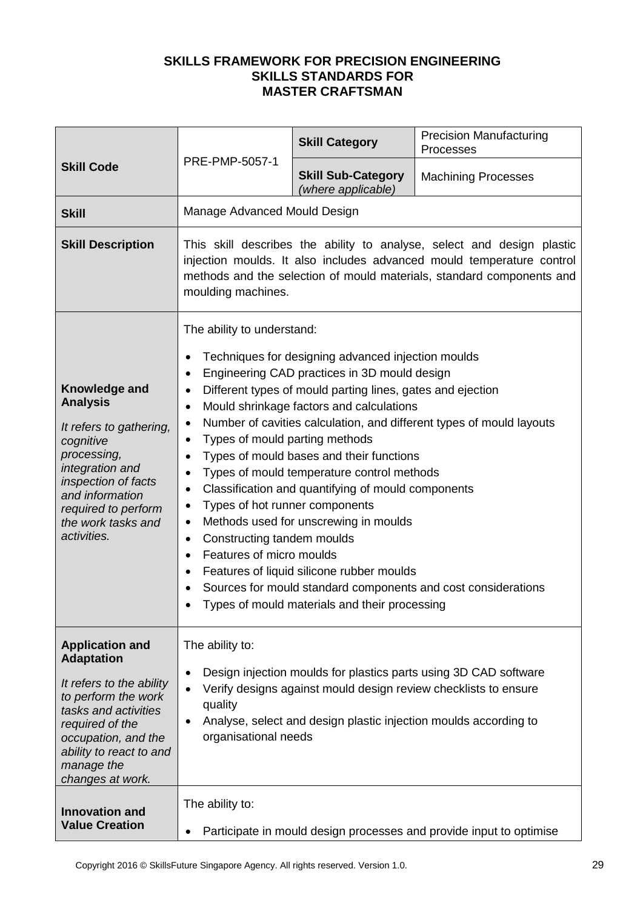| <b>Skill Code</b>                                                                                                                                                                                                             | PRE-PMP-5057-1                                                                                                                                                                                                                                                                                                                                                                                                                                                                                                                                                                                                                                                                                                                                                                                                                                                                                                                                               | <b>Skill Category</b>                           | <b>Precision Manufacturing</b><br>Processes |
|-------------------------------------------------------------------------------------------------------------------------------------------------------------------------------------------------------------------------------|--------------------------------------------------------------------------------------------------------------------------------------------------------------------------------------------------------------------------------------------------------------------------------------------------------------------------------------------------------------------------------------------------------------------------------------------------------------------------------------------------------------------------------------------------------------------------------------------------------------------------------------------------------------------------------------------------------------------------------------------------------------------------------------------------------------------------------------------------------------------------------------------------------------------------------------------------------------|-------------------------------------------------|---------------------------------------------|
|                                                                                                                                                                                                                               |                                                                                                                                                                                                                                                                                                                                                                                                                                                                                                                                                                                                                                                                                                                                                                                                                                                                                                                                                              | <b>Skill Sub-Category</b><br>(where applicable) | <b>Machining Processes</b>                  |
| <b>Skill</b>                                                                                                                                                                                                                  | Manage Advanced Mould Design                                                                                                                                                                                                                                                                                                                                                                                                                                                                                                                                                                                                                                                                                                                                                                                                                                                                                                                                 |                                                 |                                             |
| <b>Skill Description</b>                                                                                                                                                                                                      | This skill describes the ability to analyse, select and design plastic<br>injection moulds. It also includes advanced mould temperature control<br>methods and the selection of mould materials, standard components and<br>moulding machines.                                                                                                                                                                                                                                                                                                                                                                                                                                                                                                                                                                                                                                                                                                               |                                                 |                                             |
| <b>Knowledge and</b><br><b>Analysis</b><br>It refers to gathering,<br>cognitive<br>processing,<br>integration and<br>inspection of facts<br>and information<br>required to perform<br>the work tasks and<br>activities.       | The ability to understand:<br>Techniques for designing advanced injection moulds<br>$\bullet$<br>Engineering CAD practices in 3D mould design<br>Different types of mould parting lines, gates and ejection<br>$\bullet$<br>Mould shrinkage factors and calculations<br>$\bullet$<br>Number of cavities calculation, and different types of mould layouts<br>$\bullet$<br>Types of mould parting methods<br>$\bullet$<br>Types of mould bases and their functions<br>$\bullet$<br>Types of mould temperature control methods<br>$\bullet$<br>Classification and quantifying of mould components<br>$\bullet$<br>Types of hot runner components<br>٠<br>Methods used for unscrewing in moulds<br>$\bullet$<br>Constructing tandem moulds<br>$\bullet$<br>Features of micro moulds<br>Features of liquid silicone rubber moulds<br>$\bullet$<br>Sources for mould standard components and cost considerations<br>Types of mould materials and their processing |                                                 |                                             |
| <b>Application and</b><br><b>Adaptation</b><br>It refers to the ability<br>to perform the work<br>tasks and activities<br>required of the<br>occupation, and the<br>ability to react to and<br>manage the<br>changes at work. | The ability to:<br>Design injection moulds for plastics parts using 3D CAD software<br>$\bullet$<br>Verify designs against mould design review checklists to ensure<br>quality<br>Analyse, select and design plastic injection moulds according to<br>$\bullet$<br>organisational needs                                                                                                                                                                                                                                                                                                                                                                                                                                                                                                                                                                                                                                                                      |                                                 |                                             |
| <b>Innovation and</b><br><b>Value Creation</b>                                                                                                                                                                                | The ability to:<br>Participate in mould design processes and provide input to optimise                                                                                                                                                                                                                                                                                                                                                                                                                                                                                                                                                                                                                                                                                                                                                                                                                                                                       |                                                 |                                             |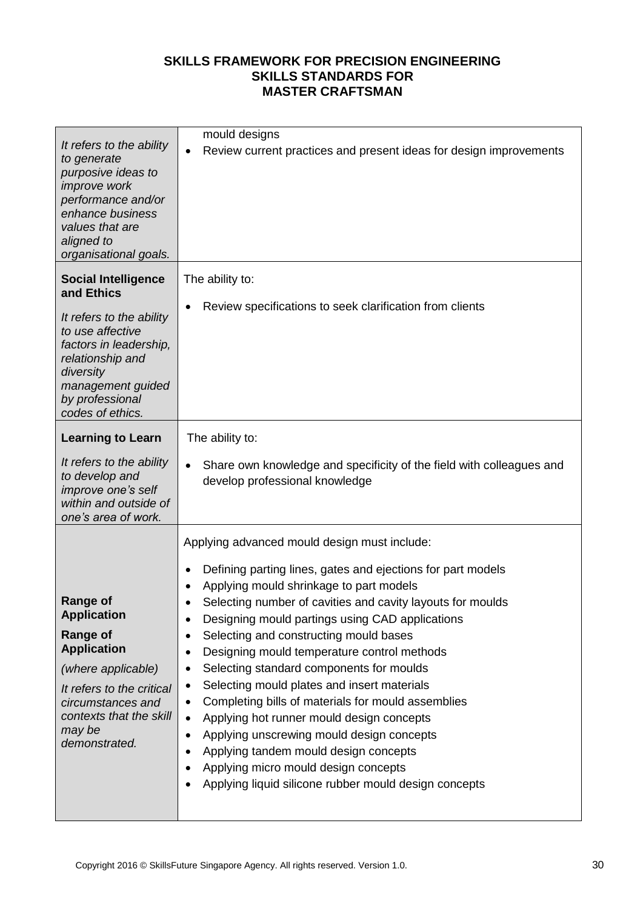| It refers to the ability<br>to generate<br>purposive ideas to<br>improve work<br>performance and/or<br>enhance business<br>values that are<br>aligned to<br>organisational goals.                               | mould designs<br>Review current practices and present ideas for design improvements<br>$\bullet$                                                                                                                                                                                                                                                                                                                                                                                                                                                                                                                                                                                                                                                                                                                                                   |
|-----------------------------------------------------------------------------------------------------------------------------------------------------------------------------------------------------------------|----------------------------------------------------------------------------------------------------------------------------------------------------------------------------------------------------------------------------------------------------------------------------------------------------------------------------------------------------------------------------------------------------------------------------------------------------------------------------------------------------------------------------------------------------------------------------------------------------------------------------------------------------------------------------------------------------------------------------------------------------------------------------------------------------------------------------------------------------|
| <b>Social Intelligence</b><br>and Ethics<br>It refers to the ability<br>to use affective<br>factors in leadership,<br>relationship and<br>diversity<br>management guided<br>by professional<br>codes of ethics. | The ability to:<br>Review specifications to seek clarification from clients                                                                                                                                                                                                                                                                                                                                                                                                                                                                                                                                                                                                                                                                                                                                                                        |
| <b>Learning to Learn</b><br>It refers to the ability<br>to develop and<br>improve one's self<br>within and outside of<br>one's area of work.                                                                    | The ability to:<br>Share own knowledge and specificity of the field with colleagues and<br>$\bullet$<br>develop professional knowledge                                                                                                                                                                                                                                                                                                                                                                                                                                                                                                                                                                                                                                                                                                             |
| <b>Range of</b><br><b>Application</b><br><b>Range of</b><br><b>Application</b><br>(where applicable)<br>It refers to the critical<br>circumstances and<br>contexts that the skill<br>may be<br>demonstrated.    | Applying advanced mould design must include:<br>Defining parting lines, gates and ejections for part models<br>Applying mould shrinkage to part models<br>Selecting number of cavities and cavity layouts for moulds<br>Designing mould partings using CAD applications<br>$\bullet$<br>Selecting and constructing mould bases<br>Designing mould temperature control methods<br>٠<br>Selecting standard components for moulds<br>٠<br>Selecting mould plates and insert materials<br>$\bullet$<br>Completing bills of materials for mould assemblies<br>٠<br>Applying hot runner mould design concepts<br>$\bullet$<br>Applying unscrewing mould design concepts<br>$\bullet$<br>Applying tandem mould design concepts<br>$\bullet$<br>Applying micro mould design concepts<br>$\bullet$<br>Applying liquid silicone rubber mould design concepts |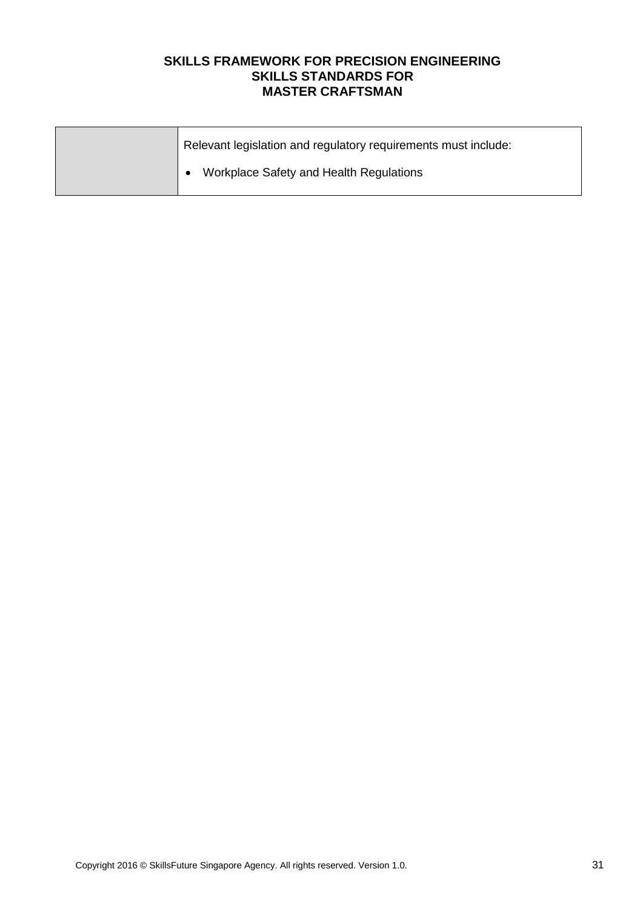| Relevant legislation and regulatory requirements must include: |
|----------------------------------------------------------------|
| Workplace Safety and Health Regulations                        |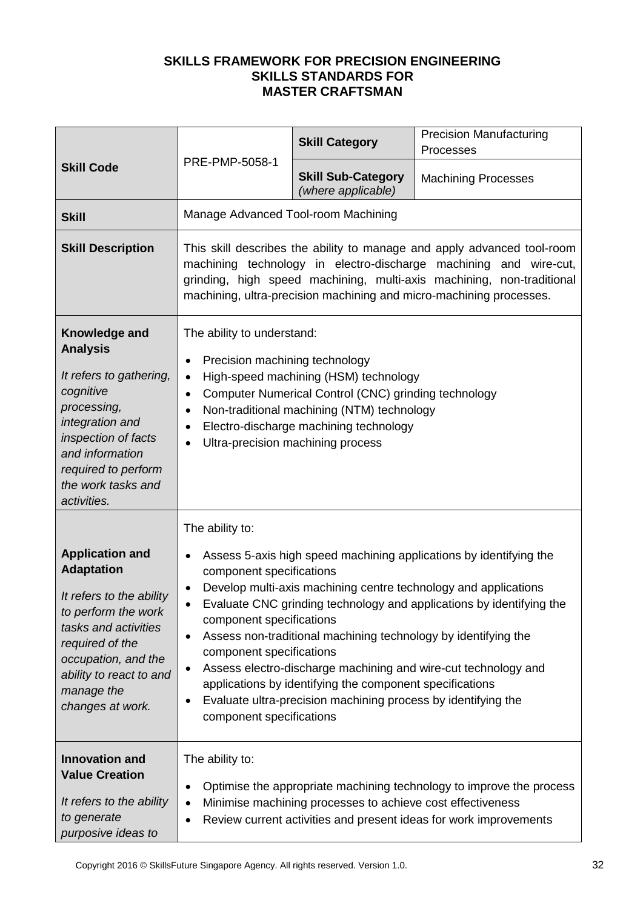| <b>Skill Code</b>                                                                                                                                                                                                             | PRE-PMP-5058-1                                                                                                                                                                                                                                                                                                                                                                                                                                                                                                                                                                                                                                     | <b>Skill Category</b>                                      | <b>Precision Manufacturing</b><br>Processes                                                                                               |
|-------------------------------------------------------------------------------------------------------------------------------------------------------------------------------------------------------------------------------|----------------------------------------------------------------------------------------------------------------------------------------------------------------------------------------------------------------------------------------------------------------------------------------------------------------------------------------------------------------------------------------------------------------------------------------------------------------------------------------------------------------------------------------------------------------------------------------------------------------------------------------------------|------------------------------------------------------------|-------------------------------------------------------------------------------------------------------------------------------------------|
|                                                                                                                                                                                                                               |                                                                                                                                                                                                                                                                                                                                                                                                                                                                                                                                                                                                                                                    | <b>Skill Sub-Category</b><br>(where applicable)            | <b>Machining Processes</b>                                                                                                                |
| <b>Skill</b>                                                                                                                                                                                                                  | Manage Advanced Tool-room Machining                                                                                                                                                                                                                                                                                                                                                                                                                                                                                                                                                                                                                |                                                            |                                                                                                                                           |
| <b>Skill Description</b>                                                                                                                                                                                                      | This skill describes the ability to manage and apply advanced tool-room<br>machining technology in electro-discharge machining and wire-cut,<br>grinding, high speed machining, multi-axis machining, non-traditional<br>machining, ultra-precision machining and micro-machining processes.                                                                                                                                                                                                                                                                                                                                                       |                                                            |                                                                                                                                           |
| Knowledge and<br><b>Analysis</b><br>It refers to gathering,<br>cognitive<br>processing,<br>integration and<br>inspection of facts<br>and information<br>required to perform<br>the work tasks and<br>activities.              | The ability to understand:<br>Precision machining technology<br>$\bullet$<br>High-speed machining (HSM) technology<br>$\bullet$<br>Computer Numerical Control (CNC) grinding technology<br>$\bullet$<br>Non-traditional machining (NTM) technology<br>$\bullet$<br>Electro-discharge machining technology<br>$\bullet$<br>Ultra-precision machining process                                                                                                                                                                                                                                                                                        |                                                            |                                                                                                                                           |
|                                                                                                                                                                                                                               | The ability to:                                                                                                                                                                                                                                                                                                                                                                                                                                                                                                                                                                                                                                    |                                                            |                                                                                                                                           |
| <b>Application and</b><br><b>Adaptation</b><br>It refers to the ability<br>to perform the work<br>tasks and activities<br>required of the<br>occupation, and the<br>ability to react to and<br>manage the<br>changes at work. | Assess 5-axis high speed machining applications by identifying the<br>$\bullet$<br>component specifications<br>Develop multi-axis machining centre technology and applications<br>Evaluate CNC grinding technology and applications by identifying the<br>component specifications<br>Assess non-traditional machining technology by identifying the<br>$\bullet$<br>component specifications<br>Assess electro-discharge machining and wire-cut technology and<br>$\bullet$<br>applications by identifying the component specifications<br>Evaluate ultra-precision machining process by identifying the<br>$\bullet$<br>component specifications |                                                            |                                                                                                                                           |
| <b>Innovation and</b><br><b>Value Creation</b><br>It refers to the ability<br>to generate<br>purposive ideas to                                                                                                               | The ability to:<br>$\bullet$<br>$\bullet$<br>$\bullet$                                                                                                                                                                                                                                                                                                                                                                                                                                                                                                                                                                                             | Minimise machining processes to achieve cost effectiveness | Optimise the appropriate machining technology to improve the process<br>Review current activities and present ideas for work improvements |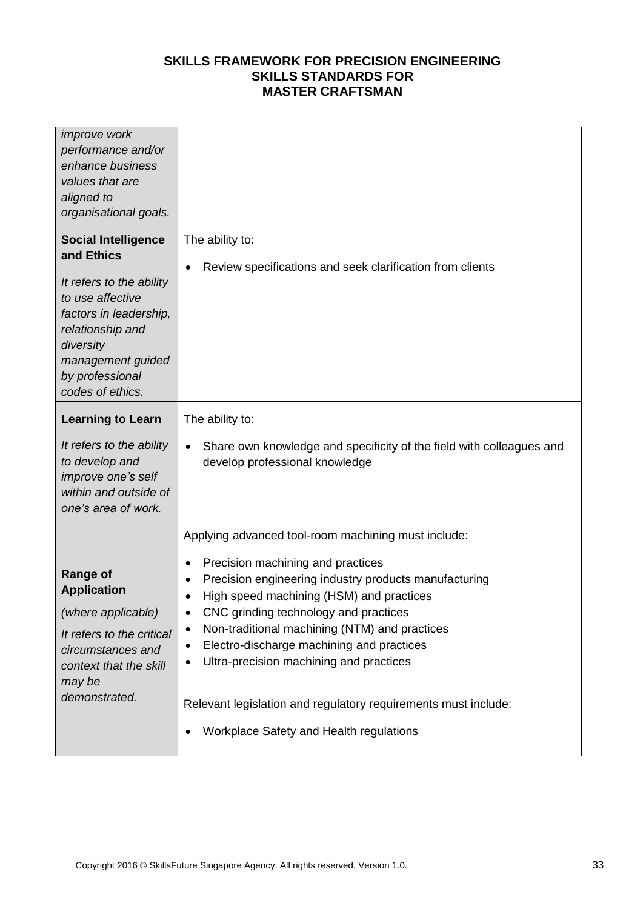| <i>improve</i> work<br>performance and/or<br>enhance business<br>values that are<br>aligned to<br>organisational goals.                                                                                         |                                                                                                                                                                                                                                                                                                                                                                                                                                                                                                                        |
|-----------------------------------------------------------------------------------------------------------------------------------------------------------------------------------------------------------------|------------------------------------------------------------------------------------------------------------------------------------------------------------------------------------------------------------------------------------------------------------------------------------------------------------------------------------------------------------------------------------------------------------------------------------------------------------------------------------------------------------------------|
| <b>Social Intelligence</b><br>and Ethics<br>It refers to the ability<br>to use affective<br>factors in leadership,<br>relationship and<br>diversity<br>management guided<br>by professional<br>codes of ethics. | The ability to:<br>Review specifications and seek clarification from clients                                                                                                                                                                                                                                                                                                                                                                                                                                           |
| <b>Learning to Learn</b><br>It refers to the ability<br>to develop and<br>improve one's self<br>within and outside of<br>one's area of work.                                                                    | The ability to:<br>Share own knowledge and specificity of the field with colleagues and<br>$\bullet$<br>develop professional knowledge                                                                                                                                                                                                                                                                                                                                                                                 |
| <b>Range of</b><br><b>Application</b><br>(where applicable)<br>It refers to the critical<br>circumstances and<br>context that the skill<br>may be<br>demonstrated.                                              | Applying advanced tool-room machining must include:<br>Precision machining and practices<br>Precision engineering industry products manufacturing<br>High speed machining (HSM) and practices<br>$\bullet$<br>CNC grinding technology and practices<br>Non-traditional machining (NTM) and practices<br>$\bullet$<br>Electro-discharge machining and practices<br>Ultra-precision machining and practices<br>Relevant legislation and regulatory requirements must include:<br>Workplace Safety and Health regulations |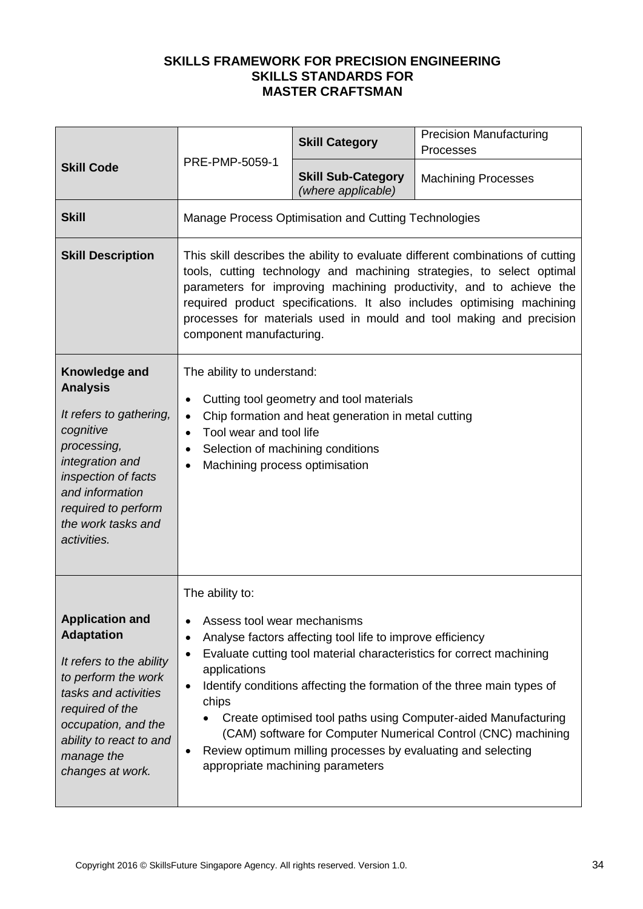| <b>Skill Code</b>                                                                                                                                                                                                             | PRE-PMP-5059-1                                                                                                                                                                                                                                                                                                                                                                                                                                                                                                                                                            | <b>Skill Category</b>                                | <b>Precision Manufacturing</b><br>Processes |
|-------------------------------------------------------------------------------------------------------------------------------------------------------------------------------------------------------------------------------|---------------------------------------------------------------------------------------------------------------------------------------------------------------------------------------------------------------------------------------------------------------------------------------------------------------------------------------------------------------------------------------------------------------------------------------------------------------------------------------------------------------------------------------------------------------------------|------------------------------------------------------|---------------------------------------------|
|                                                                                                                                                                                                                               |                                                                                                                                                                                                                                                                                                                                                                                                                                                                                                                                                                           | <b>Skill Sub-Category</b><br>(where applicable)      | <b>Machining Processes</b>                  |
| <b>Skill</b>                                                                                                                                                                                                                  |                                                                                                                                                                                                                                                                                                                                                                                                                                                                                                                                                                           | Manage Process Optimisation and Cutting Technologies |                                             |
| <b>Skill Description</b>                                                                                                                                                                                                      | This skill describes the ability to evaluate different combinations of cutting<br>tools, cutting technology and machining strategies, to select optimal<br>parameters for improving machining productivity, and to achieve the<br>required product specifications. It also includes optimising machining<br>processes for materials used in mould and tool making and precision<br>component manufacturing.                                                                                                                                                               |                                                      |                                             |
| Knowledge and<br><b>Analysis</b><br>It refers to gathering,<br>cognitive<br>processing,<br>integration and<br>inspection of facts<br>and information<br>required to perform<br>the work tasks and<br>activities.              | The ability to understand:<br>Cutting tool geometry and tool materials<br>Chip formation and heat generation in metal cutting<br>$\bullet$<br>Tool wear and tool life<br>$\bullet$<br>Selection of machining conditions<br>Machining process optimisation<br>$\bullet$                                                                                                                                                                                                                                                                                                    |                                                      |                                             |
| <b>Application and</b><br><b>Adaptation</b><br>It refers to the ability<br>to perform the work<br>tasks and activities<br>required of the<br>occupation, and the<br>ability to react to and<br>manage the<br>changes at work. | The ability to:<br>Assess tool wear mechanisms<br>$\bullet$<br>Analyse factors affecting tool life to improve efficiency<br>Evaluate cutting tool material characteristics for correct machining<br>$\bullet$<br>applications<br>Identify conditions affecting the formation of the three main types of<br>$\bullet$<br>chips<br>Create optimised tool paths using Computer-aided Manufacturing<br>(CAM) software for Computer Numerical Control (CNC) machining<br>Review optimum milling processes by evaluating and selecting<br>٠<br>appropriate machining parameters |                                                      |                                             |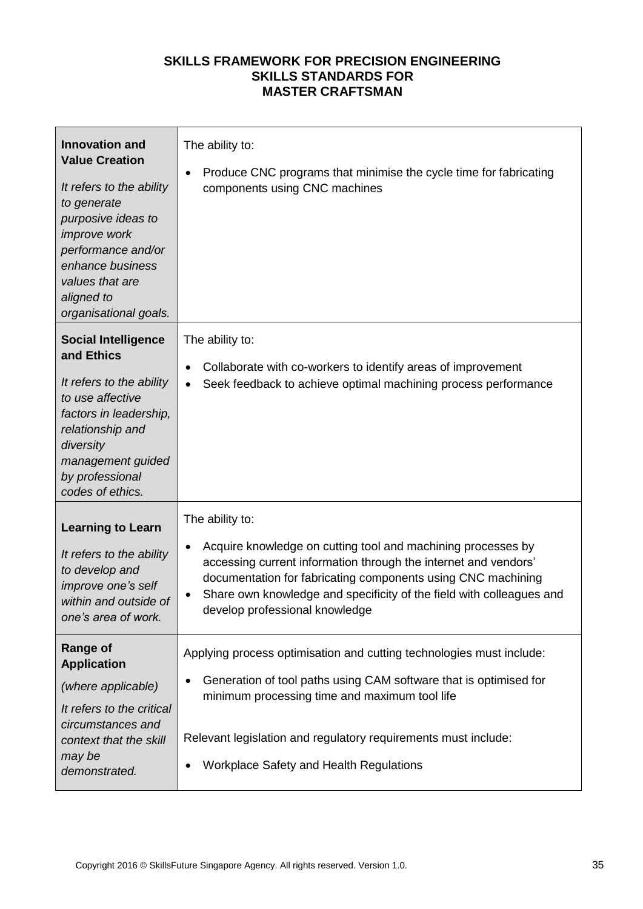| <b>Innovation and</b><br><b>Value Creation</b><br>It refers to the ability<br>to generate<br>purposive ideas to<br><i>improve</i> work<br>performance and/or<br>enhance business<br>values that are<br>aligned to<br>organisational goals. | The ability to:<br>Produce CNC programs that minimise the cycle time for fabricating<br>$\bullet$<br>components using CNC machines                                                                                                                                                                                                        |
|--------------------------------------------------------------------------------------------------------------------------------------------------------------------------------------------------------------------------------------------|-------------------------------------------------------------------------------------------------------------------------------------------------------------------------------------------------------------------------------------------------------------------------------------------------------------------------------------------|
| <b>Social Intelligence</b><br>and Ethics<br>It refers to the ability<br>to use affective<br>factors in leadership,<br>relationship and<br>diversity<br>management guided<br>by professional<br>codes of ethics.                            | The ability to:<br>Collaborate with co-workers to identify areas of improvement<br>Seek feedback to achieve optimal machining process performance<br>$\bullet$                                                                                                                                                                            |
| <b>Learning to Learn</b><br>It refers to the ability<br>to develop and<br>improve one's self<br>within and outside of<br>one's area of work.                                                                                               | The ability to:<br>Acquire knowledge on cutting tool and machining processes by<br>$\bullet$<br>accessing current information through the internet and vendors'<br>documentation for fabricating components using CNC machining<br>Share own knowledge and specificity of the field with colleagues and<br>develop professional knowledge |
| Range of<br><b>Application</b><br>(where applicable)<br>It refers to the critical<br>circumstances and<br>context that the skill<br>may be<br>demonstrated.                                                                                | Applying process optimisation and cutting technologies must include:<br>Generation of tool paths using CAM software that is optimised for<br>$\bullet$<br>minimum processing time and maximum tool life<br>Relevant legislation and regulatory requirements must include:<br><b>Workplace Safety and Health Regulations</b>               |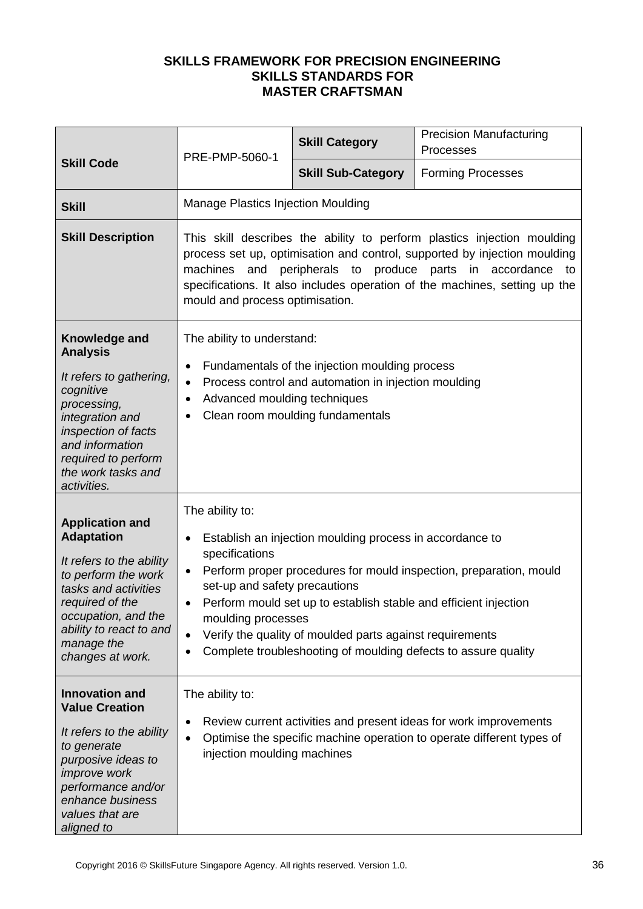|                                                                                                                                                                                                                               | PRE-PMP-5060-1                                                                                                                                                                                                                                                                                                                                  | <b>Skill Category</b>                                                                                                                                                                                                                                      | <b>Precision Manufacturing</b><br>Processes                                                                                                |
|-------------------------------------------------------------------------------------------------------------------------------------------------------------------------------------------------------------------------------|-------------------------------------------------------------------------------------------------------------------------------------------------------------------------------------------------------------------------------------------------------------------------------------------------------------------------------------------------|------------------------------------------------------------------------------------------------------------------------------------------------------------------------------------------------------------------------------------------------------------|--------------------------------------------------------------------------------------------------------------------------------------------|
| <b>Skill Code</b>                                                                                                                                                                                                             |                                                                                                                                                                                                                                                                                                                                                 | <b>Skill Sub-Category</b>                                                                                                                                                                                                                                  | <b>Forming Processes</b>                                                                                                                   |
| <b>Skill</b>                                                                                                                                                                                                                  | <b>Manage Plastics Injection Moulding</b>                                                                                                                                                                                                                                                                                                       |                                                                                                                                                                                                                                                            |                                                                                                                                            |
| <b>Skill Description</b>                                                                                                                                                                                                      | This skill describes the ability to perform plastics injection moulding<br>process set up, optimisation and control, supported by injection moulding<br>peripherals to produce parts<br>machines<br>and<br>in accordance<br>to<br>specifications. It also includes operation of the machines, setting up the<br>mould and process optimisation. |                                                                                                                                                                                                                                                            |                                                                                                                                            |
| Knowledge and<br><b>Analysis</b><br>It refers to gathering,<br>cognitive<br>processing,<br>integration and<br>inspection of facts<br>and information<br>required to perform<br>the work tasks and<br>activities.              | The ability to understand:<br>Fundamentals of the injection moulding process<br>$\bullet$<br>Process control and automation in injection moulding<br>$\bullet$<br>Advanced moulding techniques<br>Clean room moulding fundamentals                                                                                                              |                                                                                                                                                                                                                                                            |                                                                                                                                            |
| <b>Application and</b><br><b>Adaptation</b><br>It refers to the ability<br>to perform the work<br>tasks and activities<br>required of the<br>occupation, and the<br>ability to react to and<br>manage the<br>changes at work. | The ability to:<br>٠<br>specifications<br>٠<br>set-up and safety precautions<br>$\bullet$<br>moulding processes                                                                                                                                                                                                                                 | Establish an injection moulding process in accordance to<br>Perform mould set up to establish stable and efficient injection<br>Verify the quality of moulded parts against requirements<br>Complete troubleshooting of moulding defects to assure quality | Perform proper procedures for mould inspection, preparation, mould                                                                         |
| <b>Innovation and</b><br><b>Value Creation</b><br>It refers to the ability<br>to generate<br>purposive ideas to<br><i>improve</i> work<br>performance and/or<br>enhance business<br>values that are<br>aligned to             | The ability to:<br>injection moulding machines                                                                                                                                                                                                                                                                                                  |                                                                                                                                                                                                                                                            | Review current activities and present ideas for work improvements<br>Optimise the specific machine operation to operate different types of |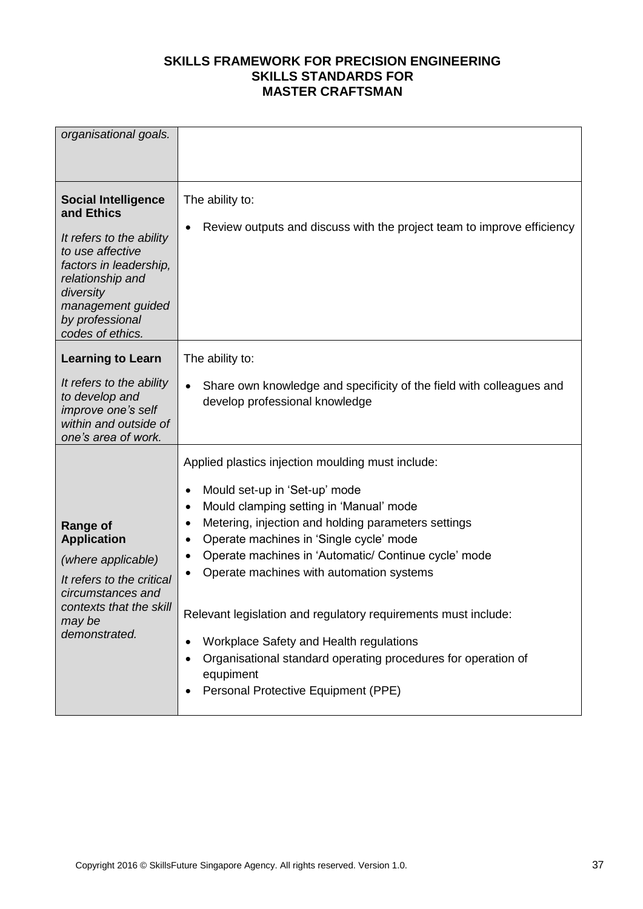| organisational goals.                                                                                                                                                                                           |                                                                                                                                                                                                                                                                                                                                                                                                                                                                                                                                                                                                                                |
|-----------------------------------------------------------------------------------------------------------------------------------------------------------------------------------------------------------------|--------------------------------------------------------------------------------------------------------------------------------------------------------------------------------------------------------------------------------------------------------------------------------------------------------------------------------------------------------------------------------------------------------------------------------------------------------------------------------------------------------------------------------------------------------------------------------------------------------------------------------|
| <b>Social Intelligence</b><br>and Ethics<br>It refers to the ability<br>to use affective<br>factors in leadership,<br>relationship and<br>diversity<br>management guided<br>by professional<br>codes of ethics. | The ability to:<br>Review outputs and discuss with the project team to improve efficiency<br>$\bullet$                                                                                                                                                                                                                                                                                                                                                                                                                                                                                                                         |
| <b>Learning to Learn</b><br>It refers to the ability<br>to develop and<br>improve one's self<br>within and outside of<br>one's area of work.                                                                    | The ability to:<br>Share own knowledge and specificity of the field with colleagues and<br>$\bullet$<br>develop professional knowledge                                                                                                                                                                                                                                                                                                                                                                                                                                                                                         |
| <b>Range of</b><br><b>Application</b><br>(where applicable)<br>It refers to the critical<br>circumstances and<br>contexts that the skill<br>may be<br>demonstrated.                                             | Applied plastics injection moulding must include:<br>Mould set-up in 'Set-up' mode<br>$\bullet$<br>Mould clamping setting in 'Manual' mode<br>$\bullet$<br>Metering, injection and holding parameters settings<br>$\bullet$<br>Operate machines in 'Single cycle' mode<br>Operate machines in 'Automatic/ Continue cycle' mode<br>Operate machines with automation systems<br>$\bullet$<br>Relevant legislation and regulatory requirements must include:<br>Workplace Safety and Health regulations<br>٠<br>Organisational standard operating procedures for operation of<br>equpiment<br>Personal Protective Equipment (PPE) |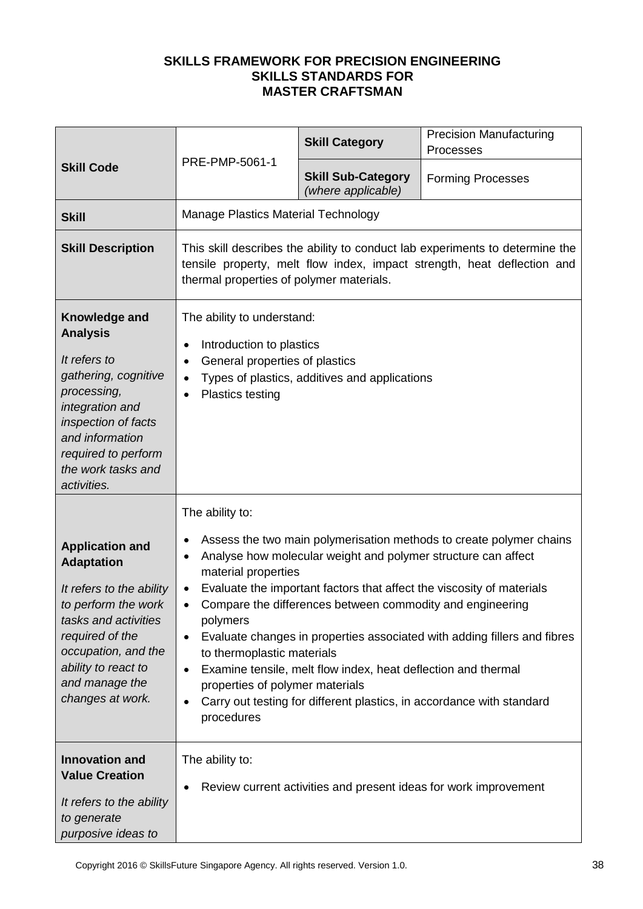| <b>Skill Code</b>                                                                                                                                                                                                             | PRE-PMP-5061-1                                                                                                                                                                                               | <b>Skill Category</b>                                                                                                                                                                       | <b>Precision Manufacturing</b><br>Processes                                                                                                                                                                                                                                                       |
|-------------------------------------------------------------------------------------------------------------------------------------------------------------------------------------------------------------------------------|--------------------------------------------------------------------------------------------------------------------------------------------------------------------------------------------------------------|---------------------------------------------------------------------------------------------------------------------------------------------------------------------------------------------|---------------------------------------------------------------------------------------------------------------------------------------------------------------------------------------------------------------------------------------------------------------------------------------------------|
|                                                                                                                                                                                                                               |                                                                                                                                                                                                              | <b>Skill Sub-Category</b><br>(where applicable)                                                                                                                                             | <b>Forming Processes</b>                                                                                                                                                                                                                                                                          |
| <b>Skill</b>                                                                                                                                                                                                                  | Manage Plastics Material Technology                                                                                                                                                                          |                                                                                                                                                                                             |                                                                                                                                                                                                                                                                                                   |
| <b>Skill Description</b>                                                                                                                                                                                                      | thermal properties of polymer materials.                                                                                                                                                                     |                                                                                                                                                                                             | This skill describes the ability to conduct lab experiments to determine the<br>tensile property, melt flow index, impact strength, heat deflection and                                                                                                                                           |
| Knowledge and<br><b>Analysis</b><br>It refers to<br>gathering, cognitive<br>processing,<br>integration and<br>inspection of facts<br>and information<br>required to perform<br>the work tasks and<br>activities.              | The ability to understand:<br>Introduction to plastics<br>$\bullet$<br>General properties of plastics<br>$\bullet$<br>$\bullet$<br><b>Plastics testing</b>                                                   | Types of plastics, additives and applications                                                                                                                                               |                                                                                                                                                                                                                                                                                                   |
| <b>Application and</b><br><b>Adaptation</b><br>It refers to the ability<br>to perform the work<br>tasks and activities<br>required of the<br>occupation, and the<br>ability to react to<br>and manage the<br>changes at work. | The ability to:<br>$\bullet$<br>٠<br>material properties<br>$\bullet$<br>$\bullet$<br>polymers<br>$\bullet$<br>to thermoplastic materials<br>$\bullet$<br>properties of polymer materials<br>٠<br>procedures | Analyse how molecular weight and polymer structure can affect<br>Compare the differences between commodity and engineering<br>Examine tensile, melt flow index, heat deflection and thermal | Assess the two main polymerisation methods to create polymer chains<br>Evaluate the important factors that affect the viscosity of materials<br>Evaluate changes in properties associated with adding fillers and fibres<br>Carry out testing for different plastics, in accordance with standard |
| <b>Innovation and</b><br><b>Value Creation</b><br>It refers to the ability<br>to generate<br>purposive ideas to                                                                                                               | The ability to:                                                                                                                                                                                              |                                                                                                                                                                                             | Review current activities and present ideas for work improvement                                                                                                                                                                                                                                  |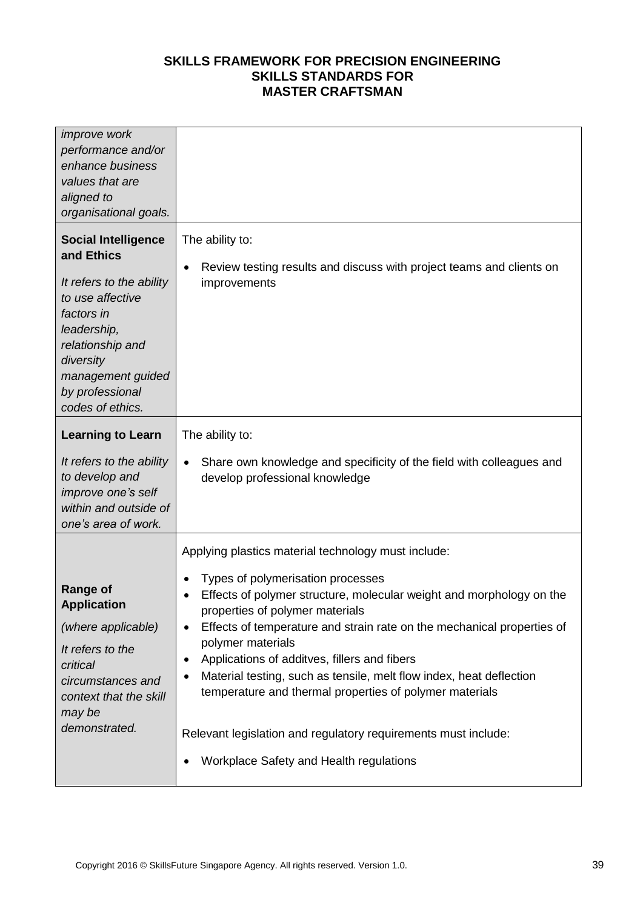| <i>improve</i> work<br>performance and/or<br>enhance business<br>values that are<br>aligned to<br>organisational goals.                                                                                            |                                                                                                                                                                                                                                                                                                                                                                                                                                                                                                                                                                                                                                                 |
|--------------------------------------------------------------------------------------------------------------------------------------------------------------------------------------------------------------------|-------------------------------------------------------------------------------------------------------------------------------------------------------------------------------------------------------------------------------------------------------------------------------------------------------------------------------------------------------------------------------------------------------------------------------------------------------------------------------------------------------------------------------------------------------------------------------------------------------------------------------------------------|
| <b>Social Intelligence</b><br>and Ethics<br>It refers to the ability<br>to use affective<br>factors in<br>leadership,<br>relationship and<br>diversity<br>management guided<br>by professional<br>codes of ethics. | The ability to:<br>Review testing results and discuss with project teams and clients on<br>٠<br>improvements                                                                                                                                                                                                                                                                                                                                                                                                                                                                                                                                    |
| <b>Learning to Learn</b><br>It refers to the ability<br>to develop and<br>improve one's self<br>within and outside of<br>one's area of work.                                                                       | The ability to:<br>Share own knowledge and specificity of the field with colleagues and<br>$\bullet$<br>develop professional knowledge                                                                                                                                                                                                                                                                                                                                                                                                                                                                                                          |
| <b>Range of</b><br><b>Application</b><br>(where applicable)<br>It refers to the<br>critical<br>circumstances and<br>context that the skill<br>may be<br>demonstrated.                                              | Applying plastics material technology must include:<br>Types of polymerisation processes<br>٠<br>Effects of polymer structure, molecular weight and morphology on the<br>$\bullet$<br>properties of polymer materials<br>Effects of temperature and strain rate on the mechanical properties of<br>٠<br>polymer materials<br>Applications of additves, fillers and fibers<br>٠<br>Material testing, such as tensile, melt flow index, heat deflection<br>٠<br>temperature and thermal properties of polymer materials<br>Relevant legislation and regulatory requirements must include:<br>Workplace Safety and Health regulations<br>$\bullet$ |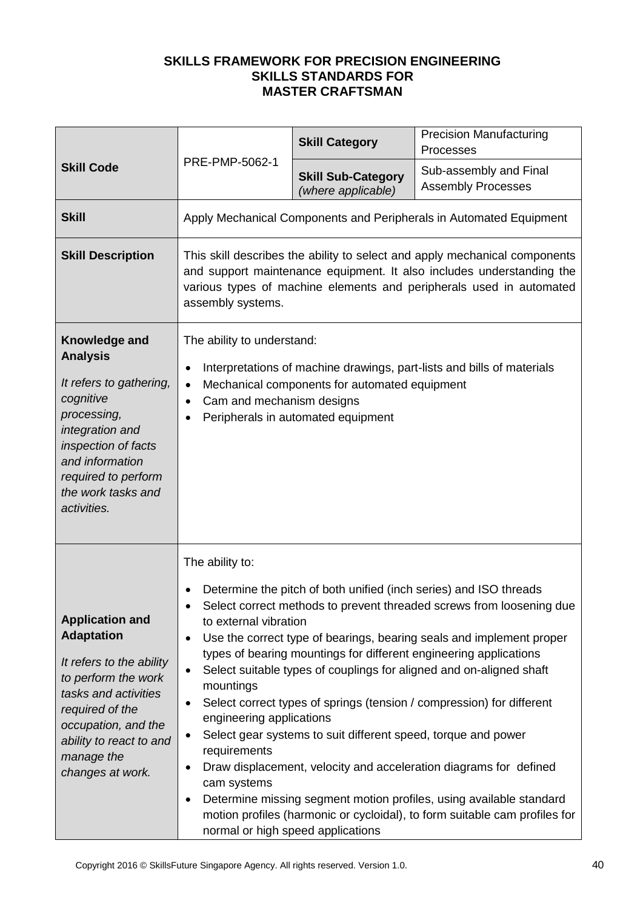| <b>Skill Code</b>                                                                                                                                                                                                             | PRE-PMP-5062-1                                                                                                                                                                                                                                          | <b>Skill Category</b>                                         | <b>Precision Manufacturing</b><br>Processes                                                                                                                                                                                                                                                                                                                                                                                                                                                                                                                                                                                                                      |
|-------------------------------------------------------------------------------------------------------------------------------------------------------------------------------------------------------------------------------|---------------------------------------------------------------------------------------------------------------------------------------------------------------------------------------------------------------------------------------------------------|---------------------------------------------------------------|------------------------------------------------------------------------------------------------------------------------------------------------------------------------------------------------------------------------------------------------------------------------------------------------------------------------------------------------------------------------------------------------------------------------------------------------------------------------------------------------------------------------------------------------------------------------------------------------------------------------------------------------------------------|
|                                                                                                                                                                                                                               |                                                                                                                                                                                                                                                         | <b>Skill Sub-Category</b><br>(where applicable)               | Sub-assembly and Final<br><b>Assembly Processes</b>                                                                                                                                                                                                                                                                                                                                                                                                                                                                                                                                                                                                              |
| <b>Skill</b>                                                                                                                                                                                                                  |                                                                                                                                                                                                                                                         |                                                               | Apply Mechanical Components and Peripherals in Automated Equipment                                                                                                                                                                                                                                                                                                                                                                                                                                                                                                                                                                                               |
| <b>Skill Description</b>                                                                                                                                                                                                      | This skill describes the ability to select and apply mechanical components<br>and support maintenance equipment. It also includes understanding the<br>various types of machine elements and peripherals used in automated<br>assembly systems.         |                                                               |                                                                                                                                                                                                                                                                                                                                                                                                                                                                                                                                                                                                                                                                  |
| Knowledge and<br><b>Analysis</b><br>It refers to gathering,<br>cognitive<br>processing,<br>integration and<br>inspection of facts<br>and information<br>required to perform<br>the work tasks and<br>activities.              | The ability to understand:<br>Interpretations of machine drawings, part-lists and bills of materials<br>$\bullet$<br>Mechanical components for automated equipment<br>$\bullet$<br>Cam and mechanism designs<br>٠<br>Peripherals in automated equipment |                                                               |                                                                                                                                                                                                                                                                                                                                                                                                                                                                                                                                                                                                                                                                  |
| <b>Application and</b><br><b>Adaptation</b><br>It refers to the ability<br>to perform the work<br>tasks and activities<br>required of the<br>occupation, and the<br>ability to react to and<br>manage the<br>changes at work. | The ability to:<br>to external vibration<br>$\bullet$<br>٠<br>mountings<br>$\bullet$<br>engineering applications<br>$\bullet$<br>requirements<br>cam systems<br>$\bullet$<br>normal or high speed applications                                          | Select gear systems to suit different speed, torque and power | Determine the pitch of both unified (inch series) and ISO threads<br>Select correct methods to prevent threaded screws from loosening due<br>Use the correct type of bearings, bearing seals and implement proper<br>types of bearing mountings for different engineering applications<br>Select suitable types of couplings for aligned and on-aligned shaft<br>Select correct types of springs (tension / compression) for different<br>Draw displacement, velocity and acceleration diagrams for defined<br>Determine missing segment motion profiles, using available standard<br>motion profiles (harmonic or cycloidal), to form suitable cam profiles for |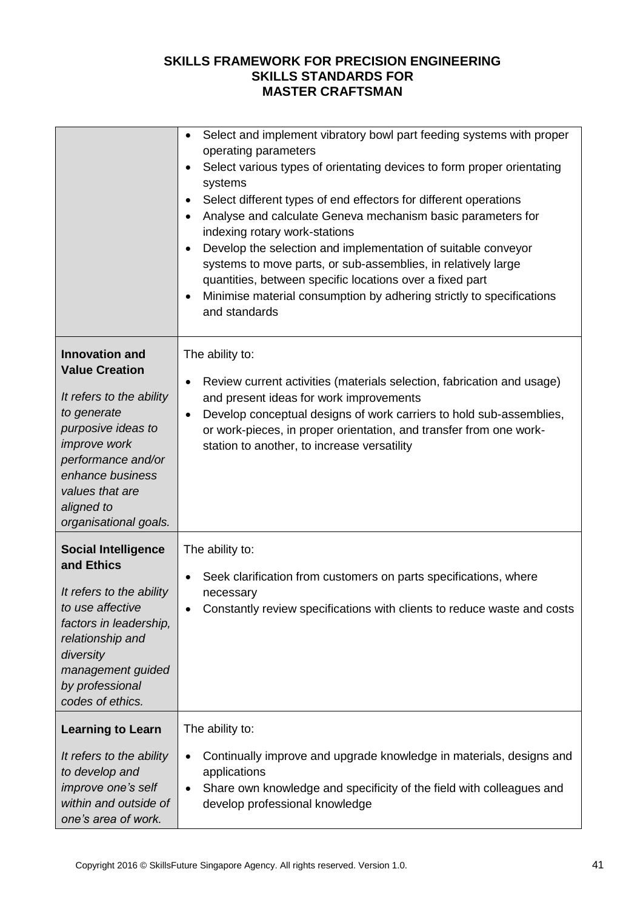|                                                                                                                                                                                          | Select and implement vibratory bowl part feeding systems with proper<br>$\bullet$<br>operating parameters<br>Select various types of orientating devices to form proper orientating<br>$\bullet$<br>systems<br>Select different types of end effectors for different operations<br>$\bullet$<br>Analyse and calculate Geneva mechanism basic parameters for<br>$\bullet$<br>indexing rotary work-stations<br>Develop the selection and implementation of suitable conveyor<br>$\bullet$<br>systems to move parts, or sub-assemblies, in relatively large<br>quantities, between specific locations over a fixed part<br>Minimise material consumption by adhering strictly to specifications<br>٠<br>and standards |
|------------------------------------------------------------------------------------------------------------------------------------------------------------------------------------------|--------------------------------------------------------------------------------------------------------------------------------------------------------------------------------------------------------------------------------------------------------------------------------------------------------------------------------------------------------------------------------------------------------------------------------------------------------------------------------------------------------------------------------------------------------------------------------------------------------------------------------------------------------------------------------------------------------------------|
| <b>Innovation and</b><br><b>Value Creation</b>                                                                                                                                           | The ability to:<br>Review current activities (materials selection, fabrication and usage)<br>$\bullet$                                                                                                                                                                                                                                                                                                                                                                                                                                                                                                                                                                                                             |
| It refers to the ability<br>to generate<br>purposive ideas to<br><i>improve</i> work<br>performance and/or<br>enhance business<br>values that are<br>aligned to<br>organisational goals. | and present ideas for work improvements<br>Develop conceptual designs of work carriers to hold sub-assemblies,<br>$\bullet$<br>or work-pieces, in proper orientation, and transfer from one work-<br>station to another, to increase versatility                                                                                                                                                                                                                                                                                                                                                                                                                                                                   |
| <b>Social Intelligence</b><br>and Ethics                                                                                                                                                 | The ability to:<br>Seek clarification from customers on parts specifications, where<br>$\bullet$                                                                                                                                                                                                                                                                                                                                                                                                                                                                                                                                                                                                                   |
| It refers to the ability<br>to use affective<br>factors in leadership,<br>relationship and<br>diversity<br>management guided<br>by professional<br>codes of ethics.                      | necessary<br>Constantly review specifications with clients to reduce waste and costs                                                                                                                                                                                                                                                                                                                                                                                                                                                                                                                                                                                                                               |
| <b>Learning to Learn</b>                                                                                                                                                                 | The ability to:                                                                                                                                                                                                                                                                                                                                                                                                                                                                                                                                                                                                                                                                                                    |
| It refers to the ability<br>to develop and<br>improve one's self<br>within and outside of<br>one's area of work.                                                                         | Continually improve and upgrade knowledge in materials, designs and<br>$\bullet$<br>applications<br>Share own knowledge and specificity of the field with colleagues and<br>$\bullet$<br>develop professional knowledge                                                                                                                                                                                                                                                                                                                                                                                                                                                                                            |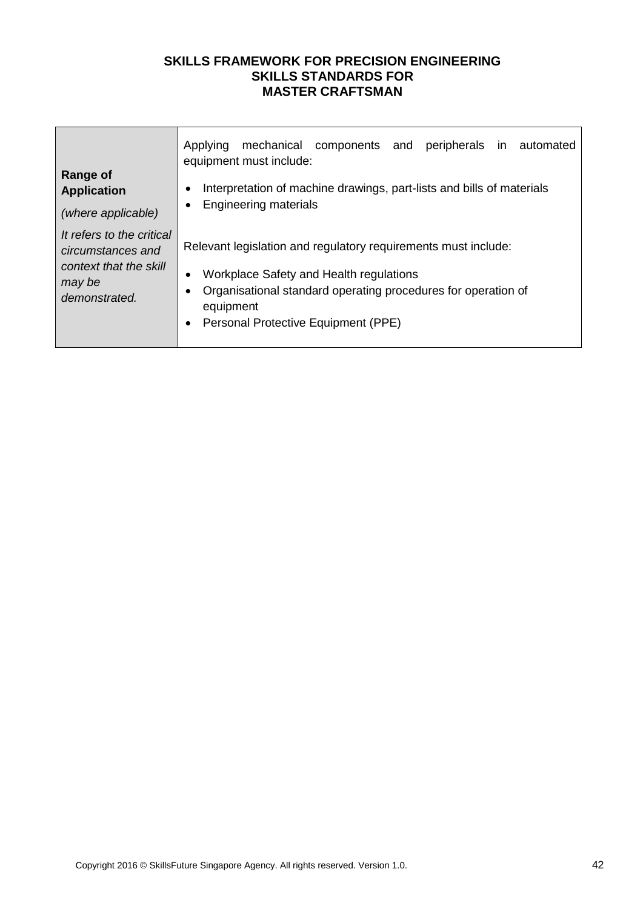| <b>Range of</b><br><b>Application</b><br>(where applicable)                                         | mechanical<br>components<br>and peripherals in automated<br>Applying<br>equipment must include:<br>Interpretation of machine drawings, part-lists and bills of materials<br>$\bullet$<br><b>Engineering materials</b><br>$\bullet$                       |
|-----------------------------------------------------------------------------------------------------|----------------------------------------------------------------------------------------------------------------------------------------------------------------------------------------------------------------------------------------------------------|
| It refers to the critical<br>circumstances and<br>context that the skill<br>may be<br>demonstrated. | Relevant legislation and regulatory requirements must include:<br>Workplace Safety and Health regulations<br>$\bullet$<br>Organisational standard operating procedures for operation of<br>equipment<br>Personal Protective Equipment (PPE)<br>$\bullet$ |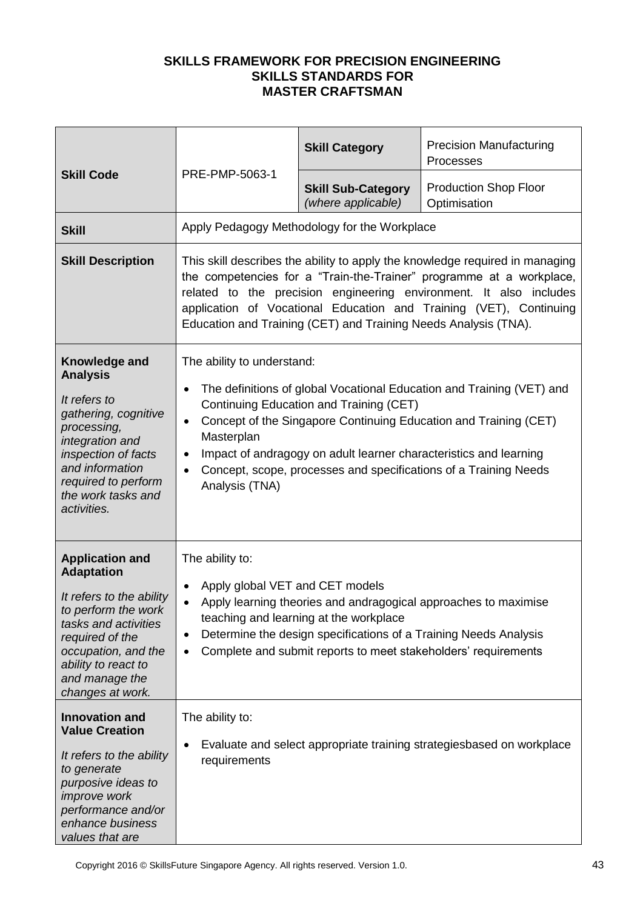| <b>Skill Code</b>                                                                                                                                                                                                             | PRE-PMP-5063-1                                                                                                 | <b>Skill Category</b>                                                                                    | <b>Precision Manufacturing</b><br>Processes                                                                                                                                                                                                                                                      |
|-------------------------------------------------------------------------------------------------------------------------------------------------------------------------------------------------------------------------------|----------------------------------------------------------------------------------------------------------------|----------------------------------------------------------------------------------------------------------|--------------------------------------------------------------------------------------------------------------------------------------------------------------------------------------------------------------------------------------------------------------------------------------------------|
|                                                                                                                                                                                                                               |                                                                                                                | <b>Skill Sub-Category</b><br>(where applicable)                                                          | <b>Production Shop Floor</b><br>Optimisation                                                                                                                                                                                                                                                     |
| <b>Skill</b>                                                                                                                                                                                                                  |                                                                                                                | Apply Pedagogy Methodology for the Workplace                                                             |                                                                                                                                                                                                                                                                                                  |
| <b>Skill Description</b>                                                                                                                                                                                                      |                                                                                                                | Education and Training (CET) and Training Needs Analysis (TNA).                                          | This skill describes the ability to apply the knowledge required in managing<br>the competencies for a "Train-the-Trainer" programme at a workplace,<br>related to the precision engineering environment. It also includes<br>application of Vocational Education and Training (VET), Continuing |
| Knowledge and<br><b>Analysis</b><br>It refers to<br>gathering, cognitive<br>processing,<br>integration and<br>inspection of facts<br>and information<br>required to perform<br>the work tasks and<br>activities.              | The ability to understand:<br>$\bullet$<br>$\bullet$<br>Masterplan<br>$\bullet$<br>$\bullet$<br>Analysis (TNA) | Continuing Education and Training (CET)                                                                  | The definitions of global Vocational Education and Training (VET) and<br>Concept of the Singapore Continuing Education and Training (CET)<br>Impact of andragogy on adult learner characteristics and learning<br>Concept, scope, processes and specifications of a Training Needs               |
| <b>Application and</b><br><b>Adaptation</b><br>It refers to the ability<br>to perform the work<br>tasks and activities<br>required of the<br>occupation, and the<br>ability to react to<br>and manage the<br>changes at work. | The ability to:<br>Apply global VET and CET models<br>٠<br>$\bullet$<br>٠<br>٠                                 | teaching and learning at the workplace<br>Complete and submit reports to meet stakeholders' requirements | Apply learning theories and andragogical approaches to maximise<br>Determine the design specifications of a Training Needs Analysis                                                                                                                                                              |
| <b>Innovation and</b><br><b>Value Creation</b><br>It refers to the ability<br>to generate<br>purposive ideas to<br><i>improve</i> work<br>performance and/or<br>enhance business<br>values that are                           | The ability to:<br>٠<br>requirements                                                                           |                                                                                                          | Evaluate and select appropriate training strategiesbased on workplace                                                                                                                                                                                                                            |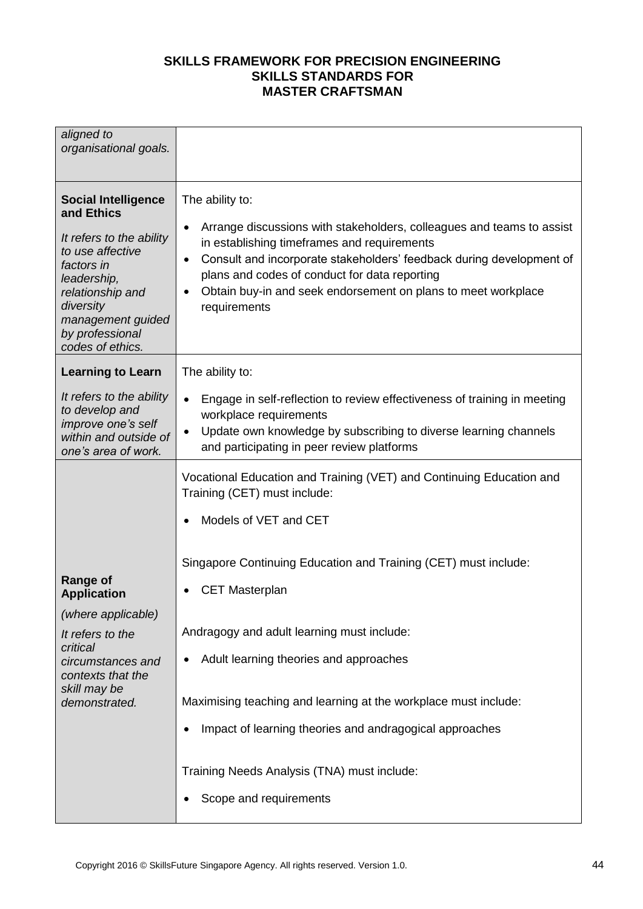| aligned to<br>organisational goals.                                                                                                                                                                                |                                                                                                                                                                                                                                                                                                                                                                                  |
|--------------------------------------------------------------------------------------------------------------------------------------------------------------------------------------------------------------------|----------------------------------------------------------------------------------------------------------------------------------------------------------------------------------------------------------------------------------------------------------------------------------------------------------------------------------------------------------------------------------|
| <b>Social Intelligence</b><br>and Ethics<br>It refers to the ability<br>to use affective<br>factors in<br>leadership,<br>relationship and<br>diversity<br>management guided<br>by professional<br>codes of ethics. | The ability to:<br>Arrange discussions with stakeholders, colleagues and teams to assist<br>٠<br>in establishing timeframes and requirements<br>Consult and incorporate stakeholders' feedback during development of<br>$\bullet$<br>plans and codes of conduct for data reporting<br>Obtain buy-in and seek endorsement on plans to meet workplace<br>$\bullet$<br>requirements |
| <b>Learning to Learn</b>                                                                                                                                                                                           | The ability to:                                                                                                                                                                                                                                                                                                                                                                  |
| It refers to the ability<br>to develop and<br>improve one's self<br>within and outside of<br>one's area of work.                                                                                                   | Engage in self-reflection to review effectiveness of training in meeting<br>$\bullet$<br>workplace requirements<br>Update own knowledge by subscribing to diverse learning channels<br>$\bullet$<br>and participating in peer review platforms                                                                                                                                   |
| <b>Range of</b><br><b>Application</b><br>(where applicable)                                                                                                                                                        | Vocational Education and Training (VET) and Continuing Education and<br>Training (CET) must include:<br>Models of VET and CET<br>Singapore Continuing Education and Training (CET) must include:<br><b>CET Masterplan</b><br>Andragogy and adult learning must include:                                                                                                          |
| It refers to the<br>critical<br>circumstances and<br>contexts that the                                                                                                                                             | Adult learning theories and approaches                                                                                                                                                                                                                                                                                                                                           |
| skill may be<br>demonstrated.                                                                                                                                                                                      | Maximising teaching and learning at the workplace must include:                                                                                                                                                                                                                                                                                                                  |
|                                                                                                                                                                                                                    | Impact of learning theories and andragogical approaches<br>٠                                                                                                                                                                                                                                                                                                                     |
|                                                                                                                                                                                                                    | Training Needs Analysis (TNA) must include:                                                                                                                                                                                                                                                                                                                                      |
|                                                                                                                                                                                                                    | Scope and requirements<br>٠                                                                                                                                                                                                                                                                                                                                                      |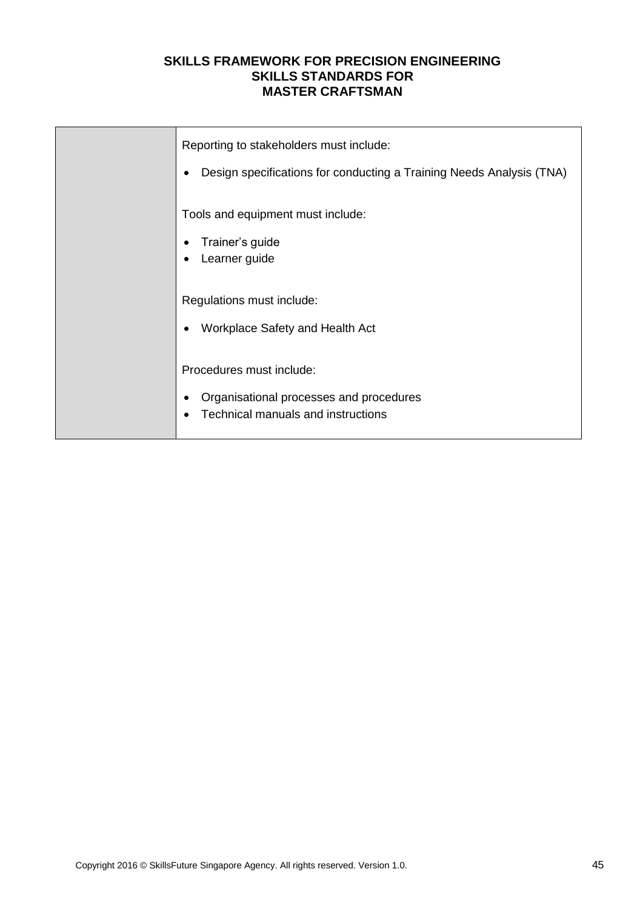| Reporting to stakeholders must include:<br>Design specifications for conducting a Training Needs Analysis (TNA)<br>٠ |
|----------------------------------------------------------------------------------------------------------------------|
| Tools and equipment must include:<br>Trainer's guide<br>Learner guide<br>٠                                           |
| Regulations must include:<br>Workplace Safety and Health Act<br>$\bullet$                                            |
| Procedures must include:<br>Organisational processes and procedures<br>٠<br>Technical manuals and instructions<br>٠  |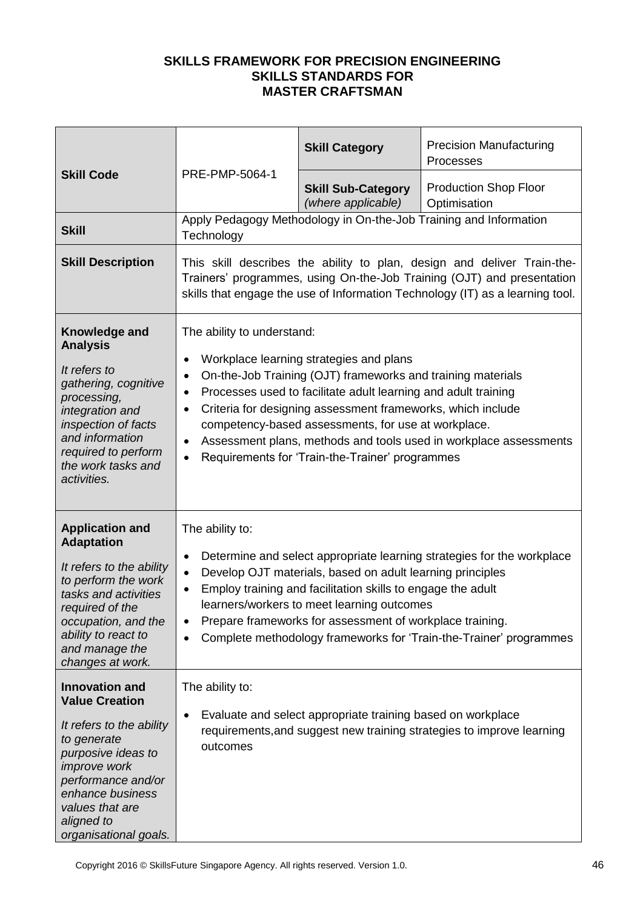| <b>Skill Code</b>                                                                                                                                                                                                                          | PRE-PMP-5064-1                                                                                           | <b>Skill Category</b>                                                                                                                                                                                                                                                                                                                             | <b>Precision Manufacturing</b><br>Processes                                                                                                                                                                                        |
|--------------------------------------------------------------------------------------------------------------------------------------------------------------------------------------------------------------------------------------------|----------------------------------------------------------------------------------------------------------|---------------------------------------------------------------------------------------------------------------------------------------------------------------------------------------------------------------------------------------------------------------------------------------------------------------------------------------------------|------------------------------------------------------------------------------------------------------------------------------------------------------------------------------------------------------------------------------------|
|                                                                                                                                                                                                                                            |                                                                                                          | <b>Skill Sub-Category</b><br>(where applicable)                                                                                                                                                                                                                                                                                                   | <b>Production Shop Floor</b><br>Optimisation                                                                                                                                                                                       |
| <b>Skill</b>                                                                                                                                                                                                                               | Technology                                                                                               |                                                                                                                                                                                                                                                                                                                                                   | Apply Pedagogy Methodology in On-the-Job Training and Information                                                                                                                                                                  |
| <b>Skill Description</b>                                                                                                                                                                                                                   |                                                                                                          |                                                                                                                                                                                                                                                                                                                                                   | This skill describes the ability to plan, design and deliver Train-the-<br>Trainers' programmes, using On-the-Job Training (OJT) and presentation<br>skills that engage the use of Information Technology (IT) as a learning tool. |
| Knowledge and<br><b>Analysis</b><br>It refers to<br>gathering, cognitive<br>processing,<br>integration and<br>inspection of facts<br>and information<br>required to perform<br>the work tasks and<br>activities.                           | The ability to understand:<br>$\bullet$<br>$\bullet$<br>$\bullet$<br>$\bullet$<br>$\bullet$<br>$\bullet$ | Workplace learning strategies and plans<br>On-the-Job Training (OJT) frameworks and training materials<br>Processes used to facilitate adult learning and adult training<br>Criteria for designing assessment frameworks, which include<br>competency-based assessments, for use at workplace.<br>Requirements for 'Train-the-Trainer' programmes | Assessment plans, methods and tools used in workplace assessments                                                                                                                                                                  |
| <b>Application and</b><br><b>Adaptation</b><br>It refers to the ability<br>to perform the work<br>tasks and activities<br>required of the<br>occupation, and the<br>ability to react to<br>and manage the<br>changes at work.              | The ability to:<br>$\bullet$<br>$\bullet$<br>$\bullet$<br>٠<br>$\bullet$                                 | Develop OJT materials, based on adult learning principles<br>Employ training and facilitation skills to engage the adult<br>learners/workers to meet learning outcomes<br>Prepare frameworks for assessment of workplace training.                                                                                                                | Determine and select appropriate learning strategies for the workplace<br>Complete methodology frameworks for 'Train-the-Trainer' programmes                                                                                       |
| <b>Innovation and</b><br><b>Value Creation</b><br>It refers to the ability<br>to generate<br>purposive ideas to<br><i>improve</i> work<br>performance and/or<br>enhance business<br>values that are<br>aligned to<br>organisational goals. | The ability to:<br>$\bullet$<br>outcomes                                                                 | Evaluate and select appropriate training based on workplace                                                                                                                                                                                                                                                                                       | requirements, and suggest new training strategies to improve learning                                                                                                                                                              |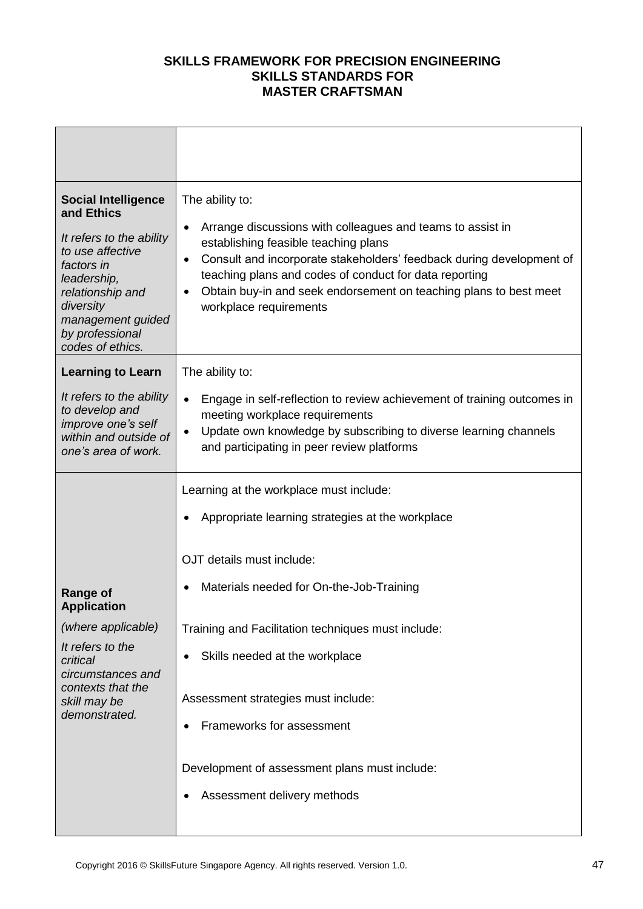| <b>Social Intelligence</b><br>and Ethics<br>It refers to the ability<br>to use affective<br>factors in<br>leadership,<br>relationship and<br>diversity<br>management guided<br>by professional<br>codes of ethics. | The ability to:<br>Arrange discussions with colleagues and teams to assist in<br>$\bullet$<br>establishing feasible teaching plans<br>Consult and incorporate stakeholders' feedback during development of<br>$\bullet$<br>teaching plans and codes of conduct for data reporting<br>Obtain buy-in and seek endorsement on teaching plans to best meet<br>$\bullet$<br>workplace requirements                    |
|--------------------------------------------------------------------------------------------------------------------------------------------------------------------------------------------------------------------|------------------------------------------------------------------------------------------------------------------------------------------------------------------------------------------------------------------------------------------------------------------------------------------------------------------------------------------------------------------------------------------------------------------|
| <b>Learning to Learn</b><br>It refers to the ability<br>to develop and<br>improve one's self<br>within and outside of<br>one's area of work.                                                                       | The ability to:<br>Engage in self-reflection to review achievement of training outcomes in<br>$\bullet$<br>meeting workplace requirements<br>Update own knowledge by subscribing to diverse learning channels<br>$\bullet$<br>and participating in peer review platforms                                                                                                                                         |
| <b>Range of</b><br><b>Application</b><br>(where applicable)<br>It refers to the<br>critical<br>circumstances and<br>contexts that the<br>skill may be<br>demonstrated.                                             | Learning at the workplace must include:<br>Appropriate learning strategies at the workplace<br>OJT details must include:<br>Materials needed for On-the-Job-Training<br>Training and Facilitation techniques must include:<br>Skills needed at the workplace<br>Assessment strategies must include:<br>Frameworks for assessment<br>Development of assessment plans must include:<br>Assessment delivery methods |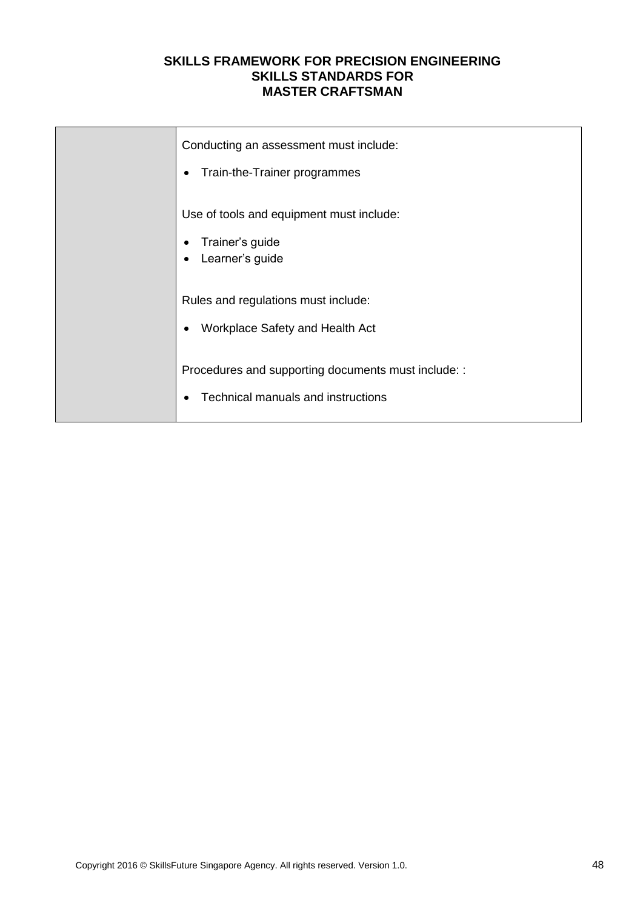| Conducting an assessment must include:<br>Train-the-Trainer programmes<br>$\bullet$         |
|---------------------------------------------------------------------------------------------|
| Use of tools and equipment must include:<br>Trainer's guide<br>Learner's guide<br>$\bullet$ |
| Rules and regulations must include:<br>Workplace Safety and Health Act                      |
| Procedures and supporting documents must include: :<br>Technical manuals and instructions   |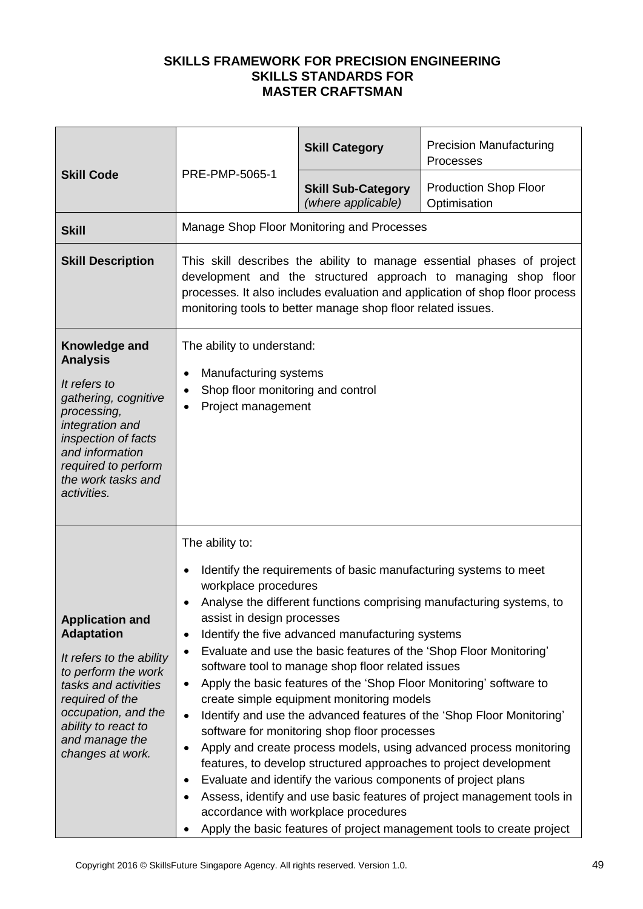|                                                                                                                                                                                                                               |                                                                                                                                                                                                                                                                                                                                                                                                                                                                                                                                                                                                                                                                                                                                                                                                                                                                                                                                                                                                                                                                                                                                            | <b>Skill Category</b>                           | <b>Precision Manufacturing</b><br>Processes  |
|-------------------------------------------------------------------------------------------------------------------------------------------------------------------------------------------------------------------------------|--------------------------------------------------------------------------------------------------------------------------------------------------------------------------------------------------------------------------------------------------------------------------------------------------------------------------------------------------------------------------------------------------------------------------------------------------------------------------------------------------------------------------------------------------------------------------------------------------------------------------------------------------------------------------------------------------------------------------------------------------------------------------------------------------------------------------------------------------------------------------------------------------------------------------------------------------------------------------------------------------------------------------------------------------------------------------------------------------------------------------------------------|-------------------------------------------------|----------------------------------------------|
| <b>Skill Code</b>                                                                                                                                                                                                             | PRE-PMP-5065-1                                                                                                                                                                                                                                                                                                                                                                                                                                                                                                                                                                                                                                                                                                                                                                                                                                                                                                                                                                                                                                                                                                                             | <b>Skill Sub-Category</b><br>(where applicable) | <b>Production Shop Floor</b><br>Optimisation |
| <b>Skill</b>                                                                                                                                                                                                                  |                                                                                                                                                                                                                                                                                                                                                                                                                                                                                                                                                                                                                                                                                                                                                                                                                                                                                                                                                                                                                                                                                                                                            | Manage Shop Floor Monitoring and Processes      |                                              |
| <b>Skill Description</b>                                                                                                                                                                                                      | This skill describes the ability to manage essential phases of project<br>development and the structured approach to managing shop floor<br>processes. It also includes evaluation and application of shop floor process<br>monitoring tools to better manage shop floor related issues.                                                                                                                                                                                                                                                                                                                                                                                                                                                                                                                                                                                                                                                                                                                                                                                                                                                   |                                                 |                                              |
| Knowledge and<br><b>Analysis</b><br>It refers to<br>gathering, cognitive<br>processing,<br>integration and<br>inspection of facts<br>and information<br>required to perform<br>the work tasks and<br>activities.              | The ability to understand:<br>Manufacturing systems<br>$\bullet$<br>Shop floor monitoring and control<br>$\bullet$<br>Project management                                                                                                                                                                                                                                                                                                                                                                                                                                                                                                                                                                                                                                                                                                                                                                                                                                                                                                                                                                                                   |                                                 |                                              |
| <b>Application and</b><br><b>Adaptation</b><br>It refers to the ability<br>to perform the work<br>tasks and activities<br>required of the<br>occupation, and the<br>ability to react to<br>and manage the<br>changes at work. | The ability to:<br>Identify the requirements of basic manufacturing systems to meet<br>$\bullet$<br>workplace procedures<br>Analyse the different functions comprising manufacturing systems, to<br>assist in design processes<br>Identify the five advanced manufacturing systems<br>$\bullet$<br>Evaluate and use the basic features of the 'Shop Floor Monitoring'<br>$\bullet$<br>software tool to manage shop floor related issues<br>Apply the basic features of the 'Shop Floor Monitoring' software to<br>$\bullet$<br>create simple equipment monitoring models<br>Identify and use the advanced features of the 'Shop Floor Monitoring'<br>$\bullet$<br>software for monitoring shop floor processes<br>Apply and create process models, using advanced process monitoring<br>٠<br>features, to develop structured approaches to project development<br>Evaluate and identify the various components of project plans<br>٠<br>Assess, identify and use basic features of project management tools in<br>٠<br>accordance with workplace procedures<br>Apply the basic features of project management tools to create project<br>٠ |                                                 |                                              |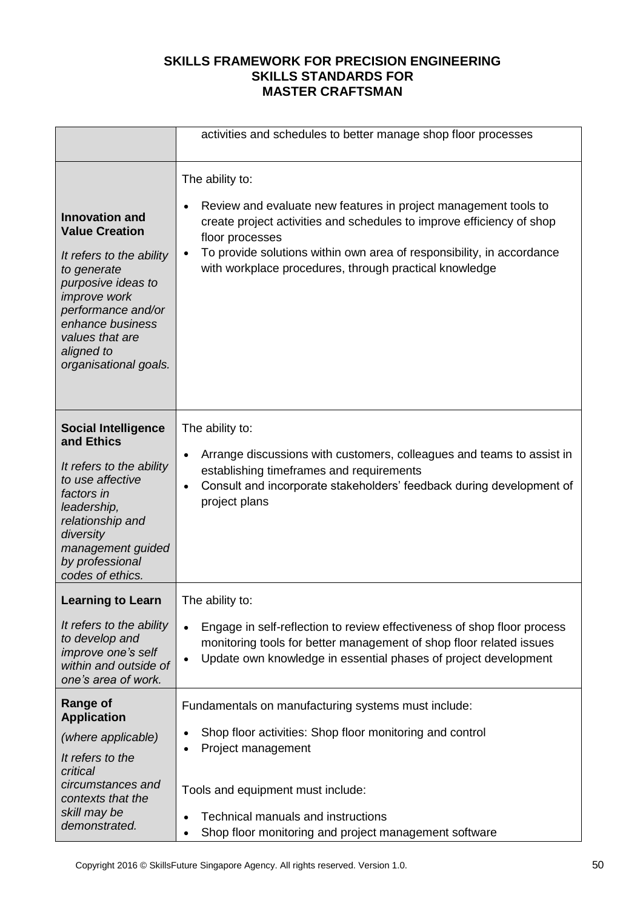|                                                                                                                                                                                                                                            | activities and schedules to better manage shop floor processes                                                                                                                                                                                                                                                                              |
|--------------------------------------------------------------------------------------------------------------------------------------------------------------------------------------------------------------------------------------------|---------------------------------------------------------------------------------------------------------------------------------------------------------------------------------------------------------------------------------------------------------------------------------------------------------------------------------------------|
| <b>Innovation and</b><br><b>Value Creation</b><br>It refers to the ability<br>to generate<br>purposive ideas to<br><i>improve</i> work<br>performance and/or<br>enhance business<br>values that are<br>aligned to<br>organisational goals. | The ability to:<br>Review and evaluate new features in project management tools to<br>$\bullet$<br>create project activities and schedules to improve efficiency of shop<br>floor processes<br>To provide solutions within own area of responsibility, in accordance<br>$\bullet$<br>with workplace procedures, through practical knowledge |
| <b>Social Intelligence</b><br>and Ethics<br>It refers to the ability<br>to use affective<br>factors in<br>leadership,<br>relationship and<br>diversity<br>management guided<br>by professional<br>codes of ethics.                         | The ability to:<br>Arrange discussions with customers, colleagues and teams to assist in<br>$\bullet$<br>establishing timeframes and requirements<br>Consult and incorporate stakeholders' feedback during development of<br>$\bullet$<br>project plans                                                                                     |
| <b>Learning to Learn</b><br>It refers to the ability<br>to develop and<br>improve one's self<br>within and outside of                                                                                                                      | The ability to:<br>Engage in self-reflection to review effectiveness of shop floor process<br>$\bullet$<br>monitoring tools for better management of shop floor related issues<br>Update own knowledge in essential phases of project development<br>$\bullet$                                                                              |
| one's area of work.<br><b>Range of</b><br><b>Application</b><br>(where applicable)<br>It refers to the<br>critical                                                                                                                         | Fundamentals on manufacturing systems must include:<br>Shop floor activities: Shop floor monitoring and control<br>$\bullet$<br>Project management<br>٠                                                                                                                                                                                     |
| circumstances and<br>contexts that the<br>skill may be<br>demonstrated.                                                                                                                                                                    | Tools and equipment must include:<br>Technical manuals and instructions<br>Shop floor monitoring and project management software<br>$\bullet$                                                                                                                                                                                               |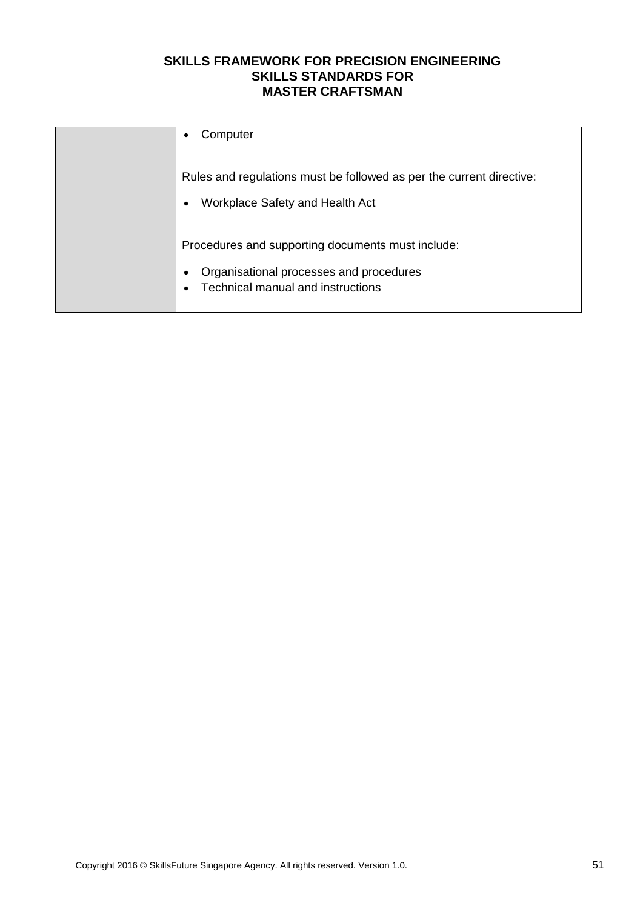| Computer<br>$\bullet$                                                                                                                               |
|-----------------------------------------------------------------------------------------------------------------------------------------------------|
| Rules and regulations must be followed as per the current directive:<br>Workplace Safety and Health Act<br>$\bullet$                                |
| Procedures and supporting documents must include:<br>Organisational processes and procedures<br>٠<br>Technical manual and instructions<br>$\bullet$ |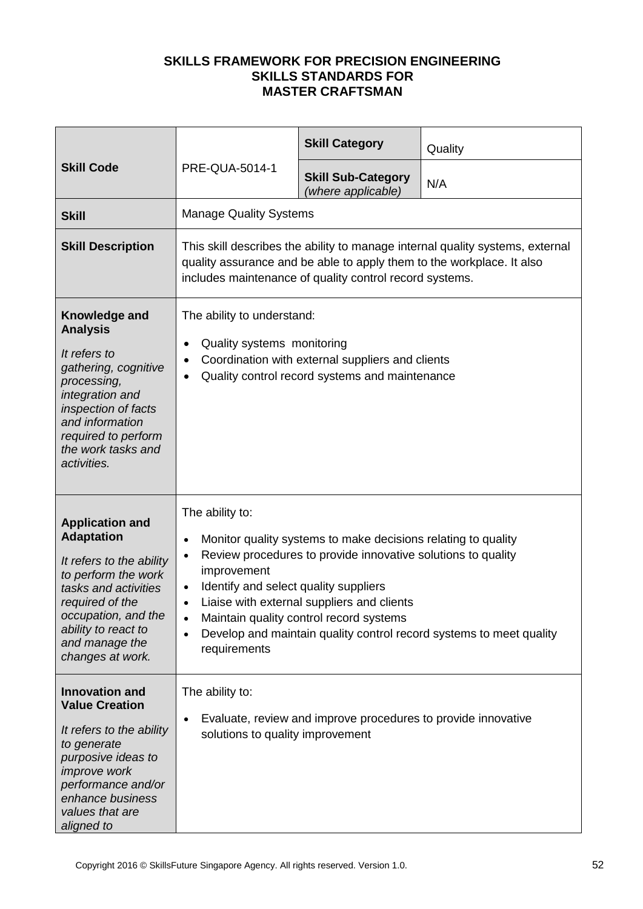| <b>Skill Code</b>                                                                                                                                                                                                             |                                                                                                                                                                                                                   | <b>Skill Category</b>                                                                                                                                                                                                  | Quality                                                             |
|-------------------------------------------------------------------------------------------------------------------------------------------------------------------------------------------------------------------------------|-------------------------------------------------------------------------------------------------------------------------------------------------------------------------------------------------------------------|------------------------------------------------------------------------------------------------------------------------------------------------------------------------------------------------------------------------|---------------------------------------------------------------------|
|                                                                                                                                                                                                                               | PRE-QUA-5014-1                                                                                                                                                                                                    | <b>Skill Sub-Category</b><br>(where applicable)                                                                                                                                                                        | N/A                                                                 |
| <b>Skill</b>                                                                                                                                                                                                                  | <b>Manage Quality Systems</b>                                                                                                                                                                                     |                                                                                                                                                                                                                        |                                                                     |
| <b>Skill Description</b>                                                                                                                                                                                                      | This skill describes the ability to manage internal quality systems, external<br>quality assurance and be able to apply them to the workplace. It also<br>includes maintenance of quality control record systems. |                                                                                                                                                                                                                        |                                                                     |
| Knowledge and<br><b>Analysis</b><br>It refers to<br>gathering, cognitive<br>processing,<br>integration and<br>inspection of facts<br>and information<br>required to perform<br>the work tasks and<br>activities.              | The ability to understand:<br>Quality systems monitoring<br>$\bullet$<br>$\bullet$<br>$\bullet$                                                                                                                   | Coordination with external suppliers and clients<br>Quality control record systems and maintenance                                                                                                                     |                                                                     |
| <b>Application and</b><br><b>Adaptation</b><br>It refers to the ability<br>to perform the work<br>tasks and activities<br>required of the<br>occupation, and the<br>ability to react to<br>and manage the<br>changes at work. | The ability to:<br>$\bullet$<br>$\bullet$<br>improvement<br>Identify and select quality suppliers<br>$\bullet$<br>$\bullet$<br>$\bullet$<br>$\bullet$<br>requirements                                             | Monitor quality systems to make decisions relating to quality<br>Review procedures to provide innovative solutions to quality<br>Liaise with external suppliers and clients<br>Maintain quality control record systems | Develop and maintain quality control record systems to meet quality |
| <b>Innovation and</b><br><b>Value Creation</b><br>It refers to the ability<br>to generate<br>purposive ideas to<br><i>improve</i> work<br>performance and/or<br>enhance business<br>values that are<br>aligned to             | The ability to:<br>$\bullet$<br>solutions to quality improvement                                                                                                                                                  | Evaluate, review and improve procedures to provide innovative                                                                                                                                                          |                                                                     |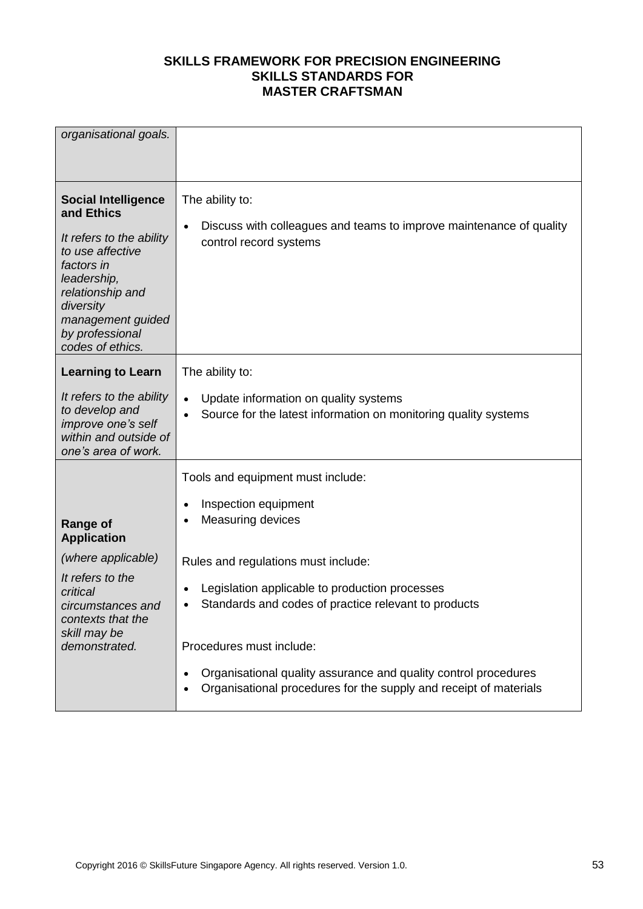| organisational goals.                                                                                                                                                                                              |                                                                                                                                                                                                                                                                                     |
|--------------------------------------------------------------------------------------------------------------------------------------------------------------------------------------------------------------------|-------------------------------------------------------------------------------------------------------------------------------------------------------------------------------------------------------------------------------------------------------------------------------------|
| <b>Social Intelligence</b><br>and Ethics<br>It refers to the ability<br>to use affective<br>factors in<br>leadership,<br>relationship and<br>diversity<br>management guided<br>by professional<br>codes of ethics. | The ability to:<br>Discuss with colleagues and teams to improve maintenance of quality<br>$\bullet$<br>control record systems                                                                                                                                                       |
| <b>Learning to Learn</b><br>It refers to the ability<br>to develop and<br>improve one's self<br>within and outside of<br>one's area of work.                                                                       | The ability to:<br>Update information on quality systems<br>$\bullet$<br>Source for the latest information on monitoring quality systems<br>$\bullet$                                                                                                                               |
| <b>Range of</b><br><b>Application</b><br>(where applicable)<br>It refers to the<br>critical<br>circumstances and<br>contexts that the                                                                              | Tools and equipment must include:<br>Inspection equipment<br>$\bullet$<br>Measuring devices<br>$\bullet$<br>Rules and regulations must include:<br>Legislation applicable to production processes<br>$\bullet$<br>Standards and codes of practice relevant to products<br>$\bullet$ |
| skill may be<br>demonstrated.                                                                                                                                                                                      | Procedures must include:<br>Organisational quality assurance and quality control procedures<br>$\bullet$<br>Organisational procedures for the supply and receipt of materials<br>٠                                                                                                  |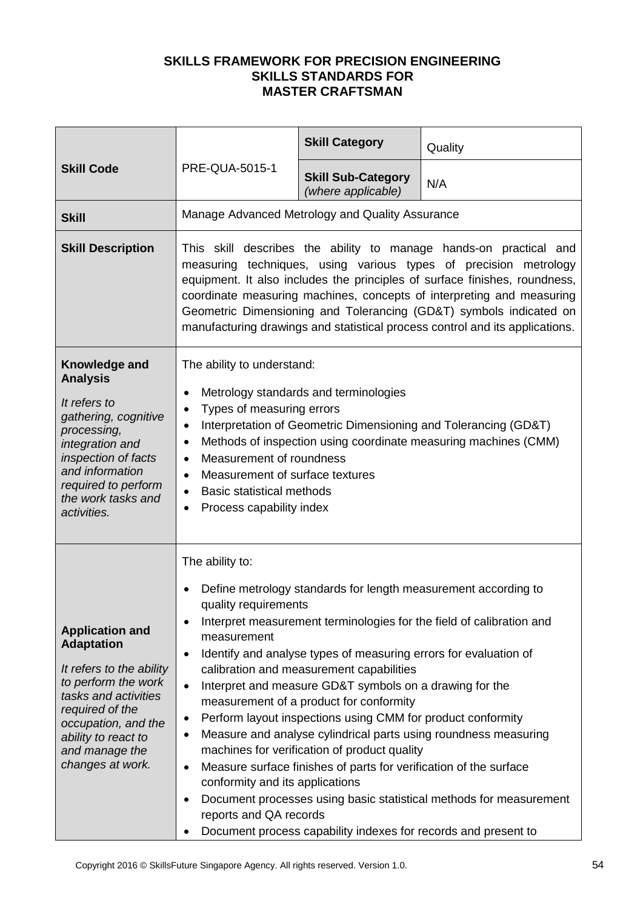| <b>Skill Code</b>                                                                                                                                                                                                             | <b>PRE-QUA-5015-1</b>                                                                                                                                                                                                                                                                                                                                                                                                                                 | <b>Skill Category</b>                                                                                                                                                                                                                                                                                                                                                                                                                                                                                                                      | Quality                                                                                                                                                                                                       |
|-------------------------------------------------------------------------------------------------------------------------------------------------------------------------------------------------------------------------------|-------------------------------------------------------------------------------------------------------------------------------------------------------------------------------------------------------------------------------------------------------------------------------------------------------------------------------------------------------------------------------------------------------------------------------------------------------|--------------------------------------------------------------------------------------------------------------------------------------------------------------------------------------------------------------------------------------------------------------------------------------------------------------------------------------------------------------------------------------------------------------------------------------------------------------------------------------------------------------------------------------------|---------------------------------------------------------------------------------------------------------------------------------------------------------------------------------------------------------------|
|                                                                                                                                                                                                                               |                                                                                                                                                                                                                                                                                                                                                                                                                                                       | <b>Skill Sub-Category</b><br>(where applicable)                                                                                                                                                                                                                                                                                                                                                                                                                                                                                            | N/A                                                                                                                                                                                                           |
| <b>Skill</b>                                                                                                                                                                                                                  |                                                                                                                                                                                                                                                                                                                                                                                                                                                       | Manage Advanced Metrology and Quality Assurance                                                                                                                                                                                                                                                                                                                                                                                                                                                                                            |                                                                                                                                                                                                               |
| <b>Skill Description</b>                                                                                                                                                                                                      | This skill describes the ability to manage hands-on practical and<br>measuring techniques, using various types of precision metrology<br>equipment. It also includes the principles of surface finishes, roundness,<br>coordinate measuring machines, concepts of interpreting and measuring<br>Geometric Dimensioning and Tolerancing (GD&T) symbols indicated on<br>manufacturing drawings and statistical process control and its applications.    |                                                                                                                                                                                                                                                                                                                                                                                                                                                                                                                                            |                                                                                                                                                                                                               |
| Knowledge and<br><b>Analysis</b><br>It refers to<br>gathering, cognitive<br>processing,<br>integration and<br>inspection of facts<br>and information<br>required to perform<br>the work tasks and<br>activities.              | The ability to understand:<br>Metrology standards and terminologies<br>$\bullet$<br>Types of measuring errors<br>$\bullet$<br>Interpretation of Geometric Dimensioning and Tolerancing (GD&T)<br>٠<br>Methods of inspection using coordinate measuring machines (CMM)<br>٠<br>Measurement of roundness<br>$\bullet$<br>Measurement of surface textures<br>$\bullet$<br><b>Basic statistical methods</b><br>٠<br>Process capability index<br>$\bullet$ |                                                                                                                                                                                                                                                                                                                                                                                                                                                                                                                                            |                                                                                                                                                                                                               |
| <b>Application and</b><br><b>Adaptation</b><br>It refers to the ability<br>to perform the work<br>tasks and activities<br>required of the<br>occupation, and the<br>ability to react to<br>and manage the<br>changes at work. | The ability to:<br>$\bullet$<br>quality requirements<br>٠<br>measurement<br>$\bullet$<br>$\bullet$<br>$\bullet$<br>٠<br>$\bullet$<br>conformity and its applications<br>٠<br>reports and QA records<br>٠                                                                                                                                                                                                                                              | Define metrology standards for length measurement according to<br>Identify and analyse types of measuring errors for evaluation of<br>calibration and measurement capabilities<br>Interpret and measure GD&T symbols on a drawing for the<br>measurement of a product for conformity<br>Perform layout inspections using CMM for product conformity<br>machines for verification of product quality<br>Measure surface finishes of parts for verification of the surface<br>Document process capability indexes for records and present to | Interpret measurement terminologies for the field of calibration and<br>Measure and analyse cylindrical parts using roundness measuring<br>Document processes using basic statistical methods for measurement |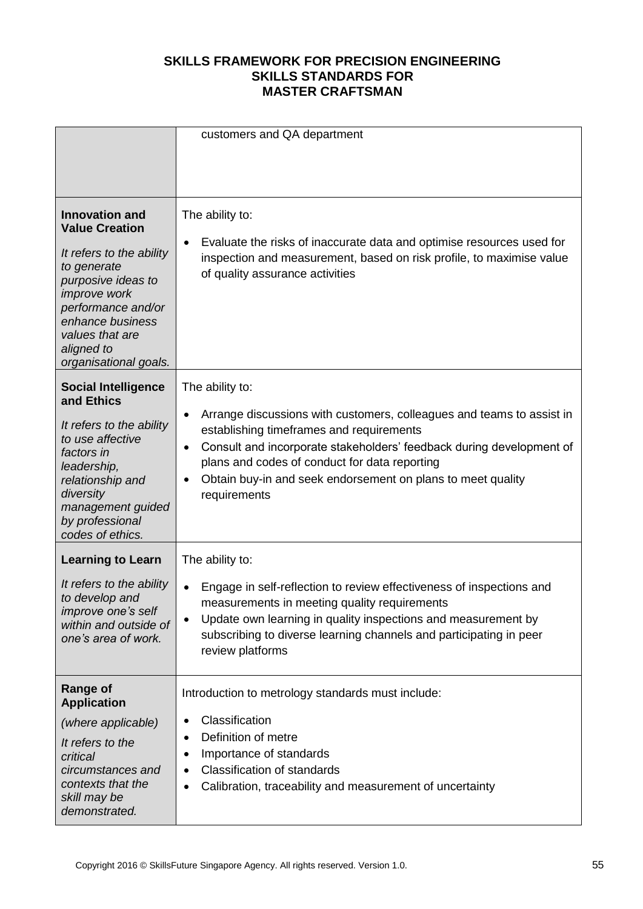|                                                                                                                                                                                                                                            | customers and QA department                                                                                                                                                                                                                                                                                                                                 |
|--------------------------------------------------------------------------------------------------------------------------------------------------------------------------------------------------------------------------------------------|-------------------------------------------------------------------------------------------------------------------------------------------------------------------------------------------------------------------------------------------------------------------------------------------------------------------------------------------------------------|
| <b>Innovation and</b><br><b>Value Creation</b><br>It refers to the ability<br>to generate<br>purposive ideas to<br><i>improve</i> work<br>performance and/or<br>enhance business<br>values that are<br>aligned to<br>organisational goals. | The ability to:<br>Evaluate the risks of inaccurate data and optimise resources used for<br>٠<br>inspection and measurement, based on risk profile, to maximise value<br>of quality assurance activities                                                                                                                                                    |
| <b>Social Intelligence</b><br>and Ethics<br>It refers to the ability<br>to use affective<br>factors in<br>leadership,<br>relationship and<br>diversity<br>management guided<br>by professional<br>codes of ethics.                         | The ability to:<br>Arrange discussions with customers, colleagues and teams to assist in<br>٠<br>establishing timeframes and requirements<br>Consult and incorporate stakeholders' feedback during development of<br>٠<br>plans and codes of conduct for data reporting<br>Obtain buy-in and seek endorsement on plans to meet quality<br>٠<br>requirements |
| <b>Learning to Learn</b><br>It refers to the ability<br>to develop and<br>improve one's self<br>within and outside of<br>one's area of work.                                                                                               | The ability to:<br>Engage in self-reflection to review effectiveness of inspections and<br>measurements in meeting quality requirements<br>Update own learning in quality inspections and measurement by<br>$\bullet$<br>subscribing to diverse learning channels and participating in peer<br>review platforms                                             |
| <b>Range of</b><br><b>Application</b><br>(where applicable)<br>It refers to the<br>critical<br>circumstances and<br>contexts that the<br>skill may be<br>demonstrated.                                                                     | Introduction to metrology standards must include:<br>Classification<br>٠<br>Definition of metre<br>$\bullet$<br>Importance of standards<br>٠<br><b>Classification of standards</b><br>٠<br>Calibration, traceability and measurement of uncertainty<br>٠                                                                                                    |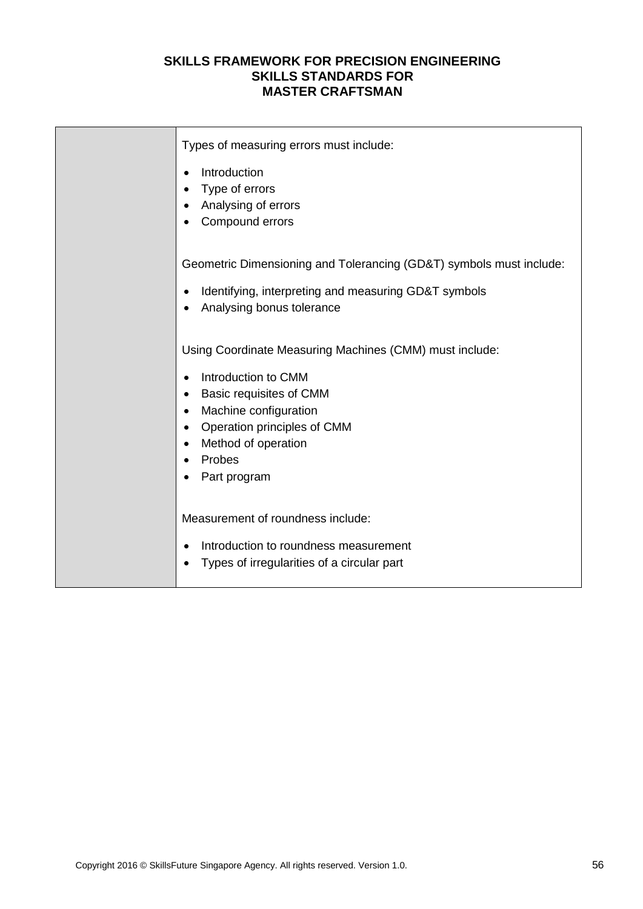| Types of measuring errors must include:                             |
|---------------------------------------------------------------------|
| Introduction<br>$\bullet$                                           |
| Type of errors<br>$\bullet$                                         |
| Analysing of errors                                                 |
| Compound errors                                                     |
|                                                                     |
| Geometric Dimensioning and Tolerancing (GD&T) symbols must include: |
| Identifying, interpreting and measuring GD&T symbols                |
| Analysing bonus tolerance                                           |
|                                                                     |
| Using Coordinate Measuring Machines (CMM) must include:             |
| Introduction to CMM<br>$\bullet$                                    |
| Basic requisites of CMM<br>$\bullet$                                |
| Machine configuration<br>$\bullet$                                  |
| Operation principles of CMM<br>$\bullet$                            |
| Method of operation<br>$\bullet$                                    |
| Probes                                                              |
| Part program                                                        |
|                                                                     |
| Measurement of roundness include:                                   |
| Introduction to roundness measurement<br>$\bullet$                  |
| Types of irregularities of a circular part<br>$\bullet$             |
|                                                                     |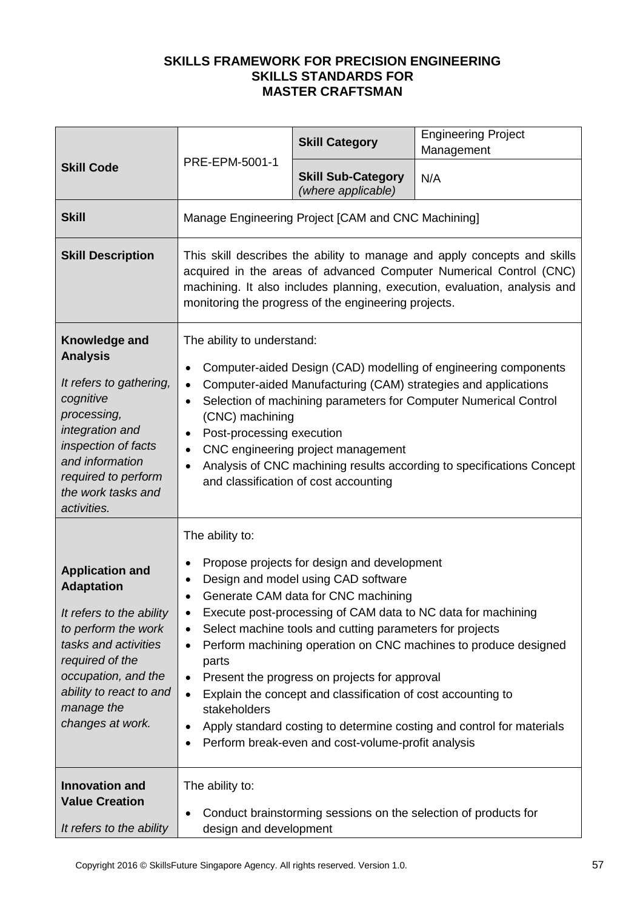| <b>Skill Code</b>                                                                                                                                                                                                             | PRE-EPM-5001-1                                                                                                                                                                                                                                                                                                                                                                                                                                                                                                                                                                                                                                 | <b>Skill Category</b>                              | <b>Engineering Project</b><br>Management                        |
|-------------------------------------------------------------------------------------------------------------------------------------------------------------------------------------------------------------------------------|------------------------------------------------------------------------------------------------------------------------------------------------------------------------------------------------------------------------------------------------------------------------------------------------------------------------------------------------------------------------------------------------------------------------------------------------------------------------------------------------------------------------------------------------------------------------------------------------------------------------------------------------|----------------------------------------------------|-----------------------------------------------------------------|
|                                                                                                                                                                                                                               |                                                                                                                                                                                                                                                                                                                                                                                                                                                                                                                                                                                                                                                | <b>Skill Sub-Category</b><br>(where applicable)    | N/A                                                             |
| <b>Skill</b>                                                                                                                                                                                                                  |                                                                                                                                                                                                                                                                                                                                                                                                                                                                                                                                                                                                                                                | Manage Engineering Project [CAM and CNC Machining] |                                                                 |
| <b>Skill Description</b>                                                                                                                                                                                                      | This skill describes the ability to manage and apply concepts and skills<br>acquired in the areas of advanced Computer Numerical Control (CNC)<br>machining. It also includes planning, execution, evaluation, analysis and<br>monitoring the progress of the engineering projects.                                                                                                                                                                                                                                                                                                                                                            |                                                    |                                                                 |
| Knowledge and<br><b>Analysis</b><br>It refers to gathering,<br>cognitive<br>processing,<br>integration and<br>inspection of facts<br>and information<br>required to perform<br>the work tasks and<br>activities.              | The ability to understand:<br>Computer-aided Design (CAD) modelling of engineering components<br>Computer-aided Manufacturing (CAM) strategies and applications<br>Selection of machining parameters for Computer Numerical Control<br>(CNC) machining<br>Post-processing execution<br>CNC engineering project management<br>Analysis of CNC machining results according to specifications Concept<br>and classification of cost accounting                                                                                                                                                                                                    |                                                    |                                                                 |
| <b>Application and</b><br><b>Adaptation</b><br>It refers to the ability<br>to perform the work<br>tasks and activities<br>required of the<br>occupation, and the<br>ability to react to and<br>manage the<br>changes at work. | The ability to:<br>Propose projects for design and development<br>Design and model using CAD software<br>Generate CAM data for CNC machining<br>Execute post-processing of CAM data to NC data for machining<br>Select machine tools and cutting parameters for projects<br>Perform machining operation on CNC machines to produce designed<br>parts<br>Present the progress on projects for approval<br>$\bullet$<br>Explain the concept and classification of cost accounting to<br>$\bullet$<br>stakeholders<br>Apply standard costing to determine costing and control for materials<br>Perform break-even and cost-volume-profit analysis |                                                    |                                                                 |
| <b>Innovation and</b><br><b>Value Creation</b><br>It refers to the ability                                                                                                                                                    | The ability to:<br>design and development                                                                                                                                                                                                                                                                                                                                                                                                                                                                                                                                                                                                      |                                                    | Conduct brainstorming sessions on the selection of products for |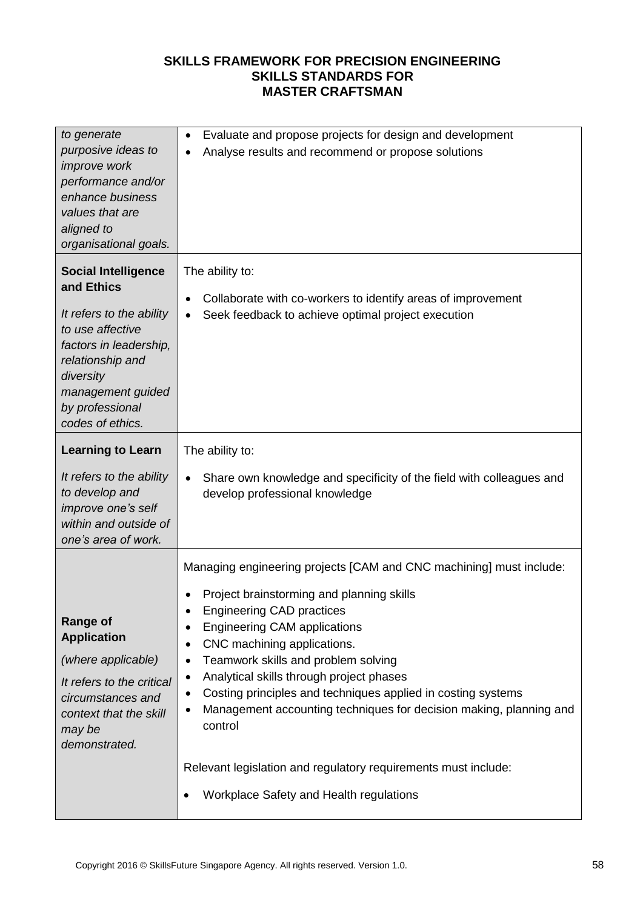| to generate<br>purposive ideas to<br>improve work<br>performance and/or<br>enhance business<br>values that are<br>aligned to<br>organisational goals.                                                           | Evaluate and propose projects for design and development<br>$\bullet$<br>Analyse results and recommend or propose solutions<br>$\bullet$                                                                                                                                                                                                                                                                                                                                                                                                                                                                                                       |
|-----------------------------------------------------------------------------------------------------------------------------------------------------------------------------------------------------------------|------------------------------------------------------------------------------------------------------------------------------------------------------------------------------------------------------------------------------------------------------------------------------------------------------------------------------------------------------------------------------------------------------------------------------------------------------------------------------------------------------------------------------------------------------------------------------------------------------------------------------------------------|
| <b>Social Intelligence</b><br>and Ethics<br>It refers to the ability<br>to use affective<br>factors in leadership,<br>relationship and<br>diversity<br>management guided<br>by professional<br>codes of ethics. | The ability to:<br>Collaborate with co-workers to identify areas of improvement<br>$\bullet$<br>Seek feedback to achieve optimal project execution<br>$\bullet$                                                                                                                                                                                                                                                                                                                                                                                                                                                                                |
| <b>Learning to Learn</b>                                                                                                                                                                                        | The ability to:                                                                                                                                                                                                                                                                                                                                                                                                                                                                                                                                                                                                                                |
| It refers to the ability<br>to develop and<br>improve one's self<br>within and outside of<br>one's area of work.                                                                                                | Share own knowledge and specificity of the field with colleagues and<br>$\bullet$<br>develop professional knowledge                                                                                                                                                                                                                                                                                                                                                                                                                                                                                                                            |
| <b>Range of</b><br><b>Application</b><br>(where applicable)<br>It refers to the critical<br>circumstances and<br>context that the skill<br>may be<br>demonstrated.                                              | Managing engineering projects [CAM and CNC machining] must include:<br>Project brainstorming and planning skills<br><b>Engineering CAD practices</b><br><b>Engineering CAM applications</b><br>$\bullet$<br>CNC machining applications.<br>$\bullet$<br>Teamwork skills and problem solving<br>$\bullet$<br>Analytical skills through project phases<br>٠<br>Costing principles and techniques applied in costing systems<br>٠<br>Management accounting techniques for decision making, planning and<br>$\bullet$<br>control<br>Relevant legislation and regulatory requirements must include:<br>Workplace Safety and Health regulations<br>٠ |
|                                                                                                                                                                                                                 |                                                                                                                                                                                                                                                                                                                                                                                                                                                                                                                                                                                                                                                |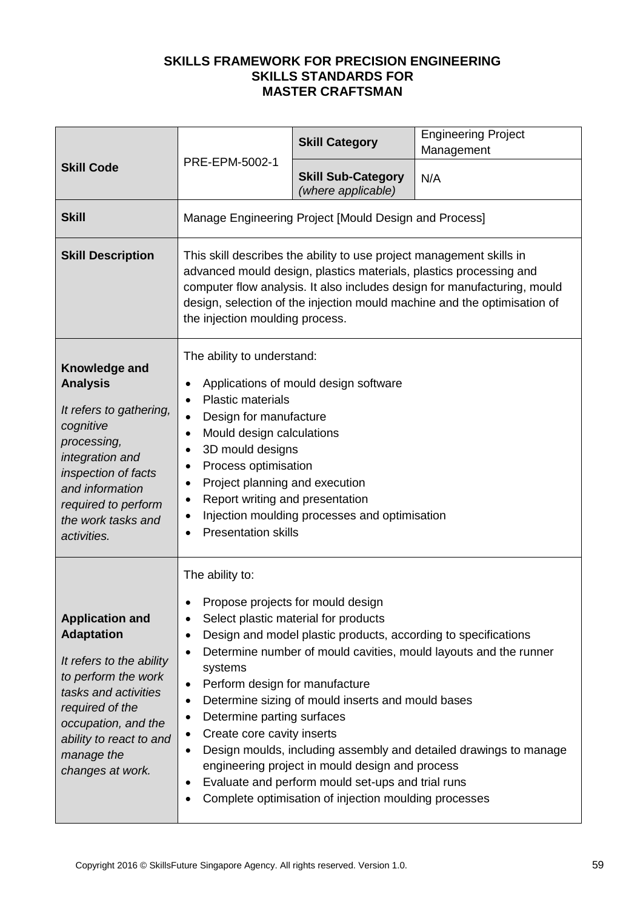|                                                                                                                                                                                                                               | PRE-EPM-5002-1                                                                                                                                                                                                                                                                                                                                                                                                                                                                                                                                                                                                                                                                                       | <b>Skill Category</b>                                 | <b>Engineering Project</b><br>Management |
|-------------------------------------------------------------------------------------------------------------------------------------------------------------------------------------------------------------------------------|------------------------------------------------------------------------------------------------------------------------------------------------------------------------------------------------------------------------------------------------------------------------------------------------------------------------------------------------------------------------------------------------------------------------------------------------------------------------------------------------------------------------------------------------------------------------------------------------------------------------------------------------------------------------------------------------------|-------------------------------------------------------|------------------------------------------|
| <b>Skill Code</b>                                                                                                                                                                                                             |                                                                                                                                                                                                                                                                                                                                                                                                                                                                                                                                                                                                                                                                                                      | <b>Skill Sub-Category</b><br>(where applicable)       | N/A                                      |
| <b>Skill</b>                                                                                                                                                                                                                  |                                                                                                                                                                                                                                                                                                                                                                                                                                                                                                                                                                                                                                                                                                      | Manage Engineering Project [Mould Design and Process] |                                          |
| <b>Skill Description</b>                                                                                                                                                                                                      | This skill describes the ability to use project management skills in<br>advanced mould design, plastics materials, plastics processing and<br>computer flow analysis. It also includes design for manufacturing, mould<br>design, selection of the injection mould machine and the optimisation of<br>the injection moulding process.                                                                                                                                                                                                                                                                                                                                                                |                                                       |                                          |
| Knowledge and<br><b>Analysis</b><br>It refers to gathering,<br>cognitive<br>processing,<br>integration and<br>inspection of facts<br>and information<br>required to perform<br>the work tasks and<br>activities.              | The ability to understand:<br>Applications of mould design software<br><b>Plastic materials</b><br>$\bullet$<br>Design for manufacture<br>Mould design calculations<br>$\bullet$<br>3D mould designs<br>Process optimisation<br>Project planning and execution<br>Report writing and presentation<br>٠<br>Injection moulding processes and optimisation<br>٠<br><b>Presentation skills</b>                                                                                                                                                                                                                                                                                                           |                                                       |                                          |
| <b>Application and</b><br><b>Adaptation</b><br>It refers to the ability<br>to perform the work<br>tasks and activities<br>required of the<br>occupation, and the<br>ability to react to and<br>manage the<br>changes at work. | The ability to:<br>Propose projects for mould design<br>Select plastic material for products<br>Design and model plastic products, according to specifications<br>Determine number of mould cavities, mould layouts and the runner<br>$\bullet$<br>systems<br>Perform design for manufacture<br>$\bullet$<br>Determine sizing of mould inserts and mould bases<br>٠<br>Determine parting surfaces<br>Create core cavity inserts<br>$\bullet$<br>Design moulds, including assembly and detailed drawings to manage<br>$\bullet$<br>engineering project in mould design and process<br>Evaluate and perform mould set-ups and trial runs<br>٠<br>Complete optimisation of injection moulding processes |                                                       |                                          |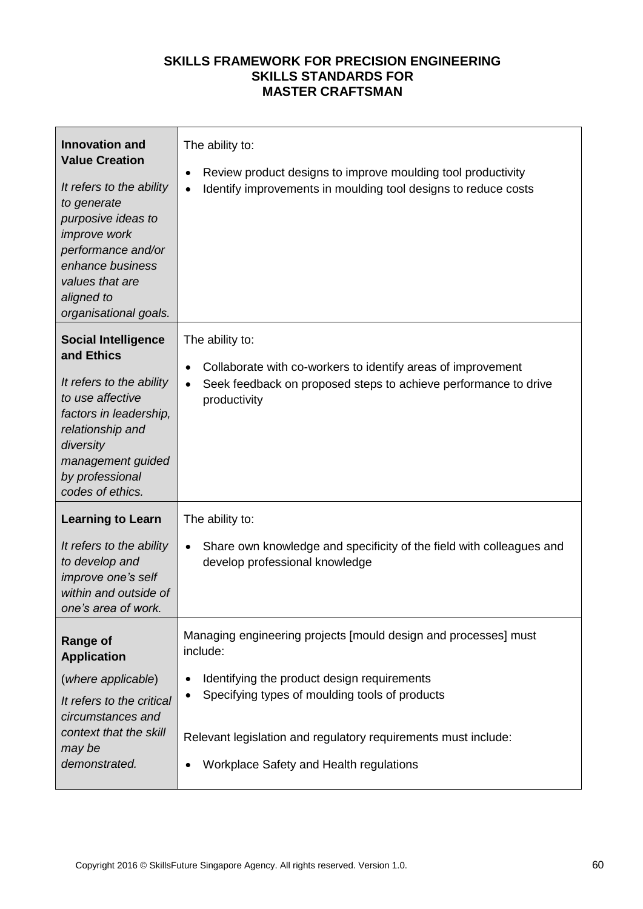| <b>Innovation and</b><br><b>Value Creation</b><br>It refers to the ability<br>to generate<br>purposive ideas to<br>improve work<br>performance and/or<br>enhance business<br>values that are<br>aligned to<br>organisational goals. | The ability to:<br>Review product designs to improve moulding tool productivity<br>$\bullet$<br>Identify improvements in moulding tool designs to reduce costs<br>$\bullet$                                                                                                                                         |
|-------------------------------------------------------------------------------------------------------------------------------------------------------------------------------------------------------------------------------------|---------------------------------------------------------------------------------------------------------------------------------------------------------------------------------------------------------------------------------------------------------------------------------------------------------------------|
| <b>Social Intelligence</b><br>and Ethics<br>It refers to the ability<br>to use affective<br>factors in leadership,<br>relationship and<br>diversity<br>management guided<br>by professional<br>codes of ethics.                     | The ability to:<br>Collaborate with co-workers to identify areas of improvement<br>$\bullet$<br>Seek feedback on proposed steps to achieve performance to drive<br>$\bullet$<br>productivity                                                                                                                        |
| <b>Learning to Learn</b><br>It refers to the ability<br>to develop and<br>improve one's self<br>within and outside of<br>one's area of work.                                                                                        | The ability to:<br>Share own knowledge and specificity of the field with colleagues and<br>$\bullet$<br>develop professional knowledge                                                                                                                                                                              |
| <b>Range of</b><br><b>Application</b><br>(where applicable)<br>It refers to the critical<br>circumstances and<br>context that the skill<br>may be<br>demonstrated.                                                                  | Managing engineering projects [mould design and processes] must<br>include:<br>Identifying the product design requirements<br>$\bullet$<br>Specifying types of moulding tools of products<br>$\bullet$<br>Relevant legislation and regulatory requirements must include:<br>Workplace Safety and Health regulations |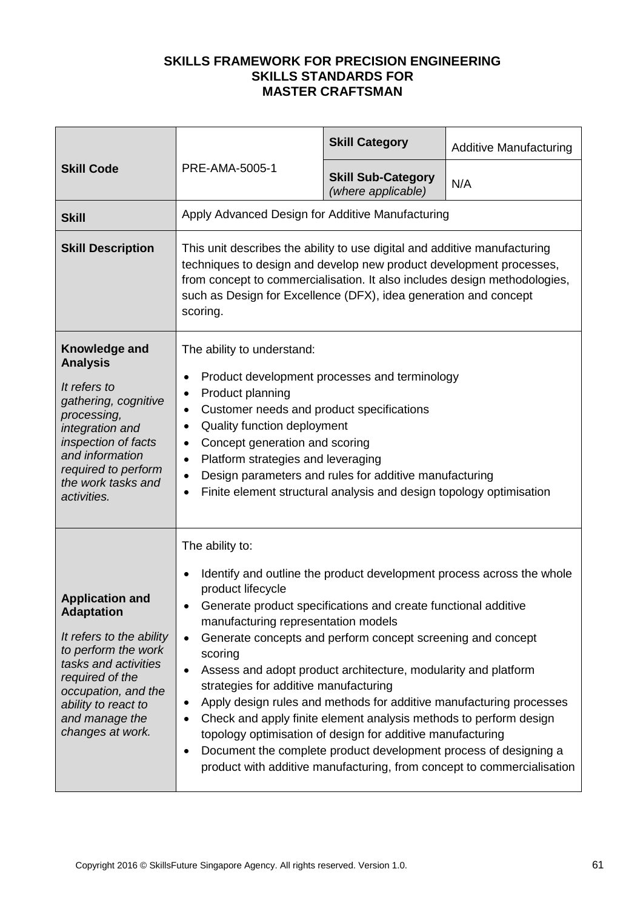|                                                                                                                                                                                                                               |                                                                                                                                                                                                                                                                                                                                                                                                                                                                                                                                                                                                                              | <b>Skill Category</b>                           | <b>Additive Manufacturing</b>                                                                                                                                                                                          |
|-------------------------------------------------------------------------------------------------------------------------------------------------------------------------------------------------------------------------------|------------------------------------------------------------------------------------------------------------------------------------------------------------------------------------------------------------------------------------------------------------------------------------------------------------------------------------------------------------------------------------------------------------------------------------------------------------------------------------------------------------------------------------------------------------------------------------------------------------------------------|-------------------------------------------------|------------------------------------------------------------------------------------------------------------------------------------------------------------------------------------------------------------------------|
| <b>Skill Code</b>                                                                                                                                                                                                             | PRE-AMA-5005-1                                                                                                                                                                                                                                                                                                                                                                                                                                                                                                                                                                                                               | <b>Skill Sub-Category</b><br>(where applicable) | N/A                                                                                                                                                                                                                    |
| <b>Skill</b>                                                                                                                                                                                                                  | Apply Advanced Design for Additive Manufacturing                                                                                                                                                                                                                                                                                                                                                                                                                                                                                                                                                                             |                                                 |                                                                                                                                                                                                                        |
| <b>Skill Description</b>                                                                                                                                                                                                      | This unit describes the ability to use digital and additive manufacturing<br>techniques to design and develop new product development processes,<br>from concept to commercialisation. It also includes design methodologies,<br>such as Design for Excellence (DFX), idea generation and concept<br>scoring.                                                                                                                                                                                                                                                                                                                |                                                 |                                                                                                                                                                                                                        |
| Knowledge and<br><b>Analysis</b><br>It refers to<br>gathering, cognitive<br>processing,<br>integration and<br>inspection of facts<br>and information<br>required to perform<br>the work tasks and<br>activities.              | The ability to understand:<br>Product development processes and terminology<br>٠<br>Product planning<br>٠<br>Customer needs and product specifications<br>$\bullet$<br>Quality function deployment<br>$\bullet$<br>Concept generation and scoring<br>$\bullet$<br>Platform strategies and leveraging<br>$\bullet$<br>Design parameters and rules for additive manufacturing<br>$\bullet$<br>Finite element structural analysis and design topology optimisation<br>$\bullet$                                                                                                                                                 |                                                 |                                                                                                                                                                                                                        |
| <b>Application and</b><br><b>Adaptation</b><br>It refers to the ability<br>to perform the work<br>tasks and activities<br>required of the<br>occupation, and the<br>ability to react to<br>and manage the<br>changes at work. | The ability to:<br>$\bullet$<br>product lifecycle<br>Generate product specifications and create functional additive<br>٠<br>manufacturing representation models<br>Generate concepts and perform concept screening and concept<br>$\bullet$<br>scoring<br>Assess and adopt product architecture, modularity and platform<br>$\bullet$<br>strategies for additive manufacturing<br>$\bullet$<br>Check and apply finite element analysis methods to perform design<br>$\bullet$<br>topology optimisation of design for additive manufacturing<br>Document the complete product development process of designing a<br>$\bullet$ |                                                 | Identify and outline the product development process across the whole<br>Apply design rules and methods for additive manufacturing processes<br>product with additive manufacturing, from concept to commercialisation |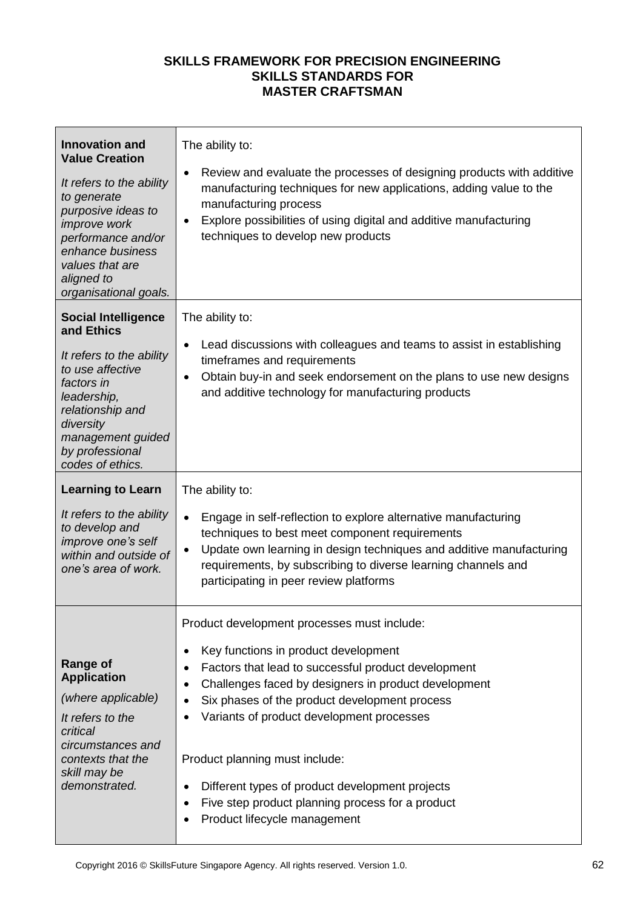| <b>Innovation and</b><br><b>Value Creation</b><br>It refers to the ability<br>to generate<br>purposive ideas to<br><i>improve</i> work<br>performance and/or<br>enhance business<br>values that are<br>aligned to<br>organisational goals. | The ability to:<br>Review and evaluate the processes of designing products with additive<br>$\bullet$<br>manufacturing techniques for new applications, adding value to the<br>manufacturing process<br>Explore possibilities of using digital and additive manufacturing<br>$\bullet$<br>techniques to develop new products                                                                                                                                                                                                 |
|--------------------------------------------------------------------------------------------------------------------------------------------------------------------------------------------------------------------------------------------|------------------------------------------------------------------------------------------------------------------------------------------------------------------------------------------------------------------------------------------------------------------------------------------------------------------------------------------------------------------------------------------------------------------------------------------------------------------------------------------------------------------------------|
| <b>Social Intelligence</b><br>and Ethics<br>It refers to the ability<br>to use affective<br>factors in<br>leadership,<br>relationship and<br>diversity<br>management guided<br>by professional<br>codes of ethics.                         | The ability to:<br>Lead discussions with colleagues and teams to assist in establishing<br>٠<br>timeframes and requirements<br>Obtain buy-in and seek endorsement on the plans to use new designs<br>٠<br>and additive technology for manufacturing products                                                                                                                                                                                                                                                                 |
| <b>Learning to Learn</b><br>It refers to the ability<br>to develop and<br>improve one's self<br>within and outside of<br>one's area of work.                                                                                               | The ability to:<br>Engage in self-reflection to explore alternative manufacturing<br>$\bullet$<br>techniques to best meet component requirements<br>Update own learning in design techniques and additive manufacturing<br>$\bullet$<br>requirements, by subscribing to diverse learning channels and<br>participating in peer review platforms                                                                                                                                                                              |
| <b>Range of</b><br><b>Application</b><br>(where applicable)<br>It refers to the<br>critical<br>circumstances and<br>contexts that the<br>skill may be<br>demonstrated.                                                                     | Product development processes must include:<br>Key functions in product development<br>٠<br>Factors that lead to successful product development<br>٠<br>Challenges faced by designers in product development<br>٠<br>Six phases of the product development process<br>$\bullet$<br>Variants of product development processes<br>Product planning must include:<br>Different types of product development projects<br>$\bullet$<br>Five step product planning process for a product<br>٠<br>Product lifecycle management<br>٠ |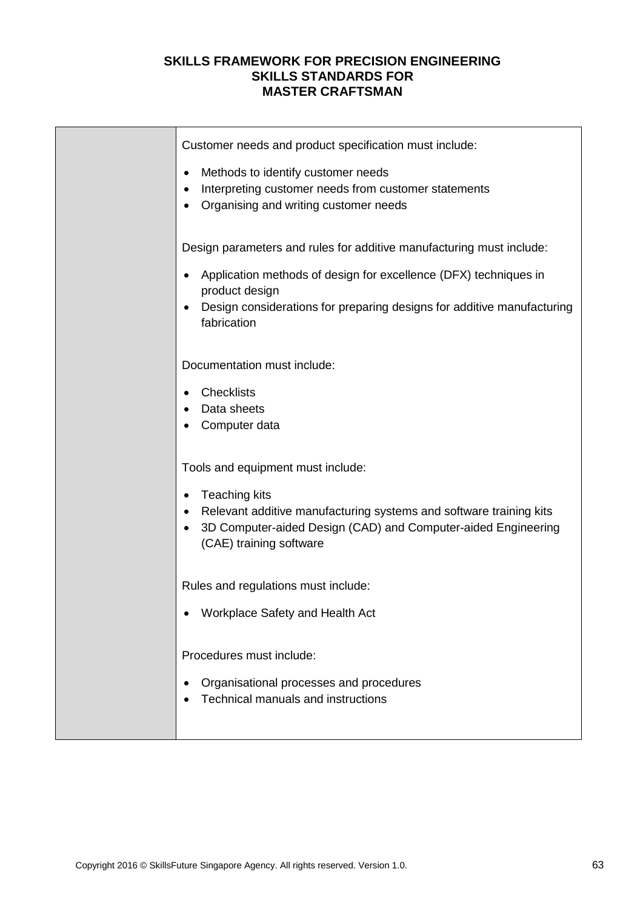| Customer needs and product specification must include:<br>Methods to identify customer needs<br>$\bullet$<br>Interpreting customer needs from customer statements<br>Organising and writing customer needs<br>Design parameters and rules for additive manufacturing must include: |
|------------------------------------------------------------------------------------------------------------------------------------------------------------------------------------------------------------------------------------------------------------------------------------|
| Application methods of design for excellence (DFX) techniques in<br>$\bullet$<br>product design<br>Design considerations for preparing designs for additive manufacturing<br>$\bullet$<br>fabrication                                                                              |
| Documentation must include:<br><b>Checklists</b><br>$\bullet$<br>Data sheets<br>Computer data                                                                                                                                                                                      |
| Tools and equipment must include:<br>Teaching kits<br>$\bullet$<br>Relevant additive manufacturing systems and software training kits<br>3D Computer-aided Design (CAD) and Computer-aided Engineering<br>(CAE) training software                                                  |
| Rules and regulations must include:<br>Workplace Safety and Health Act                                                                                                                                                                                                             |
| Procedures must include:<br>Organisational processes and procedures<br>$\bullet$<br>Technical manuals and instructions                                                                                                                                                             |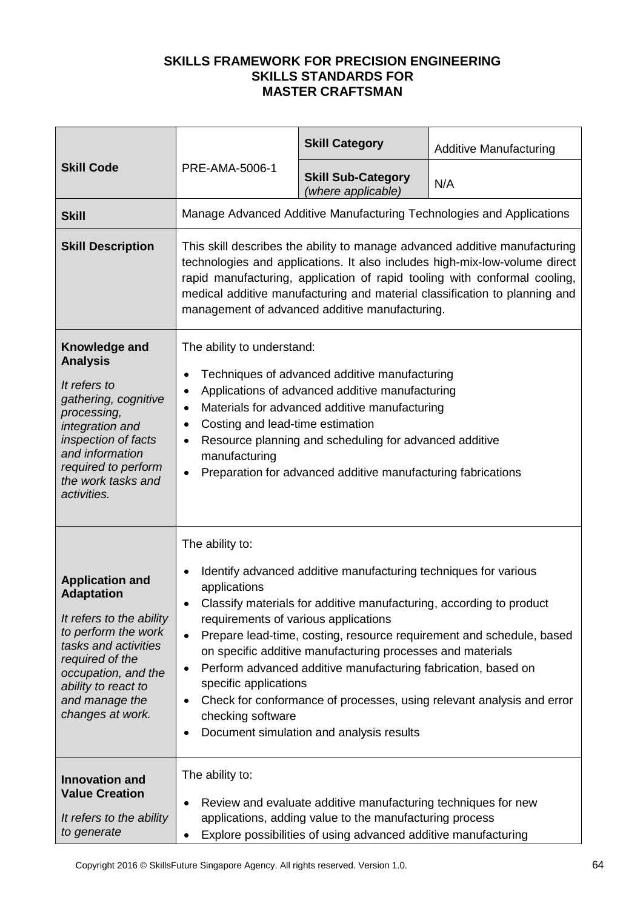|                                                                                                                                                                                                                               |                                                                                                                                                                                                                                                                                                                                                                                                                              | <b>Skill Category</b>                                                                                                                                                                                                                                                                                             | <b>Additive Manufacturing</b>                                                                                                                 |
|-------------------------------------------------------------------------------------------------------------------------------------------------------------------------------------------------------------------------------|------------------------------------------------------------------------------------------------------------------------------------------------------------------------------------------------------------------------------------------------------------------------------------------------------------------------------------------------------------------------------------------------------------------------------|-------------------------------------------------------------------------------------------------------------------------------------------------------------------------------------------------------------------------------------------------------------------------------------------------------------------|-----------------------------------------------------------------------------------------------------------------------------------------------|
| <b>Skill Code</b>                                                                                                                                                                                                             | PRE-AMA-5006-1                                                                                                                                                                                                                                                                                                                                                                                                               | <b>Skill Sub-Category</b><br>(where applicable)                                                                                                                                                                                                                                                                   | N/A                                                                                                                                           |
| <b>Skill</b>                                                                                                                                                                                                                  |                                                                                                                                                                                                                                                                                                                                                                                                                              |                                                                                                                                                                                                                                                                                                                   | Manage Advanced Additive Manufacturing Technologies and Applications                                                                          |
| <b>Skill Description</b>                                                                                                                                                                                                      | This skill describes the ability to manage advanced additive manufacturing<br>technologies and applications. It also includes high-mix-low-volume direct<br>rapid manufacturing, application of rapid tooling with conformal cooling,<br>medical additive manufacturing and material classification to planning and<br>management of advanced additive manufacturing.                                                        |                                                                                                                                                                                                                                                                                                                   |                                                                                                                                               |
| Knowledge and<br><b>Analysis</b><br>It refers to<br>gathering, cognitive<br>processing,<br>integration and<br>inspection of facts<br>and information<br>required to perform<br>the work tasks and<br>activities.              | The ability to understand:<br>Techniques of advanced additive manufacturing<br>$\bullet$<br>Applications of advanced additive manufacturing<br>$\bullet$<br>Materials for advanced additive manufacturing<br>$\bullet$<br>Costing and lead-time estimation<br>٠<br>Resource planning and scheduling for advanced additive<br>٠<br>manufacturing<br>Preparation for advanced additive manufacturing fabrications<br>$\bullet$ |                                                                                                                                                                                                                                                                                                                   |                                                                                                                                               |
| <b>Application and</b><br><b>Adaptation</b><br>It refers to the ability<br>to perform the work<br>tasks and activities<br>required of the<br>occupation, and the<br>ability to react to<br>and manage the<br>changes at work. | The ability to:<br>٠<br>applications<br>٠<br>requirements of various applications<br>$\bullet$<br>٠<br>specific applications<br>٠<br>checking software<br>٠                                                                                                                                                                                                                                                                  | Identify advanced additive manufacturing techniques for various<br>Classify materials for additive manufacturing, according to product<br>on specific additive manufacturing processes and materials<br>Perform advanced additive manufacturing fabrication, based on<br>Document simulation and analysis results | Prepare lead-time, costing, resource requirement and schedule, based<br>Check for conformance of processes, using relevant analysis and error |
| <b>Innovation and</b><br><b>Value Creation</b><br>It refers to the ability<br>to generate                                                                                                                                     | The ability to:<br>$\bullet$<br>٠                                                                                                                                                                                                                                                                                                                                                                                            | Review and evaluate additive manufacturing techniques for new<br>applications, adding value to the manufacturing process<br>Explore possibilities of using advanced additive manufacturing                                                                                                                        |                                                                                                                                               |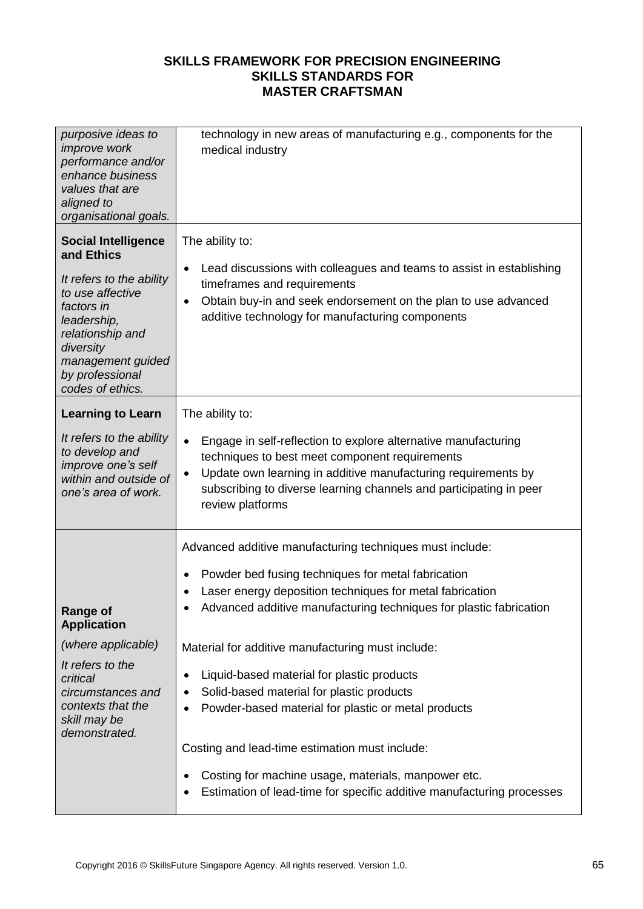| purposive ideas to<br>improve work<br>performance and/or<br>enhance business<br>values that are<br>aligned to<br>organisational goals.                                                                             | technology in new areas of manufacturing e.g., components for the<br>medical industry                                                                                                                                                                                                                                                    |
|--------------------------------------------------------------------------------------------------------------------------------------------------------------------------------------------------------------------|------------------------------------------------------------------------------------------------------------------------------------------------------------------------------------------------------------------------------------------------------------------------------------------------------------------------------------------|
| <b>Social Intelligence</b><br>and Ethics<br>It refers to the ability<br>to use affective<br>factors in<br>leadership,<br>relationship and<br>diversity<br>management guided<br>by professional<br>codes of ethics. | The ability to:<br>Lead discussions with colleagues and teams to assist in establishing<br>$\bullet$<br>timeframes and requirements<br>Obtain buy-in and seek endorsement on the plan to use advanced<br>$\bullet$<br>additive technology for manufacturing components                                                                   |
| <b>Learning to Learn</b><br>It refers to the ability<br>to develop and<br>improve one's self<br>within and outside of<br>one's area of work.                                                                       | The ability to:<br>Engage in self-reflection to explore alternative manufacturing<br>$\bullet$<br>techniques to best meet component requirements<br>Update own learning in additive manufacturing requirements by<br>$\bullet$<br>subscribing to diverse learning channels and participating in peer<br>review platforms                 |
| Range or<br><b>Application</b>                                                                                                                                                                                     | Advanced additive manufacturing techniques must include:<br>Powder bed fusing techniques for metal fabrication<br>$\bullet$<br>Laser energy deposition techniques for metal fabrication<br>Advanced additive manufacturing techniques for plastic fabrication                                                                            |
| (where applicable)<br>It refers to the<br>critical<br>circumstances and<br>contexts that the<br>skill may be<br>demonstrated.                                                                                      | Material for additive manufacturing must include:<br>Liquid-based material for plastic products<br>٠<br>Solid-based material for plastic products<br>٠<br>Powder-based material for plastic or metal products<br>٠<br>Costing and lead-time estimation must include:<br>Costing for machine usage, materials, manpower etc.<br>$\bullet$ |
|                                                                                                                                                                                                                    | Estimation of lead-time for specific additive manufacturing processes                                                                                                                                                                                                                                                                    |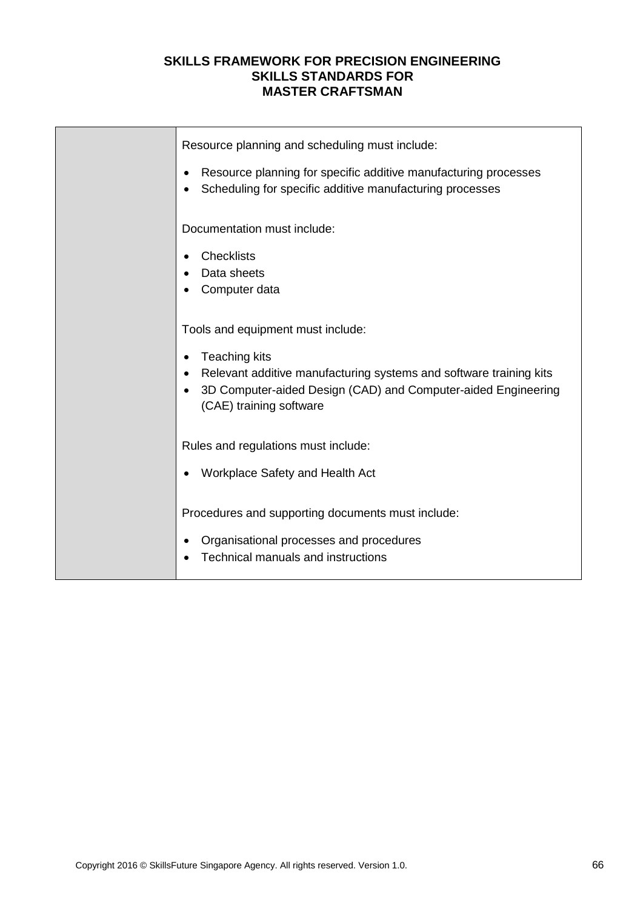| Resource planning and scheduling must include:<br>Resource planning for specific additive manufacturing processes                                              |
|----------------------------------------------------------------------------------------------------------------------------------------------------------------|
| Scheduling for specific additive manufacturing processes                                                                                                       |
| Documentation must include:                                                                                                                                    |
| <b>Checklists</b>                                                                                                                                              |
| Data sheets                                                                                                                                                    |
| Computer data                                                                                                                                                  |
| Tools and equipment must include:                                                                                                                              |
| <b>Teaching kits</b><br>$\bullet$                                                                                                                              |
| Relevant additive manufacturing systems and software training kits<br>3D Computer-aided Design (CAD) and Computer-aided Engineering<br>(CAE) training software |
| Rules and regulations must include:                                                                                                                            |
| Workplace Safety and Health Act                                                                                                                                |
| Procedures and supporting documents must include:                                                                                                              |
| Organisational processes and procedures<br>Technical manuals and instructions                                                                                  |
|                                                                                                                                                                |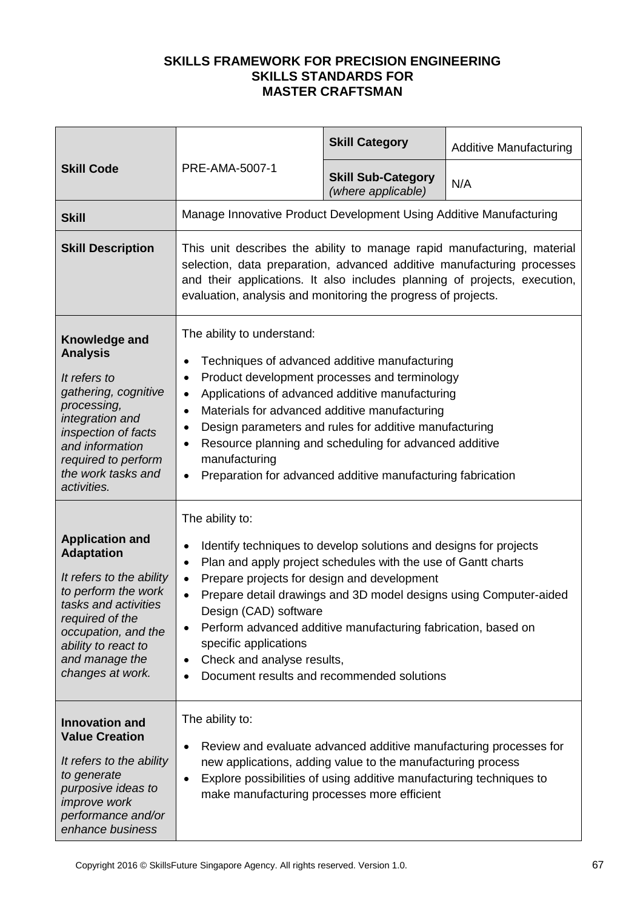|                                                                                                                                                                                                                               |                                                                                                                                                                                                                                                                                                                                                                                                                                                                                                                                 | <b>Skill Category</b>                           | <b>Additive Manufacturing</b>                                     |
|-------------------------------------------------------------------------------------------------------------------------------------------------------------------------------------------------------------------------------|---------------------------------------------------------------------------------------------------------------------------------------------------------------------------------------------------------------------------------------------------------------------------------------------------------------------------------------------------------------------------------------------------------------------------------------------------------------------------------------------------------------------------------|-------------------------------------------------|-------------------------------------------------------------------|
| <b>Skill Code</b>                                                                                                                                                                                                             | PRE-AMA-5007-1                                                                                                                                                                                                                                                                                                                                                                                                                                                                                                                  | <b>Skill Sub-Category</b><br>(where applicable) | N/A                                                               |
| <b>Skill</b>                                                                                                                                                                                                                  | Manage Innovative Product Development Using Additive Manufacturing                                                                                                                                                                                                                                                                                                                                                                                                                                                              |                                                 |                                                                   |
| <b>Skill Description</b>                                                                                                                                                                                                      | This unit describes the ability to manage rapid manufacturing, material<br>selection, data preparation, advanced additive manufacturing processes<br>and their applications. It also includes planning of projects, execution,<br>evaluation, analysis and monitoring the progress of projects.                                                                                                                                                                                                                                 |                                                 |                                                                   |
| Knowledge and<br><b>Analysis</b><br>It refers to<br>gathering, cognitive<br>processing,<br>integration and<br>inspection of facts<br>and information<br>required to perform<br>the work tasks and<br>activities.              | The ability to understand:<br>Techniques of advanced additive manufacturing<br>$\bullet$<br>Product development processes and terminology<br>$\bullet$<br>Applications of advanced additive manufacturing<br>$\bullet$<br>Materials for advanced additive manufacturing<br>$\bullet$<br>Design parameters and rules for additive manufacturing<br>$\bullet$<br>Resource planning and scheduling for advanced additive<br>$\bullet$<br>manufacturing<br>Preparation for advanced additive manufacturing fabrication<br>$\bullet$ |                                                 |                                                                   |
| <b>Application and</b><br><b>Adaptation</b><br>It refers to the ability<br>to perform the work<br>tasks and activities<br>required of the<br>occupation, and the<br>ability to react to<br>and manage the<br>changes at work. | The ability to:<br>Identify techniques to develop solutions and designs for projects<br>$\bullet$<br>Plan and apply project schedules with the use of Gantt charts<br>$\bullet$<br>Prepare projects for design and development<br>$\bullet$<br>$\bullet$<br>Design (CAD) software<br>Perform advanced additive manufacturing fabrication, based on<br>$\bullet$<br>specific applications<br>Check and analyse results,<br>$\bullet$<br>Document results and recommended solutions<br>$\bullet$                                  |                                                 | Prepare detail drawings and 3D model designs using Computer-aided |
| <b>Innovation and</b><br><b>Value Creation</b><br>It refers to the ability<br>to generate<br>purposive ideas to<br><i>improve</i> work<br>performance and/or<br>enhance business                                              | The ability to:<br>Review and evaluate advanced additive manufacturing processes for<br>٠<br>new applications, adding value to the manufacturing process<br>Explore possibilities of using additive manufacturing techniques to<br>$\bullet$<br>make manufacturing processes more efficient                                                                                                                                                                                                                                     |                                                 |                                                                   |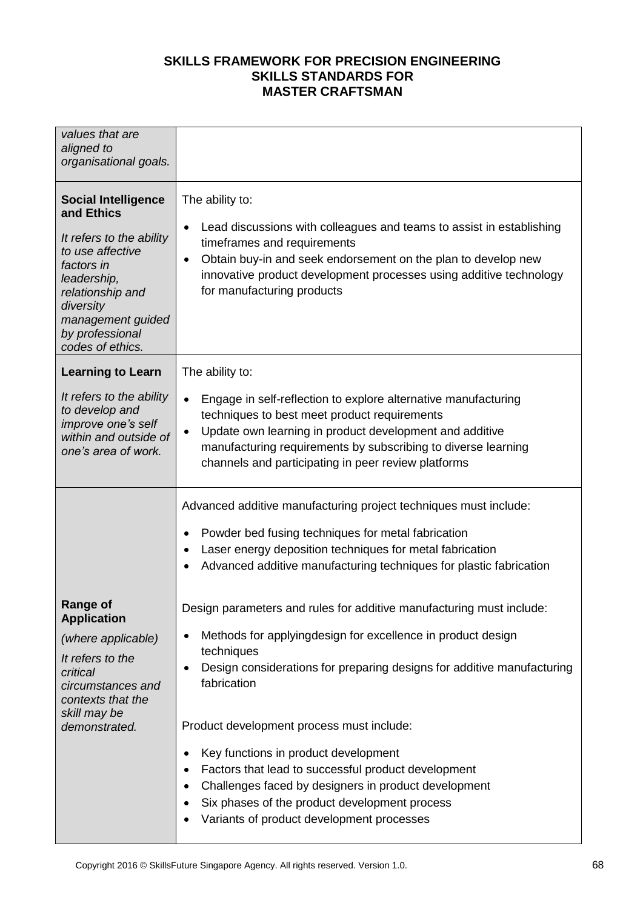| values that are<br>aligned to<br>organisational goals.                                                                                                                                                             |                                                                                                                                                                                                                                                                                                                             |
|--------------------------------------------------------------------------------------------------------------------------------------------------------------------------------------------------------------------|-----------------------------------------------------------------------------------------------------------------------------------------------------------------------------------------------------------------------------------------------------------------------------------------------------------------------------|
| <b>Social Intelligence</b><br>and Ethics<br>It refers to the ability<br>to use affective<br>factors in<br>leadership,<br>relationship and<br>diversity<br>management guided<br>by professional<br>codes of ethics. | The ability to:<br>Lead discussions with colleagues and teams to assist in establishing<br>٠<br>timeframes and requirements<br>Obtain buy-in and seek endorsement on the plan to develop new<br>$\bullet$<br>innovative product development processes using additive technology<br>for manufacturing products               |
| <b>Learning to Learn</b>                                                                                                                                                                                           | The ability to:                                                                                                                                                                                                                                                                                                             |
| It refers to the ability<br>to develop and<br>improve one's self<br>within and outside of<br>one's area of work.                                                                                                   | Engage in self-reflection to explore alternative manufacturing<br>$\bullet$<br>techniques to best meet product requirements<br>Update own learning in product development and additive<br>$\bullet$<br>manufacturing requirements by subscribing to diverse learning<br>channels and participating in peer review platforms |
|                                                                                                                                                                                                                    | Advanced additive manufacturing project techniques must include:                                                                                                                                                                                                                                                            |
|                                                                                                                                                                                                                    | Powder bed fusing techniques for metal fabrication<br>$\bullet$<br>Laser energy deposition techniques for metal fabrication<br>$\bullet$                                                                                                                                                                                    |
|                                                                                                                                                                                                                    | Advanced additive manufacturing techniques for plastic fabrication<br>$\bullet$                                                                                                                                                                                                                                             |
| Range of<br><b>Application</b>                                                                                                                                                                                     | Design parameters and rules for additive manufacturing must include:                                                                                                                                                                                                                                                        |
| (where applicable)                                                                                                                                                                                                 | Methods for applyingdesign for excellence in product design<br>٠<br>techniques                                                                                                                                                                                                                                              |
| It refers to the<br>critical<br>circumstances and<br>contexts that the                                                                                                                                             | Design considerations for preparing designs for additive manufacturing<br>٠<br>fabrication                                                                                                                                                                                                                                  |
| skill may be<br>demonstrated.                                                                                                                                                                                      | Product development process must include:                                                                                                                                                                                                                                                                                   |
|                                                                                                                                                                                                                    | Key functions in product development<br>$\bullet$<br>Factors that lead to successful product development<br>٠<br>Challenges faced by designers in product development<br>$\bullet$<br>Six phases of the product development process<br>$\bullet$<br>Variants of product development processes<br>$\bullet$                  |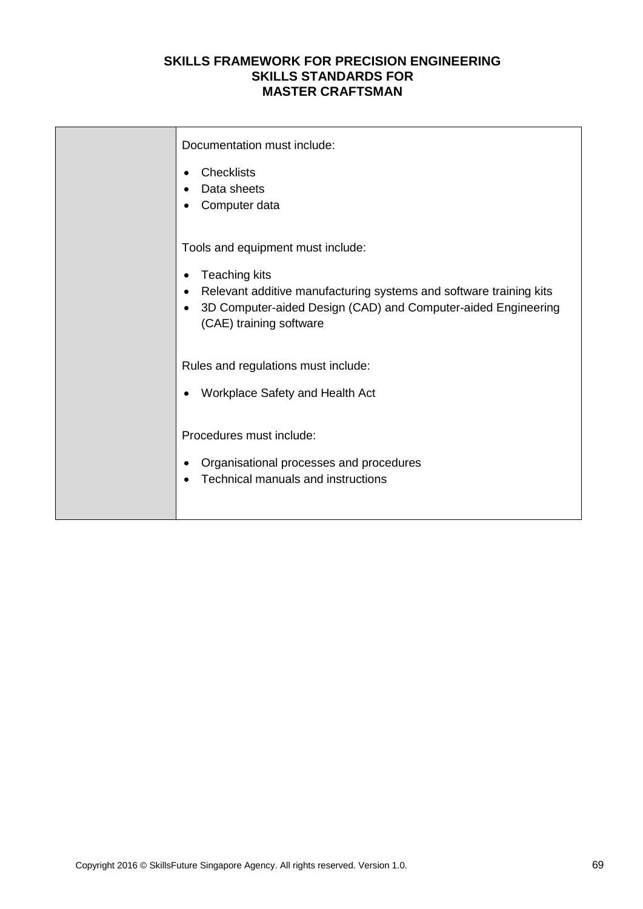| Documentation must include:<br><b>Checklists</b><br>$\bullet$<br>Data sheets<br>٠<br>Computer data<br>٠                                                                                                                                                    |
|------------------------------------------------------------------------------------------------------------------------------------------------------------------------------------------------------------------------------------------------------------|
| Tools and equipment must include:<br><b>Teaching kits</b><br>$\bullet$<br>Relevant additive manufacturing systems and software training kits<br>٠<br>3D Computer-aided Design (CAD) and Computer-aided Engineering<br>$\bullet$<br>(CAE) training software |
| Rules and regulations must include:<br>Workplace Safety and Health Act<br>$\bullet$                                                                                                                                                                        |
| Procedures must include:<br>Organisational processes and procedures<br>٠<br>Technical manuals and instructions                                                                                                                                             |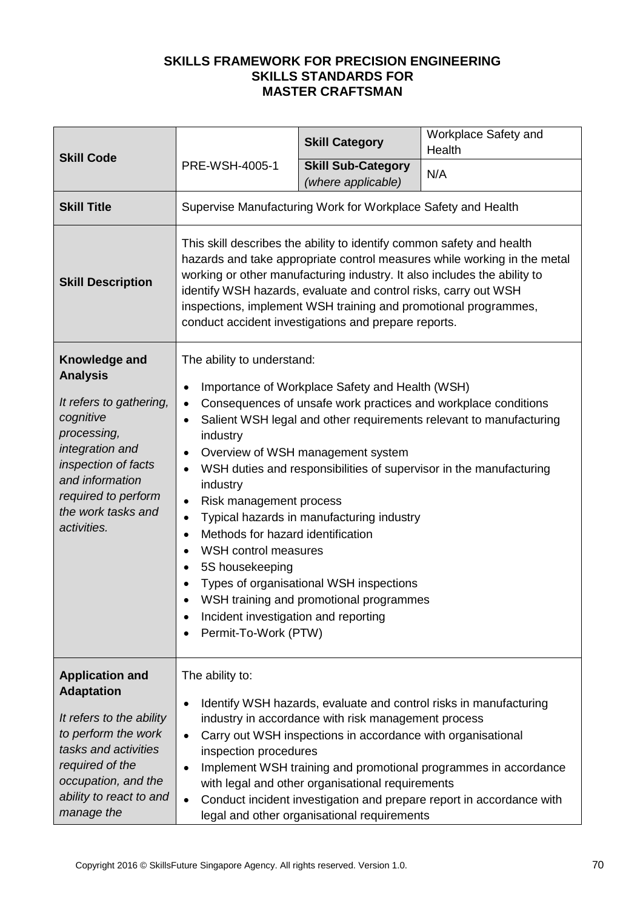|                                                                                                                                                                                                                  |                                                                                                                                                                                                                                                                                                                                                                                                                             | <b>Skill Category</b>                                                                                                                                                                                                   | Workplace Safety and<br>Health                                                                                                                                                                               |
|------------------------------------------------------------------------------------------------------------------------------------------------------------------------------------------------------------------|-----------------------------------------------------------------------------------------------------------------------------------------------------------------------------------------------------------------------------------------------------------------------------------------------------------------------------------------------------------------------------------------------------------------------------|-------------------------------------------------------------------------------------------------------------------------------------------------------------------------------------------------------------------------|--------------------------------------------------------------------------------------------------------------------------------------------------------------------------------------------------------------|
| <b>Skill Code</b>                                                                                                                                                                                                | PRE-WSH-4005-1                                                                                                                                                                                                                                                                                                                                                                                                              | <b>Skill Sub-Category</b><br>(where applicable)                                                                                                                                                                         | N/A                                                                                                                                                                                                          |
| <b>Skill Title</b>                                                                                                                                                                                               |                                                                                                                                                                                                                                                                                                                                                                                                                             | Supervise Manufacturing Work for Workplace Safety and Health                                                                                                                                                            |                                                                                                                                                                                                              |
| <b>Skill Description</b>                                                                                                                                                                                         | This skill describes the ability to identify common safety and health<br>hazards and take appropriate control measures while working in the metal<br>working or other manufacturing industry. It also includes the ability to<br>identify WSH hazards, evaluate and control risks, carry out WSH<br>inspections, implement WSH training and promotional programmes,<br>conduct accident investigations and prepare reports. |                                                                                                                                                                                                                         |                                                                                                                                                                                                              |
| Knowledge and<br><b>Analysis</b><br>It refers to gathering,<br>cognitive<br>processing,<br>integration and<br>inspection of facts<br>and information<br>required to perform<br>the work tasks and<br>activities. | The ability to understand:<br>$\bullet$<br>$\bullet$<br>$\bullet$<br>industry<br>٠<br>$\bullet$<br>industry<br>Risk management process<br>$\bullet$<br>$\bullet$<br>Methods for hazard identification<br>$\bullet$<br>WSH control measures<br>5S housekeeping<br>$\bullet$<br>Incident investigation and reporting<br>Permit-To-Work (PTW)                                                                                  | Importance of Workplace Safety and Health (WSH)<br>Overview of WSH management system<br>Typical hazards in manufacturing industry<br>Types of organisational WSH inspections<br>WSH training and promotional programmes | Consequences of unsafe work practices and workplace conditions<br>Salient WSH legal and other requirements relevant to manufacturing<br>WSH duties and responsibilities of supervisor in the manufacturing   |
| <b>Application and</b><br><b>Adaptation</b>                                                                                                                                                                      | The ability to:                                                                                                                                                                                                                                                                                                                                                                                                             |                                                                                                                                                                                                                         |                                                                                                                                                                                                              |
| It refers to the ability<br>to perform the work<br>tasks and activities<br>required of the<br>occupation, and the<br>ability to react to and<br>manage the                                                       | $\bullet$<br>$\bullet$<br>inspection procedures<br>$\bullet$<br>$\bullet$                                                                                                                                                                                                                                                                                                                                                   | industry in accordance with risk management process<br>Carry out WSH inspections in accordance with organisational<br>with legal and other organisational requirements<br>legal and other organisational requirements   | Identify WSH hazards, evaluate and control risks in manufacturing<br>Implement WSH training and promotional programmes in accordance<br>Conduct incident investigation and prepare report in accordance with |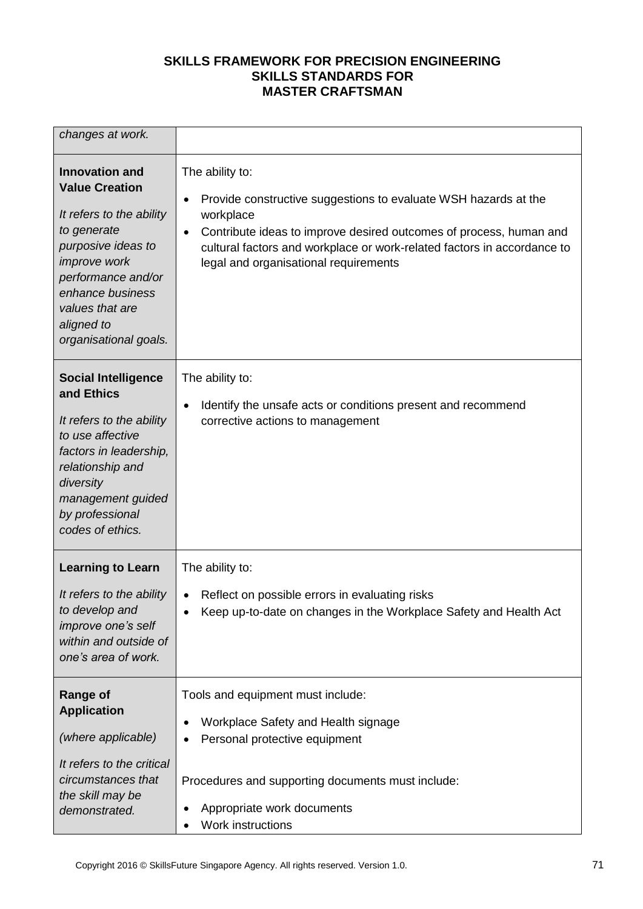| changes at work.                                                                                                                                                                                                                           |                                                                                                                                                                                                                                                                                                                     |
|--------------------------------------------------------------------------------------------------------------------------------------------------------------------------------------------------------------------------------------------|---------------------------------------------------------------------------------------------------------------------------------------------------------------------------------------------------------------------------------------------------------------------------------------------------------------------|
| <b>Innovation and</b><br><b>Value Creation</b><br>It refers to the ability<br>to generate<br>purposive ideas to<br><i>improve</i> work<br>performance and/or<br>enhance business<br>values that are<br>aligned to<br>organisational goals. | The ability to:<br>Provide constructive suggestions to evaluate WSH hazards at the<br>$\bullet$<br>workplace<br>Contribute ideas to improve desired outcomes of process, human and<br>$\bullet$<br>cultural factors and workplace or work-related factors in accordance to<br>legal and organisational requirements |
| <b>Social Intelligence</b><br>and Ethics<br>It refers to the ability<br>to use affective<br>factors in leadership,<br>relationship and<br>diversity<br>management guided<br>by professional<br>codes of ethics.                            | The ability to:<br>Identify the unsafe acts or conditions present and recommend<br>$\bullet$<br>corrective actions to management                                                                                                                                                                                    |
| <b>Learning to Learn</b><br>It refers to the ability<br>to develop and<br>improve one's self<br>within and outside of<br>one's area of work.                                                                                               | The ability to:<br>Reflect on possible errors in evaluating risks<br>$\bullet$<br>Keep up-to-date on changes in the Workplace Safety and Health Act                                                                                                                                                                 |
| Range of<br><b>Application</b><br>(where applicable)<br>It refers to the critical<br>circumstances that<br>the skill may be<br>demonstrated.                                                                                               | Tools and equipment must include:<br>Workplace Safety and Health signage<br>$\bullet$<br>Personal protective equipment<br>$\bullet$<br>Procedures and supporting documents must include:<br>Appropriate work documents<br>Work instructions<br>$\bullet$                                                            |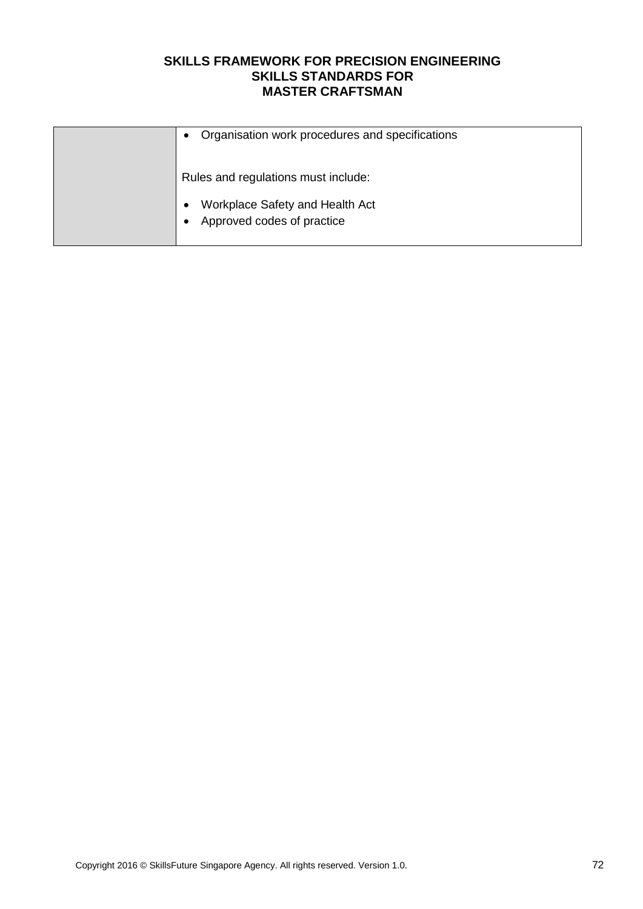| Organisation work procedures and specifications<br>$\bullet$  |
|---------------------------------------------------------------|
| Rules and regulations must include:                           |
| Workplace Safety and Health Act<br>Approved codes of practice |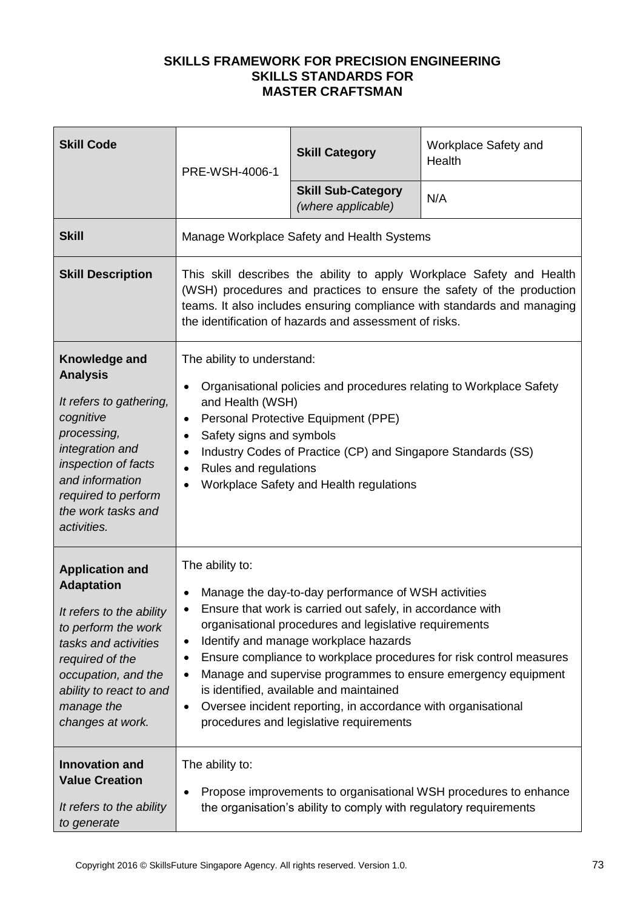| <b>Skill Code</b>                                                                                                                                                                                                             | PRE-WSH-4006-1                                                                                                                                                                                                                                                                                                                                                                                                                                                                                                                                                                     | <b>Skill Category</b>                                                                                                                          | Workplace Safety and<br>Health                                                                                                                                                                                            |
|-------------------------------------------------------------------------------------------------------------------------------------------------------------------------------------------------------------------------------|------------------------------------------------------------------------------------------------------------------------------------------------------------------------------------------------------------------------------------------------------------------------------------------------------------------------------------------------------------------------------------------------------------------------------------------------------------------------------------------------------------------------------------------------------------------------------------|------------------------------------------------------------------------------------------------------------------------------------------------|---------------------------------------------------------------------------------------------------------------------------------------------------------------------------------------------------------------------------|
|                                                                                                                                                                                                                               |                                                                                                                                                                                                                                                                                                                                                                                                                                                                                                                                                                                    | <b>Skill Sub-Category</b><br>(where applicable)                                                                                                | N/A                                                                                                                                                                                                                       |
| <b>Skill</b>                                                                                                                                                                                                                  |                                                                                                                                                                                                                                                                                                                                                                                                                                                                                                                                                                                    | Manage Workplace Safety and Health Systems                                                                                                     |                                                                                                                                                                                                                           |
| <b>Skill Description</b>                                                                                                                                                                                                      |                                                                                                                                                                                                                                                                                                                                                                                                                                                                                                                                                                                    | the identification of hazards and assessment of risks.                                                                                         | This skill describes the ability to apply Workplace Safety and Health<br>(WSH) procedures and practices to ensure the safety of the production<br>teams. It also includes ensuring compliance with standards and managing |
| Knowledge and<br><b>Analysis</b><br>It refers to gathering,<br>cognitive<br>processing,<br>integration and<br>inspection of facts<br>and information<br>required to perform<br>the work tasks and<br>activities.              | The ability to understand:<br>$\bullet$<br>and Health (WSH)<br>$\bullet$<br>Safety signs and symbols<br>$\bullet$<br>$\bullet$<br>Rules and regulations<br>$\bullet$<br>$\bullet$                                                                                                                                                                                                                                                                                                                                                                                                  | Personal Protective Equipment (PPE)<br>Industry Codes of Practice (CP) and Singapore Standards (SS)<br>Workplace Safety and Health regulations | Organisational policies and procedures relating to Workplace Safety                                                                                                                                                       |
| <b>Application and</b><br><b>Adaptation</b><br>It refers to the ability<br>to perform the work<br>tasks and activities<br>required of the<br>occupation, and the<br>ability to react to and<br>manage the<br>changes at work. | The ability to:<br>Manage the day-to-day performance of WSH activities<br>Ensure that work is carried out safely, in accordance with<br>organisational procedures and legislative requirements<br>Identify and manage workplace hazards<br>$\bullet$<br>Ensure compliance to workplace procedures for risk control measures<br>٠<br>Manage and supervise programmes to ensure emergency equipment<br>$\bullet$<br>is identified, available and maintained<br>Oversee incident reporting, in accordance with organisational<br>$\bullet$<br>procedures and legislative requirements |                                                                                                                                                |                                                                                                                                                                                                                           |
| <b>Innovation and</b><br><b>Value Creation</b><br>It refers to the ability<br>to generate                                                                                                                                     | The ability to:<br>$\bullet$                                                                                                                                                                                                                                                                                                                                                                                                                                                                                                                                                       | the organisation's ability to comply with regulatory requirements                                                                              | Propose improvements to organisational WSH procedures to enhance                                                                                                                                                          |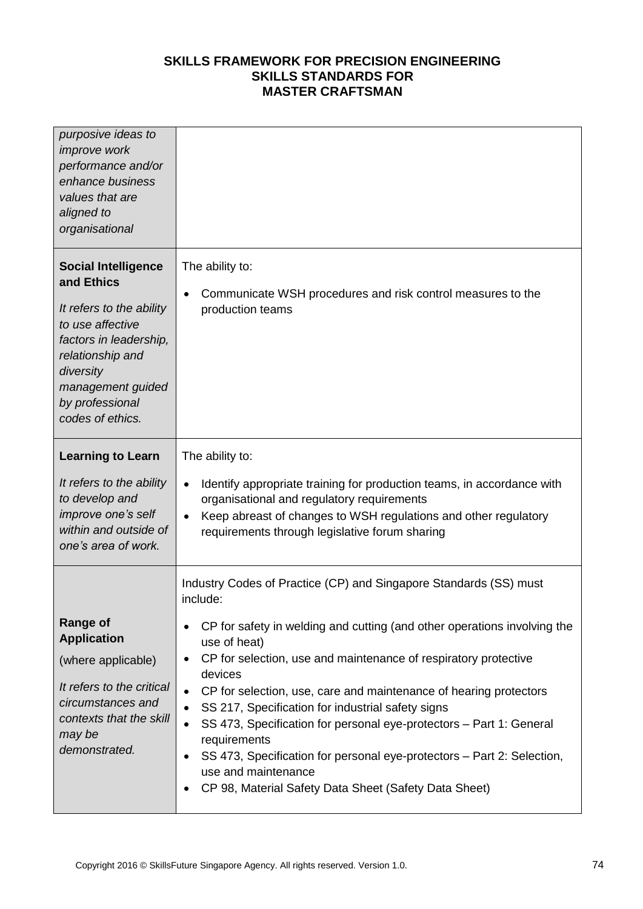| purposive ideas to<br><i>improve</i> work<br>performance and/or<br>enhance business<br>values that are<br>aligned to<br>organisational                                                                          |                                                                                                                                                                                                                                                                                                                                                                                                                                                                                                                                                                                                                                                                                                                       |
|-----------------------------------------------------------------------------------------------------------------------------------------------------------------------------------------------------------------|-----------------------------------------------------------------------------------------------------------------------------------------------------------------------------------------------------------------------------------------------------------------------------------------------------------------------------------------------------------------------------------------------------------------------------------------------------------------------------------------------------------------------------------------------------------------------------------------------------------------------------------------------------------------------------------------------------------------------|
| <b>Social Intelligence</b><br>and Ethics<br>It refers to the ability<br>to use affective<br>factors in leadership,<br>relationship and<br>diversity<br>management guided<br>by professional<br>codes of ethics. | The ability to:<br>Communicate WSH procedures and risk control measures to the<br>$\bullet$<br>production teams                                                                                                                                                                                                                                                                                                                                                                                                                                                                                                                                                                                                       |
| <b>Learning to Learn</b><br>It refers to the ability<br>to develop and<br>improve one's self<br>within and outside of<br>one's area of work.                                                                    | The ability to:<br>Identify appropriate training for production teams, in accordance with<br>$\bullet$<br>organisational and regulatory requirements<br>Keep abreast of changes to WSH regulations and other regulatory<br>$\bullet$<br>requirements through legislative forum sharing                                                                                                                                                                                                                                                                                                                                                                                                                                |
| <b>Range of</b><br><b>Application</b><br>(where applicable)<br>It refers to the critical<br>circumstances and<br>contexts that the skill<br>may be<br>demonstrated.                                             | Industry Codes of Practice (CP) and Singapore Standards (SS) must<br>include:<br>CP for safety in welding and cutting (and other operations involving the<br>٠<br>use of heat)<br>CP for selection, use and maintenance of respiratory protective<br>$\bullet$<br>devices<br>CP for selection, use, care and maintenance of hearing protectors<br>$\bullet$<br>SS 217, Specification for industrial safety signs<br>$\bullet$<br>SS 473, Specification for personal eye-protectors - Part 1: General<br>$\bullet$<br>requirements<br>SS 473, Specification for personal eye-protectors - Part 2: Selection,<br>$\bullet$<br>use and maintenance<br>CP 98, Material Safety Data Sheet (Safety Data Sheet)<br>$\bullet$ |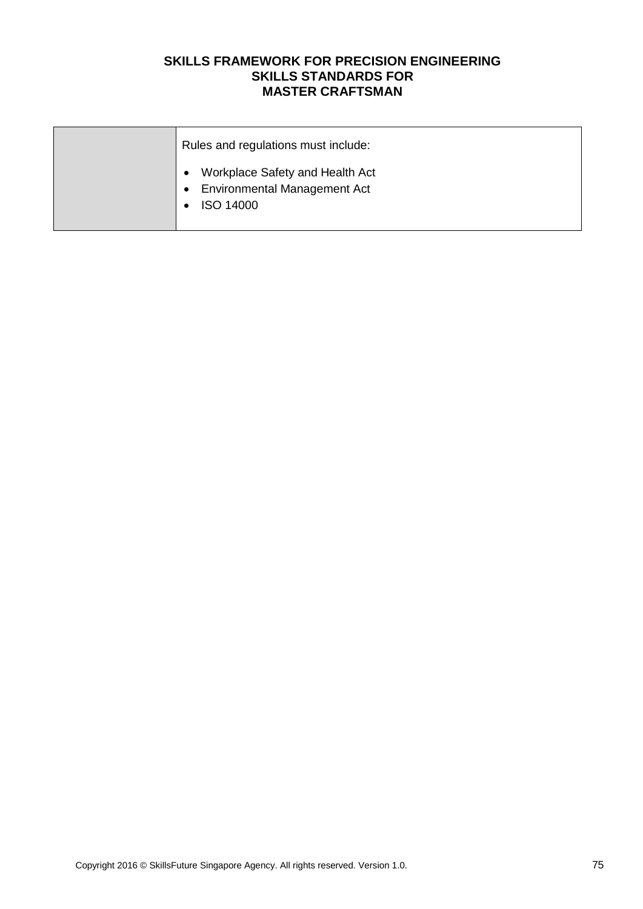| Rules and regulations must include:                                                                     |
|---------------------------------------------------------------------------------------------------------|
| Workplace Safety and Health Act<br><b>Environmental Management Act</b><br>$\bullet$<br><b>ISO 14000</b> |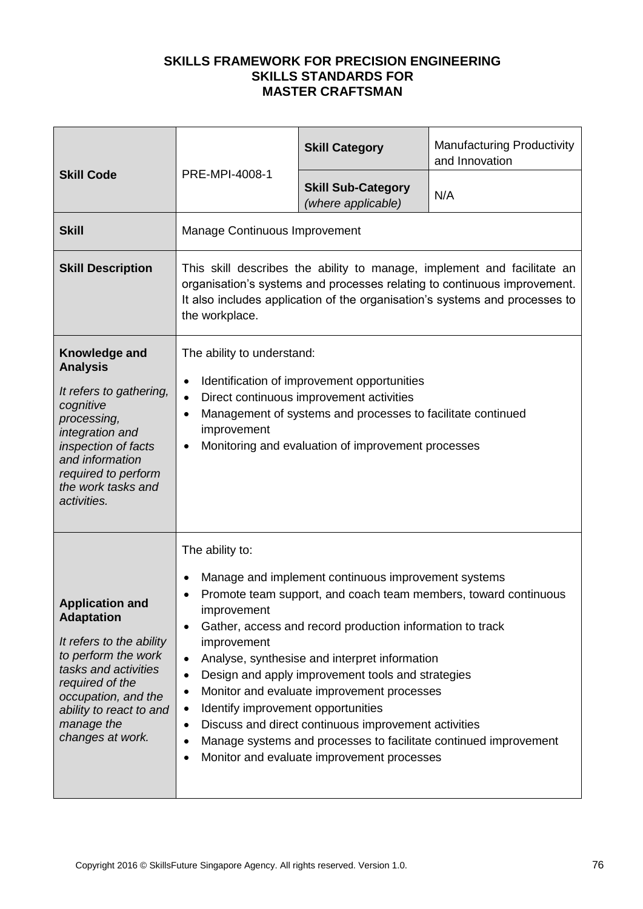|                                                                                                                                                                                                                               |                                                                                                                                                                  | <b>Skill Category</b>                                                                                                                                                                                                                                                                                                                                                      | <b>Manufacturing Productivity</b><br>and Innovation                                                                                                                                                                                |
|-------------------------------------------------------------------------------------------------------------------------------------------------------------------------------------------------------------------------------|------------------------------------------------------------------------------------------------------------------------------------------------------------------|----------------------------------------------------------------------------------------------------------------------------------------------------------------------------------------------------------------------------------------------------------------------------------------------------------------------------------------------------------------------------|------------------------------------------------------------------------------------------------------------------------------------------------------------------------------------------------------------------------------------|
| <b>Skill Code</b>                                                                                                                                                                                                             | PRE-MPI-4008-1                                                                                                                                                   | <b>Skill Sub-Category</b><br>(where applicable)                                                                                                                                                                                                                                                                                                                            | N/A                                                                                                                                                                                                                                |
| <b>Skill</b>                                                                                                                                                                                                                  | Manage Continuous Improvement                                                                                                                                    |                                                                                                                                                                                                                                                                                                                                                                            |                                                                                                                                                                                                                                    |
| <b>Skill Description</b>                                                                                                                                                                                                      | the workplace.                                                                                                                                                   |                                                                                                                                                                                                                                                                                                                                                                            | This skill describes the ability to manage, implement and facilitate an<br>organisation's systems and processes relating to continuous improvement.<br>It also includes application of the organisation's systems and processes to |
| Knowledge and<br><b>Analysis</b><br>It refers to gathering,<br>cognitive<br>processing,<br>integration and<br>inspection of facts<br>and information<br>required to perform<br>the work tasks and<br>activities.              | The ability to understand:<br>$\bullet$<br>$\bullet$<br>$\bullet$<br>improvement<br>$\bullet$                                                                    | Identification of improvement opportunities<br>Direct continuous improvement activities<br>Management of systems and processes to facilitate continued<br>Monitoring and evaluation of improvement processes                                                                                                                                                               |                                                                                                                                                                                                                                    |
| <b>Application and</b><br><b>Adaptation</b><br>It refers to the ability<br>to perform the work<br>tasks and activities<br>required of the<br>occupation, and the<br>ability to react to and<br>manage the<br>changes at work. | The ability to:<br>$\bullet$<br>improvement<br>$\bullet$<br>improvement<br>$\bullet$<br>٠<br>٠<br>Identify improvement opportunities<br>٠<br>$\bullet$<br>٠<br>٠ | Manage and implement continuous improvement systems<br>Gather, access and record production information to track<br>Analyse, synthesise and interpret information<br>Design and apply improvement tools and strategies<br>Monitor and evaluate improvement processes<br>Discuss and direct continuous improvement activities<br>Monitor and evaluate improvement processes | Promote team support, and coach team members, toward continuous<br>Manage systems and processes to facilitate continued improvement                                                                                                |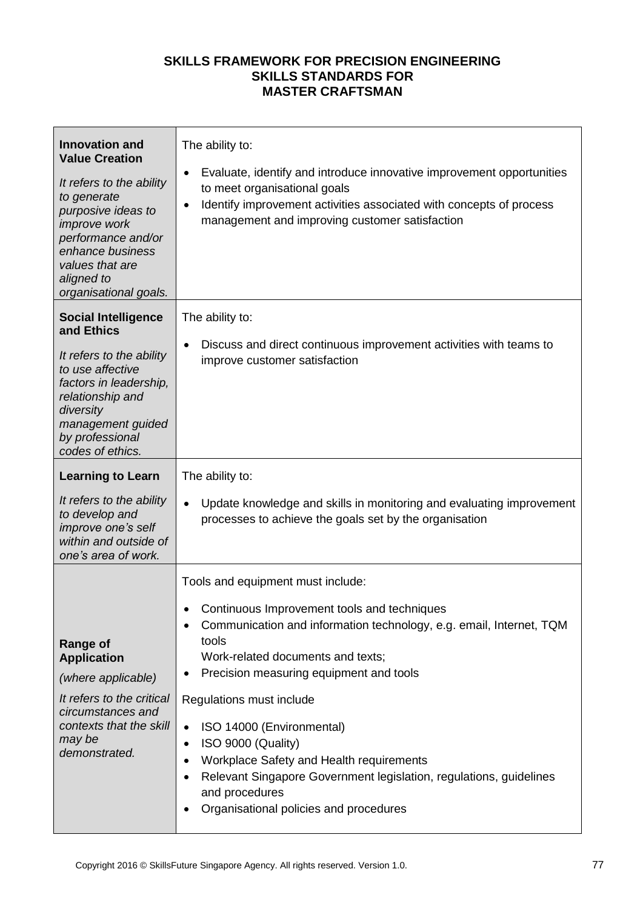| <b>Innovation and</b><br><b>Value Creation</b><br>It refers to the ability<br>to generate<br>purposive ideas to<br><i>improve</i> work<br>performance and/or<br>enhance business<br>values that are<br>aligned to<br>organisational goals. | The ability to:<br>Evaluate, identify and introduce innovative improvement opportunities<br>$\bullet$<br>to meet organisational goals<br>Identify improvement activities associated with concepts of process<br>$\bullet$<br>management and improving customer satisfaction                                                                                                                                                                                                                                                                                                         |
|--------------------------------------------------------------------------------------------------------------------------------------------------------------------------------------------------------------------------------------------|-------------------------------------------------------------------------------------------------------------------------------------------------------------------------------------------------------------------------------------------------------------------------------------------------------------------------------------------------------------------------------------------------------------------------------------------------------------------------------------------------------------------------------------------------------------------------------------|
| <b>Social Intelligence</b><br>and Ethics<br>It refers to the ability<br>to use affective<br>factors in leadership,<br>relationship and<br>diversity<br>management guided<br>by professional<br>codes of ethics.                            | The ability to:<br>Discuss and direct continuous improvement activities with teams to<br>$\bullet$<br>improve customer satisfaction                                                                                                                                                                                                                                                                                                                                                                                                                                                 |
| <b>Learning to Learn</b><br>It refers to the ability<br>to develop and<br>improve one's self<br>within and outside of<br>one's area of work.                                                                                               | The ability to:<br>Update knowledge and skills in monitoring and evaluating improvement<br>$\bullet$<br>processes to achieve the goals set by the organisation                                                                                                                                                                                                                                                                                                                                                                                                                      |
| <b>Range of</b><br><b>Application</b><br>(where applicable)<br>It refers to the critical<br>circumstances and<br>contexts that the skill<br>may be<br>demonstrated.                                                                        | Tools and equipment must include:<br>Continuous Improvement tools and techniques<br>Communication and information technology, e.g. email, Internet, TQM<br>tools<br>Work-related documents and texts;<br>Precision measuring equipment and tools<br>$\bullet$<br>Regulations must include<br>ISO 14000 (Environmental)<br>$\bullet$<br>ISO 9000 (Quality)<br>$\bullet$<br>Workplace Safety and Health requirements<br>٠<br>Relevant Singapore Government legislation, regulations, guidelines<br>$\bullet$<br>and procedures<br>Organisational policies and procedures<br>$\bullet$ |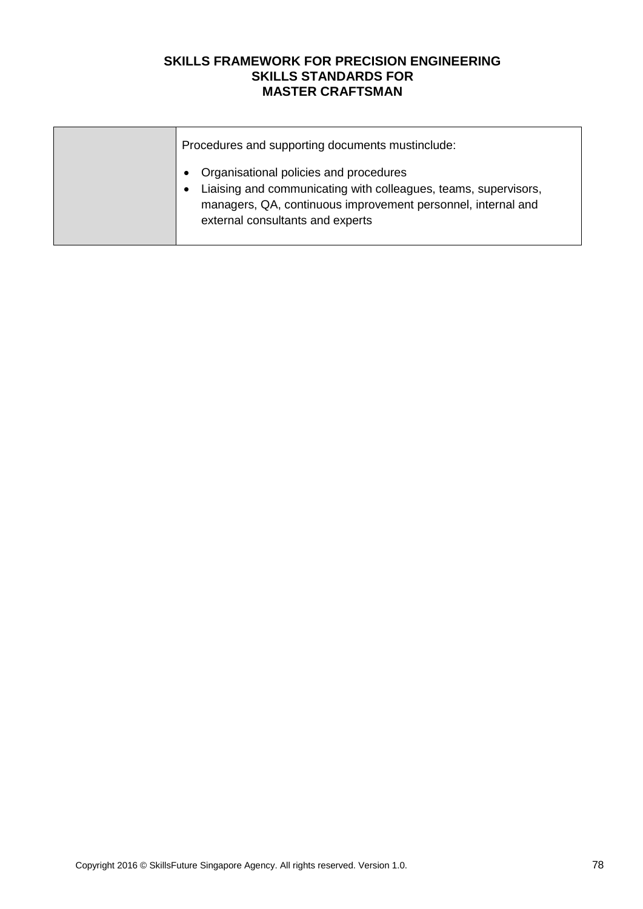| Procedures and supporting documents mustinclude:                                                                                                                                                              |
|---------------------------------------------------------------------------------------------------------------------------------------------------------------------------------------------------------------|
| Organisational policies and procedures<br>Liaising and communicating with colleagues, teams, supervisors,<br>managers, QA, continuous improvement personnel, internal and<br>external consultants and experts |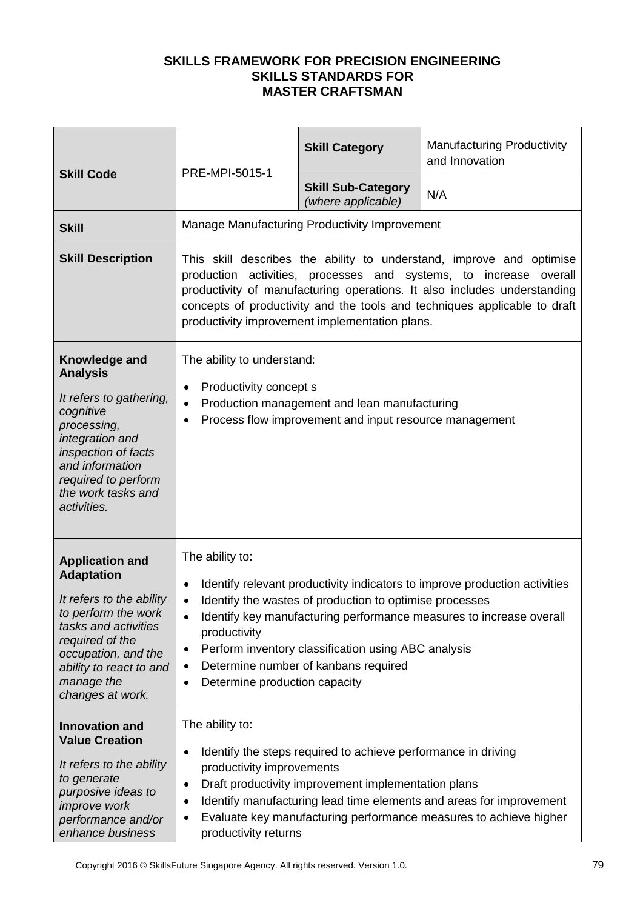| <b>Skill Code</b>                                                                                                                                                                                                             | PRE-MPI-5015-1                                                                                                                                                                                                                                                                                                                                       | <b>Skill Category</b>                                                                                                                                  | <b>Manufacturing Productivity</b><br>and Innovation                                                                                               |
|-------------------------------------------------------------------------------------------------------------------------------------------------------------------------------------------------------------------------------|------------------------------------------------------------------------------------------------------------------------------------------------------------------------------------------------------------------------------------------------------------------------------------------------------------------------------------------------------|--------------------------------------------------------------------------------------------------------------------------------------------------------|---------------------------------------------------------------------------------------------------------------------------------------------------|
|                                                                                                                                                                                                                               |                                                                                                                                                                                                                                                                                                                                                      | <b>Skill Sub-Category</b><br>(where applicable)                                                                                                        | N/A                                                                                                                                               |
| <b>Skill</b>                                                                                                                                                                                                                  |                                                                                                                                                                                                                                                                                                                                                      | Manage Manufacturing Productivity Improvement                                                                                                          |                                                                                                                                                   |
| <b>Skill Description</b>                                                                                                                                                                                                      | This skill describes the ability to understand, improve and optimise<br>production activities, processes and systems, to increase overall<br>productivity of manufacturing operations. It also includes understanding<br>concepts of productivity and the tools and techniques applicable to draft<br>productivity improvement implementation plans. |                                                                                                                                                        |                                                                                                                                                   |
| Knowledge and<br><b>Analysis</b><br>It refers to gathering,<br>cognitive<br>processing,<br>integration and<br>inspection of facts<br>and information<br>required to perform<br>the work tasks and<br>activities.              | The ability to understand:<br>Productivity concept s<br>$\bullet$<br>$\bullet$<br>$\bullet$                                                                                                                                                                                                                                                          | Production management and lean manufacturing<br>Process flow improvement and input resource management                                                 |                                                                                                                                                   |
| <b>Application and</b><br><b>Adaptation</b><br>It refers to the ability<br>to perform the work<br>tasks and activities<br>required of the<br>occupation, and the<br>ability to react to and<br>manage the<br>changes at work. | The ability to:<br>$\bullet$<br>$\bullet$<br>productivity<br>٠<br>$\bullet$<br>Determine production capacity<br>٠                                                                                                                                                                                                                                    | Identify the wastes of production to optimise processes<br>Perform inventory classification using ABC analysis<br>Determine number of kanbans required | Identify relevant productivity indicators to improve production activities<br>Identify key manufacturing performance measures to increase overall |
| <b>Innovation and</b><br><b>Value Creation</b><br>It refers to the ability<br>to generate<br>purposive ideas to<br><i>improve</i> work<br>performance and/or<br>enhance business                                              | The ability to:<br>$\bullet$<br>productivity improvements<br>٠<br>$\bullet$<br>٠<br>productivity returns                                                                                                                                                                                                                                             | Identify the steps required to achieve performance in driving<br>Draft productivity improvement implementation plans                                   | Identify manufacturing lead time elements and areas for improvement<br>Evaluate key manufacturing performance measures to achieve higher          |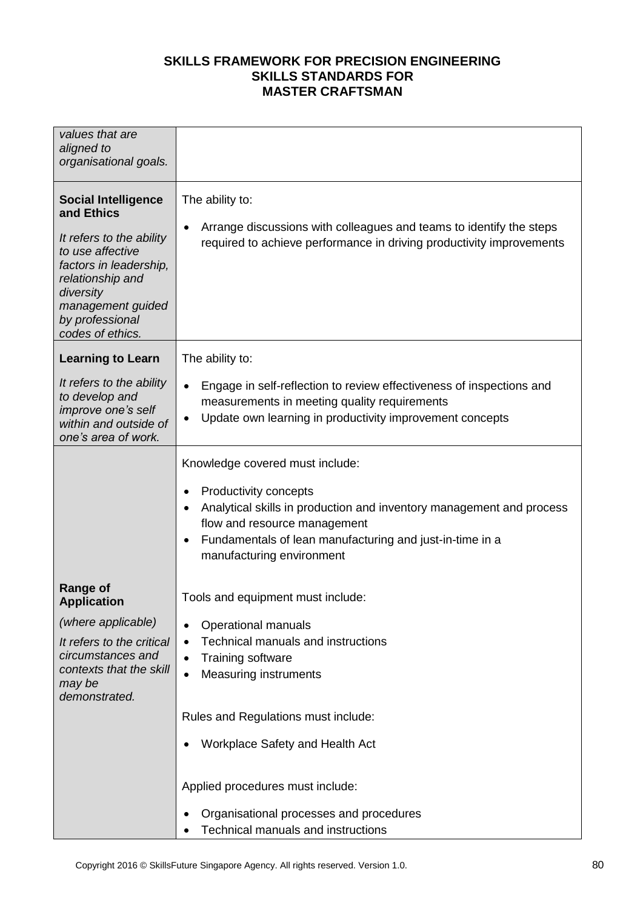| values that are<br>aligned to<br>organisational goals.                                                                                                                                                          |                                                                                                                                                                                                                                                                                     |
|-----------------------------------------------------------------------------------------------------------------------------------------------------------------------------------------------------------------|-------------------------------------------------------------------------------------------------------------------------------------------------------------------------------------------------------------------------------------------------------------------------------------|
| <b>Social Intelligence</b><br>and Ethics<br>It refers to the ability<br>to use affective<br>factors in leadership,<br>relationship and<br>diversity<br>management guided<br>by professional<br>codes of ethics. | The ability to:<br>Arrange discussions with colleagues and teams to identify the steps<br>$\bullet$<br>required to achieve performance in driving productivity improvements                                                                                                         |
| <b>Learning to Learn</b>                                                                                                                                                                                        | The ability to:                                                                                                                                                                                                                                                                     |
| It refers to the ability<br>to develop and<br>improve one's self<br>within and outside of<br>one's area of work.                                                                                                | Engage in self-reflection to review effectiveness of inspections and<br>$\bullet$<br>measurements in meeting quality requirements<br>Update own learning in productivity improvement concepts<br>$\bullet$                                                                          |
|                                                                                                                                                                                                                 | Knowledge covered must include:<br>Productivity concepts<br>$\bullet$<br>Analytical skills in production and inventory management and process<br>flow and resource management<br>Fundamentals of lean manufacturing and just-in-time in a<br>$\bullet$<br>manufacturing environment |
| <b>Range of</b><br><b>Application</b>                                                                                                                                                                           | Tools and equipment must include:                                                                                                                                                                                                                                                   |
| (where applicable)<br>It refers to the critical<br>circumstances and<br>contexts that the skill<br>may be<br>demonstrated.                                                                                      | <b>Operational manuals</b><br>$\bullet$<br>Technical manuals and instructions<br>$\bullet$<br>Training software<br>$\bullet$<br><b>Measuring instruments</b><br>$\bullet$                                                                                                           |
|                                                                                                                                                                                                                 | Rules and Regulations must include:                                                                                                                                                                                                                                                 |
|                                                                                                                                                                                                                 | Workplace Safety and Health Act<br>٠                                                                                                                                                                                                                                                |
|                                                                                                                                                                                                                 | Applied procedures must include:                                                                                                                                                                                                                                                    |
|                                                                                                                                                                                                                 | Organisational processes and procedures<br>Technical manuals and instructions                                                                                                                                                                                                       |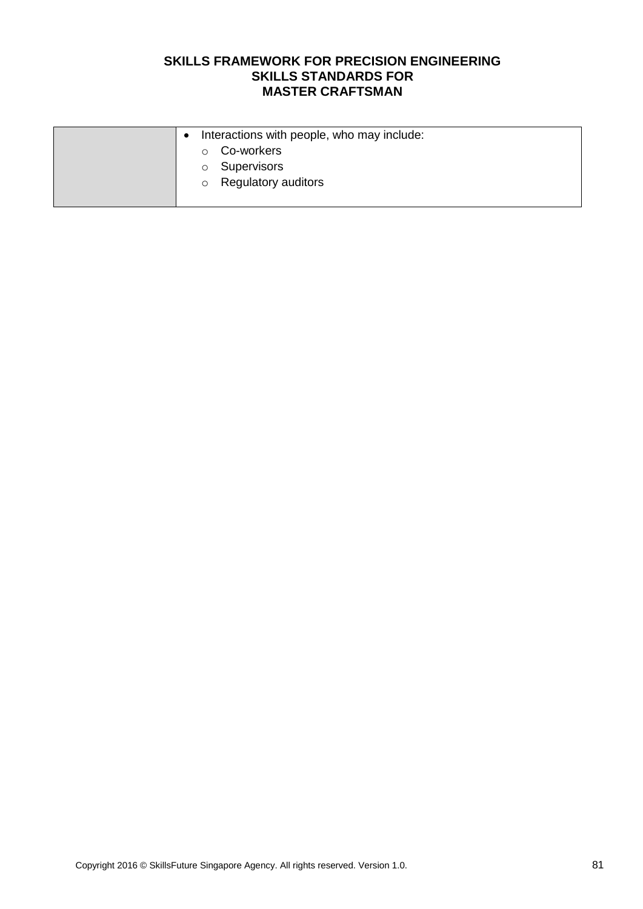| $\bullet$ | Interactions with people, who may include: |
|-----------|--------------------------------------------|
|           | Co-workers<br>$\circ$                      |
|           | Supervisors<br>$\circ$                     |
|           | o Regulatory auditors                      |
|           |                                            |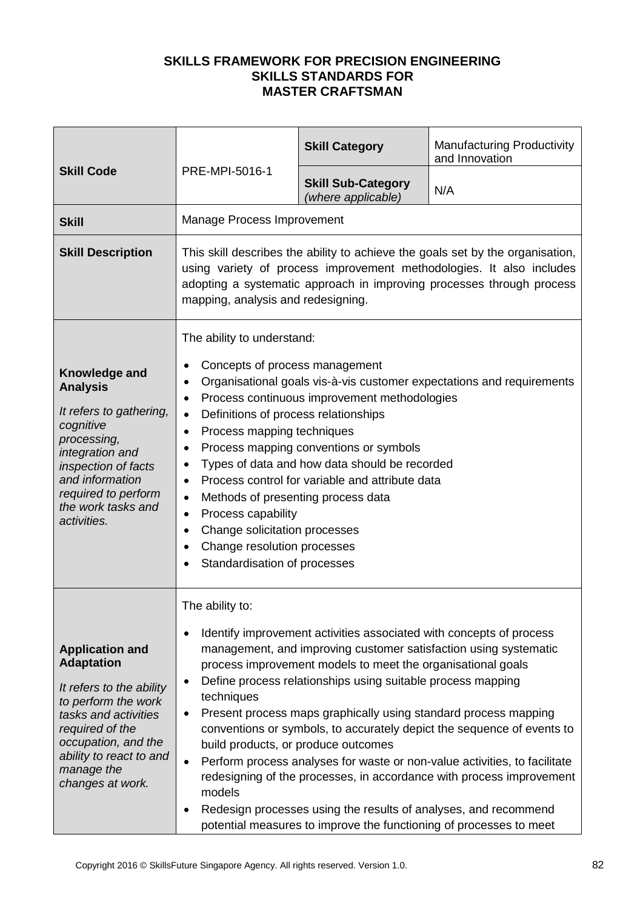|                                                                                                                                                                                                                               |                                                                                                                                                                                                                                                                                                                                                                                                                                                                                                                                                                                                                                                                                                      | <b>Skill Category</b>                                                                                                                                                                                                                                                                                                                                                                                         | <b>Manufacturing Productivity</b><br>and Innovation                                                                                                                                                                                                                                             |
|-------------------------------------------------------------------------------------------------------------------------------------------------------------------------------------------------------------------------------|------------------------------------------------------------------------------------------------------------------------------------------------------------------------------------------------------------------------------------------------------------------------------------------------------------------------------------------------------------------------------------------------------------------------------------------------------------------------------------------------------------------------------------------------------------------------------------------------------------------------------------------------------------------------------------------------------|---------------------------------------------------------------------------------------------------------------------------------------------------------------------------------------------------------------------------------------------------------------------------------------------------------------------------------------------------------------------------------------------------------------|-------------------------------------------------------------------------------------------------------------------------------------------------------------------------------------------------------------------------------------------------------------------------------------------------|
| <b>Skill Code</b>                                                                                                                                                                                                             | PRE-MPI-5016-1                                                                                                                                                                                                                                                                                                                                                                                                                                                                                                                                                                                                                                                                                       | <b>Skill Sub-Category</b><br>(where applicable)                                                                                                                                                                                                                                                                                                                                                               | N/A                                                                                                                                                                                                                                                                                             |
| <b>Skill</b>                                                                                                                                                                                                                  | Manage Process Improvement                                                                                                                                                                                                                                                                                                                                                                                                                                                                                                                                                                                                                                                                           |                                                                                                                                                                                                                                                                                                                                                                                                               |                                                                                                                                                                                                                                                                                                 |
| <b>Skill Description</b>                                                                                                                                                                                                      | This skill describes the ability to achieve the goals set by the organisation,<br>using variety of process improvement methodologies. It also includes<br>adopting a systematic approach in improving processes through process<br>mapping, analysis and redesigning.                                                                                                                                                                                                                                                                                                                                                                                                                                |                                                                                                                                                                                                                                                                                                                                                                                                               |                                                                                                                                                                                                                                                                                                 |
| Knowledge and<br><b>Analysis</b><br>It refers to gathering,<br>cognitive<br>processing,<br>integration and<br>inspection of facts<br>and information<br>required to perform<br>the work tasks and<br>activities.              | The ability to understand:<br>Concepts of process management<br>٠<br>Organisational goals vis-à-vis customer expectations and requirements<br>$\bullet$<br>Process continuous improvement methodologies<br>$\bullet$<br>Definitions of process relationships<br>$\bullet$<br>Process mapping techniques<br>٠<br>Process mapping conventions or symbols<br>$\bullet$<br>Types of data and how data should be recorded<br>$\bullet$<br>Process control for variable and attribute data<br>$\bullet$<br>Methods of presenting process data<br>$\bullet$<br>Process capability<br>$\bullet$<br>Change solicitation processes<br>$\bullet$<br>Change resolution processes<br>Standardisation of processes |                                                                                                                                                                                                                                                                                                                                                                                                               |                                                                                                                                                                                                                                                                                                 |
| <b>Application and</b><br><b>Adaptation</b><br>It refers to the ability<br>to perform the work<br>tasks and activities<br>required of the<br>occupation, and the<br>ability to react to and<br>manage the<br>changes at work. | The ability to:<br>$\bullet$<br>$\bullet$<br>techniques<br>$\bullet$<br>build products, or produce outcomes<br>$\bullet$<br>models<br>$\bullet$                                                                                                                                                                                                                                                                                                                                                                                                                                                                                                                                                      | Identify improvement activities associated with concepts of process<br>process improvement models to meet the organisational goals<br>Define process relationships using suitable process mapping<br>Present process maps graphically using standard process mapping<br>Redesign processes using the results of analyses, and recommend<br>potential measures to improve the functioning of processes to meet | management, and improving customer satisfaction using systematic<br>conventions or symbols, to accurately depict the sequence of events to<br>Perform process analyses for waste or non-value activities, to facilitate<br>redesigning of the processes, in accordance with process improvement |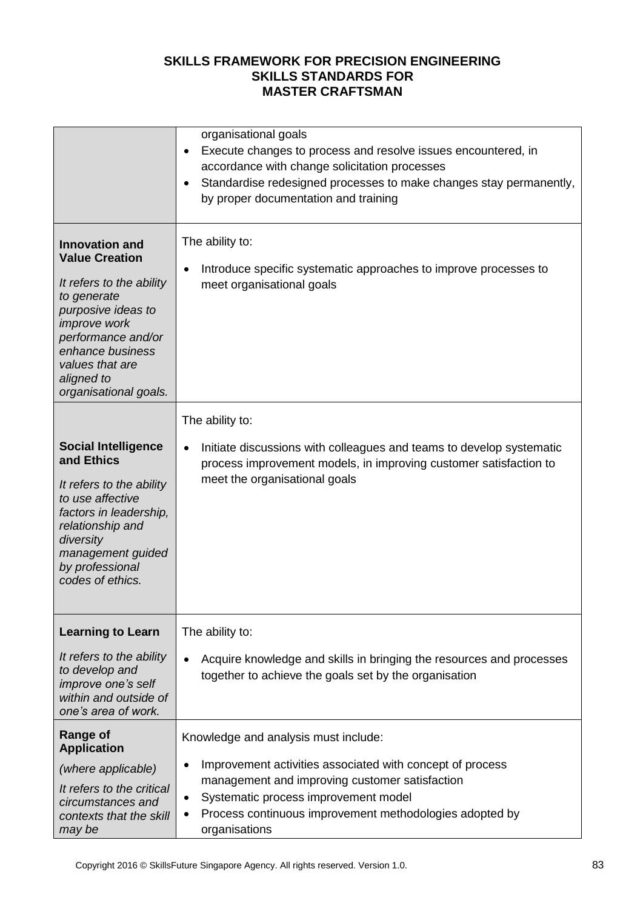|                                                                                                                                                                                                                                            | organisational goals<br>Execute changes to process and resolve issues encountered, in<br>$\bullet$<br>accordance with change solicitation processes<br>Standardise redesigned processes to make changes stay permanently,<br>$\bullet$<br>by proper documentation and training                    |
|--------------------------------------------------------------------------------------------------------------------------------------------------------------------------------------------------------------------------------------------|---------------------------------------------------------------------------------------------------------------------------------------------------------------------------------------------------------------------------------------------------------------------------------------------------|
| <b>Innovation and</b><br><b>Value Creation</b><br>It refers to the ability<br>to generate<br>purposive ideas to<br><i>improve</i> work<br>performance and/or<br>enhance business<br>values that are<br>aligned to<br>organisational goals. | The ability to:<br>Introduce specific systematic approaches to improve processes to<br>$\bullet$<br>meet organisational goals                                                                                                                                                                     |
| <b>Social Intelligence</b><br>and Ethics<br>It refers to the ability<br>to use affective<br>factors in leadership,<br>relationship and<br>diversity<br>management guided<br>by professional<br>codes of ethics.                            | The ability to:<br>Initiate discussions with colleagues and teams to develop systematic<br>$\bullet$<br>process improvement models, in improving customer satisfaction to<br>meet the organisational goals                                                                                        |
| <b>Learning to Learn</b><br>It refers to the ability<br>to develop and<br>improve one's self<br>within and outside of<br>one's area of work.                                                                                               | The ability to:<br>Acquire knowledge and skills in bringing the resources and processes<br>$\bullet$<br>together to achieve the goals set by the organisation                                                                                                                                     |
| Range of<br><b>Application</b><br>(where applicable)<br>It refers to the critical<br>circumstances and<br>contexts that the skill<br>may be                                                                                                | Knowledge and analysis must include:<br>Improvement activities associated with concept of process<br>$\bullet$<br>management and improving customer satisfaction<br>Systematic process improvement model<br>$\bullet$<br>Process continuous improvement methodologies adopted by<br>organisations |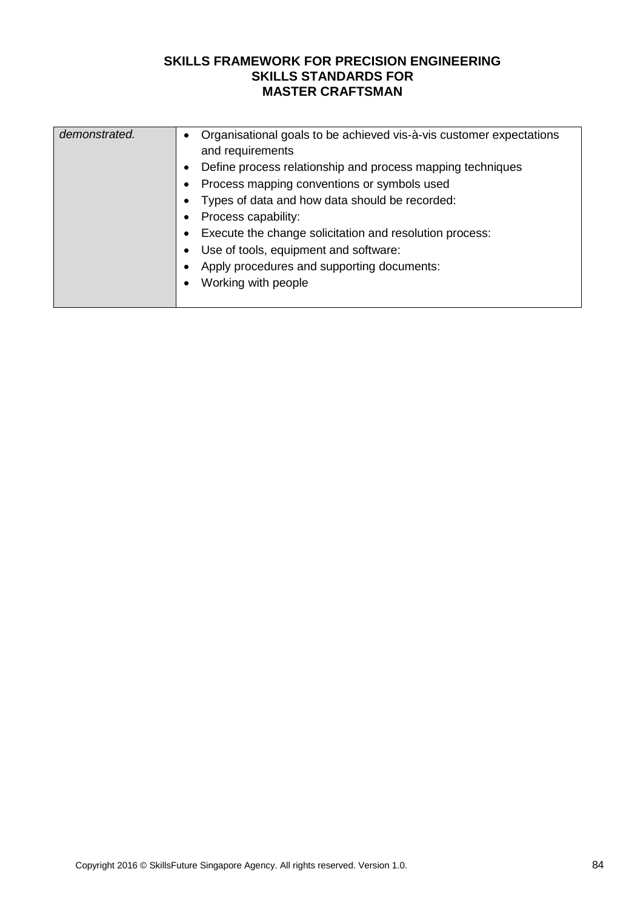| demonstrated. | • Organisational goals to be achieved vis-à-vis customer expectations<br>and requirements<br>Define process relationship and process mapping techniques<br>Process mapping conventions or symbols used<br>Types of data and how data should be recorded:<br>Process capability:<br>Execute the change solicitation and resolution process:<br>Use of tools, equipment and software:<br>Apply procedures and supporting documents:<br>Working with people |
|---------------|----------------------------------------------------------------------------------------------------------------------------------------------------------------------------------------------------------------------------------------------------------------------------------------------------------------------------------------------------------------------------------------------------------------------------------------------------------|
|---------------|----------------------------------------------------------------------------------------------------------------------------------------------------------------------------------------------------------------------------------------------------------------------------------------------------------------------------------------------------------------------------------------------------------------------------------------------------------|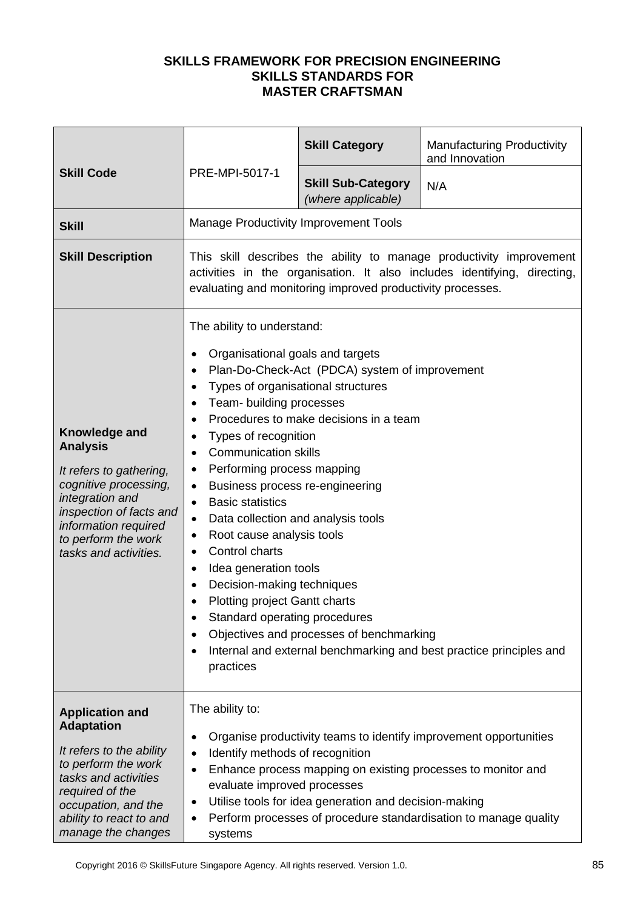| <b>Skill Code</b>                                                                                                                                                                                                 |                                                                                                                                                                                                                                                                                                                                                                                                                                                                                                                                                                                                                                                                                                                                                                                                                                                                | <b>Skill Category</b>                           | <b>Manufacturing Productivity</b><br>and Innovation |
|-------------------------------------------------------------------------------------------------------------------------------------------------------------------------------------------------------------------|----------------------------------------------------------------------------------------------------------------------------------------------------------------------------------------------------------------------------------------------------------------------------------------------------------------------------------------------------------------------------------------------------------------------------------------------------------------------------------------------------------------------------------------------------------------------------------------------------------------------------------------------------------------------------------------------------------------------------------------------------------------------------------------------------------------------------------------------------------------|-------------------------------------------------|-----------------------------------------------------|
|                                                                                                                                                                                                                   | PRE-MPI-5017-1                                                                                                                                                                                                                                                                                                                                                                                                                                                                                                                                                                                                                                                                                                                                                                                                                                                 | <b>Skill Sub-Category</b><br>(where applicable) | N/A                                                 |
| <b>Skill</b>                                                                                                                                                                                                      | <b>Manage Productivity Improvement Tools</b>                                                                                                                                                                                                                                                                                                                                                                                                                                                                                                                                                                                                                                                                                                                                                                                                                   |                                                 |                                                     |
| <b>Skill Description</b>                                                                                                                                                                                          | This skill describes the ability to manage productivity improvement<br>activities in the organisation. It also includes identifying, directing,<br>evaluating and monitoring improved productivity processes.                                                                                                                                                                                                                                                                                                                                                                                                                                                                                                                                                                                                                                                  |                                                 |                                                     |
| Knowledge and<br><b>Analysis</b><br>It refers to gathering,<br>cognitive processing,<br>integration and<br>inspection of facts and<br>information required<br>to perform the work<br>tasks and activities.        | The ability to understand:<br>Organisational goals and targets<br>Plan-Do-Check-Act (PDCA) system of improvement<br>Types of organisational structures<br>Team- building processes<br>Procedures to make decisions in a team<br>Types of recognition<br>$\bullet$<br><b>Communication skills</b><br>$\bullet$<br>Performing process mapping<br>$\bullet$<br>Business process re-engineering<br>$\bullet$<br><b>Basic statistics</b><br>$\bullet$<br>Data collection and analysis tools<br>$\bullet$<br>Root cause analysis tools<br>$\bullet$<br>Control charts<br>$\bullet$<br>Idea generation tools<br>$\bullet$<br>Decision-making techniques<br><b>Plotting project Gantt charts</b><br>Standard operating procedures<br>٠<br>Objectives and processes of benchmarking<br>Internal and external benchmarking and best practice principles and<br>practices |                                                 |                                                     |
| <b>Application and</b><br><b>Adaptation</b><br>It refers to the ability<br>to perform the work<br>tasks and activities<br>required of the<br>occupation, and the<br>ability to react to and<br>manage the changes | The ability to:<br>Organise productivity teams to identify improvement opportunities<br>٠<br>Identify methods of recognition<br>$\bullet$<br>Enhance process mapping on existing processes to monitor and<br>$\bullet$<br>evaluate improved processes<br>Utilise tools for idea generation and decision-making<br>$\bullet$<br>Perform processes of procedure standardisation to manage quality<br>$\bullet$<br>systems                                                                                                                                                                                                                                                                                                                                                                                                                                        |                                                 |                                                     |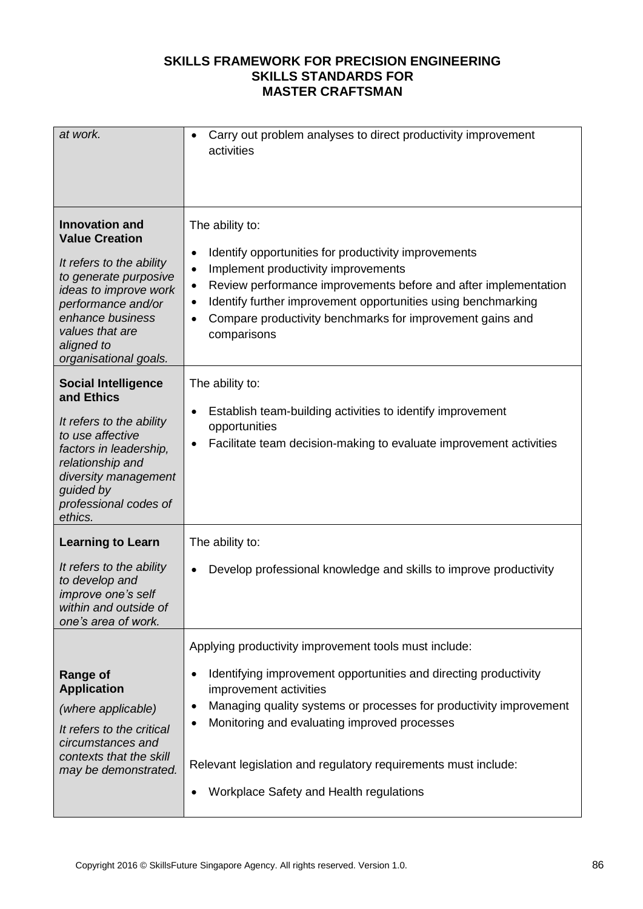| at work.                                                                                                                                                                                                                         | Carry out problem analyses to direct productivity improvement<br>$\bullet$<br>activities                                                                                                                                                                                                                                                                                                                         |
|----------------------------------------------------------------------------------------------------------------------------------------------------------------------------------------------------------------------------------|------------------------------------------------------------------------------------------------------------------------------------------------------------------------------------------------------------------------------------------------------------------------------------------------------------------------------------------------------------------------------------------------------------------|
| <b>Innovation and</b><br><b>Value Creation</b><br>It refers to the ability<br>to generate purposive<br>ideas to improve work<br>performance and/or<br>enhance business<br>values that are<br>aligned to<br>organisational goals. | The ability to:<br>Identify opportunities for productivity improvements<br>٠<br>Implement productivity improvements<br>$\bullet$<br>Review performance improvements before and after implementation<br>$\bullet$<br>Identify further improvement opportunities using benchmarking<br>$\bullet$<br>Compare productivity benchmarks for improvement gains and<br>comparisons                                       |
| <b>Social Intelligence</b><br>and Ethics<br>It refers to the ability<br>to use affective<br>factors in leadership,<br>relationship and<br>diversity management<br>guided by<br>professional codes of<br>ethics.                  | The ability to:<br>Establish team-building activities to identify improvement<br>$\bullet$<br>opportunities<br>Facilitate team decision-making to evaluate improvement activities                                                                                                                                                                                                                                |
| <b>Learning to Learn</b><br>It refers to the ability<br>to develop and<br>improve one's self<br>within and outside of<br>one's area of work.                                                                                     | The ability to:<br>Develop professional knowledge and skills to improve productivity<br>$\bullet$                                                                                                                                                                                                                                                                                                                |
| <b>Range of</b><br><b>Application</b><br>(where applicable)<br>It refers to the critical<br>circumstances and<br>contexts that the skill<br>may be demonstrated.                                                                 | Applying productivity improvement tools must include:<br>Identifying improvement opportunities and directing productivity<br>$\bullet$<br>improvement activities<br>Managing quality systems or processes for productivity improvement<br>$\bullet$<br>Monitoring and evaluating improved processes<br>Relevant legislation and regulatory requirements must include:<br>Workplace Safety and Health regulations |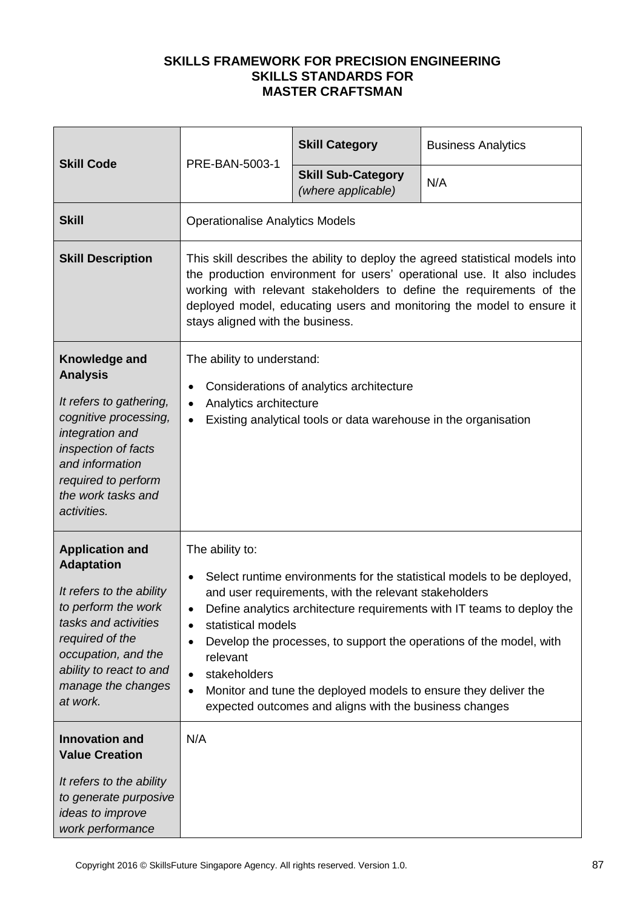| <b>Skill Code</b>                                                                                                                                                                                                                                      | PRE-BAN-5003-1                                                                                                                                                                                                                                                                                                                                                                                                                                                                                                                                     | <b>Skill Category</b>                           | <b>Business Analytics</b> |
|--------------------------------------------------------------------------------------------------------------------------------------------------------------------------------------------------------------------------------------------------------|----------------------------------------------------------------------------------------------------------------------------------------------------------------------------------------------------------------------------------------------------------------------------------------------------------------------------------------------------------------------------------------------------------------------------------------------------------------------------------------------------------------------------------------------------|-------------------------------------------------|---------------------------|
|                                                                                                                                                                                                                                                        |                                                                                                                                                                                                                                                                                                                                                                                                                                                                                                                                                    | <b>Skill Sub-Category</b><br>(where applicable) | N/A                       |
| <b>Skill</b>                                                                                                                                                                                                                                           | <b>Operationalise Analytics Models</b>                                                                                                                                                                                                                                                                                                                                                                                                                                                                                                             |                                                 |                           |
| <b>Skill Description</b>                                                                                                                                                                                                                               | This skill describes the ability to deploy the agreed statistical models into<br>the production environment for users' operational use. It also includes<br>working with relevant stakeholders to define the requirements of the<br>deployed model, educating users and monitoring the model to ensure it<br>stays aligned with the business.                                                                                                                                                                                                      |                                                 |                           |
| Knowledge and<br><b>Analysis</b><br>It refers to gathering,<br>cognitive processing,<br>integration and<br>inspection of facts<br>and information<br>required to perform<br>the work tasks and<br>activities.                                          | The ability to understand:<br>Considerations of analytics architecture<br>Analytics architecture<br>$\bullet$<br>Existing analytical tools or data warehouse in the organisation                                                                                                                                                                                                                                                                                                                                                                   |                                                 |                           |
| <b>Application and</b><br><b>Adaptation</b><br>It refers to the ability<br>to perform the work<br>tasks and activities<br>required of the<br>occupation, and the<br>ability to react to and<br>manage the changes<br>at work.<br><b>Innovation and</b> | The ability to:<br>Select runtime environments for the statistical models to be deployed,<br>$\bullet$<br>and user requirements, with the relevant stakeholders<br>Define analytics architecture requirements with IT teams to deploy the<br>statistical models<br>$\bullet$<br>Develop the processes, to support the operations of the model, with<br>٠<br>relevant<br>stakeholders<br>$\bullet$<br>Monitor and tune the deployed models to ensure they deliver the<br>$\bullet$<br>expected outcomes and aligns with the business changes<br>N/A |                                                 |                           |
| <b>Value Creation</b><br>It refers to the ability<br>to generate purposive<br>ideas to improve<br>work performance                                                                                                                                     |                                                                                                                                                                                                                                                                                                                                                                                                                                                                                                                                                    |                                                 |                           |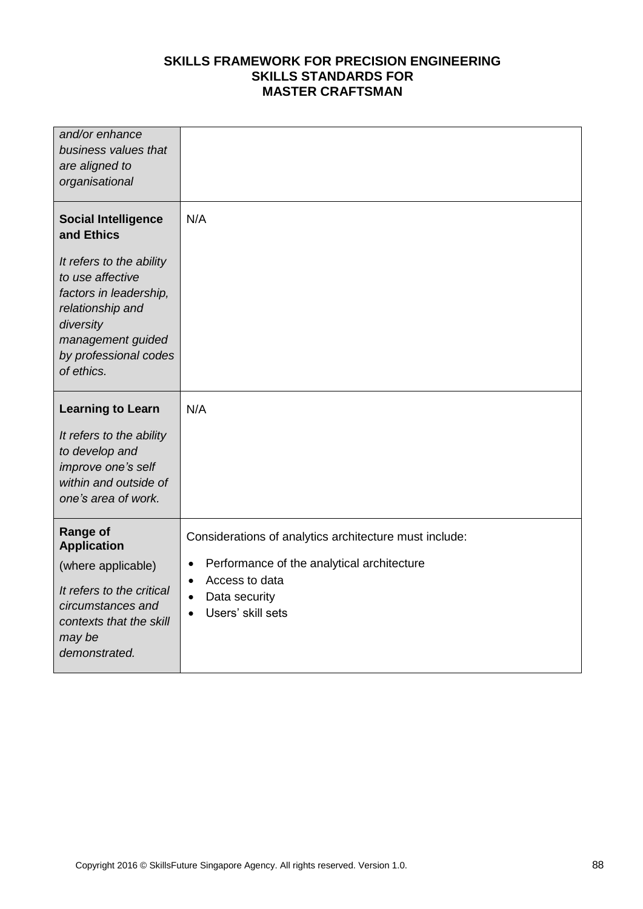| and/or enhance<br>business values that<br>are aligned to<br>organisational                                                                                                                                      |                                                                                                                                                                                                                  |
|-----------------------------------------------------------------------------------------------------------------------------------------------------------------------------------------------------------------|------------------------------------------------------------------------------------------------------------------------------------------------------------------------------------------------------------------|
| <b>Social Intelligence</b><br>and Ethics<br>It refers to the ability<br>to use affective<br>factors in leadership,<br>relationship and<br>diversity<br>management guided<br>by professional codes<br>of ethics. | N/A                                                                                                                                                                                                              |
| <b>Learning to Learn</b><br>It refers to the ability<br>to develop and<br>improve one's self<br>within and outside of<br>one's area of work.                                                                    | N/A                                                                                                                                                                                                              |
| <b>Range of</b><br><b>Application</b><br>(where applicable)<br>It refers to the critical<br>circumstances and<br>contexts that the skill<br>may be<br>demonstrated.                                             | Considerations of analytics architecture must include:<br>Performance of the analytical architecture<br>$\bullet$<br>Access to data<br>$\bullet$<br>Data security<br>$\bullet$<br>Users' skill sets<br>$\bullet$ |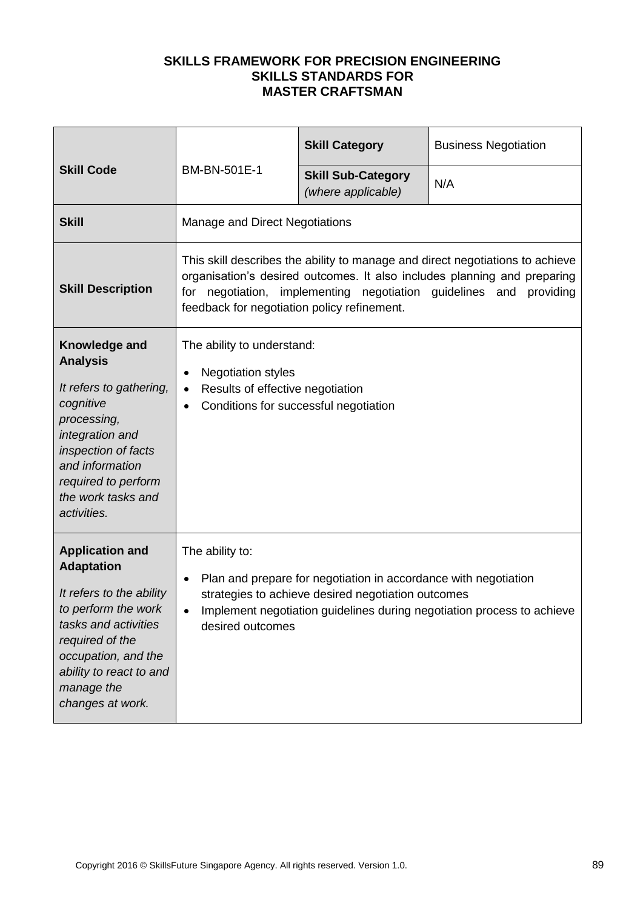| <b>Skill Code</b>                                                                                                                                                                                                             | BM-BN-501E-1                                                                                                                                                                                                                                                                         | <b>Skill Category</b>                           | <b>Business Negotiation</b> |
|-------------------------------------------------------------------------------------------------------------------------------------------------------------------------------------------------------------------------------|--------------------------------------------------------------------------------------------------------------------------------------------------------------------------------------------------------------------------------------------------------------------------------------|-------------------------------------------------|-----------------------------|
|                                                                                                                                                                                                                               |                                                                                                                                                                                                                                                                                      | <b>Skill Sub-Category</b><br>(where applicable) | N/A                         |
| <b>Skill</b>                                                                                                                                                                                                                  | Manage and Direct Negotiations                                                                                                                                                                                                                                                       |                                                 |                             |
| <b>Skill Description</b>                                                                                                                                                                                                      | This skill describes the ability to manage and direct negotiations to achieve<br>organisation's desired outcomes. It also includes planning and preparing<br>implementing negotiation guidelines and<br>for negotiation,<br>providing<br>feedback for negotiation policy refinement. |                                                 |                             |
| Knowledge and<br><b>Analysis</b><br>It refers to gathering,<br>cognitive<br>processing,<br>integration and<br>inspection of facts<br>and information<br>required to perform<br>the work tasks and<br>activities.              | The ability to understand:<br><b>Negotiation styles</b><br>$\bullet$<br>Results of effective negotiation<br>$\bullet$<br>Conditions for successful negotiation                                                                                                                       |                                                 |                             |
| <b>Application and</b><br><b>Adaptation</b><br>It refers to the ability<br>to perform the work<br>tasks and activities<br>required of the<br>occupation, and the<br>ability to react to and<br>manage the<br>changes at work. | The ability to:<br>Plan and prepare for negotiation in accordance with negotiation<br>$\bullet$<br>strategies to achieve desired negotiation outcomes<br>Implement negotiation guidelines during negotiation process to achieve<br>desired outcomes                                  |                                                 |                             |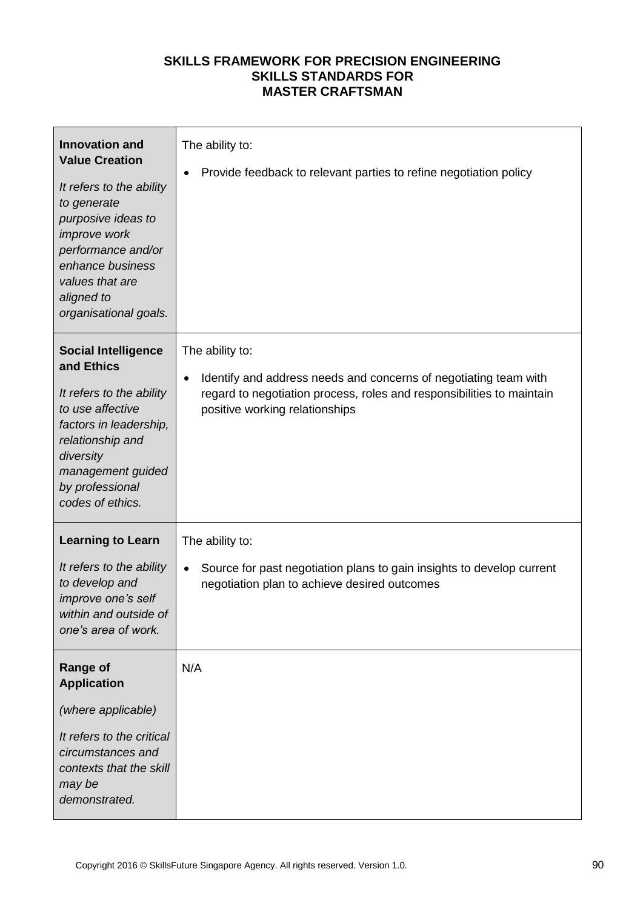| <b>Innovation and</b><br><b>Value Creation</b><br>It refers to the ability<br>to generate<br>purposive ideas to<br>improve work<br>performance and/or<br>enhance business<br>values that are<br>aligned to<br>organisational goals. | The ability to:<br>Provide feedback to relevant parties to refine negotiation policy                                                                                                           |
|-------------------------------------------------------------------------------------------------------------------------------------------------------------------------------------------------------------------------------------|------------------------------------------------------------------------------------------------------------------------------------------------------------------------------------------------|
| <b>Social Intelligence</b><br>and Ethics<br>It refers to the ability<br>to use affective<br>factors in leadership,<br>relationship and<br>diversity<br>management guided<br>by professional<br>codes of ethics.                     | The ability to:<br>Identify and address needs and concerns of negotiating team with<br>regard to negotiation process, roles and responsibilities to maintain<br>positive working relationships |
| <b>Learning to Learn</b><br>It refers to the ability<br>to develop and<br>improve one's self<br>within and outside of<br>one's area of work.                                                                                        | The ability to:<br>Source for past negotiation plans to gain insights to develop current<br>negotiation plan to achieve desired outcomes                                                       |
| <b>Range of</b><br><b>Application</b><br>(where applicable)<br>It refers to the critical<br>circumstances and<br>contexts that the skill<br>may be<br>demonstrated.                                                                 | N/A                                                                                                                                                                                            |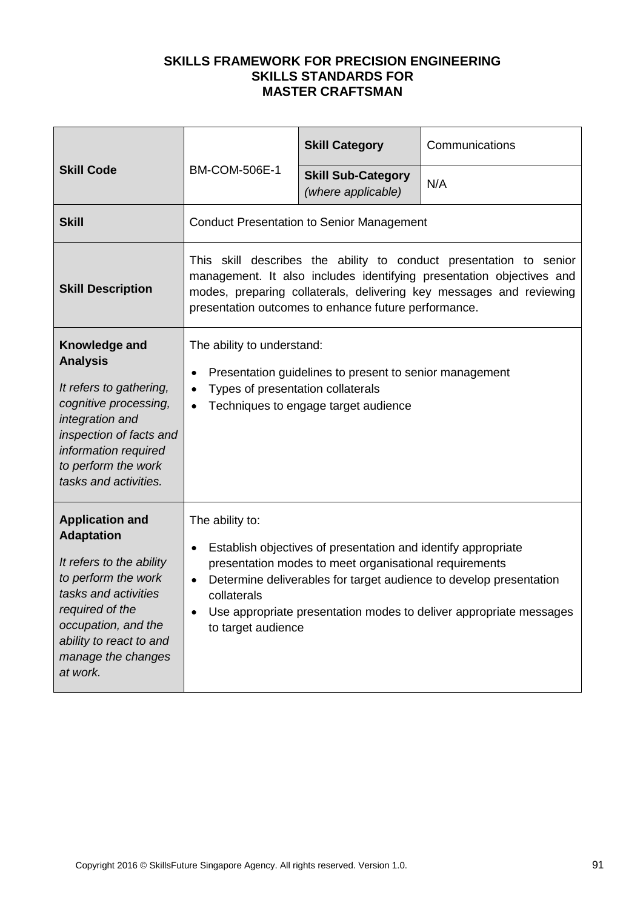| <b>Skill Code</b>                                                                                                                                                                                                             | <b>BM-COM-506E-1</b>                                                                                                                                                                                                                                                                                                                     | <b>Skill Category</b>                            | Communications |
|-------------------------------------------------------------------------------------------------------------------------------------------------------------------------------------------------------------------------------|------------------------------------------------------------------------------------------------------------------------------------------------------------------------------------------------------------------------------------------------------------------------------------------------------------------------------------------|--------------------------------------------------|----------------|
|                                                                                                                                                                                                                               |                                                                                                                                                                                                                                                                                                                                          | <b>Skill Sub-Category</b><br>(where applicable)  | N/A            |
| <b>Skill</b>                                                                                                                                                                                                                  |                                                                                                                                                                                                                                                                                                                                          | <b>Conduct Presentation to Senior Management</b> |                |
| <b>Skill Description</b>                                                                                                                                                                                                      | This skill describes the ability to conduct presentation to senior<br>management. It also includes identifying presentation objectives and<br>modes, preparing collaterals, delivering key messages and reviewing<br>presentation outcomes to enhance future performance.                                                                |                                                  |                |
| Knowledge and<br><b>Analysis</b><br>It refers to gathering,<br>cognitive processing,<br>integration and<br>inspection of facts and<br>information required<br>to perform the work<br>tasks and activities.                    | The ability to understand:<br>Presentation guidelines to present to senior management<br>$\bullet$<br>Types of presentation collaterals<br>Techniques to engage target audience                                                                                                                                                          |                                                  |                |
| <b>Application and</b><br><b>Adaptation</b><br>It refers to the ability<br>to perform the work<br>tasks and activities<br>required of the<br>occupation, and the<br>ability to react to and<br>manage the changes<br>at work. | The ability to:<br>Establish objectives of presentation and identify appropriate<br>presentation modes to meet organisational requirements<br>Determine deliverables for target audience to develop presentation<br>$\bullet$<br>collaterals<br>Use appropriate presentation modes to deliver appropriate messages<br>to target audience |                                                  |                |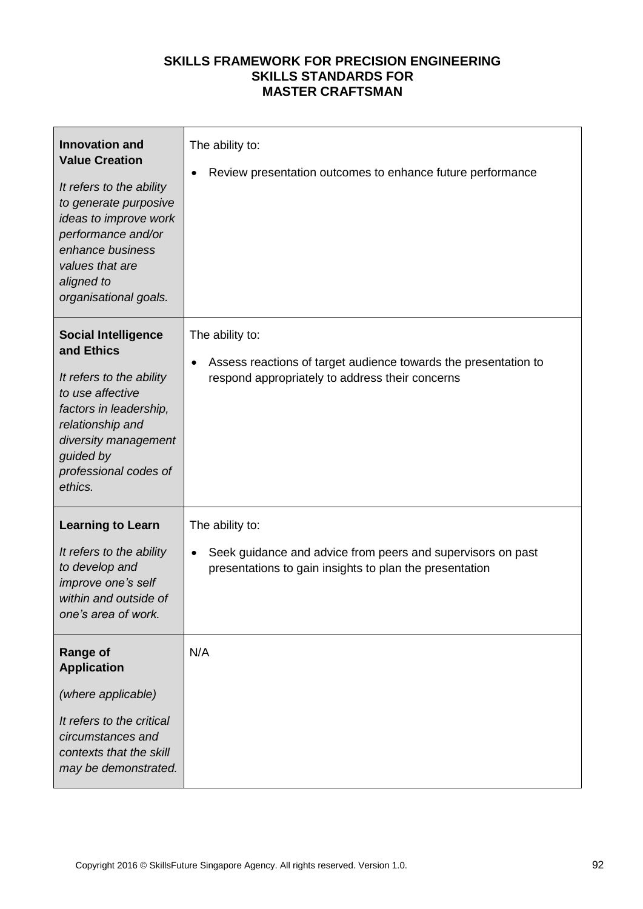| <b>Innovation and</b><br><b>Value Creation</b><br>It refers to the ability<br>to generate purposive<br>ideas to improve work<br>performance and/or<br>enhance business<br>values that are<br>aligned to<br>organisational goals. | The ability to:<br>Review presentation outcomes to enhance future performance                                                                      |
|----------------------------------------------------------------------------------------------------------------------------------------------------------------------------------------------------------------------------------|----------------------------------------------------------------------------------------------------------------------------------------------------|
| <b>Social Intelligence</b><br>and Ethics<br>It refers to the ability<br>to use affective<br>factors in leadership,<br>relationship and<br>diversity management<br>guided by<br>professional codes of<br>ethics.                  | The ability to:<br>Assess reactions of target audience towards the presentation to<br>$\bullet$<br>respond appropriately to address their concerns |
| <b>Learning to Learn</b><br>It refers to the ability<br>to develop and<br>improve one's self<br>within and outside of<br>one's area of work.                                                                                     | The ability to:<br>Seek guidance and advice from peers and supervisors on past<br>presentations to gain insights to plan the presentation          |
| <b>Range of</b><br><b>Application</b><br>(where applicable)<br>It refers to the critical<br>circumstances and<br>contexts that the skill<br>may be demonstrated.                                                                 | N/A                                                                                                                                                |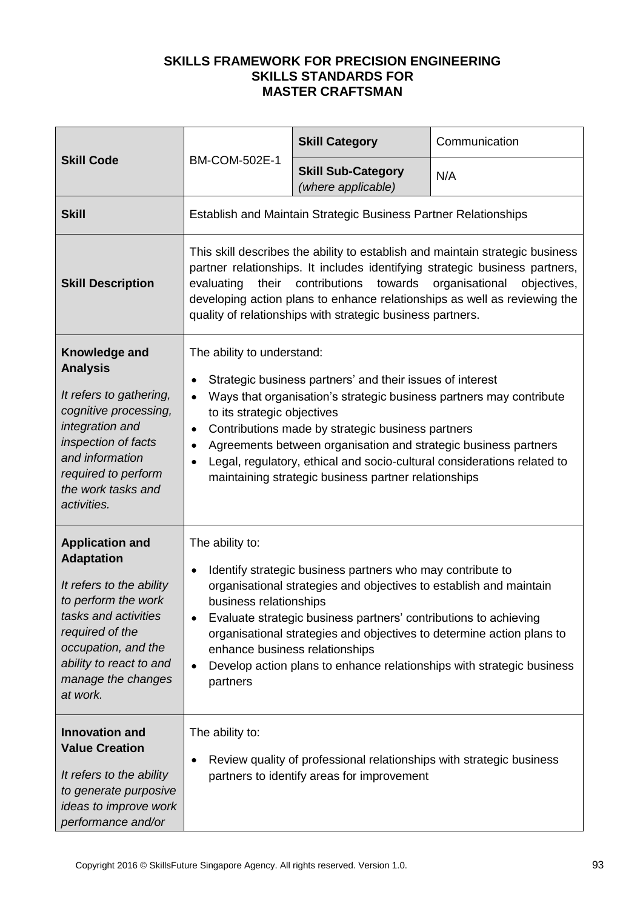| <b>Skill Code</b>                                                                                                                                                                                                                                                               |                                                                                                                                                                                                                                                                                                                                                                                                                                                                                                                                                                        | <b>Skill Category</b>                                                  | Communication |
|---------------------------------------------------------------------------------------------------------------------------------------------------------------------------------------------------------------------------------------------------------------------------------|------------------------------------------------------------------------------------------------------------------------------------------------------------------------------------------------------------------------------------------------------------------------------------------------------------------------------------------------------------------------------------------------------------------------------------------------------------------------------------------------------------------------------------------------------------------------|------------------------------------------------------------------------|---------------|
|                                                                                                                                                                                                                                                                                 | <b>BM-COM-502E-1</b>                                                                                                                                                                                                                                                                                                                                                                                                                                                                                                                                                   | <b>Skill Sub-Category</b><br>(where applicable)                        | N/A           |
| <b>Skill</b>                                                                                                                                                                                                                                                                    |                                                                                                                                                                                                                                                                                                                                                                                                                                                                                                                                                                        | <b>Establish and Maintain Strategic Business Partner Relationships</b> |               |
| <b>Skill Description</b>                                                                                                                                                                                                                                                        | This skill describes the ability to establish and maintain strategic business<br>partner relationships. It includes identifying strategic business partners,<br>contributions<br>towards<br>organisational<br>objectives,<br>evaluating<br>their<br>developing action plans to enhance relationships as well as reviewing the<br>quality of relationships with strategic business partners.                                                                                                                                                                            |                                                                        |               |
| Knowledge and<br><b>Analysis</b><br>It refers to gathering,<br>cognitive processing,<br>integration and<br>inspection of facts<br>and information<br>required to perform<br>the work tasks and<br>activities.                                                                   | The ability to understand:<br>Strategic business partners' and their issues of interest<br>$\bullet$<br>Ways that organisation's strategic business partners may contribute<br>to its strategic objectives<br>Contributions made by strategic business partners<br>$\bullet$<br>Agreements between organisation and strategic business partners<br>$\bullet$<br>Legal, regulatory, ethical and socio-cultural considerations related to<br>maintaining strategic business partner relationships                                                                        |                                                                        |               |
| <b>Application and</b><br><b>Adaptation</b><br>It refers to the ability<br>to perform the work<br>tasks and activities<br>required of the<br>occupation, and the<br>ability to react to and<br>manage the changes<br>at work.<br><b>Innovation and</b><br><b>Value Creation</b> | The ability to:<br>Identify strategic business partners who may contribute to<br>$\bullet$<br>organisational strategies and objectives to establish and maintain<br>business relationships<br>Evaluate strategic business partners' contributions to achieving<br>organisational strategies and objectives to determine action plans to<br>enhance business relationships<br>Develop action plans to enhance relationships with strategic business<br>$\bullet$<br>partners<br>The ability to:<br>Review quality of professional relationships with strategic business |                                                                        |               |
| It refers to the ability<br>to generate purposive<br>ideas to improve work<br>performance and/or                                                                                                                                                                                | partners to identify areas for improvement                                                                                                                                                                                                                                                                                                                                                                                                                                                                                                                             |                                                                        |               |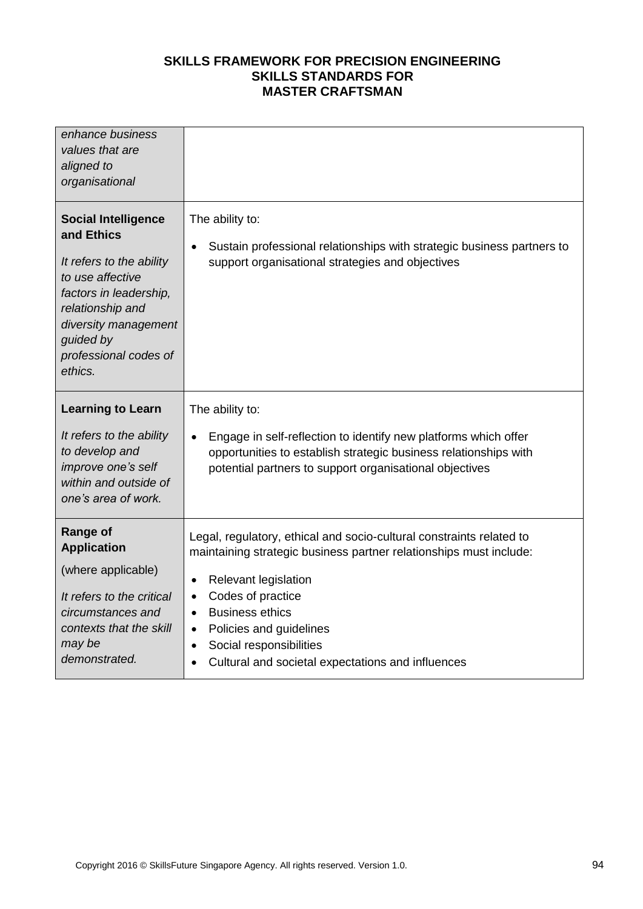| enhance business<br>values that are<br>aligned to<br>organisational                                                                                                                                             |                                                                                                                                                                                                                                                                                                                                                                                                            |
|-----------------------------------------------------------------------------------------------------------------------------------------------------------------------------------------------------------------|------------------------------------------------------------------------------------------------------------------------------------------------------------------------------------------------------------------------------------------------------------------------------------------------------------------------------------------------------------------------------------------------------------|
| <b>Social Intelligence</b><br>and Ethics<br>It refers to the ability<br>to use affective<br>factors in leadership,<br>relationship and<br>diversity management<br>guided by<br>professional codes of<br>ethics. | The ability to:<br>Sustain professional relationships with strategic business partners to<br>$\bullet$<br>support organisational strategies and objectives                                                                                                                                                                                                                                                 |
| <b>Learning to Learn</b>                                                                                                                                                                                        | The ability to:                                                                                                                                                                                                                                                                                                                                                                                            |
| It refers to the ability<br>to develop and<br>improve one's self<br>within and outside of<br>one's area of work.                                                                                                | Engage in self-reflection to identify new platforms which offer<br>$\bullet$<br>opportunities to establish strategic business relationships with<br>potential partners to support organisational objectives                                                                                                                                                                                                |
| <b>Range of</b><br><b>Application</b><br>(where applicable)<br>It refers to the critical<br>circumstances and<br>contexts that the skill<br>may be<br>demonstrated.                                             | Legal, regulatory, ethical and socio-cultural constraints related to<br>maintaining strategic business partner relationships must include:<br>Relevant legislation<br>$\bullet$<br>Codes of practice<br>$\bullet$<br><b>Business ethics</b><br>$\bullet$<br>Policies and guidelines<br>$\bullet$<br>Social responsibilities<br>$\bullet$<br>Cultural and societal expectations and influences<br>$\bullet$ |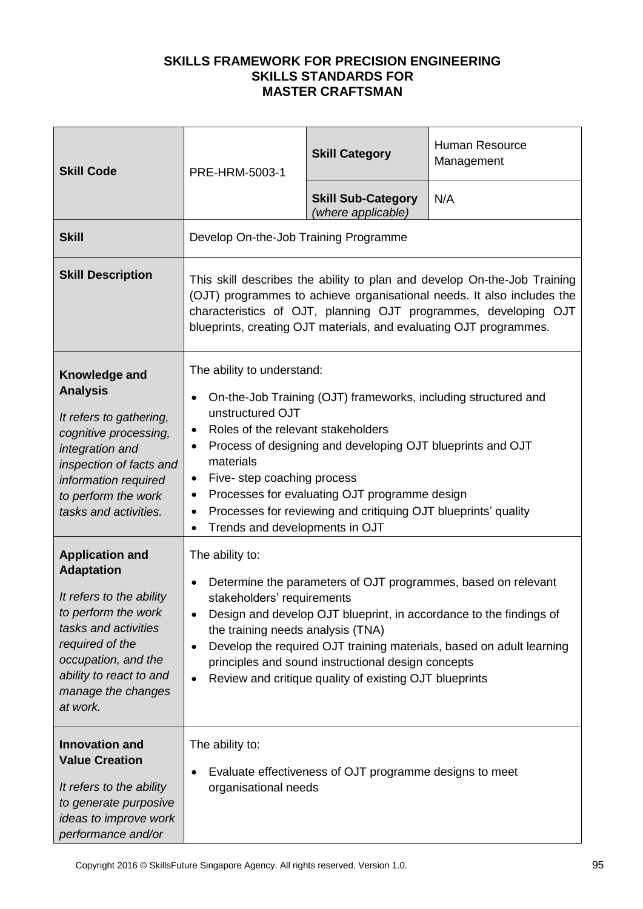| <b>Skill Code</b>                                                                                                                                                                                                                                                                                           | PRE-HRM-5003-1                                                                                                                                                                                                                                                                                                                                                                                                                                                                                                                       | <b>Skill Category</b>                           | Human Resource<br>Management |
|-------------------------------------------------------------------------------------------------------------------------------------------------------------------------------------------------------------------------------------------------------------------------------------------------------------|--------------------------------------------------------------------------------------------------------------------------------------------------------------------------------------------------------------------------------------------------------------------------------------------------------------------------------------------------------------------------------------------------------------------------------------------------------------------------------------------------------------------------------------|-------------------------------------------------|------------------------------|
|                                                                                                                                                                                                                                                                                                             |                                                                                                                                                                                                                                                                                                                                                                                                                                                                                                                                      | <b>Skill Sub-Category</b><br>(where applicable) | N/A                          |
| <b>Skill</b>                                                                                                                                                                                                                                                                                                | Develop On-the-Job Training Programme                                                                                                                                                                                                                                                                                                                                                                                                                                                                                                |                                                 |                              |
| <b>Skill Description</b>                                                                                                                                                                                                                                                                                    | This skill describes the ability to plan and develop On-the-Job Training<br>(OJT) programmes to achieve organisational needs. It also includes the<br>characteristics of OJT, planning OJT programmes, developing OJT<br>blueprints, creating OJT materials, and evaluating OJT programmes.                                                                                                                                                                                                                                          |                                                 |                              |
| Knowledge and<br><b>Analysis</b><br>It refers to gathering,<br>cognitive processing,<br>integration and<br>inspection of facts and<br>information required<br>to perform the work<br>tasks and activities.                                                                                                  | The ability to understand:<br>On-the-Job Training (OJT) frameworks, including structured and<br>unstructured OJT<br>Roles of the relevant stakeholders<br>$\bullet$<br>Process of designing and developing OJT blueprints and OJT<br>$\bullet$<br>materials<br>Five-step coaching process<br>$\bullet$<br>Processes for evaluating OJT programme design<br>$\bullet$<br>Processes for reviewing and critiquing OJT blueprints' quality<br>Trends and developments in OJT                                                             |                                                 |                              |
| <b>Application and</b><br><b>Adaptation</b><br>It refers to the ability<br>to perform the work<br>tasks and activities<br>required of the<br>occupation, and the<br>ability to react to and<br>manage the changes<br>at work.<br><b>Innovation and</b><br><b>Value Creation</b><br>It refers to the ability | The ability to:<br>Determine the parameters of OJT programmes, based on relevant<br>$\bullet$<br>stakeholders' requirements<br>Design and develop OJT blueprint, in accordance to the findings of<br>the training needs analysis (TNA)<br>Develop the required OJT training materials, based on adult learning<br>principles and sound instructional design concepts<br>Review and critique quality of existing OJT blueprints<br>The ability to:<br>Evaluate effectiveness of OJT programme designs to meet<br>organisational needs |                                                 |                              |
| to generate purposive<br>ideas to improve work<br>performance and/or                                                                                                                                                                                                                                        |                                                                                                                                                                                                                                                                                                                                                                                                                                                                                                                                      |                                                 |                              |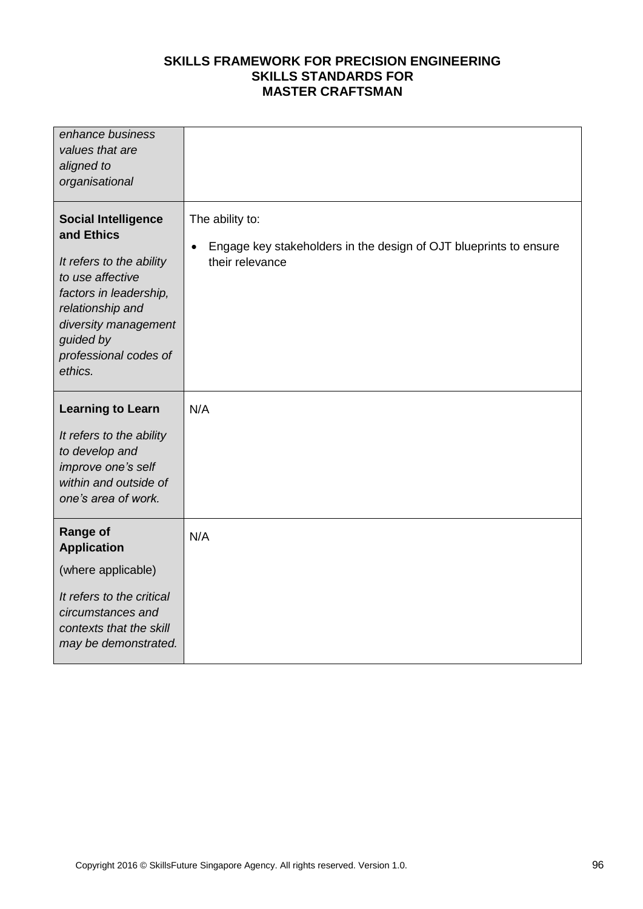| enhance business<br>values that are<br>aligned to<br>organisational                                                                                                                                             |                                                                                                         |
|-----------------------------------------------------------------------------------------------------------------------------------------------------------------------------------------------------------------|---------------------------------------------------------------------------------------------------------|
| <b>Social Intelligence</b><br>and Ethics<br>It refers to the ability<br>to use affective<br>factors in leadership,<br>relationship and<br>diversity management<br>guided by<br>professional codes of<br>ethics. | The ability to:<br>Engage key stakeholders in the design of OJT blueprints to ensure<br>their relevance |
| <b>Learning to Learn</b><br>It refers to the ability<br>to develop and<br>improve one's self<br>within and outside of<br>one's area of work.                                                                    | N/A                                                                                                     |
| <b>Range of</b><br><b>Application</b><br>(where applicable)<br>It refers to the critical<br>circumstances and<br>contexts that the skill<br>may be demonstrated.                                                | N/A                                                                                                     |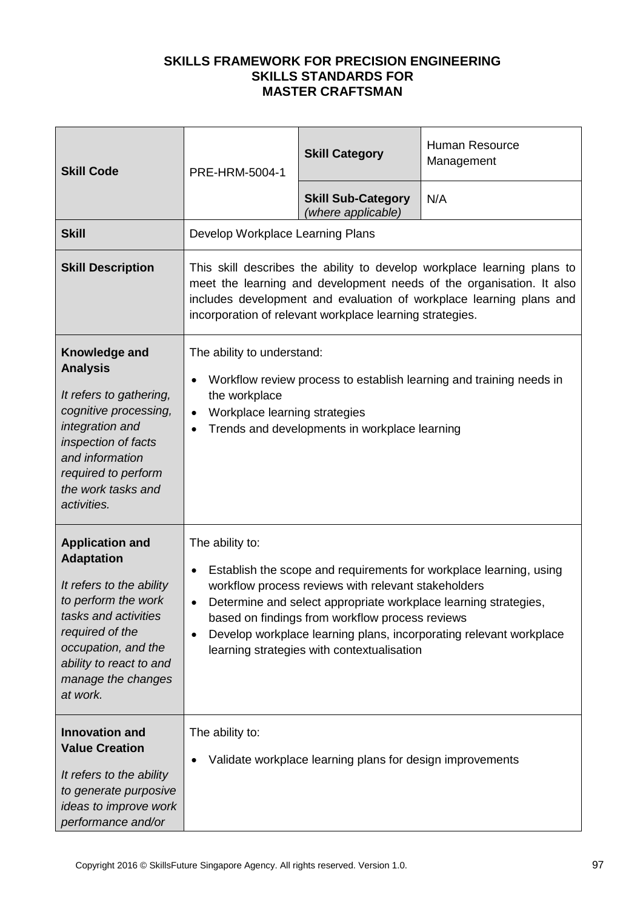| <b>Skill Code</b>                                                                                                                                                                                                             | PRE-HRM-5004-1                                                                                                                                                                                                                                                                                                                                                                                                                | <b>Skill Category</b>                           | Human Resource<br>Management |
|-------------------------------------------------------------------------------------------------------------------------------------------------------------------------------------------------------------------------------|-------------------------------------------------------------------------------------------------------------------------------------------------------------------------------------------------------------------------------------------------------------------------------------------------------------------------------------------------------------------------------------------------------------------------------|-------------------------------------------------|------------------------------|
|                                                                                                                                                                                                                               |                                                                                                                                                                                                                                                                                                                                                                                                                               | <b>Skill Sub-Category</b><br>(where applicable) | N/A                          |
| <b>Skill</b>                                                                                                                                                                                                                  | Develop Workplace Learning Plans                                                                                                                                                                                                                                                                                                                                                                                              |                                                 |                              |
| <b>Skill Description</b>                                                                                                                                                                                                      | This skill describes the ability to develop workplace learning plans to<br>meet the learning and development needs of the organisation. It also<br>includes development and evaluation of workplace learning plans and<br>incorporation of relevant workplace learning strategies.                                                                                                                                            |                                                 |                              |
| Knowledge and<br><b>Analysis</b><br>It refers to gathering,<br>cognitive processing,<br>integration and<br>inspection of facts<br>and information<br>required to perform<br>the work tasks and<br>activities.                 | The ability to understand:<br>Workflow review process to establish learning and training needs in<br>$\bullet$<br>the workplace<br>Workplace learning strategies<br>$\bullet$<br>Trends and developments in workplace learning<br>$\bullet$                                                                                                                                                                                   |                                                 |                              |
| <b>Application and</b><br><b>Adaptation</b><br>It refers to the ability<br>to perform the work<br>tasks and activities<br>required of the<br>occupation, and the<br>ability to react to and<br>manage the changes<br>at work. | The ability to:<br>Establish the scope and requirements for workplace learning, using<br>$\bullet$<br>workflow process reviews with relevant stakeholders<br>Determine and select appropriate workplace learning strategies,<br>$\bullet$<br>based on findings from workflow process reviews<br>Develop workplace learning plans, incorporating relevant workplace<br>$\bullet$<br>learning strategies with contextualisation |                                                 |                              |
| <b>Innovation and</b><br><b>Value Creation</b><br>It refers to the ability<br>to generate purposive<br>ideas to improve work<br>performance and/or                                                                            | The ability to:<br>Validate workplace learning plans for design improvements                                                                                                                                                                                                                                                                                                                                                  |                                                 |                              |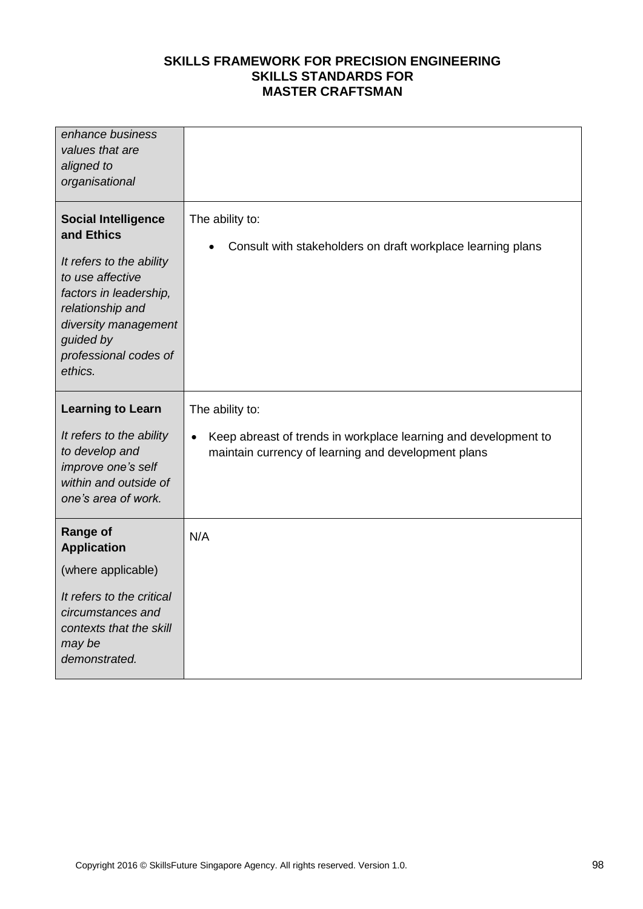| enhance business<br>values that are<br>aligned to<br>organisational                                                                                                                                             |                                                                                                                        |
|-----------------------------------------------------------------------------------------------------------------------------------------------------------------------------------------------------------------|------------------------------------------------------------------------------------------------------------------------|
| <b>Social Intelligence</b><br>and Ethics<br>It refers to the ability<br>to use affective<br>factors in leadership,<br>relationship and<br>diversity management<br>guided by<br>professional codes of<br>ethics. | The ability to:<br>Consult with stakeholders on draft workplace learning plans                                         |
| <b>Learning to Learn</b>                                                                                                                                                                                        | The ability to:                                                                                                        |
| It refers to the ability<br>to develop and<br>improve one's self<br>within and outside of<br>one's area of work.                                                                                                | Keep abreast of trends in workplace learning and development to<br>maintain currency of learning and development plans |
| <b>Range of</b><br><b>Application</b>                                                                                                                                                                           | N/A                                                                                                                    |
| (where applicable)                                                                                                                                                                                              |                                                                                                                        |
| It refers to the critical<br>circumstances and<br>contexts that the skill<br>may be<br>demonstrated.                                                                                                            |                                                                                                                        |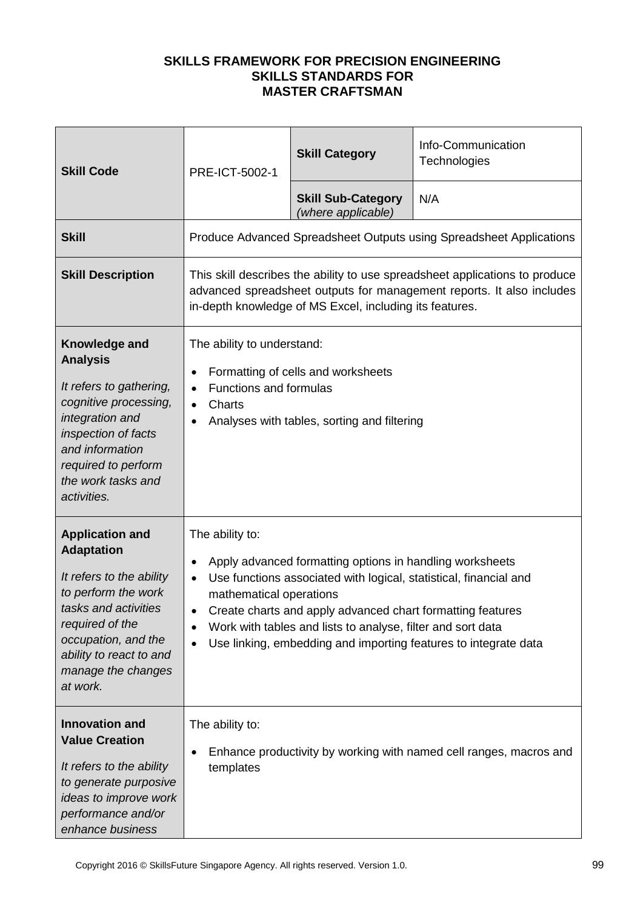| <b>Skill Code</b>                                                                                                                                                                                                             | PRE-ICT-5002-1                                                                                                                                                                                                                                                                                                                                                                                                                  | <b>Skill Category</b>                           | Info-Communication<br>Technologies                                  |
|-------------------------------------------------------------------------------------------------------------------------------------------------------------------------------------------------------------------------------|---------------------------------------------------------------------------------------------------------------------------------------------------------------------------------------------------------------------------------------------------------------------------------------------------------------------------------------------------------------------------------------------------------------------------------|-------------------------------------------------|---------------------------------------------------------------------|
|                                                                                                                                                                                                                               |                                                                                                                                                                                                                                                                                                                                                                                                                                 | <b>Skill Sub-Category</b><br>(where applicable) | N/A                                                                 |
| <b>Skill</b>                                                                                                                                                                                                                  |                                                                                                                                                                                                                                                                                                                                                                                                                                 |                                                 | Produce Advanced Spreadsheet Outputs using Spreadsheet Applications |
| <b>Skill Description</b>                                                                                                                                                                                                      | This skill describes the ability to use spreadsheet applications to produce<br>advanced spreadsheet outputs for management reports. It also includes<br>in-depth knowledge of MS Excel, including its features.                                                                                                                                                                                                                 |                                                 |                                                                     |
| Knowledge and<br><b>Analysis</b><br>It refers to gathering,<br>cognitive processing,<br>integration and<br>inspection of facts<br>and information<br>required to perform<br>the work tasks and<br>activities.                 | The ability to understand:<br>Formatting of cells and worksheets<br>$\bullet$<br><b>Functions and formulas</b><br>$\bullet$<br>Charts<br>$\bullet$<br>Analyses with tables, sorting and filtering                                                                                                                                                                                                                               |                                                 |                                                                     |
| <b>Application and</b><br><b>Adaptation</b><br>It refers to the ability<br>to perform the work<br>tasks and activities<br>required of the<br>occupation, and the<br>ability to react to and<br>manage the changes<br>at work. | The ability to:<br>Apply advanced formatting options in handling worksheets<br>$\bullet$<br>Use functions associated with logical, statistical, financial and<br>$\bullet$<br>mathematical operations<br>Create charts and apply advanced chart formatting features<br>Work with tables and lists to analyse, filter and sort data<br>$\bullet$<br>Use linking, embedding and importing features to integrate data<br>$\bullet$ |                                                 |                                                                     |
| <b>Innovation and</b><br><b>Value Creation</b><br>It refers to the ability<br>to generate purposive<br>ideas to improve work<br>performance and/or<br>enhance business                                                        | The ability to:<br>Enhance productivity by working with named cell ranges, macros and<br>templates                                                                                                                                                                                                                                                                                                                              |                                                 |                                                                     |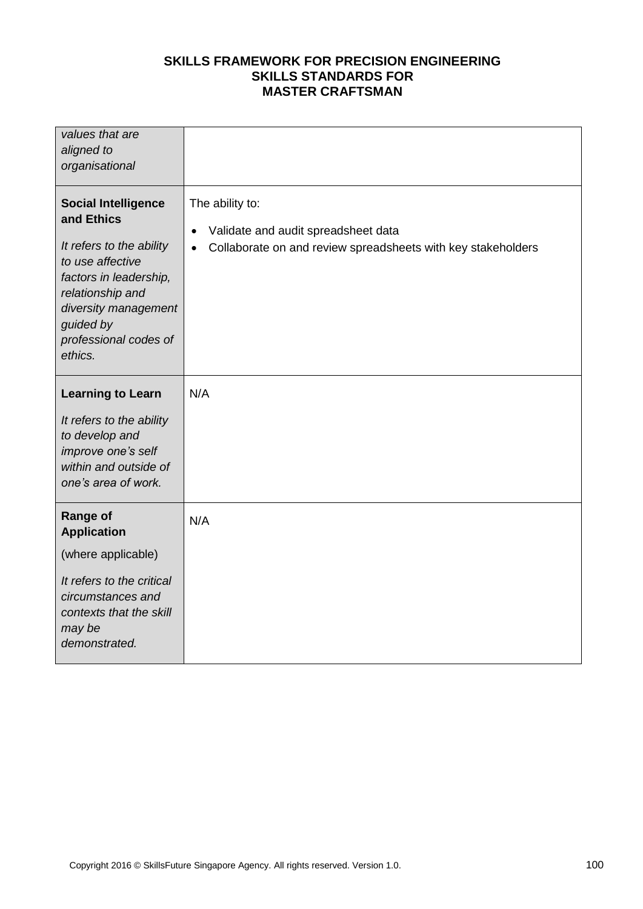| values that are<br>aligned to<br>organisational                                                                                                                                                                 |                                                                                                                                                  |
|-----------------------------------------------------------------------------------------------------------------------------------------------------------------------------------------------------------------|--------------------------------------------------------------------------------------------------------------------------------------------------|
| <b>Social Intelligence</b><br>and Ethics<br>It refers to the ability<br>to use affective<br>factors in leadership,<br>relationship and<br>diversity management<br>guided by<br>professional codes of<br>ethics. | The ability to:<br>Validate and audit spreadsheet data<br>$\bullet$<br>Collaborate on and review spreadsheets with key stakeholders<br>$\bullet$ |
| <b>Learning to Learn</b><br>It refers to the ability<br>to develop and<br>improve one's self<br>within and outside of<br>one's area of work.                                                                    | N/A                                                                                                                                              |
| <b>Range of</b><br><b>Application</b><br>(where applicable)<br>It refers to the critical<br>circumstances and<br>contexts that the skill<br>may be<br>demonstrated.                                             | N/A                                                                                                                                              |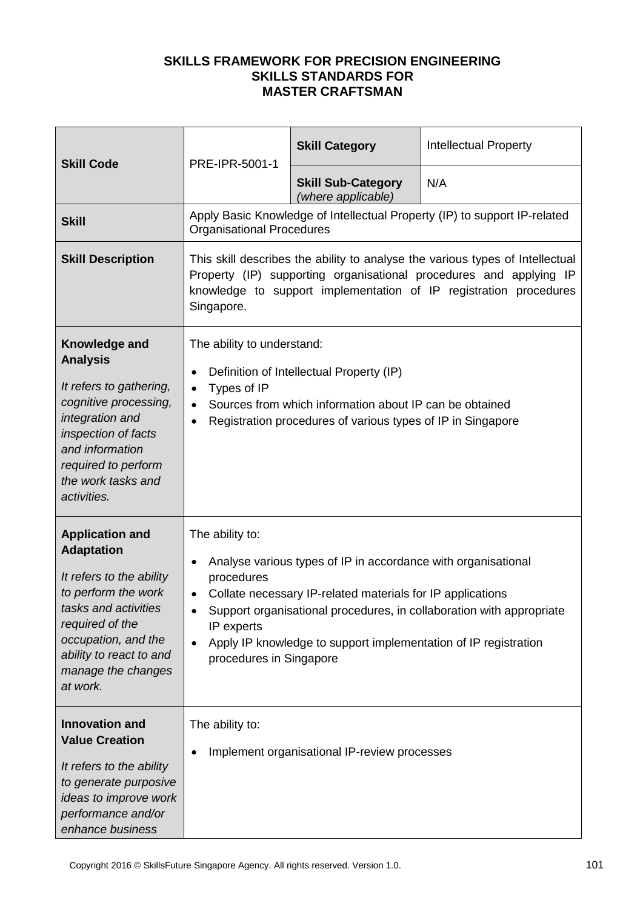| <b>Skill Code</b>                                                                                                                                                                                                             | PRE-IPR-5001-1                                                                                                                                                                                                                                                                                                                                                                          | <b>Skill Category</b>                           | <b>Intellectual Property</b>                                              |
|-------------------------------------------------------------------------------------------------------------------------------------------------------------------------------------------------------------------------------|-----------------------------------------------------------------------------------------------------------------------------------------------------------------------------------------------------------------------------------------------------------------------------------------------------------------------------------------------------------------------------------------|-------------------------------------------------|---------------------------------------------------------------------------|
|                                                                                                                                                                                                                               |                                                                                                                                                                                                                                                                                                                                                                                         | <b>Skill Sub-Category</b><br>(where applicable) | N/A                                                                       |
| <b>Skill</b>                                                                                                                                                                                                                  | <b>Organisational Procedures</b>                                                                                                                                                                                                                                                                                                                                                        |                                                 | Apply Basic Knowledge of Intellectual Property (IP) to support IP-related |
| <b>Skill Description</b>                                                                                                                                                                                                      | This skill describes the ability to analyse the various types of Intellectual<br>Property (IP) supporting organisational procedures and applying IP<br>knowledge to support implementation of IP registration procedures<br>Singapore.                                                                                                                                                  |                                                 |                                                                           |
| Knowledge and<br><b>Analysis</b><br>It refers to gathering,<br>cognitive processing,<br>integration and<br>inspection of facts<br>and information<br>required to perform<br>the work tasks and<br>activities.                 | The ability to understand:<br>Definition of Intellectual Property (IP)<br>$\bullet$<br>Types of IP<br>$\bullet$<br>Sources from which information about IP can be obtained<br>$\bullet$<br>Registration procedures of various types of IP in Singapore                                                                                                                                  |                                                 |                                                                           |
| <b>Application and</b><br><b>Adaptation</b><br>It refers to the ability<br>to perform the work<br>tasks and activities<br>required of the<br>occupation, and the<br>ability to react to and<br>manage the changes<br>at work. | The ability to:<br>Analyse various types of IP in accordance with organisational<br>$\bullet$<br>procedures<br>Collate necessary IP-related materials for IP applications<br>$\bullet$<br>Support organisational procedures, in collaboration with appropriate<br>IP experts<br>Apply IP knowledge to support implementation of IP registration<br>$\bullet$<br>procedures in Singapore |                                                 |                                                                           |
| <b>Innovation and</b><br><b>Value Creation</b><br>It refers to the ability<br>to generate purposive<br>ideas to improve work<br>performance and/or<br>enhance business                                                        | The ability to:                                                                                                                                                                                                                                                                                                                                                                         | Implement organisational IP-review processes    |                                                                           |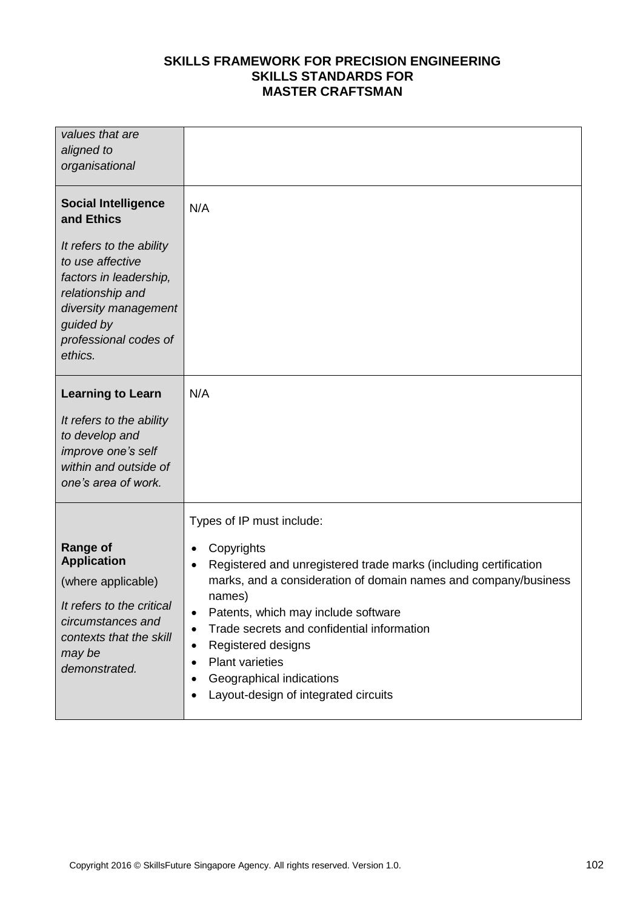| values that are                                                                                                                                                     |                                                                                                                                                                                                                                                                                                                                                                                                                  |
|---------------------------------------------------------------------------------------------------------------------------------------------------------------------|------------------------------------------------------------------------------------------------------------------------------------------------------------------------------------------------------------------------------------------------------------------------------------------------------------------------------------------------------------------------------------------------------------------|
| aligned to                                                                                                                                                          |                                                                                                                                                                                                                                                                                                                                                                                                                  |
| organisational                                                                                                                                                      |                                                                                                                                                                                                                                                                                                                                                                                                                  |
| <b>Social Intelligence</b><br>and Ethics                                                                                                                            | N/A                                                                                                                                                                                                                                                                                                                                                                                                              |
| It refers to the ability<br>to use affective<br>factors in leadership,<br>relationship and<br>diversity management<br>guided by<br>professional codes of<br>ethics. |                                                                                                                                                                                                                                                                                                                                                                                                                  |
| <b>Learning to Learn</b>                                                                                                                                            | N/A                                                                                                                                                                                                                                                                                                                                                                                                              |
| It refers to the ability<br>to develop and<br>improve one's self<br>within and outside of<br>one's area of work.                                                    |                                                                                                                                                                                                                                                                                                                                                                                                                  |
|                                                                                                                                                                     | Types of IP must include:                                                                                                                                                                                                                                                                                                                                                                                        |
| <b>Range of</b><br><b>Application</b><br>(where applicable)<br>It refers to the critical<br>circumstances and<br>contexts that the skill<br>may be<br>demonstrated. | Copyrights<br>Registered and unregistered trade marks (including certification<br>marks, and a consideration of domain names and company/business<br>names)<br>Patents, which may include software<br>٠<br>Trade secrets and confidential information<br>$\bullet$<br>Registered designs<br>$\bullet$<br><b>Plant varieties</b><br>$\bullet$<br>Geographical indications<br>Layout-design of integrated circuits |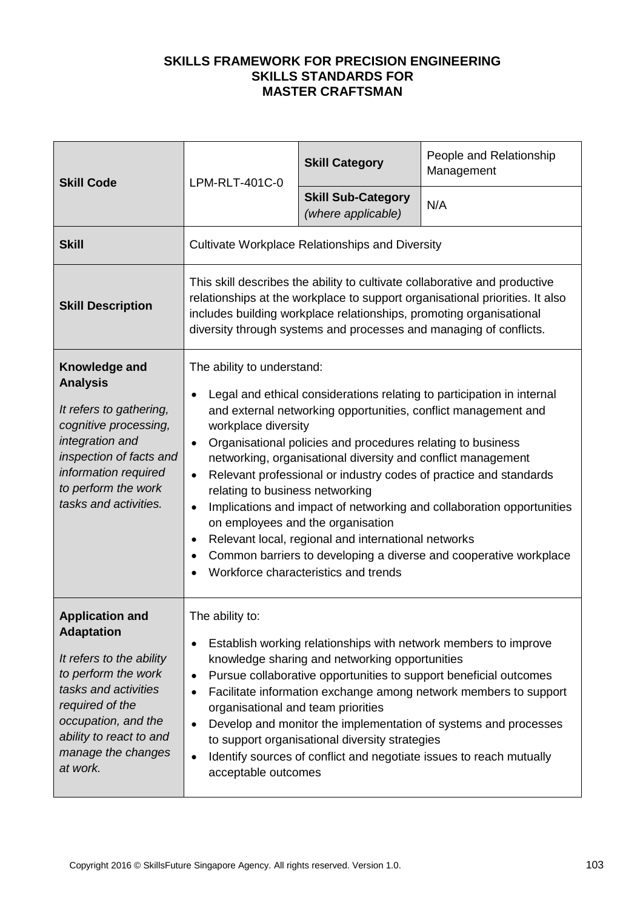| <b>Skill Code</b>                                                                                                                                                                                                             | LPM-RLT-401C-0                                                                                                                                                                                                                                                                                                                                                                                                                                                                                                                                                                                                                                                                                                                                                | <b>Skill Category</b>                                  | People and Relationship<br>Management |
|-------------------------------------------------------------------------------------------------------------------------------------------------------------------------------------------------------------------------------|---------------------------------------------------------------------------------------------------------------------------------------------------------------------------------------------------------------------------------------------------------------------------------------------------------------------------------------------------------------------------------------------------------------------------------------------------------------------------------------------------------------------------------------------------------------------------------------------------------------------------------------------------------------------------------------------------------------------------------------------------------------|--------------------------------------------------------|---------------------------------------|
|                                                                                                                                                                                                                               |                                                                                                                                                                                                                                                                                                                                                                                                                                                                                                                                                                                                                                                                                                                                                               | <b>Skill Sub-Category</b><br>(where applicable)        | N/A                                   |
| <b>Skill</b>                                                                                                                                                                                                                  |                                                                                                                                                                                                                                                                                                                                                                                                                                                                                                                                                                                                                                                                                                                                                               | <b>Cultivate Workplace Relationships and Diversity</b> |                                       |
| <b>Skill Description</b>                                                                                                                                                                                                      | This skill describes the ability to cultivate collaborative and productive<br>relationships at the workplace to support organisational priorities. It also<br>includes building workplace relationships, promoting organisational<br>diversity through systems and processes and managing of conflicts.                                                                                                                                                                                                                                                                                                                                                                                                                                                       |                                                        |                                       |
| Knowledge and<br><b>Analysis</b><br>It refers to gathering,<br>cognitive processing,<br>integration and<br>inspection of facts and<br>information required<br>to perform the work<br>tasks and activities.                    | The ability to understand:<br>Legal and ethical considerations relating to participation in internal<br>and external networking opportunities, conflict management and<br>workplace diversity<br>Organisational policies and procedures relating to business<br>$\bullet$<br>networking, organisational diversity and conflict management<br>Relevant professional or industry codes of practice and standards<br>relating to business networking<br>Implications and impact of networking and collaboration opportunities<br>$\bullet$<br>on employees and the organisation<br>Relevant local, regional and international networks<br>$\bullet$<br>Common barriers to developing a diverse and cooperative workplace<br>Workforce characteristics and trends |                                                        |                                       |
| <b>Application and</b><br><b>Adaptation</b><br>It refers to the ability<br>to perform the work<br>tasks and activities<br>required of the<br>occupation, and the<br>ability to react to and<br>manage the changes<br>at work. | The ability to:<br>Establish working relationships with network members to improve<br>knowledge sharing and networking opportunities<br>Pursue collaborative opportunities to support beneficial outcomes<br>$\bullet$<br>Facilitate information exchange among network members to support<br>organisational and team priorities<br>Develop and monitor the implementation of systems and processes<br>$\bullet$<br>to support organisational diversity strategies<br>Identify sources of conflict and negotiate issues to reach mutually<br>acceptable outcomes                                                                                                                                                                                              |                                                        |                                       |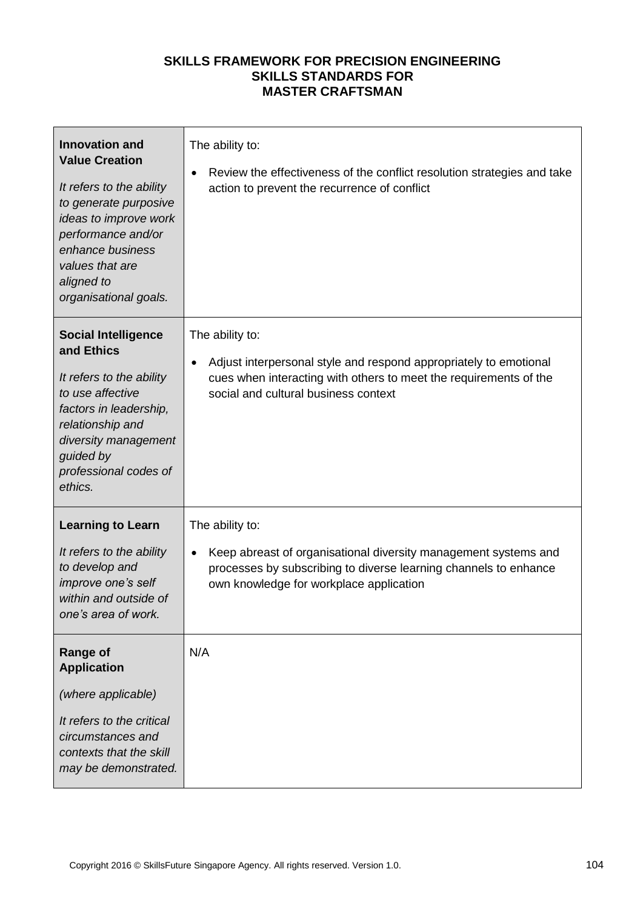| <b>Innovation and</b><br><b>Value Creation</b><br>It refers to the ability<br>to generate purposive<br>ideas to improve work<br>performance and/or<br>enhance business<br>values that are<br>aligned to<br>organisational goals. | The ability to:<br>Review the effectiveness of the conflict resolution strategies and take<br>$\bullet$<br>action to prevent the recurrence of conflict                                                        |
|----------------------------------------------------------------------------------------------------------------------------------------------------------------------------------------------------------------------------------|----------------------------------------------------------------------------------------------------------------------------------------------------------------------------------------------------------------|
| <b>Social Intelligence</b><br>and Ethics<br>It refers to the ability<br>to use affective<br>factors in leadership,<br>relationship and<br>diversity management<br>guided by<br>professional codes of<br>ethics.                  | The ability to:<br>Adjust interpersonal style and respond appropriately to emotional<br>$\bullet$<br>cues when interacting with others to meet the requirements of the<br>social and cultural business context |
| <b>Learning to Learn</b><br>It refers to the ability<br>to develop and<br>improve one's self<br>within and outside of<br>one's area of work.                                                                                     | The ability to:<br>Keep abreast of organisational diversity management systems and<br>$\bullet$<br>processes by subscribing to diverse learning channels to enhance<br>own knowledge for workplace application |
| <b>Range of</b><br><b>Application</b><br>(where applicable)<br>It refers to the critical<br>circumstances and<br>contexts that the skill<br>may be demonstrated.                                                                 | N/A                                                                                                                                                                                                            |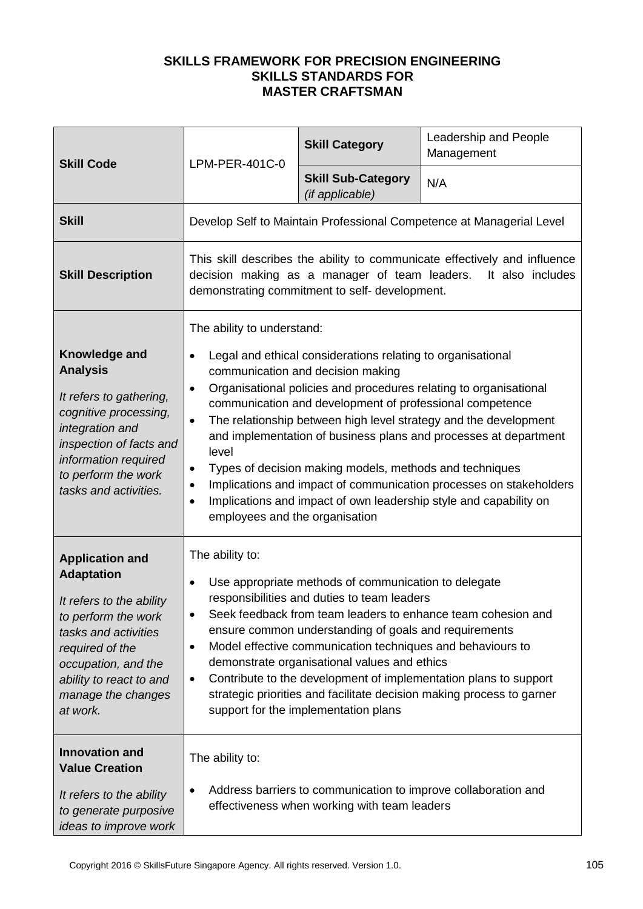| <b>Skill Code</b>                                                                                                                                                                                                             | LPM-PER-401C-0                                                                                                                                                                                                                                                                                                                                                                                                                                                                                                                                                                                                                                                                                                                         | <b>Skill Category</b>                        | Leadership and People<br>Management                                  |
|-------------------------------------------------------------------------------------------------------------------------------------------------------------------------------------------------------------------------------|----------------------------------------------------------------------------------------------------------------------------------------------------------------------------------------------------------------------------------------------------------------------------------------------------------------------------------------------------------------------------------------------------------------------------------------------------------------------------------------------------------------------------------------------------------------------------------------------------------------------------------------------------------------------------------------------------------------------------------------|----------------------------------------------|----------------------------------------------------------------------|
|                                                                                                                                                                                                                               |                                                                                                                                                                                                                                                                                                                                                                                                                                                                                                                                                                                                                                                                                                                                        | <b>Skill Sub-Category</b><br>(if applicable) | N/A                                                                  |
| <b>Skill</b>                                                                                                                                                                                                                  |                                                                                                                                                                                                                                                                                                                                                                                                                                                                                                                                                                                                                                                                                                                                        |                                              | Develop Self to Maintain Professional Competence at Managerial Level |
| <b>Skill Description</b>                                                                                                                                                                                                      | This skill describes the ability to communicate effectively and influence<br>decision making as a manager of team leaders.<br>It also includes<br>demonstrating commitment to self- development.                                                                                                                                                                                                                                                                                                                                                                                                                                                                                                                                       |                                              |                                                                      |
| Knowledge and<br><b>Analysis</b><br>It refers to gathering,<br>cognitive processing,<br>integration and<br>inspection of facts and<br>information required<br>to perform the work<br>tasks and activities.                    | The ability to understand:<br>Legal and ethical considerations relating to organisational<br>$\bullet$<br>communication and decision making<br>Organisational policies and procedures relating to organisational<br>$\bullet$<br>communication and development of professional competence<br>The relationship between high level strategy and the development<br>$\bullet$<br>and implementation of business plans and processes at department<br>level<br>Types of decision making models, methods and techniques<br>$\bullet$<br>Implications and impact of communication processes on stakeholders<br>$\bullet$<br>Implications and impact of own leadership style and capability on<br>$\bullet$<br>employees and the organisation |                                              |                                                                      |
| <b>Application and</b><br><b>Adaptation</b><br>It refers to the ability<br>to perform the work<br>tasks and activities<br>required of the<br>occupation, and the<br>ability to react to and<br>manage the changes<br>at work. | The ability to:<br>Use appropriate methods of communication to delegate<br>$\bullet$<br>responsibilities and duties to team leaders<br>Seek feedback from team leaders to enhance team cohesion and<br>$\bullet$<br>ensure common understanding of goals and requirements<br>Model effective communication techniques and behaviours to<br>$\bullet$<br>demonstrate organisational values and ethics<br>Contribute to the development of implementation plans to support<br>$\bullet$<br>strategic priorities and facilitate decision making process to garner<br>support for the implementation plans                                                                                                                                 |                                              |                                                                      |
| <b>Innovation and</b><br><b>Value Creation</b><br>It refers to the ability<br>to generate purposive<br>ideas to improve work                                                                                                  | The ability to:<br>Address barriers to communication to improve collaboration and<br>effectiveness when working with team leaders                                                                                                                                                                                                                                                                                                                                                                                                                                                                                                                                                                                                      |                                              |                                                                      |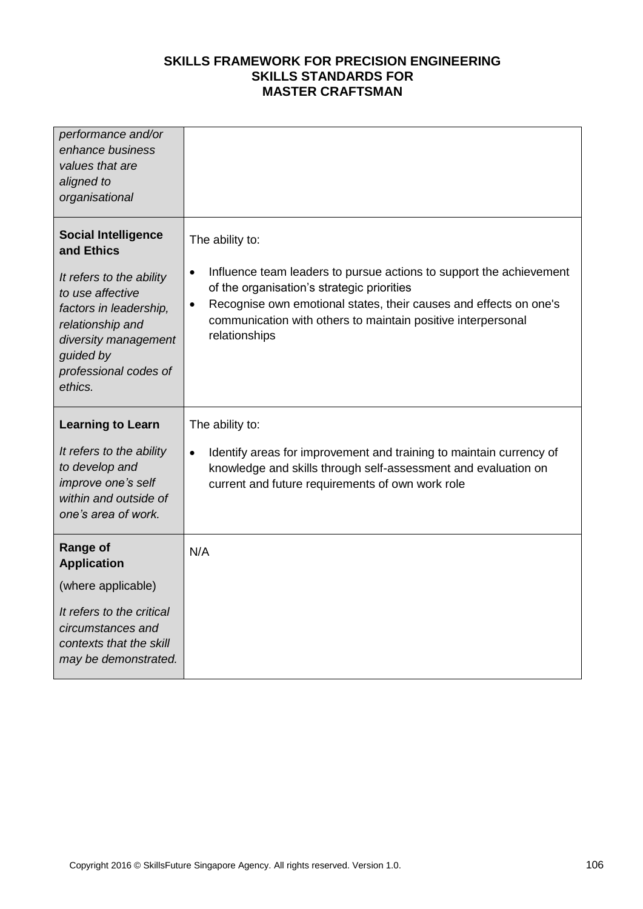| performance and/or<br>enhance business<br>values that are<br>aligned to<br>organisational                                                                                                                       |                                                                                                                                                                                                                                                                                                                      |
|-----------------------------------------------------------------------------------------------------------------------------------------------------------------------------------------------------------------|----------------------------------------------------------------------------------------------------------------------------------------------------------------------------------------------------------------------------------------------------------------------------------------------------------------------|
| <b>Social Intelligence</b><br>and Ethics<br>It refers to the ability<br>to use affective<br>factors in leadership,<br>relationship and<br>diversity management<br>guided by<br>professional codes of<br>ethics. | The ability to:<br>Influence team leaders to pursue actions to support the achievement<br>$\bullet$<br>of the organisation's strategic priorities<br>Recognise own emotional states, their causes and effects on one's<br>$\bullet$<br>communication with others to maintain positive interpersonal<br>relationships |
| <b>Learning to Learn</b><br>It refers to the ability<br>to develop and<br>improve one's self<br>within and outside of<br>one's area of work.                                                                    | The ability to:<br>Identify areas for improvement and training to maintain currency of<br>$\bullet$<br>knowledge and skills through self-assessment and evaluation on<br>current and future requirements of own work role                                                                                            |
| <b>Range of</b><br><b>Application</b><br>(where applicable)<br>It refers to the critical<br>circumstances and<br>contexts that the skill<br>may be demonstrated.                                                | N/A                                                                                                                                                                                                                                                                                                                  |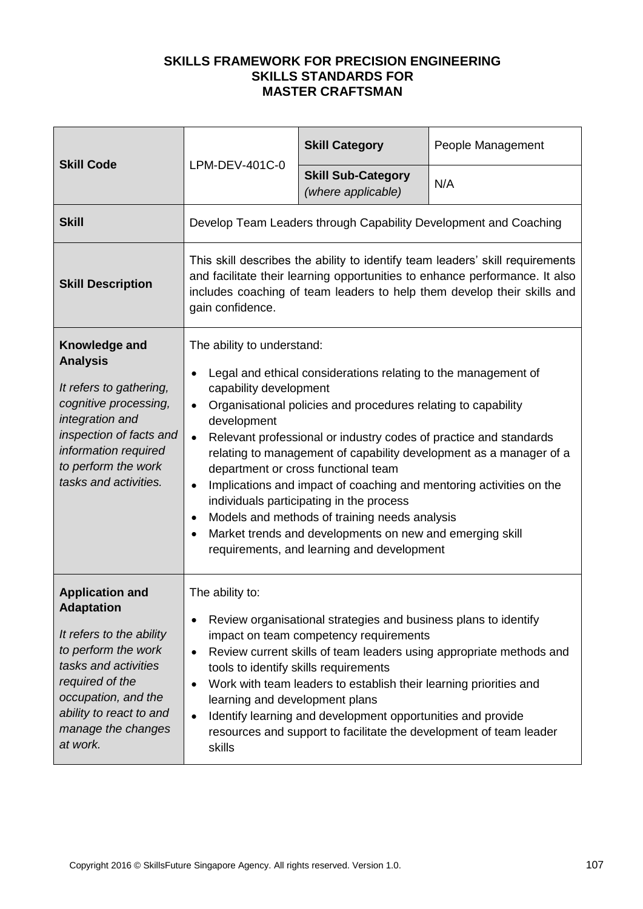| <b>Skill Code</b>                                                                                                                                                                                                             | LPM-DEV-401C-0                                                                                                                                                                                                                                                                                                                                                                                                                                                                                                                                                                                                                                                                                                | <b>Skill Category</b>                           | People Management                                                |
|-------------------------------------------------------------------------------------------------------------------------------------------------------------------------------------------------------------------------------|---------------------------------------------------------------------------------------------------------------------------------------------------------------------------------------------------------------------------------------------------------------------------------------------------------------------------------------------------------------------------------------------------------------------------------------------------------------------------------------------------------------------------------------------------------------------------------------------------------------------------------------------------------------------------------------------------------------|-------------------------------------------------|------------------------------------------------------------------|
|                                                                                                                                                                                                                               |                                                                                                                                                                                                                                                                                                                                                                                                                                                                                                                                                                                                                                                                                                               | <b>Skill Sub-Category</b><br>(where applicable) | N/A                                                              |
| <b>Skill</b>                                                                                                                                                                                                                  |                                                                                                                                                                                                                                                                                                                                                                                                                                                                                                                                                                                                                                                                                                               |                                                 | Develop Team Leaders through Capability Development and Coaching |
| <b>Skill Description</b>                                                                                                                                                                                                      | This skill describes the ability to identify team leaders' skill requirements<br>and facilitate their learning opportunities to enhance performance. It also<br>includes coaching of team leaders to help them develop their skills and<br>gain confidence.                                                                                                                                                                                                                                                                                                                                                                                                                                                   |                                                 |                                                                  |
| Knowledge and<br><b>Analysis</b><br>It refers to gathering,<br>cognitive processing,<br>integration and<br>inspection of facts and<br>information required<br>to perform the work<br>tasks and activities.                    | The ability to understand:<br>Legal and ethical considerations relating to the management of<br>capability development<br>Organisational policies and procedures relating to capability<br>development<br>Relevant professional or industry codes of practice and standards<br>$\bullet$<br>relating to management of capability development as a manager of a<br>department or cross functional team<br>Implications and impact of coaching and mentoring activities on the<br>$\bullet$<br>individuals participating in the process<br>Models and methods of training needs analysis<br>$\bullet$<br>Market trends and developments on new and emerging skill<br>requirements, and learning and development |                                                 |                                                                  |
| <b>Application and</b><br><b>Adaptation</b><br>It refers to the ability<br>to perform the work<br>tasks and activities<br>required of the<br>occupation, and the<br>ability to react to and<br>manage the changes<br>at work. | The ability to:<br>Review organisational strategies and business plans to identify<br>impact on team competency requirements<br>Review current skills of team leaders using appropriate methods and<br>tools to identify skills requirements<br>Work with team leaders to establish their learning priorities and<br>learning and development plans<br>Identify learning and development opportunities and provide<br>resources and support to facilitate the development of team leader<br>skills                                                                                                                                                                                                            |                                                 |                                                                  |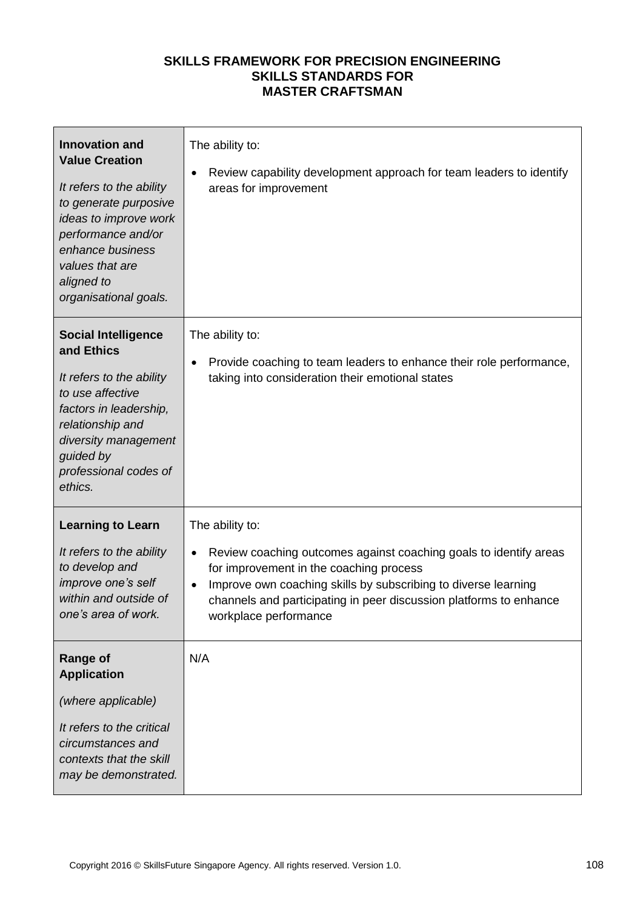| <b>Innovation and</b><br><b>Value Creation</b><br>It refers to the ability<br>to generate purposive<br>ideas to improve work<br>performance and/or<br>enhance business<br>values that are<br>aligned to<br>organisational goals. | The ability to:<br>Review capability development approach for team leaders to identify<br>areas for improvement                                                                                                                                                                                  |
|----------------------------------------------------------------------------------------------------------------------------------------------------------------------------------------------------------------------------------|--------------------------------------------------------------------------------------------------------------------------------------------------------------------------------------------------------------------------------------------------------------------------------------------------|
| <b>Social Intelligence</b><br>and Ethics<br>It refers to the ability<br>to use affective<br>factors in leadership,<br>relationship and<br>diversity management<br>guided by<br>professional codes of<br>ethics.                  | The ability to:<br>Provide coaching to team leaders to enhance their role performance,<br>taking into consideration their emotional states                                                                                                                                                       |
| <b>Learning to Learn</b><br>It refers to the ability<br>to develop and<br>improve one's self<br>within and outside of<br>one's area of work.                                                                                     | The ability to:<br>Review coaching outcomes against coaching goals to identify areas<br>for improvement in the coaching process<br>Improve own coaching skills by subscribing to diverse learning<br>channels and participating in peer discussion platforms to enhance<br>workplace performance |
| <b>Range of</b><br><b>Application</b><br>(where applicable)<br>It refers to the critical<br>circumstances and<br>contexts that the skill<br>may be demonstrated.                                                                 | N/A                                                                                                                                                                                                                                                                                              |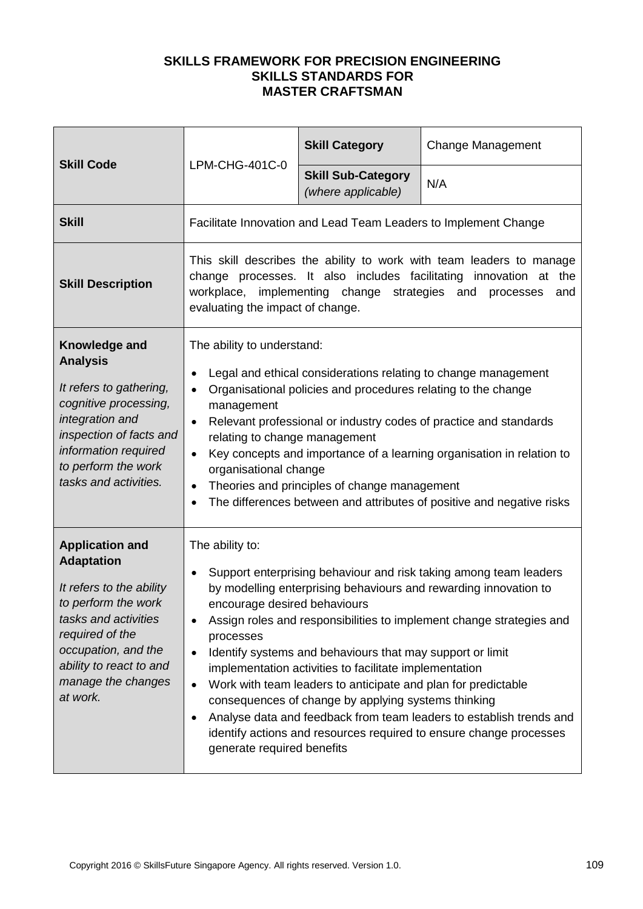| <b>Skill Code</b>                                                                                                                                                                                                             | LPM-CHG-401C-0                                                                                                                                                                                                                                                                                                                                                                                                                                                                                                                                                                                                                                                                                          | <b>Skill Category</b>                           | <b>Change Management</b>                                        |
|-------------------------------------------------------------------------------------------------------------------------------------------------------------------------------------------------------------------------------|---------------------------------------------------------------------------------------------------------------------------------------------------------------------------------------------------------------------------------------------------------------------------------------------------------------------------------------------------------------------------------------------------------------------------------------------------------------------------------------------------------------------------------------------------------------------------------------------------------------------------------------------------------------------------------------------------------|-------------------------------------------------|-----------------------------------------------------------------|
|                                                                                                                                                                                                                               |                                                                                                                                                                                                                                                                                                                                                                                                                                                                                                                                                                                                                                                                                                         | <b>Skill Sub-Category</b><br>(where applicable) | N/A                                                             |
| <b>Skill</b>                                                                                                                                                                                                                  |                                                                                                                                                                                                                                                                                                                                                                                                                                                                                                                                                                                                                                                                                                         |                                                 | Facilitate Innovation and Lead Team Leaders to Implement Change |
| <b>Skill Description</b>                                                                                                                                                                                                      | This skill describes the ability to work with team leaders to manage<br>change processes. It also includes facilitating innovation at the<br>workplace, implementing change strategies and<br>processes<br>and<br>evaluating the impact of change.                                                                                                                                                                                                                                                                                                                                                                                                                                                      |                                                 |                                                                 |
| Knowledge and<br><b>Analysis</b><br>It refers to gathering,<br>cognitive processing,<br>integration and<br>inspection of facts and<br>information required<br>to perform the work<br>tasks and activities.                    | The ability to understand:<br>Legal and ethical considerations relating to change management<br>Organisational policies and procedures relating to the change<br>$\bullet$<br>management<br>Relevant professional or industry codes of practice and standards<br>$\bullet$<br>relating to change management<br>Key concepts and importance of a learning organisation in relation to<br>$\bullet$<br>organisational change<br>Theories and principles of change management<br>The differences between and attributes of positive and negative risks                                                                                                                                                     |                                                 |                                                                 |
| <b>Application and</b><br><b>Adaptation</b><br>It refers to the ability<br>to perform the work<br>tasks and activities<br>required of the<br>occupation, and the<br>ability to react to and<br>manage the changes<br>at work. | The ability to:<br>Support enterprising behaviour and risk taking among team leaders<br>by modelling enterprising behaviours and rewarding innovation to<br>encourage desired behaviours<br>Assign roles and responsibilities to implement change strategies and<br>processes<br>Identify systems and behaviours that may support or limit<br>implementation activities to facilitate implementation<br>Work with team leaders to anticipate and plan for predictable<br>consequences of change by applying systems thinking<br>Analyse data and feedback from team leaders to establish trends and<br>identify actions and resources required to ensure change processes<br>generate required benefits |                                                 |                                                                 |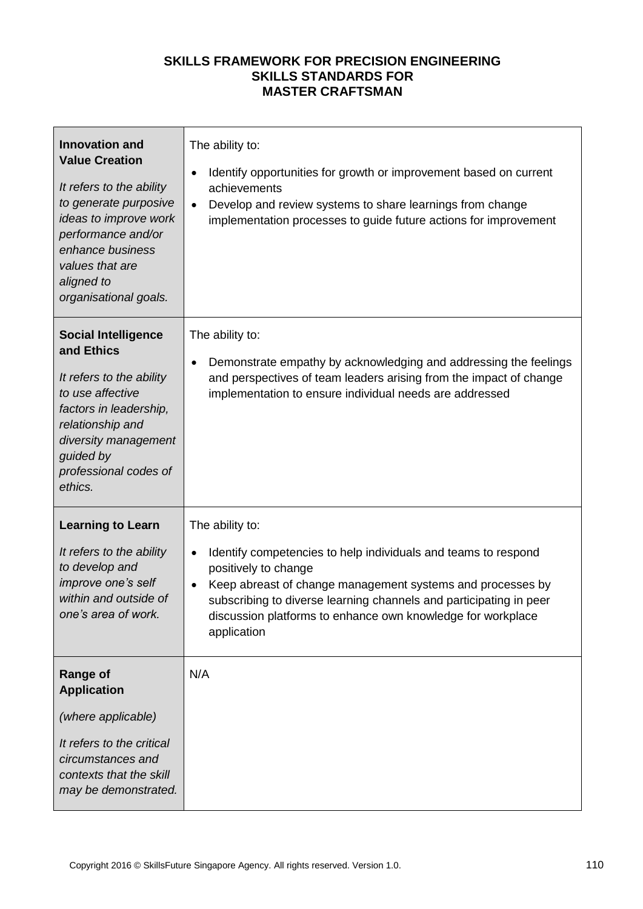| <b>Innovation and</b><br><b>Value Creation</b><br>It refers to the ability<br>to generate purposive<br>ideas to improve work<br>performance and/or<br>enhance business<br>values that are<br>aligned to<br>organisational goals. | The ability to:<br>Identify opportunities for growth or improvement based on current<br>achievements<br>Develop and review systems to share learnings from change<br>$\bullet$<br>implementation processes to guide future actions for improvement                                                                                       |
|----------------------------------------------------------------------------------------------------------------------------------------------------------------------------------------------------------------------------------|------------------------------------------------------------------------------------------------------------------------------------------------------------------------------------------------------------------------------------------------------------------------------------------------------------------------------------------|
| <b>Social Intelligence</b><br>and Ethics<br>It refers to the ability<br>to use affective<br>factors in leadership,<br>relationship and<br>diversity management<br>guided by<br>professional codes of<br>ethics.                  | The ability to:<br>Demonstrate empathy by acknowledging and addressing the feelings<br>$\bullet$<br>and perspectives of team leaders arising from the impact of change<br>implementation to ensure individual needs are addressed                                                                                                        |
| <b>Learning to Learn</b><br>It refers to the ability<br>to develop and<br>improve one's self<br>within and outside of<br>one's area of work.                                                                                     | The ability to:<br>Identify competencies to help individuals and teams to respond<br>$\bullet$<br>positively to change<br>Keep abreast of change management systems and processes by<br>subscribing to diverse learning channels and participating in peer<br>discussion platforms to enhance own knowledge for workplace<br>application |
| <b>Range of</b><br><b>Application</b><br>(where applicable)<br>It refers to the critical<br>circumstances and<br>contexts that the skill<br>may be demonstrated.                                                                 | N/A                                                                                                                                                                                                                                                                                                                                      |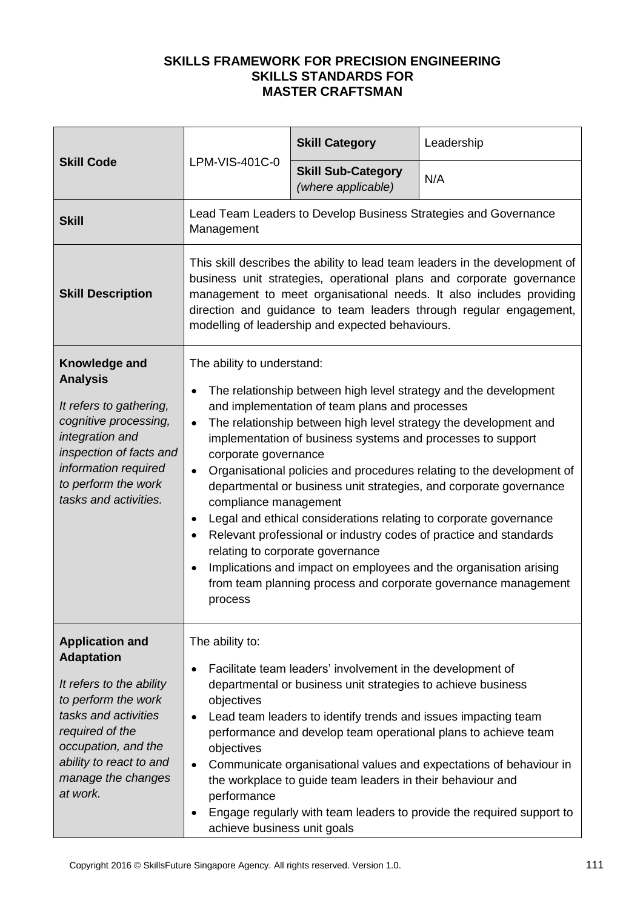| <b>Skill Code</b>                                                                                                                                                                                                             |                                                                                                                                                                                                                                                                                                                                                                                                                                                                                                                                                                                                                                                                                                                                                                                                                                               | <b>Skill Category</b>                                                                                                                                                                                                                                      | Leadership                                                                                                                                                                                                    |
|-------------------------------------------------------------------------------------------------------------------------------------------------------------------------------------------------------------------------------|-----------------------------------------------------------------------------------------------------------------------------------------------------------------------------------------------------------------------------------------------------------------------------------------------------------------------------------------------------------------------------------------------------------------------------------------------------------------------------------------------------------------------------------------------------------------------------------------------------------------------------------------------------------------------------------------------------------------------------------------------------------------------------------------------------------------------------------------------|------------------------------------------------------------------------------------------------------------------------------------------------------------------------------------------------------------------------------------------------------------|---------------------------------------------------------------------------------------------------------------------------------------------------------------------------------------------------------------|
|                                                                                                                                                                                                                               | LPM-VIS-401C-0                                                                                                                                                                                                                                                                                                                                                                                                                                                                                                                                                                                                                                                                                                                                                                                                                                | <b>Skill Sub-Category</b><br>(where applicable)                                                                                                                                                                                                            | N/A                                                                                                                                                                                                           |
| <b>Skill</b>                                                                                                                                                                                                                  | Management                                                                                                                                                                                                                                                                                                                                                                                                                                                                                                                                                                                                                                                                                                                                                                                                                                    |                                                                                                                                                                                                                                                            | Lead Team Leaders to Develop Business Strategies and Governance                                                                                                                                               |
| <b>Skill Description</b>                                                                                                                                                                                                      | This skill describes the ability to lead team leaders in the development of<br>business unit strategies, operational plans and corporate governance<br>management to meet organisational needs. It also includes providing<br>direction and guidance to team leaders through regular engagement,<br>modelling of leadership and expected behaviours.                                                                                                                                                                                                                                                                                                                                                                                                                                                                                          |                                                                                                                                                                                                                                                            |                                                                                                                                                                                                               |
| Knowledge and<br><b>Analysis</b><br>It refers to gathering,<br>cognitive processing,<br>integration and<br>inspection of facts and<br>information required<br>to perform the work<br>tasks and activities.                    | The ability to understand:<br>The relationship between high level strategy and the development<br>and implementation of team plans and processes<br>The relationship between high level strategy the development and<br>$\bullet$<br>implementation of business systems and processes to support<br>corporate governance<br>Organisational policies and procedures relating to the development of<br>departmental or business unit strategies, and corporate governance<br>compliance management<br>Legal and ethical considerations relating to corporate governance<br>$\bullet$<br>Relevant professional or industry codes of practice and standards<br>relating to corporate governance<br>Implications and impact on employees and the organisation arising<br>from team planning process and corporate governance management<br>process |                                                                                                                                                                                                                                                            |                                                                                                                                                                                                               |
| <b>Application and</b><br><b>Adaptation</b><br>It refers to the ability<br>to perform the work<br>tasks and activities<br>required of the<br>occupation, and the<br>ability to react to and<br>manage the changes<br>at work. | The ability to:<br>objectives<br>objectives<br>performance<br>achieve business unit goals                                                                                                                                                                                                                                                                                                                                                                                                                                                                                                                                                                                                                                                                                                                                                     | Facilitate team leaders' involvement in the development of<br>departmental or business unit strategies to achieve business<br>Lead team leaders to identify trends and issues impacting team<br>the workplace to guide team leaders in their behaviour and | performance and develop team operational plans to achieve team<br>Communicate organisational values and expectations of behaviour in<br>Engage regularly with team leaders to provide the required support to |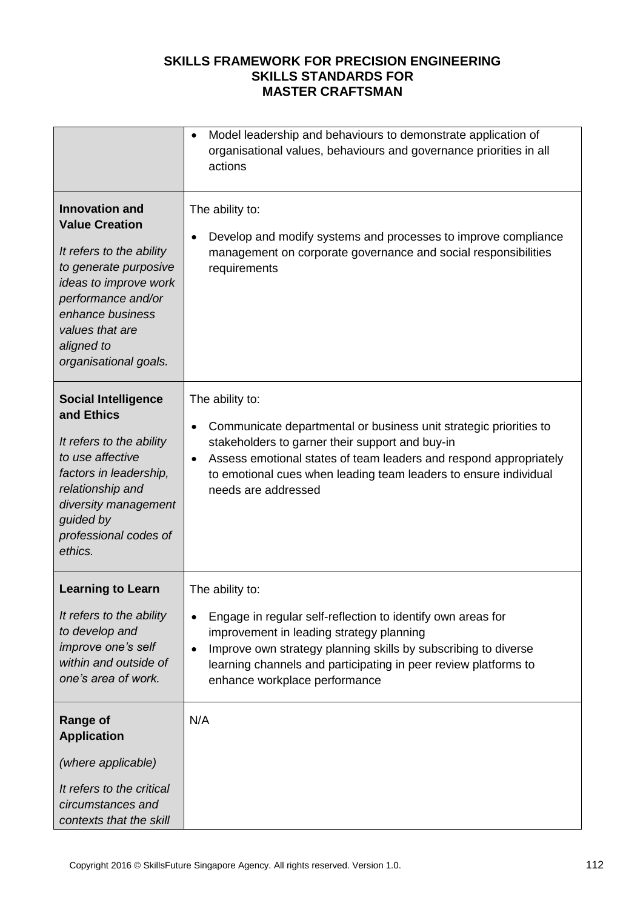|                                                                                                                                                                                                                                  | Model leadership and behaviours to demonstrate application of<br>$\bullet$<br>organisational values, behaviours and governance priorities in all<br>actions                                                                                                                                                                       |
|----------------------------------------------------------------------------------------------------------------------------------------------------------------------------------------------------------------------------------|-----------------------------------------------------------------------------------------------------------------------------------------------------------------------------------------------------------------------------------------------------------------------------------------------------------------------------------|
| <b>Innovation and</b><br><b>Value Creation</b><br>It refers to the ability<br>to generate purposive<br>ideas to improve work<br>performance and/or<br>enhance business<br>values that are<br>aligned to<br>organisational goals. | The ability to:<br>Develop and modify systems and processes to improve compliance<br>management on corporate governance and social responsibilities<br>requirements                                                                                                                                                               |
| <b>Social Intelligence</b><br>and Ethics<br>It refers to the ability<br>to use affective<br>factors in leadership,<br>relationship and<br>diversity management<br>guided by<br>professional codes of<br>ethics.                  | The ability to:<br>Communicate departmental or business unit strategic priorities to<br>$\bullet$<br>stakeholders to garner their support and buy-in<br>Assess emotional states of team leaders and respond appropriately<br>$\bullet$<br>to emotional cues when leading team leaders to ensure individual<br>needs are addressed |
| <b>Learning to Learn</b><br>It refers to the ability<br>to develop and<br>improve one's self<br>within and outside of<br>one's area of work.                                                                                     | The ability to:<br>Engage in regular self-reflection to identify own areas for<br>improvement in leading strategy planning<br>Improve own strategy planning skills by subscribing to diverse<br>learning channels and participating in peer review platforms to<br>enhance workplace performance                                  |
| <b>Range of</b><br><b>Application</b><br>(where applicable)<br>It refers to the critical<br>circumstances and<br>contexts that the skill                                                                                         | N/A                                                                                                                                                                                                                                                                                                                               |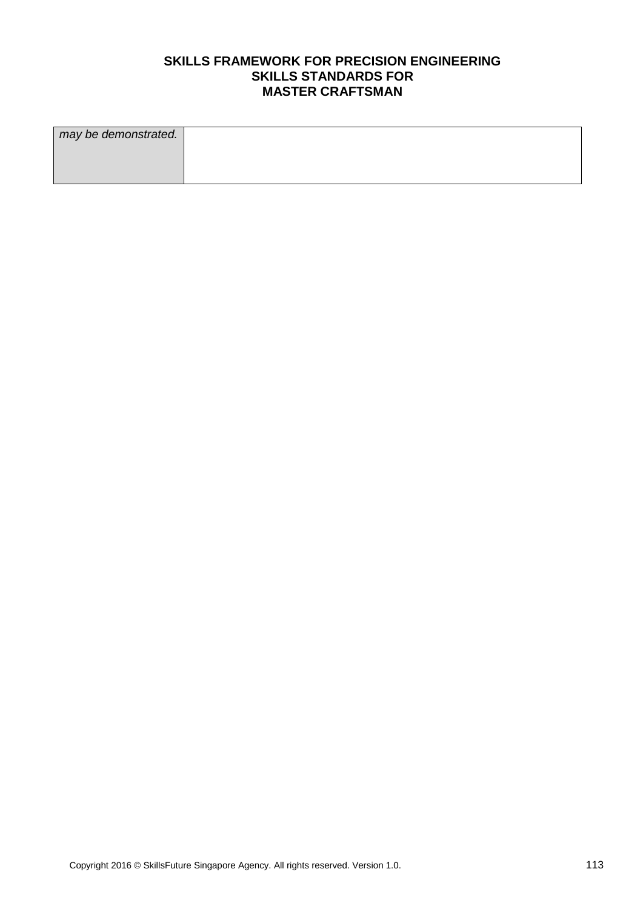| may be demonstrated. |  |
|----------------------|--|
|                      |  |
|                      |  |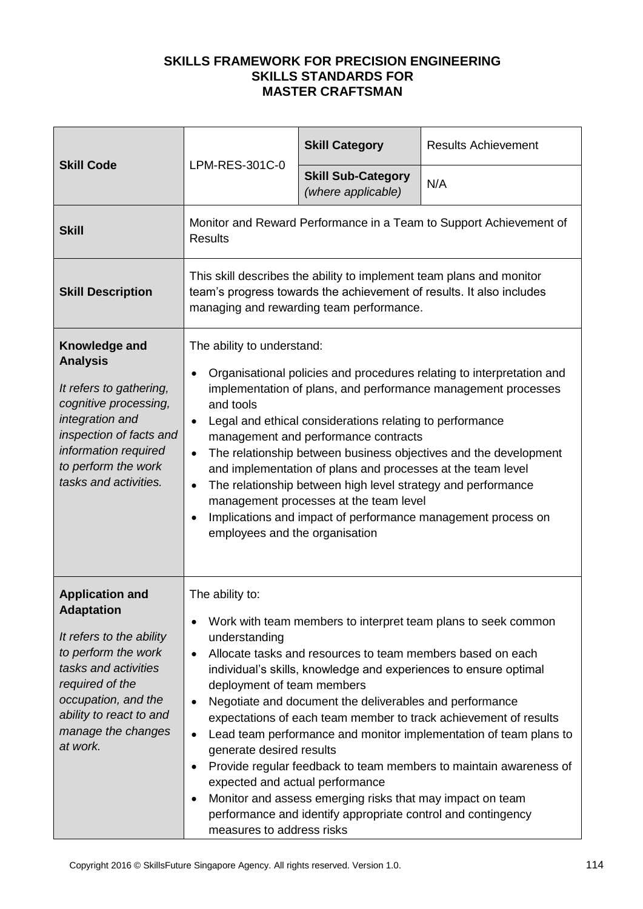| <b>Skill Code</b>                                                                                                                                                                                                             | LPM-RES-301C-0                                                                                                                                                                                                                                                                                                                                                                                                                                                                                                                                                                                                                                                                                        | <b>Skill Category</b>                                                                                                                                                                                                                              | <b>Results Achievement</b>                                                                                                                                                                                                                                                                                                                      |
|-------------------------------------------------------------------------------------------------------------------------------------------------------------------------------------------------------------------------------|-------------------------------------------------------------------------------------------------------------------------------------------------------------------------------------------------------------------------------------------------------------------------------------------------------------------------------------------------------------------------------------------------------------------------------------------------------------------------------------------------------------------------------------------------------------------------------------------------------------------------------------------------------------------------------------------------------|----------------------------------------------------------------------------------------------------------------------------------------------------------------------------------------------------------------------------------------------------|-------------------------------------------------------------------------------------------------------------------------------------------------------------------------------------------------------------------------------------------------------------------------------------------------------------------------------------------------|
|                                                                                                                                                                                                                               |                                                                                                                                                                                                                                                                                                                                                                                                                                                                                                                                                                                                                                                                                                       | <b>Skill Sub-Category</b><br>(where applicable)                                                                                                                                                                                                    | N/A                                                                                                                                                                                                                                                                                                                                             |
| <b>Skill</b>                                                                                                                                                                                                                  | Monitor and Reward Performance in a Team to Support Achievement of<br><b>Results</b>                                                                                                                                                                                                                                                                                                                                                                                                                                                                                                                                                                                                                  |                                                                                                                                                                                                                                                    |                                                                                                                                                                                                                                                                                                                                                 |
| <b>Skill Description</b>                                                                                                                                                                                                      | This skill describes the ability to implement team plans and monitor<br>team's progress towards the achievement of results. It also includes<br>managing and rewarding team performance.                                                                                                                                                                                                                                                                                                                                                                                                                                                                                                              |                                                                                                                                                                                                                                                    |                                                                                                                                                                                                                                                                                                                                                 |
| Knowledge and<br><b>Analysis</b><br>It refers to gathering,<br>cognitive processing,<br>integration and<br>inspection of facts and<br>information required<br>to perform the work<br>tasks and activities.                    | The ability to understand:<br>Organisational policies and procedures relating to interpretation and<br>$\bullet$<br>implementation of plans, and performance management processes<br>and tools<br>Legal and ethical considerations relating to performance<br>$\bullet$<br>management and performance contracts<br>The relationship between business objectives and the development<br>$\bullet$<br>and implementation of plans and processes at the team level<br>The relationship between high level strategy and performance<br>$\bullet$<br>management processes at the team level<br>Implications and impact of performance management process on<br>$\bullet$<br>employees and the organisation |                                                                                                                                                                                                                                                    |                                                                                                                                                                                                                                                                                                                                                 |
| <b>Application and</b><br><b>Adaptation</b><br>It refers to the ability<br>to perform the work<br>tasks and activities<br>required of the<br>occupation, and the<br>ability to react to and<br>manage the changes<br>at work. | The ability to:<br>understanding<br>$\bullet$<br>deployment of team members<br>$\bullet$<br>$\bullet$<br>generate desired results<br>$\bullet$<br>expected and actual performance<br>$\bullet$<br>measures to address risks                                                                                                                                                                                                                                                                                                                                                                                                                                                                           | Allocate tasks and resources to team members based on each<br>Negotiate and document the deliverables and performance<br>Monitor and assess emerging risks that may impact on team<br>performance and identify appropriate control and contingency | Work with team members to interpret team plans to seek common<br>individual's skills, knowledge and experiences to ensure optimal<br>expectations of each team member to track achievement of results<br>Lead team performance and monitor implementation of team plans to<br>Provide regular feedback to team members to maintain awareness of |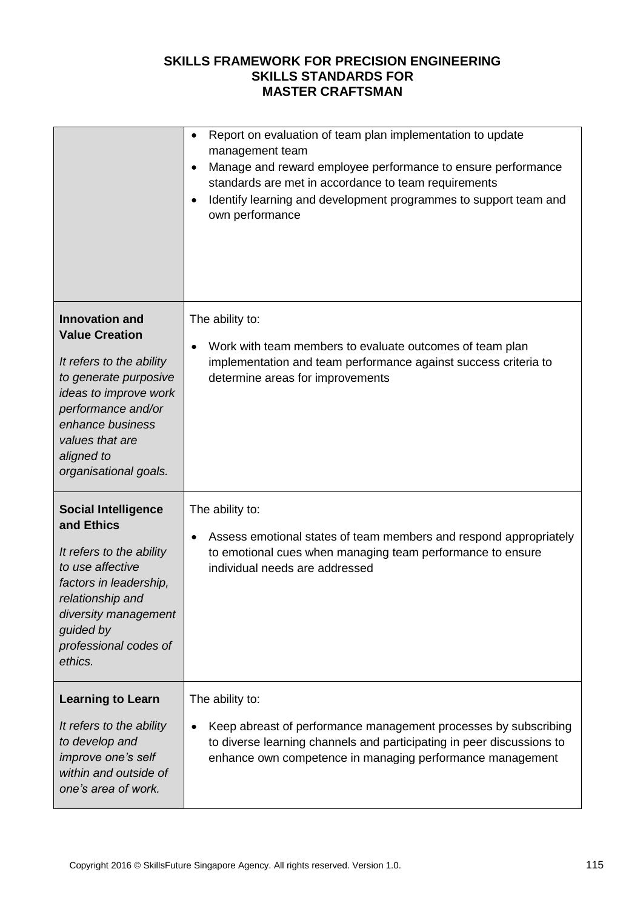|                                                                                                                                                                                                                                  | Report on evaluation of team plan implementation to update<br>management team<br>Manage and reward employee performance to ensure performance<br>standards are met in accordance to team requirements<br>Identify learning and development programmes to support team and<br>own performance |
|----------------------------------------------------------------------------------------------------------------------------------------------------------------------------------------------------------------------------------|----------------------------------------------------------------------------------------------------------------------------------------------------------------------------------------------------------------------------------------------------------------------------------------------|
| <b>Innovation and</b><br><b>Value Creation</b><br>It refers to the ability<br>to generate purposive<br>ideas to improve work<br>performance and/or<br>enhance business<br>values that are<br>aligned to<br>organisational goals. | The ability to:<br>Work with team members to evaluate outcomes of team plan<br>implementation and team performance against success criteria to<br>determine areas for improvements                                                                                                           |
| <b>Social Intelligence</b><br>and Ethics<br>It refers to the ability<br>to use affective<br>factors in leadership,<br>relationship and<br>diversity management<br>guided by<br>professional codes of<br>ethics.                  | The ability to:<br>Assess emotional states of team members and respond appropriately<br>to emotional cues when managing team performance to ensure<br>individual needs are addressed                                                                                                         |
| <b>Learning to Learn</b><br>It refers to the ability<br>to develop and<br>improve one's self<br>within and outside of<br>one's area of work.                                                                                     | The ability to:<br>Keep abreast of performance management processes by subscribing<br>to diverse learning channels and participating in peer discussions to<br>enhance own competence in managing performance management                                                                     |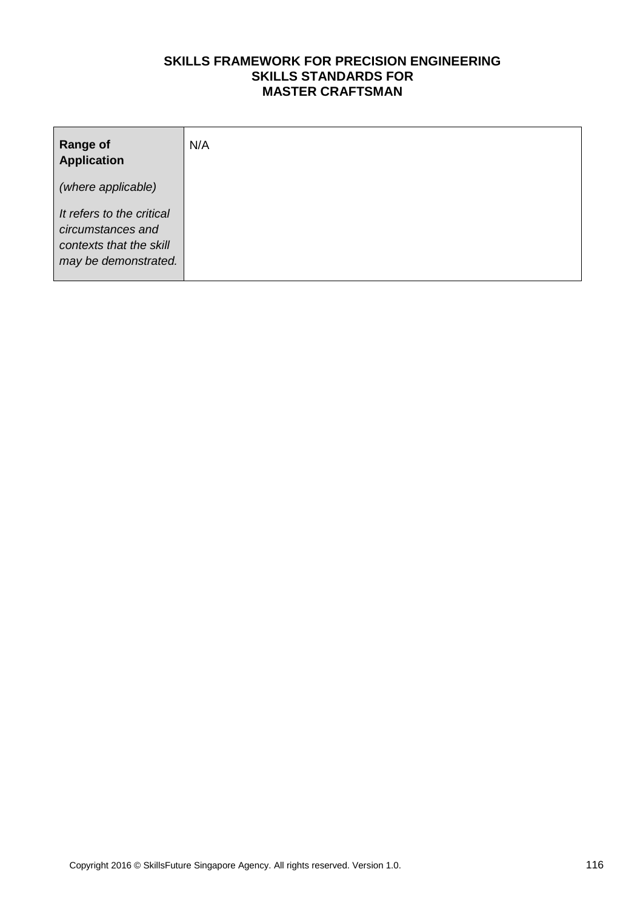| <b>Range of</b><br><b>Application</b>                                                             | N/A |
|---------------------------------------------------------------------------------------------------|-----|
| (where applicable)                                                                                |     |
| It refers to the critical<br>circumstances and<br>contexts that the skill<br>may be demonstrated. |     |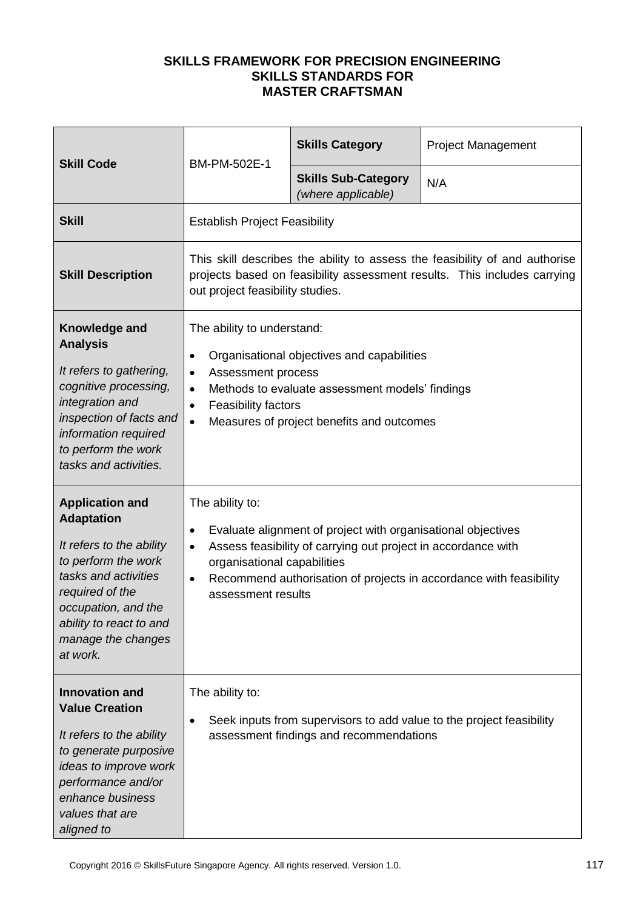| <b>Skill Code</b>                                                                                                                                                                                                             | BM-PM-502E-1                                                                                                                                                                                                                                                                                               | <b>Skills Category</b>                           | <b>Project Management</b>                                            |
|-------------------------------------------------------------------------------------------------------------------------------------------------------------------------------------------------------------------------------|------------------------------------------------------------------------------------------------------------------------------------------------------------------------------------------------------------------------------------------------------------------------------------------------------------|--------------------------------------------------|----------------------------------------------------------------------|
|                                                                                                                                                                                                                               |                                                                                                                                                                                                                                                                                                            | <b>Skills Sub-Category</b><br>(where applicable) | N/A                                                                  |
| <b>Skill</b>                                                                                                                                                                                                                  | <b>Establish Project Feasibility</b>                                                                                                                                                                                                                                                                       |                                                  |                                                                      |
| <b>Skill Description</b>                                                                                                                                                                                                      | This skill describes the ability to assess the feasibility of and authorise<br>projects based on feasibility assessment results. This includes carrying<br>out project feasibility studies.                                                                                                                |                                                  |                                                                      |
| Knowledge and<br><b>Analysis</b><br>It refers to gathering,<br>cognitive processing,<br>integration and<br>inspection of facts and<br>information required<br>to perform the work<br>tasks and activities.                    | The ability to understand:<br>Organisational objectives and capabilities<br>$\bullet$<br>Assessment process<br>$\bullet$<br>Methods to evaluate assessment models' findings<br>$\bullet$<br>Feasibility factors<br>$\bullet$<br>Measures of project benefits and outcomes<br>$\bullet$                     |                                                  |                                                                      |
| <b>Application and</b><br><b>Adaptation</b><br>It refers to the ability<br>to perform the work<br>tasks and activities<br>required of the<br>occupation, and the<br>ability to react to and<br>manage the changes<br>at work. | The ability to:<br>Evaluate alignment of project with organisational objectives<br>٠<br>Assess feasibility of carrying out project in accordance with<br>$\bullet$<br>organisational capabilities<br>Recommend authorisation of projects in accordance with feasibility<br>$\bullet$<br>assessment results |                                                  |                                                                      |
| <b>Innovation and</b><br><b>Value Creation</b><br>It refers to the ability<br>to generate purposive<br>ideas to improve work<br>performance and/or<br>enhance business<br>values that are<br>aligned to                       | The ability to:<br>$\bullet$                                                                                                                                                                                                                                                                               | assessment findings and recommendations          | Seek inputs from supervisors to add value to the project feasibility |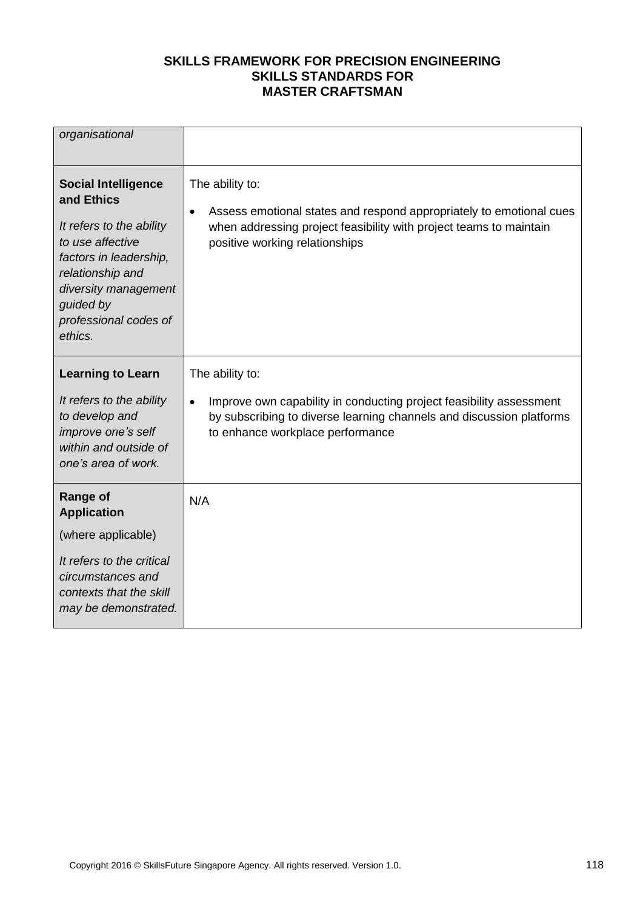| organisational                                                                                                                                                                                                  |                                                                                                                                                                                                                 |
|-----------------------------------------------------------------------------------------------------------------------------------------------------------------------------------------------------------------|-----------------------------------------------------------------------------------------------------------------------------------------------------------------------------------------------------------------|
| <b>Social Intelligence</b><br>and Ethics<br>It refers to the ability<br>to use affective<br>factors in leadership,<br>relationship and<br>diversity management<br>guided by<br>professional codes of<br>ethics. | The ability to:<br>Assess emotional states and respond appropriately to emotional cues<br>$\bullet$<br>when addressing project feasibility with project teams to maintain<br>positive working relationships     |
| <b>Learning to Learn</b><br>It refers to the ability<br>to develop and<br>improve one's self<br>within and outside of<br>one's area of work.                                                                    | The ability to:<br>Improve own capability in conducting project feasibility assessment<br>$\bullet$<br>by subscribing to diverse learning channels and discussion platforms<br>to enhance workplace performance |
| <b>Range of</b><br><b>Application</b><br>(where applicable)<br>It refers to the critical<br>circumstances and<br>contexts that the skill<br>may be demonstrated.                                                | N/A                                                                                                                                                                                                             |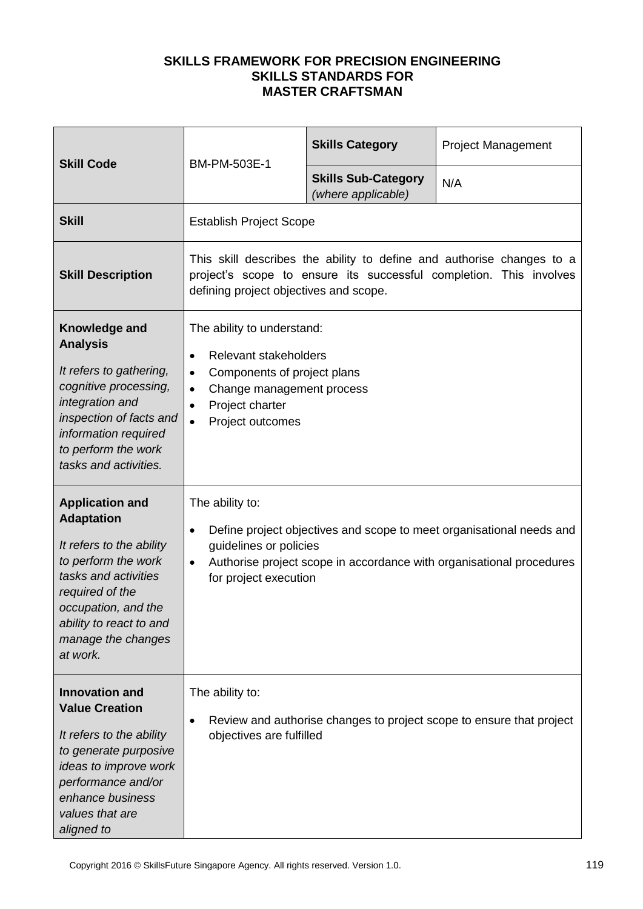| <b>Skill Code</b>                                                                                                                                                                                                             |                                                                                                                                                                                                                                              | <b>Skills Category</b>                           | <b>Project Management</b>                                            |
|-------------------------------------------------------------------------------------------------------------------------------------------------------------------------------------------------------------------------------|----------------------------------------------------------------------------------------------------------------------------------------------------------------------------------------------------------------------------------------------|--------------------------------------------------|----------------------------------------------------------------------|
|                                                                                                                                                                                                                               | BM-PM-503E-1                                                                                                                                                                                                                                 | <b>Skills Sub-Category</b><br>(where applicable) | N/A                                                                  |
| <b>Skill</b>                                                                                                                                                                                                                  | <b>Establish Project Scope</b>                                                                                                                                                                                                               |                                                  |                                                                      |
| <b>Skill Description</b>                                                                                                                                                                                                      | This skill describes the ability to define and authorise changes to a<br>project's scope to ensure its successful completion. This involves<br>defining project objectives and scope.                                                        |                                                  |                                                                      |
| Knowledge and<br><b>Analysis</b><br>It refers to gathering,<br>cognitive processing,<br>integration and<br>inspection of facts and<br>information required<br>to perform the work<br>tasks and activities.                    | The ability to understand:<br>Relevant stakeholders<br>$\bullet$<br>Components of project plans<br>$\bullet$<br>Change management process<br>$\bullet$<br>Project charter<br>$\bullet$<br>Project outcomes<br>$\bullet$                      |                                                  |                                                                      |
| <b>Application and</b><br><b>Adaptation</b><br>It refers to the ability<br>to perform the work<br>tasks and activities<br>required of the<br>occupation, and the<br>ability to react to and<br>manage the changes<br>at work. | The ability to:<br>Define project objectives and scope to meet organisational needs and<br>$\bullet$<br>guidelines or policies<br>Authorise project scope in accordance with organisational procedures<br>$\bullet$<br>for project execution |                                                  |                                                                      |
| <b>Innovation and</b><br><b>Value Creation</b><br>It refers to the ability<br>to generate purposive<br>ideas to improve work<br>performance and/or<br>enhance business<br>values that are<br>aligned to                       | The ability to:<br>$\bullet$<br>objectives are fulfilled                                                                                                                                                                                     |                                                  | Review and authorise changes to project scope to ensure that project |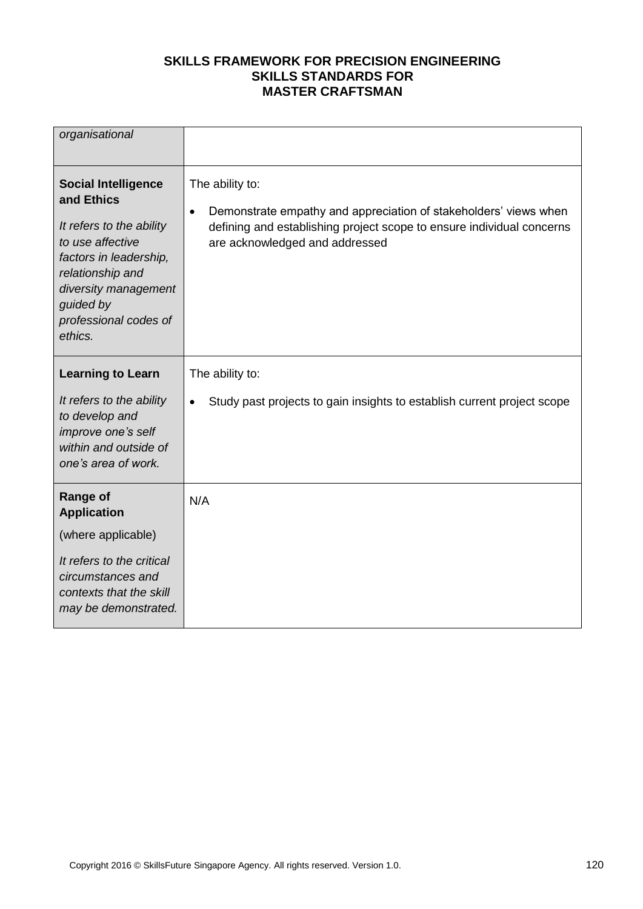| organisational                                                                                                                                                                                                  |                                                                                                                                                                                                             |
|-----------------------------------------------------------------------------------------------------------------------------------------------------------------------------------------------------------------|-------------------------------------------------------------------------------------------------------------------------------------------------------------------------------------------------------------|
| <b>Social Intelligence</b><br>and Ethics<br>It refers to the ability<br>to use affective<br>factors in leadership,<br>relationship and<br>diversity management<br>guided by<br>professional codes of<br>ethics. | The ability to:<br>Demonstrate empathy and appreciation of stakeholders' views when<br>$\bullet$<br>defining and establishing project scope to ensure individual concerns<br>are acknowledged and addressed |
| <b>Learning to Learn</b>                                                                                                                                                                                        | The ability to:                                                                                                                                                                                             |
| It refers to the ability<br>to develop and<br>improve one's self<br>within and outside of<br>one's area of work.                                                                                                | Study past projects to gain insights to establish current project scope<br>$\bullet$                                                                                                                        |
| <b>Range of</b><br><b>Application</b>                                                                                                                                                                           | N/A                                                                                                                                                                                                         |
| (where applicable)                                                                                                                                                                                              |                                                                                                                                                                                                             |
| It refers to the critical<br>circumstances and<br>contexts that the skill<br>may be demonstrated.                                                                                                               |                                                                                                                                                                                                             |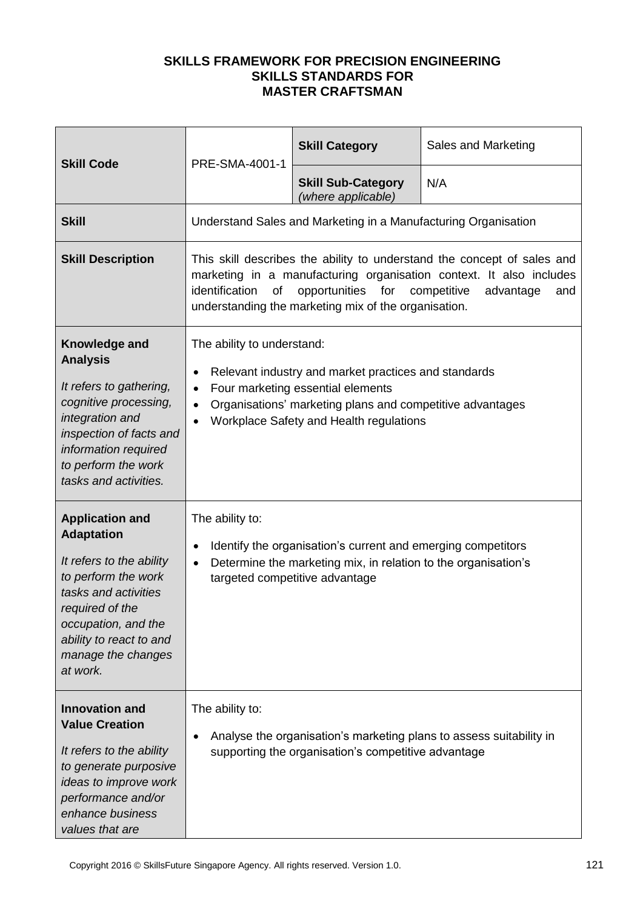| <b>Skill Code</b>                                                                                                                                                                                                             | PRE-SMA-4001-1                                                                                                                                                                                                                                                                            | <b>Skill Category</b>                                          | Sales and Marketing                                                 |
|-------------------------------------------------------------------------------------------------------------------------------------------------------------------------------------------------------------------------------|-------------------------------------------------------------------------------------------------------------------------------------------------------------------------------------------------------------------------------------------------------------------------------------------|----------------------------------------------------------------|---------------------------------------------------------------------|
|                                                                                                                                                                                                                               |                                                                                                                                                                                                                                                                                           | <b>Skill Sub-Category</b><br>(where applicable)                | N/A                                                                 |
| <b>Skill</b>                                                                                                                                                                                                                  |                                                                                                                                                                                                                                                                                           | Understand Sales and Marketing in a Manufacturing Organisation |                                                                     |
| <b>Skill Description</b>                                                                                                                                                                                                      | This skill describes the ability to understand the concept of sales and<br>marketing in a manufacturing organisation context. It also includes<br>identification<br>of<br>opportunities<br>for<br>competitive<br>advantage<br>and<br>understanding the marketing mix of the organisation. |                                                                |                                                                     |
| Knowledge and<br><b>Analysis</b><br>It refers to gathering,<br>cognitive processing,<br>integration and<br>inspection of facts and<br>information required<br>to perform the work<br>tasks and activities.                    | The ability to understand:<br>Relevant industry and market practices and standards<br>Four marketing essential elements<br>Organisations' marketing plans and competitive advantages<br>Workplace Safety and Health regulations                                                           |                                                                |                                                                     |
| <b>Application and</b><br><b>Adaptation</b><br>It refers to the ability<br>to perform the work<br>tasks and activities<br>required of the<br>occupation, and the<br>ability to react to and<br>manage the changes<br>at work. | The ability to:<br>Identify the organisation's current and emerging competitors<br>$\bullet$<br>Determine the marketing mix, in relation to the organisation's<br>targeted competitive advantage                                                                                          |                                                                |                                                                     |
| <b>Innovation and</b><br><b>Value Creation</b><br>It refers to the ability<br>to generate purposive<br>ideas to improve work<br>performance and/or<br>enhance business<br>values that are                                     | The ability to:                                                                                                                                                                                                                                                                           | supporting the organisation's competitive advantage            | Analyse the organisation's marketing plans to assess suitability in |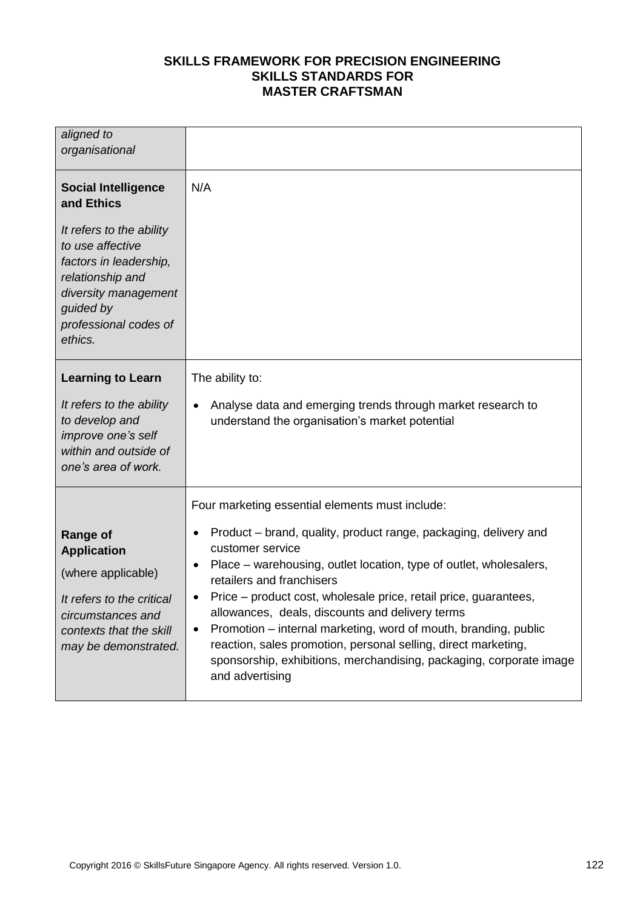| aligned to<br>organisational                                                                                                                                                                                    |                                                                                                                                                                                                                                                                                                                                                                                                                                                                                                                                                                                                               |
|-----------------------------------------------------------------------------------------------------------------------------------------------------------------------------------------------------------------|---------------------------------------------------------------------------------------------------------------------------------------------------------------------------------------------------------------------------------------------------------------------------------------------------------------------------------------------------------------------------------------------------------------------------------------------------------------------------------------------------------------------------------------------------------------------------------------------------------------|
| <b>Social Intelligence</b><br>and Ethics<br>It refers to the ability<br>to use affective<br>factors in leadership,<br>relationship and<br>diversity management<br>guided by<br>professional codes of<br>ethics. | N/A                                                                                                                                                                                                                                                                                                                                                                                                                                                                                                                                                                                                           |
| <b>Learning to Learn</b><br>It refers to the ability<br>to develop and<br>improve one's self<br>within and outside of<br>one's area of work.                                                                    | The ability to:<br>Analyse data and emerging trends through market research to<br>$\bullet$<br>understand the organisation's market potential                                                                                                                                                                                                                                                                                                                                                                                                                                                                 |
| <b>Range of</b><br><b>Application</b><br>(where applicable)<br>It refers to the critical<br>circumstances and<br>contexts that the skill<br>may be demonstrated.                                                | Four marketing essential elements must include:<br>Product – brand, quality, product range, packaging, delivery and<br>customer service<br>Place - warehousing, outlet location, type of outlet, wholesalers,<br>$\bullet$<br>retailers and franchisers<br>Price – product cost, wholesale price, retail price, guarantees,<br>allowances, deals, discounts and delivery terms<br>Promotion – internal marketing, word of mouth, branding, public<br>reaction, sales promotion, personal selling, direct marketing,<br>sponsorship, exhibitions, merchandising, packaging, corporate image<br>and advertising |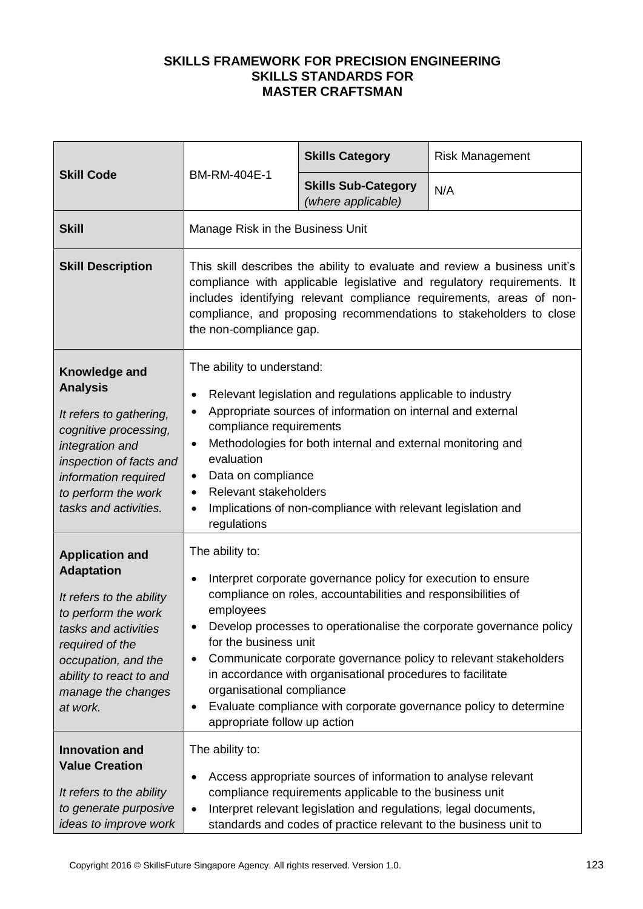| <b>Skill Code</b>                                                                                                                                                                                                             | BM-RM-404E-1                                                                                                                                                                                                                                                                                                                                                                                                                                                                                                                                         | <b>Skills Category</b>                           | <b>Risk Management</b> |
|-------------------------------------------------------------------------------------------------------------------------------------------------------------------------------------------------------------------------------|------------------------------------------------------------------------------------------------------------------------------------------------------------------------------------------------------------------------------------------------------------------------------------------------------------------------------------------------------------------------------------------------------------------------------------------------------------------------------------------------------------------------------------------------------|--------------------------------------------------|------------------------|
|                                                                                                                                                                                                                               |                                                                                                                                                                                                                                                                                                                                                                                                                                                                                                                                                      | <b>Skills Sub-Category</b><br>(where applicable) | N/A                    |
| <b>Skill</b>                                                                                                                                                                                                                  | Manage Risk in the Business Unit                                                                                                                                                                                                                                                                                                                                                                                                                                                                                                                     |                                                  |                        |
| <b>Skill Description</b>                                                                                                                                                                                                      | This skill describes the ability to evaluate and review a business unit's<br>compliance with applicable legislative and regulatory requirements. It<br>includes identifying relevant compliance requirements, areas of non-<br>compliance, and proposing recommendations to stakeholders to close<br>the non-compliance gap.                                                                                                                                                                                                                         |                                                  |                        |
| Knowledge and<br><b>Analysis</b><br>It refers to gathering,<br>cognitive processing,<br>integration and<br>inspection of facts and<br>information required<br>to perform the work<br>tasks and activities.                    | The ability to understand:<br>Relevant legislation and regulations applicable to industry<br>٠<br>Appropriate sources of information on internal and external<br>compliance requirements<br>Methodologies for both internal and external monitoring and<br>$\bullet$<br>evaluation<br>Data on compliance<br>٠<br>Relevant stakeholders<br>$\bullet$<br>Implications of non-compliance with relevant legislation and<br>regulations                                                                                                                   |                                                  |                        |
| <b>Application and</b><br><b>Adaptation</b><br>It refers to the ability<br>to perform the work<br>tasks and activities<br>required of the<br>occupation, and the<br>ability to react to and<br>manage the changes<br>at work. | The ability to:<br>Interpret corporate governance policy for execution to ensure<br>compliance on roles, accountabilities and responsibilities of<br>employees<br>Develop processes to operationalise the corporate governance policy<br>for the business unit<br>Communicate corporate governance policy to relevant stakeholders<br>٠<br>in accordance with organisational procedures to facilitate<br>organisational compliance<br>Evaluate compliance with corporate governance policy to determine<br>$\bullet$<br>appropriate follow up action |                                                  |                        |
| <b>Innovation and</b><br><b>Value Creation</b><br>It refers to the ability<br>to generate purposive<br>ideas to improve work                                                                                                  | The ability to:<br>Access appropriate sources of information to analyse relevant<br>compliance requirements applicable to the business unit<br>Interpret relevant legislation and regulations, legal documents,<br>$\bullet$<br>standards and codes of practice relevant to the business unit to                                                                                                                                                                                                                                                     |                                                  |                        |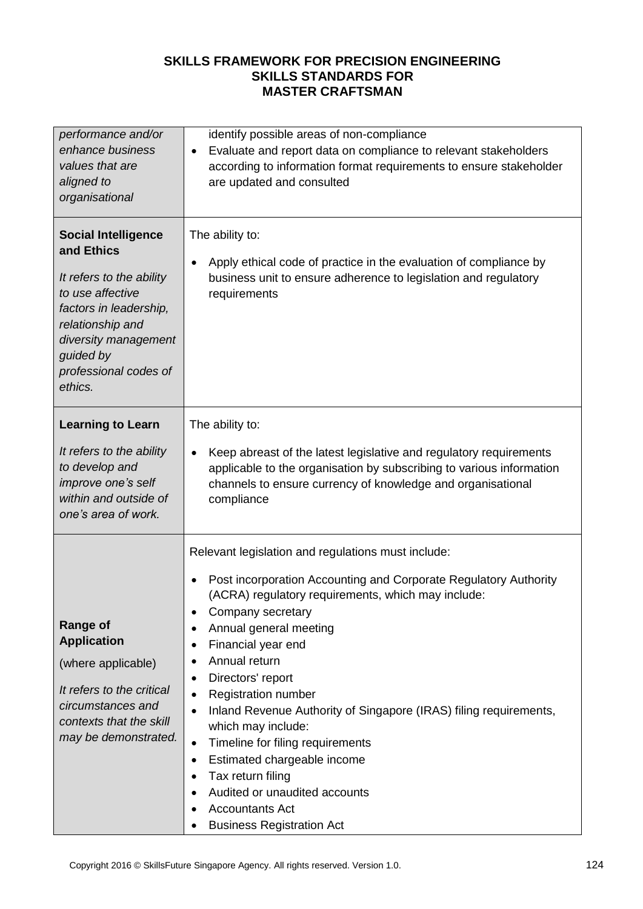| performance and/or                                                                                                                                                                                              | identify possible areas of non-compliance                                                                                                                                                                                                                                                                                                                                                                                                                                                                                                                                                                                                                                                                            |
|-----------------------------------------------------------------------------------------------------------------------------------------------------------------------------------------------------------------|----------------------------------------------------------------------------------------------------------------------------------------------------------------------------------------------------------------------------------------------------------------------------------------------------------------------------------------------------------------------------------------------------------------------------------------------------------------------------------------------------------------------------------------------------------------------------------------------------------------------------------------------------------------------------------------------------------------------|
| enhance business                                                                                                                                                                                                | Evaluate and report data on compliance to relevant stakeholders                                                                                                                                                                                                                                                                                                                                                                                                                                                                                                                                                                                                                                                      |
| values that are                                                                                                                                                                                                 | $\bullet$                                                                                                                                                                                                                                                                                                                                                                                                                                                                                                                                                                                                                                                                                                            |
| aligned to                                                                                                                                                                                                      | according to information format requirements to ensure stakeholder                                                                                                                                                                                                                                                                                                                                                                                                                                                                                                                                                                                                                                                   |
| organisational                                                                                                                                                                                                  | are updated and consulted                                                                                                                                                                                                                                                                                                                                                                                                                                                                                                                                                                                                                                                                                            |
| <b>Social Intelligence</b><br>and Ethics<br>It refers to the ability<br>to use affective<br>factors in leadership,<br>relationship and<br>diversity management<br>guided by<br>professional codes of<br>ethics. | The ability to:<br>Apply ethical code of practice in the evaluation of compliance by<br>$\bullet$<br>business unit to ensure adherence to legislation and regulatory<br>requirements                                                                                                                                                                                                                                                                                                                                                                                                                                                                                                                                 |
| <b>Learning to Learn</b>                                                                                                                                                                                        | The ability to:                                                                                                                                                                                                                                                                                                                                                                                                                                                                                                                                                                                                                                                                                                      |
| It refers to the ability                                                                                                                                                                                        | Keep abreast of the latest legislative and regulatory requirements                                                                                                                                                                                                                                                                                                                                                                                                                                                                                                                                                                                                                                                   |
| to develop and                                                                                                                                                                                                  | $\bullet$                                                                                                                                                                                                                                                                                                                                                                                                                                                                                                                                                                                                                                                                                                            |
| improve one's self                                                                                                                                                                                              | applicable to the organisation by subscribing to various information                                                                                                                                                                                                                                                                                                                                                                                                                                                                                                                                                                                                                                                 |
| within and outside of                                                                                                                                                                                           | channels to ensure currency of knowledge and organisational                                                                                                                                                                                                                                                                                                                                                                                                                                                                                                                                                                                                                                                          |
| one's area of work.                                                                                                                                                                                             | compliance                                                                                                                                                                                                                                                                                                                                                                                                                                                                                                                                                                                                                                                                                                           |
| <b>Range of</b><br><b>Application</b><br>(where applicable)<br>It refers to the critical<br>circumstances and<br>contexts that the skill<br>may be demonstrated.                                                | Relevant legislation and regulations must include:<br>Post incorporation Accounting and Corporate Regulatory Authority<br>$\bullet$<br>(ACRA) regulatory requirements, which may include:<br>Company secretary<br>Annual general meeting<br>٠<br>Financial year end<br>$\bullet$<br>Annual return<br>$\bullet$<br>Directors' report<br>$\bullet$<br><b>Registration number</b><br>$\bullet$<br>Inland Revenue Authority of Singapore (IRAS) filing requirements,<br>$\bullet$<br>which may include:<br>Timeline for filing requirements<br>$\bullet$<br>Estimated chargeable income<br>$\bullet$<br>Tax return filing<br>Audited or unaudited accounts<br><b>Accountants Act</b><br><b>Business Registration Act</b> |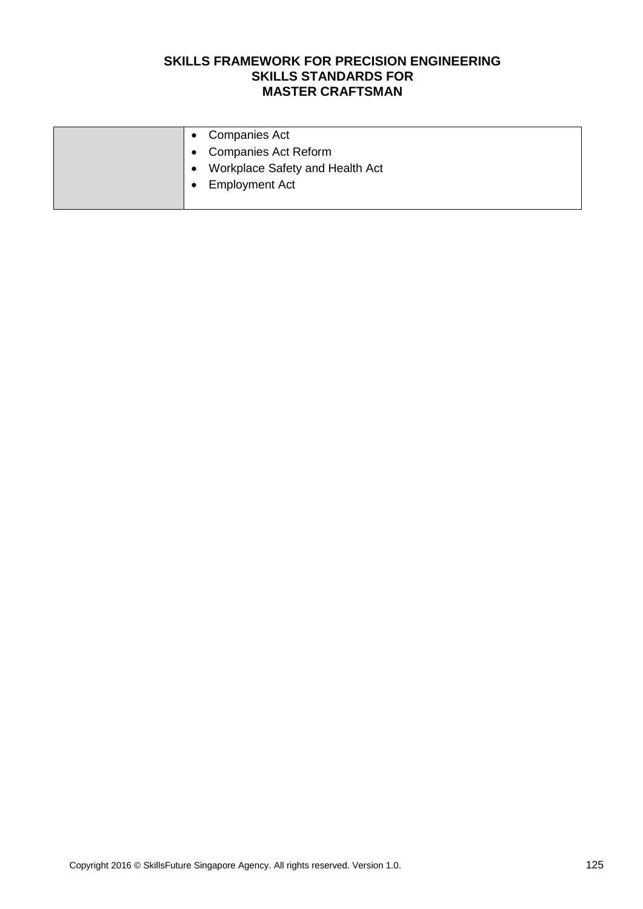| • Companies Act                   |
|-----------------------------------|
| • Companies Act Reform            |
| • Workplace Safety and Health Act |
| <b>Employment Act</b>             |
|                                   |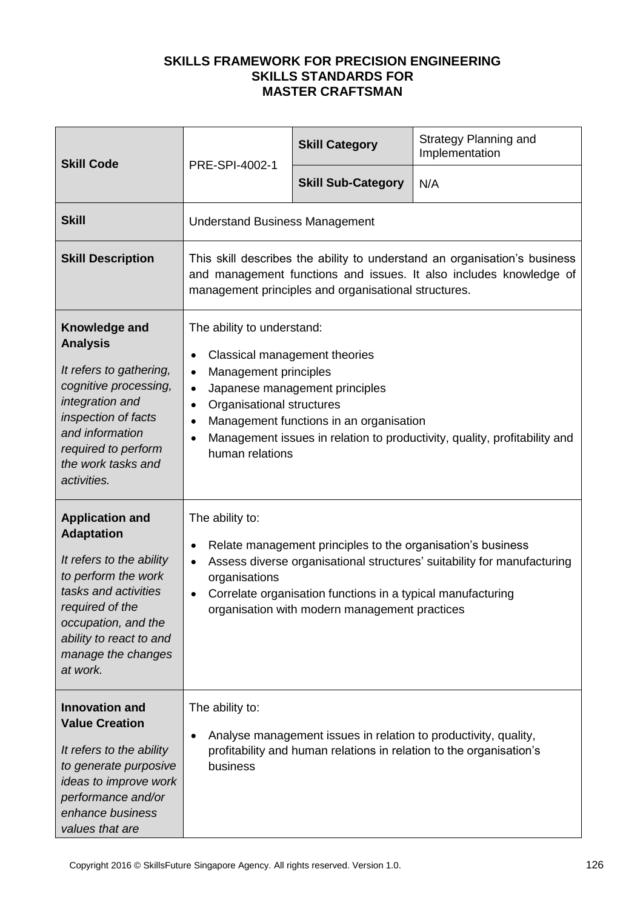| <b>Skill Code</b>                                                                                                                                                                                                             | PRE-SPI-4002-1                                                                                                                                                                                                                                                                                                                                                               | <b>Skill Category</b>     | <b>Strategy Planning and</b><br>Implementation |
|-------------------------------------------------------------------------------------------------------------------------------------------------------------------------------------------------------------------------------|------------------------------------------------------------------------------------------------------------------------------------------------------------------------------------------------------------------------------------------------------------------------------------------------------------------------------------------------------------------------------|---------------------------|------------------------------------------------|
|                                                                                                                                                                                                                               |                                                                                                                                                                                                                                                                                                                                                                              | <b>Skill Sub-Category</b> | N/A                                            |
| <b>Skill</b>                                                                                                                                                                                                                  | <b>Understand Business Management</b>                                                                                                                                                                                                                                                                                                                                        |                           |                                                |
| <b>Skill Description</b>                                                                                                                                                                                                      | This skill describes the ability to understand an organisation's business<br>and management functions and issues. It also includes knowledge of<br>management principles and organisational structures.                                                                                                                                                                      |                           |                                                |
| Knowledge and<br><b>Analysis</b><br>It refers to gathering,<br>cognitive processing,<br>integration and<br>inspection of facts<br>and information<br>required to perform<br>the work tasks and<br>activities.                 | The ability to understand:<br>Classical management theories<br>$\bullet$<br>Management principles<br>$\bullet$<br>Japanese management principles<br>$\bullet$<br>Organisational structures<br>$\bullet$<br>Management functions in an organisation<br>$\bullet$<br>Management issues in relation to productivity, quality, profitability and<br>$\bullet$<br>human relations |                           |                                                |
| <b>Application and</b><br><b>Adaptation</b><br>It refers to the ability<br>to perform the work<br>tasks and activities<br>required of the<br>occupation, and the<br>ability to react to and<br>manage the changes<br>at work. | The ability to:<br>Relate management principles to the organisation's business<br>$\bullet$<br>Assess diverse organisational structures' suitability for manufacturing<br>$\bullet$<br>organisations<br>Correlate organisation functions in a typical manufacturing<br>organisation with modern management practices                                                         |                           |                                                |
| <b>Innovation and</b><br><b>Value Creation</b><br>It refers to the ability<br>to generate purposive<br>ideas to improve work<br>performance and/or<br>enhance business<br>values that are                                     | The ability to:<br>Analyse management issues in relation to productivity, quality,<br>٠<br>profitability and human relations in relation to the organisation's<br>business                                                                                                                                                                                                   |                           |                                                |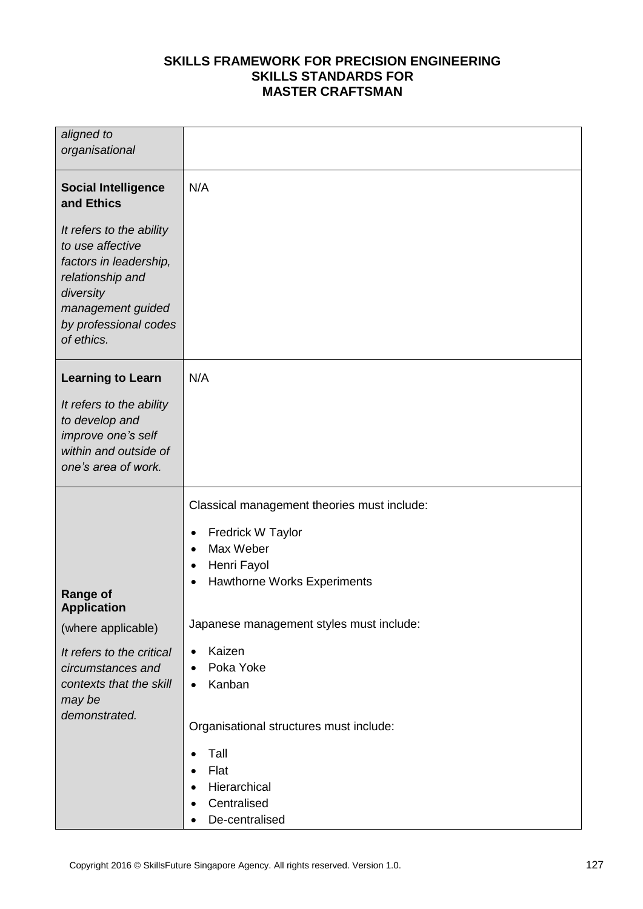| aligned to<br>organisational                                                                                                                                        |                                                                             |
|---------------------------------------------------------------------------------------------------------------------------------------------------------------------|-----------------------------------------------------------------------------|
| <b>Social Intelligence</b><br>and Ethics                                                                                                                            | N/A                                                                         |
| It refers to the ability<br>to use affective<br>factors in leadership,<br>relationship and<br>diversity<br>management guided<br>by professional codes<br>of ethics. |                                                                             |
| <b>Learning to Learn</b>                                                                                                                                            | N/A                                                                         |
| It refers to the ability<br>to develop and<br>improve one's self<br>within and outside of<br>one's area of work.                                                    |                                                                             |
|                                                                                                                                                                     | Classical management theories must include:                                 |
|                                                                                                                                                                     | Fredrick W Taylor<br>$\bullet$                                              |
|                                                                                                                                                                     | Max Weber<br>$\bullet$                                                      |
|                                                                                                                                                                     | Henri Fayol<br>$\bullet$<br><b>Hawthorne Works Experiments</b><br>$\bullet$ |
| <b>Range of</b><br><b>Application</b>                                                                                                                               |                                                                             |
| (where applicable)                                                                                                                                                  | Japanese management styles must include:                                    |
| It refers to the critical                                                                                                                                           | Kaizen<br>$\bullet$                                                         |
| circumstances and                                                                                                                                                   | Poka Yoke<br>$\bullet$                                                      |
| contexts that the skill<br>may be                                                                                                                                   | Kanban<br>$\bullet$                                                         |
| demonstrated.                                                                                                                                                       |                                                                             |
|                                                                                                                                                                     | Organisational structures must include:                                     |
|                                                                                                                                                                     | Tall<br>$\bullet$                                                           |
|                                                                                                                                                                     | Flat<br>$\bullet$                                                           |
|                                                                                                                                                                     | Hierarchical<br>$\bullet$<br>Centralised<br>с                               |
|                                                                                                                                                                     | De-centralised                                                              |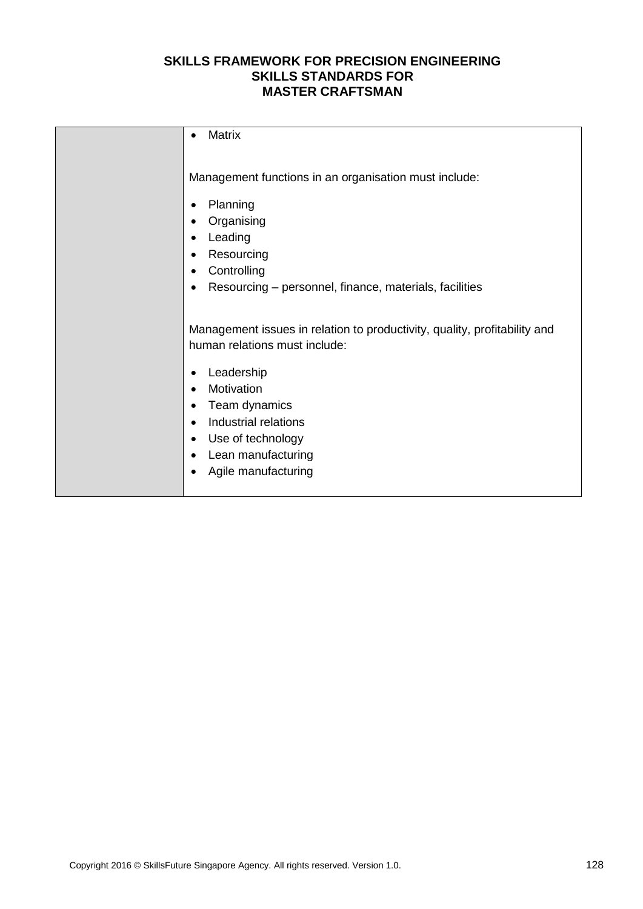| <b>Matrix</b><br>$\bullet$                                                                                                                                                                                                                                                                                           |
|----------------------------------------------------------------------------------------------------------------------------------------------------------------------------------------------------------------------------------------------------------------------------------------------------------------------|
| Management functions in an organisation must include:<br>Planning<br>٠<br>Organising<br>٠<br>Leading<br>$\bullet$<br>Resourcing<br>$\bullet$<br>Controlling<br>٠<br>Resourcing - personnel, finance, materials, facilities<br>$\bullet$                                                                              |
| Management issues in relation to productivity, quality, profitability and<br>human relations must include:<br>Leadership<br>٠<br>Motivation<br>$\bullet$<br>Team dynamics<br>$\bullet$<br>Industrial relations<br>$\bullet$<br>Use of technology<br>٠<br>Lean manufacturing<br>٠<br>Agile manufacturing<br>$\bullet$ |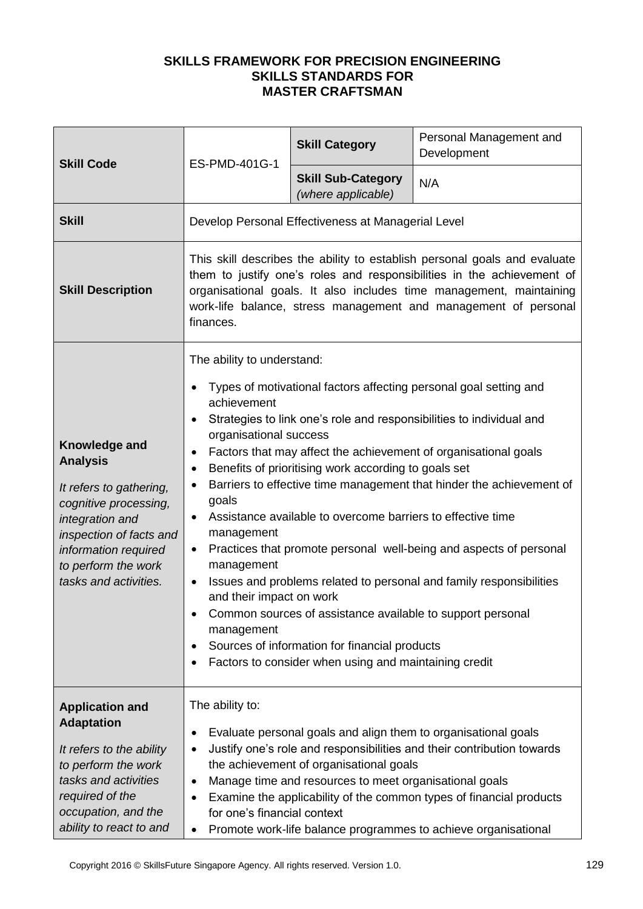| ES-PMD-401G-1                                                                                                                                                                                                                                                                                                                                                                                                                                                                                                                                                                                                                                                                                                                                                                                                                                                                                                                 | <b>Skill Category</b>                           | Personal Management and<br>Development                                                                               |
|-------------------------------------------------------------------------------------------------------------------------------------------------------------------------------------------------------------------------------------------------------------------------------------------------------------------------------------------------------------------------------------------------------------------------------------------------------------------------------------------------------------------------------------------------------------------------------------------------------------------------------------------------------------------------------------------------------------------------------------------------------------------------------------------------------------------------------------------------------------------------------------------------------------------------------|-------------------------------------------------|----------------------------------------------------------------------------------------------------------------------|
|                                                                                                                                                                                                                                                                                                                                                                                                                                                                                                                                                                                                                                                                                                                                                                                                                                                                                                                               | <b>Skill Sub-Category</b><br>(where applicable) | N/A                                                                                                                  |
|                                                                                                                                                                                                                                                                                                                                                                                                                                                                                                                                                                                                                                                                                                                                                                                                                                                                                                                               |                                                 |                                                                                                                      |
| This skill describes the ability to establish personal goals and evaluate<br>them to justify one's roles and responsibilities in the achievement of<br>organisational goals. It also includes time management, maintaining<br>work-life balance, stress management and management of personal<br>finances.                                                                                                                                                                                                                                                                                                                                                                                                                                                                                                                                                                                                                    |                                                 |                                                                                                                      |
| The ability to understand:<br>Types of motivational factors affecting personal goal setting and<br>achievement<br>Strategies to link one's role and responsibilities to individual and<br>organisational success<br>Factors that may affect the achievement of organisational goals<br>Benefits of prioritising work according to goals set<br>$\bullet$<br>Barriers to effective time management that hinder the achievement of<br>goals<br>Assistance available to overcome barriers to effective time<br>$\bullet$<br>management<br>Practices that promote personal well-being and aspects of personal<br>$\bullet$<br>management<br>Issues and problems related to personal and family responsibilities<br>and their impact on work<br>Common sources of assistance available to support personal<br>management<br>Sources of information for financial products<br>Factors to consider when using and maintaining credit |                                                 |                                                                                                                      |
| The ability to:<br>Evaluate personal goals and align them to organisational goals<br>٠<br>Justify one's role and responsibilities and their contribution towards<br>the achievement of organisational goals<br>Manage time and resources to meet organisational goals<br>Examine the applicability of the common types of financial products<br>for one's financial context                                                                                                                                                                                                                                                                                                                                                                                                                                                                                                                                                   |                                                 |                                                                                                                      |
|                                                                                                                                                                                                                                                                                                                                                                                                                                                                                                                                                                                                                                                                                                                                                                                                                                                                                                                               | $\bullet$                                       | Develop Personal Effectiveness at Managerial Level<br>Promote work-life balance programmes to achieve organisational |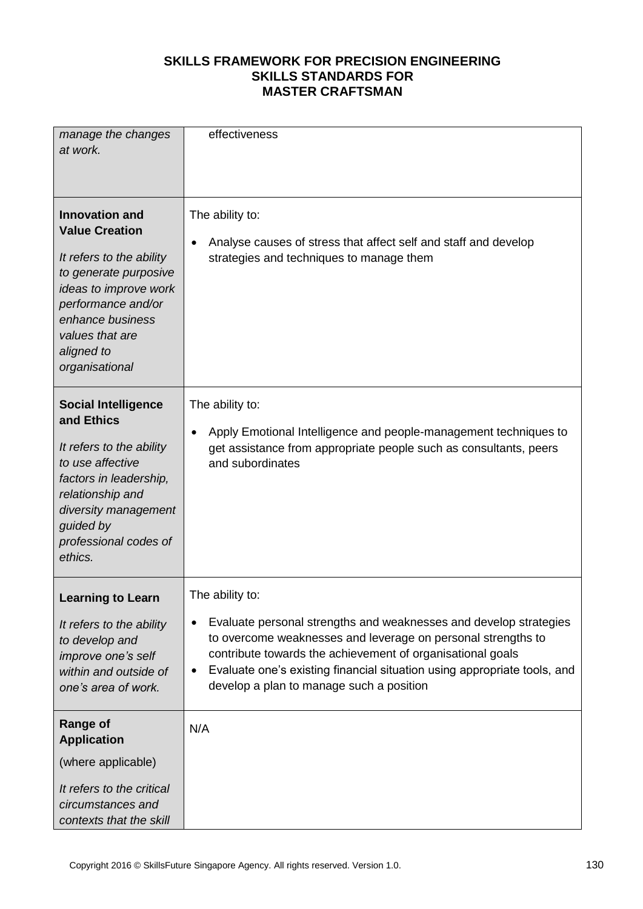| manage the changes<br>at work.                                                                                                                                                                                            | effectiveness                                                                                                                                                                                                                                                                                                                                           |
|---------------------------------------------------------------------------------------------------------------------------------------------------------------------------------------------------------------------------|---------------------------------------------------------------------------------------------------------------------------------------------------------------------------------------------------------------------------------------------------------------------------------------------------------------------------------------------------------|
| <b>Innovation and</b><br><b>Value Creation</b><br>It refers to the ability<br>to generate purposive<br>ideas to improve work<br>performance and/or<br>enhance business<br>values that are<br>aligned to<br>organisational | The ability to:<br>Analyse causes of stress that affect self and staff and develop<br>$\bullet$<br>strategies and techniques to manage them                                                                                                                                                                                                             |
| <b>Social Intelligence</b><br>and Ethics<br>It refers to the ability<br>to use affective<br>factors in leadership,<br>relationship and<br>diversity management<br>guided by<br>professional codes of<br>ethics.           | The ability to:<br>Apply Emotional Intelligence and people-management techniques to<br>$\bullet$<br>get assistance from appropriate people such as consultants, peers<br>and subordinates                                                                                                                                                               |
| <b>Learning to Learn</b><br>It refers to the ability<br>to develop and<br>improve one's self<br>within and outside of<br>one's area of work.                                                                              | The ability to:<br>Evaluate personal strengths and weaknesses and develop strategies<br>to overcome weaknesses and leverage on personal strengths to<br>contribute towards the achievement of organisational goals<br>Evaluate one's existing financial situation using appropriate tools, and<br>$\bullet$<br>develop a plan to manage such a position |
| <b>Range of</b><br><b>Application</b><br>(where applicable)<br>It refers to the critical<br>circumstances and<br>contexts that the skill                                                                                  | N/A                                                                                                                                                                                                                                                                                                                                                     |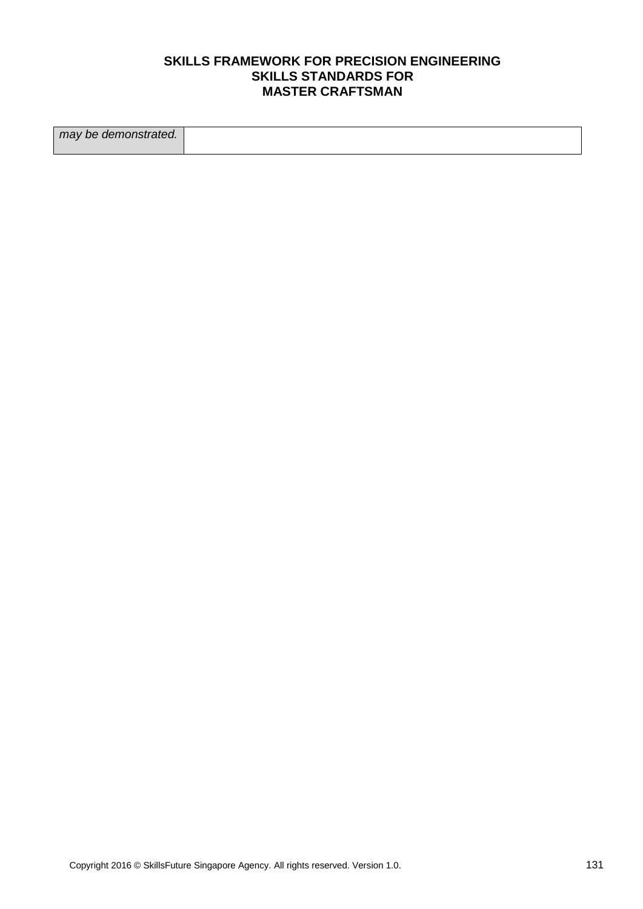| may be demonstrated. |  |
|----------------------|--|
|                      |  |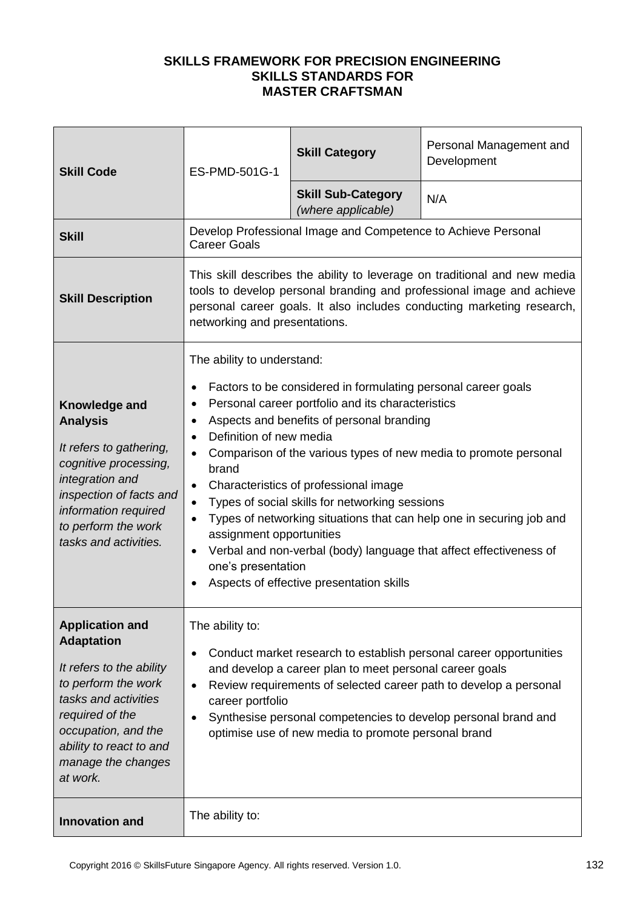| <b>Skill Code</b>                                                                                                                                                                                                             | ES-PMD-501G-1                                                                                                                                                                                                                                                                                                                                                                                                                                                                                                                                                                                                                                                          | <b>Skill Category</b>                                         | Personal Management and<br>Development |
|-------------------------------------------------------------------------------------------------------------------------------------------------------------------------------------------------------------------------------|------------------------------------------------------------------------------------------------------------------------------------------------------------------------------------------------------------------------------------------------------------------------------------------------------------------------------------------------------------------------------------------------------------------------------------------------------------------------------------------------------------------------------------------------------------------------------------------------------------------------------------------------------------------------|---------------------------------------------------------------|----------------------------------------|
|                                                                                                                                                                                                                               |                                                                                                                                                                                                                                                                                                                                                                                                                                                                                                                                                                                                                                                                        | <b>Skill Sub-Category</b><br>(where applicable)               | N/A                                    |
| <b>Skill</b>                                                                                                                                                                                                                  | <b>Career Goals</b>                                                                                                                                                                                                                                                                                                                                                                                                                                                                                                                                                                                                                                                    | Develop Professional Image and Competence to Achieve Personal |                                        |
| <b>Skill Description</b>                                                                                                                                                                                                      | This skill describes the ability to leverage on traditional and new media<br>tools to develop personal branding and professional image and achieve<br>personal career goals. It also includes conducting marketing research,<br>networking and presentations.                                                                                                                                                                                                                                                                                                                                                                                                          |                                                               |                                        |
| Knowledge and<br><b>Analysis</b><br>It refers to gathering,<br>cognitive processing,<br>integration and<br>inspection of facts and<br>information required<br>to perform the work<br>tasks and activities.                    | The ability to understand:<br>Factors to be considered in formulating personal career goals<br>Personal career portfolio and its characteristics<br>Aspects and benefits of personal branding<br>Definition of new media<br>Comparison of the various types of new media to promote personal<br>brand<br>Characteristics of professional image<br>$\bullet$<br>Types of social skills for networking sessions<br>Types of networking situations that can help one in securing job and<br>assignment opportunities<br>Verbal and non-verbal (body) language that affect effectiveness of<br>$\bullet$<br>one's presentation<br>Aspects of effective presentation skills |                                                               |                                        |
| <b>Application and</b><br><b>Adaptation</b><br>It refers to the ability<br>to perform the work<br>tasks and activities<br>required of the<br>occupation, and the<br>ability to react to and<br>manage the changes<br>at work. | The ability to:<br>Conduct market research to establish personal career opportunities<br>and develop a career plan to meet personal career goals<br>Review requirements of selected career path to develop a personal<br>$\bullet$<br>career portfolio<br>Synthesise personal competencies to develop personal brand and<br>optimise use of new media to promote personal brand                                                                                                                                                                                                                                                                                        |                                                               |                                        |
| <b>Innovation and</b>                                                                                                                                                                                                         | The ability to:                                                                                                                                                                                                                                                                                                                                                                                                                                                                                                                                                                                                                                                        |                                                               |                                        |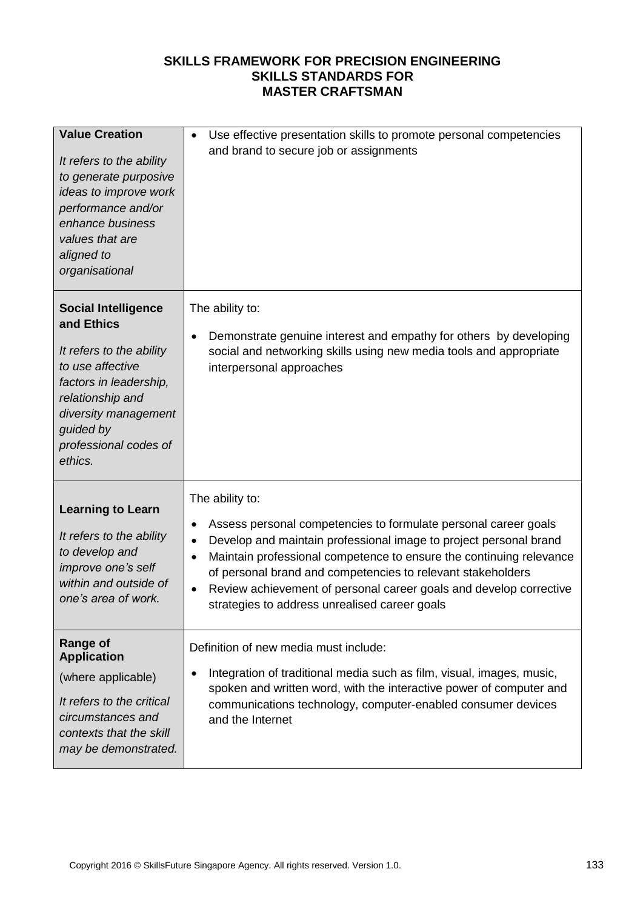| <b>Value Creation</b><br>It refers to the ability<br>to generate purposive<br>ideas to improve work<br>performance and/or<br>enhance business<br>values that are<br>aligned to<br>organisational                | Use effective presentation skills to promote personal competencies<br>$\bullet$<br>and brand to secure job or assignments                                                                                                                                                                                                                                                                                                                                                |  |
|-----------------------------------------------------------------------------------------------------------------------------------------------------------------------------------------------------------------|--------------------------------------------------------------------------------------------------------------------------------------------------------------------------------------------------------------------------------------------------------------------------------------------------------------------------------------------------------------------------------------------------------------------------------------------------------------------------|--|
| <b>Social Intelligence</b><br>and Ethics<br>It refers to the ability<br>to use affective<br>factors in leadership,<br>relationship and<br>diversity management<br>guided by<br>professional codes of<br>ethics. | The ability to:<br>Demonstrate genuine interest and empathy for others by developing<br>$\bullet$<br>social and networking skills using new media tools and appropriate<br>interpersonal approaches                                                                                                                                                                                                                                                                      |  |
| <b>Learning to Learn</b><br>It refers to the ability<br>to develop and<br>improve one's self<br>within and outside of<br>one's area of work.                                                                    | The ability to:<br>Assess personal competencies to formulate personal career goals<br>$\bullet$<br>Develop and maintain professional image to project personal brand<br>$\bullet$<br>Maintain professional competence to ensure the continuing relevance<br>$\bullet$<br>of personal brand and competencies to relevant stakeholders<br>Review achievement of personal career goals and develop corrective<br>$\bullet$<br>strategies to address unrealised career goals |  |
| <b>Range of</b><br><b>Application</b><br>(where applicable)<br>It refers to the critical<br>circumstances and<br>contexts that the skill<br>may be demonstrated.                                                | Definition of new media must include:<br>Integration of traditional media such as film, visual, images, music,<br>$\bullet$<br>spoken and written word, with the interactive power of computer and<br>communications technology, computer-enabled consumer devices<br>and the Internet                                                                                                                                                                                   |  |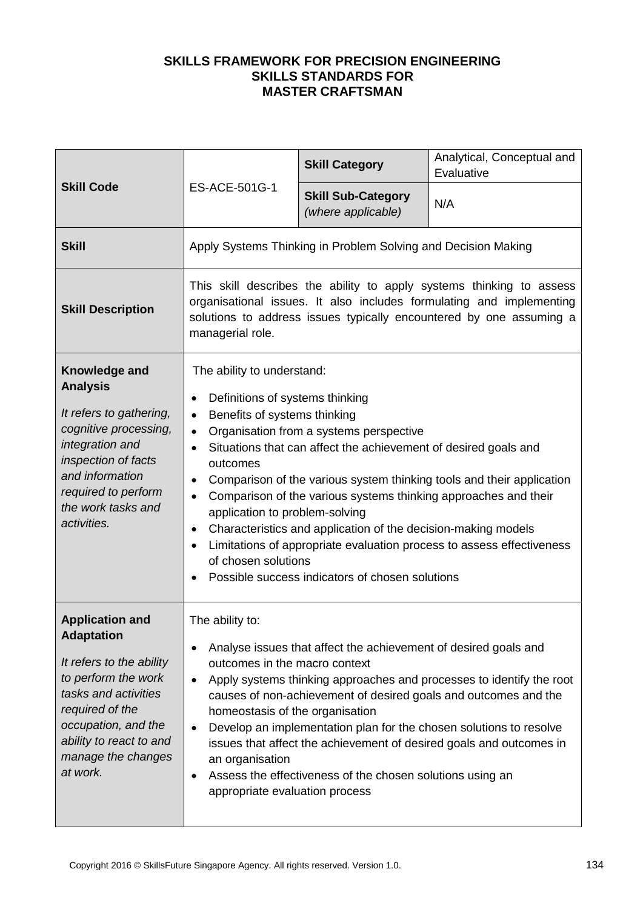| <b>Skill Code</b>                                                                                                                                                                                                             | ES-ACE-501G-1                                                                                                                                                                                                                                                                                                                                                                                                                                                                                                                                                                                                                                                                                                                                  | <b>Skill Category</b>                           | Analytical, Conceptual and<br>Evaluative |
|-------------------------------------------------------------------------------------------------------------------------------------------------------------------------------------------------------------------------------|------------------------------------------------------------------------------------------------------------------------------------------------------------------------------------------------------------------------------------------------------------------------------------------------------------------------------------------------------------------------------------------------------------------------------------------------------------------------------------------------------------------------------------------------------------------------------------------------------------------------------------------------------------------------------------------------------------------------------------------------|-------------------------------------------------|------------------------------------------|
|                                                                                                                                                                                                                               |                                                                                                                                                                                                                                                                                                                                                                                                                                                                                                                                                                                                                                                                                                                                                | <b>Skill Sub-Category</b><br>(where applicable) | N/A                                      |
| <b>Skill</b>                                                                                                                                                                                                                  | Apply Systems Thinking in Problem Solving and Decision Making                                                                                                                                                                                                                                                                                                                                                                                                                                                                                                                                                                                                                                                                                  |                                                 |                                          |
| <b>Skill Description</b>                                                                                                                                                                                                      | This skill describes the ability to apply systems thinking to assess<br>organisational issues. It also includes formulating and implementing<br>solutions to address issues typically encountered by one assuming a<br>managerial role.                                                                                                                                                                                                                                                                                                                                                                                                                                                                                                        |                                                 |                                          |
| <b>Knowledge and</b><br><b>Analysis</b><br>It refers to gathering,<br>cognitive processing,<br>integration and<br>inspection of facts<br>and information<br>required to perform<br>the work tasks and<br>activities.          | The ability to understand:<br>Definitions of systems thinking<br>$\bullet$<br>Benefits of systems thinking<br>$\bullet$<br>Organisation from a systems perspective<br>$\bullet$<br>Situations that can affect the achievement of desired goals and<br>$\bullet$<br>outcomes<br>Comparison of the various system thinking tools and their application<br>$\bullet$<br>Comparison of the various systems thinking approaches and their<br>$\bullet$<br>application to problem-solving<br>Characteristics and application of the decision-making models<br>$\bullet$<br>Limitations of appropriate evaluation process to assess effectiveness<br>$\bullet$<br>of chosen solutions<br>Possible success indicators of chosen solutions<br>$\bullet$ |                                                 |                                          |
| <b>Application and</b><br><b>Adaptation</b><br>It refers to the ability<br>to perform the work<br>tasks and activities<br>required of the<br>occupation, and the<br>ability to react to and<br>manage the changes<br>at work. | The ability to:<br>Analyse issues that affect the achievement of desired goals and<br>$\bullet$<br>outcomes in the macro context<br>Apply systems thinking approaches and processes to identify the root<br>$\bullet$<br>causes of non-achievement of desired goals and outcomes and the<br>homeostasis of the organisation<br>Develop an implementation plan for the chosen solutions to resolve<br>$\bullet$<br>issues that affect the achievement of desired goals and outcomes in<br>an organisation<br>Assess the effectiveness of the chosen solutions using an<br>$\bullet$<br>appropriate evaluation process                                                                                                                           |                                                 |                                          |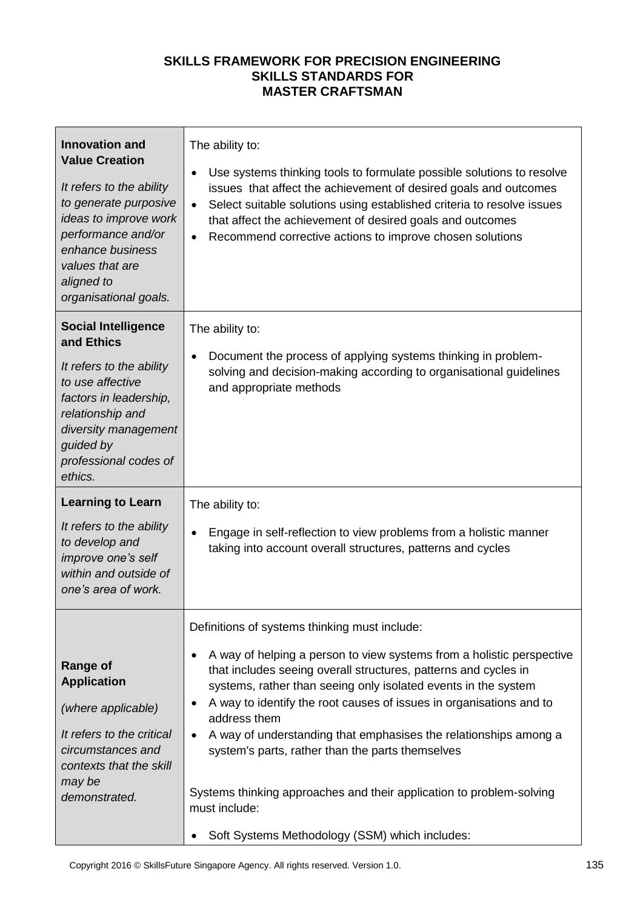| <b>Innovation and</b><br><b>Value Creation</b><br>It refers to the ability<br>to generate purposive<br>ideas to improve work<br>performance and/or<br>enhance business<br>values that are<br>aligned to<br>organisational goals. | The ability to:<br>Use systems thinking tools to formulate possible solutions to resolve<br>٠<br>issues that affect the achievement of desired goals and outcomes<br>Select suitable solutions using established criteria to resolve issues<br>$\bullet$<br>that affect the achievement of desired goals and outcomes<br>Recommend corrective actions to improve chosen solutions<br>$\bullet$                                                                                                                                                                                                                                               |  |
|----------------------------------------------------------------------------------------------------------------------------------------------------------------------------------------------------------------------------------|----------------------------------------------------------------------------------------------------------------------------------------------------------------------------------------------------------------------------------------------------------------------------------------------------------------------------------------------------------------------------------------------------------------------------------------------------------------------------------------------------------------------------------------------------------------------------------------------------------------------------------------------|--|
| <b>Social Intelligence</b><br>and Ethics<br>It refers to the ability<br>to use affective<br>factors in leadership,<br>relationship and<br>diversity management<br>guided by<br>professional codes of<br>ethics.                  | The ability to:<br>Document the process of applying systems thinking in problem-<br>$\bullet$<br>solving and decision-making according to organisational guidelines<br>and appropriate methods                                                                                                                                                                                                                                                                                                                                                                                                                                               |  |
| <b>Learning to Learn</b><br>It refers to the ability<br>to develop and<br>improve one's self<br>within and outside of<br>one's area of work.                                                                                     | The ability to:<br>Engage in self-reflection to view problems from a holistic manner<br>$\bullet$<br>taking into account overall structures, patterns and cycles                                                                                                                                                                                                                                                                                                                                                                                                                                                                             |  |
| <b>Range of</b><br><b>Application</b><br>(where applicable)<br>It refers to the critical<br>circumstances and<br>contexts that the skill<br>may be<br>demonstrated.                                                              | Definitions of systems thinking must include:<br>A way of helping a person to view systems from a holistic perspective<br>٠<br>that includes seeing overall structures, patterns and cycles in<br>systems, rather than seeing only isolated events in the system<br>A way to identify the root causes of issues in organisations and to<br>address them<br>A way of understanding that emphasises the relationships among a<br>$\bullet$<br>system's parts, rather than the parts themselves<br>Systems thinking approaches and their application to problem-solving<br>must include:<br>Soft Systems Methodology (SSM) which includes:<br>٠ |  |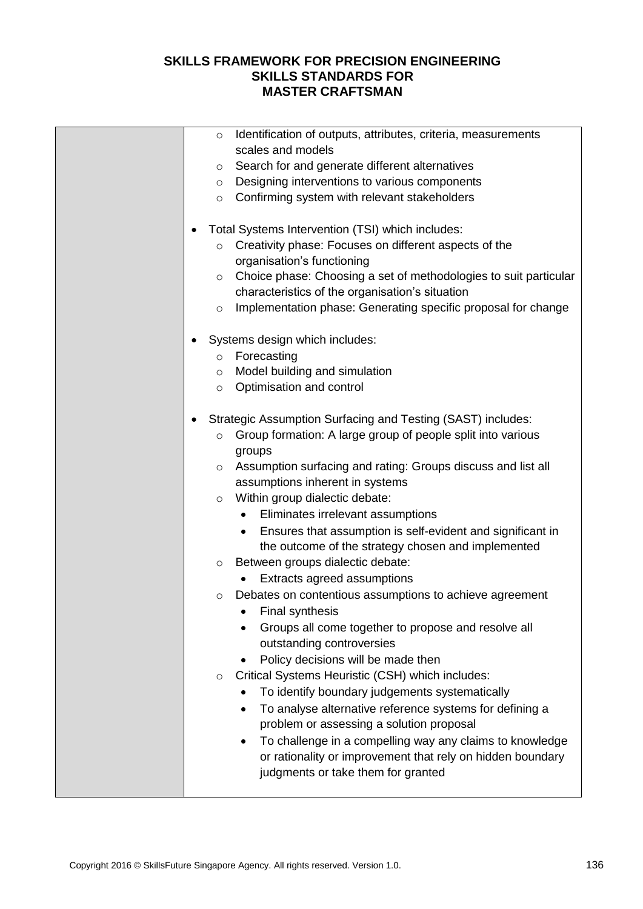| Identification of outputs, attributes, criteria, measurements<br>$\circ$<br>scales and models<br>Search for and generate different alternatives<br>$\circ$<br>Designing interventions to various components<br>$\circ$<br>Confirming system with relevant stakeholders<br>$\circ$<br>Total Systems Intervention (TSI) which includes:<br>٠<br>Creativity phase: Focuses on different aspects of the<br>$\circ$<br>organisation's functioning<br>Choice phase: Choosing a set of methodologies to suit particular<br>$\circ$<br>characteristics of the organisation's situation                               |
|--------------------------------------------------------------------------------------------------------------------------------------------------------------------------------------------------------------------------------------------------------------------------------------------------------------------------------------------------------------------------------------------------------------------------------------------------------------------------------------------------------------------------------------------------------------------------------------------------------------|
| Implementation phase: Generating specific proposal for change<br>$\circ$<br>Systems design which includes:<br>Forecasting<br>$\circ$<br>Model building and simulation<br>$\circ$<br>Optimisation and control<br>$\circ$<br>Strategic Assumption Surfacing and Testing (SAST) includes:<br>٠                                                                                                                                                                                                                                                                                                                  |
| Group formation: A large group of people split into various<br>$\circ$<br>groups<br>Assumption surfacing and rating: Groups discuss and list all<br>$\circ$<br>assumptions inherent in systems<br>Within group dialectic debate:<br>$\circ$<br>Eliminates irrelevant assumptions<br>$\bullet$<br>Ensures that assumption is self-evident and significant in<br>$\bullet$<br>the outcome of the strategy chosen and implemented<br>Between groups dialectic debate:<br>$\circ$<br>Extracts agreed assumptions<br>Debates on contentious assumptions to achieve agreement<br>$\circ$<br><b>Final synthesis</b> |
| Groups all come together to propose and resolve all<br>outstanding controversies<br>Policy decisions will be made then<br>Critical Systems Heuristic (CSH) which includes:<br>$\circ$<br>To identify boundary judgements systematically<br>To analyse alternative reference systems for defining a<br>$\bullet$<br>problem or assessing a solution proposal<br>To challenge in a compelling way any claims to knowledge<br>$\bullet$<br>or rationality or improvement that rely on hidden boundary<br>judgments or take them for granted                                                                     |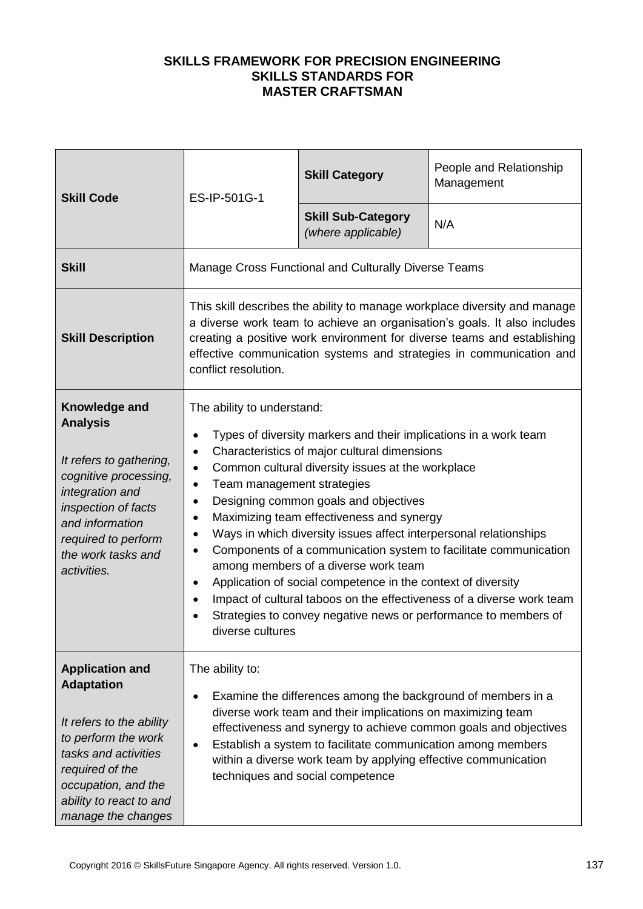| <b>Skill Code</b>                                                                                                                                                                                                 | ES-IP-501G-1                                                                                                                                                                                                                                                                                                                                                                                                                                                                                                                                                                                                                                                                                                                                               | <b>Skill Category</b>                           | People and Relationship<br>Management |
|-------------------------------------------------------------------------------------------------------------------------------------------------------------------------------------------------------------------|------------------------------------------------------------------------------------------------------------------------------------------------------------------------------------------------------------------------------------------------------------------------------------------------------------------------------------------------------------------------------------------------------------------------------------------------------------------------------------------------------------------------------------------------------------------------------------------------------------------------------------------------------------------------------------------------------------------------------------------------------------|-------------------------------------------------|---------------------------------------|
|                                                                                                                                                                                                                   |                                                                                                                                                                                                                                                                                                                                                                                                                                                                                                                                                                                                                                                                                                                                                            | <b>Skill Sub-Category</b><br>(where applicable) | N/A                                   |
| <b>Skill</b>                                                                                                                                                                                                      | Manage Cross Functional and Culturally Diverse Teams                                                                                                                                                                                                                                                                                                                                                                                                                                                                                                                                                                                                                                                                                                       |                                                 |                                       |
| <b>Skill Description</b>                                                                                                                                                                                          | This skill describes the ability to manage workplace diversity and manage<br>a diverse work team to achieve an organisation's goals. It also includes<br>creating a positive work environment for diverse teams and establishing<br>effective communication systems and strategies in communication and<br>conflict resolution.                                                                                                                                                                                                                                                                                                                                                                                                                            |                                                 |                                       |
| Knowledge and<br><b>Analysis</b><br>It refers to gathering,<br>cognitive processing,<br>integration and<br>inspection of facts<br>and information<br>required to perform<br>the work tasks and<br>activities.     | The ability to understand:<br>Types of diversity markers and their implications in a work team<br>Characteristics of major cultural dimensions<br>Common cultural diversity issues at the workplace<br>$\bullet$<br>Team management strategies<br>Designing common goals and objectives<br>٠<br>Maximizing team effectiveness and synergy<br>Ways in which diversity issues affect interpersonal relationships<br>Components of a communication system to facilitate communication<br>among members of a diverse work team<br>Application of social competence in the context of diversity<br>Impact of cultural taboos on the effectiveness of a diverse work team<br>Strategies to convey negative news or performance to members of<br>diverse cultures |                                                 |                                       |
| <b>Application and</b><br><b>Adaptation</b><br>It refers to the ability<br>to perform the work<br>tasks and activities<br>required of the<br>occupation, and the<br>ability to react to and<br>manage the changes | The ability to:<br>Examine the differences among the background of members in a<br>diverse work team and their implications on maximizing team<br>effectiveness and synergy to achieve common goals and objectives<br>Establish a system to facilitate communication among members<br>within a diverse work team by applying effective communication<br>techniques and social competence                                                                                                                                                                                                                                                                                                                                                                   |                                                 |                                       |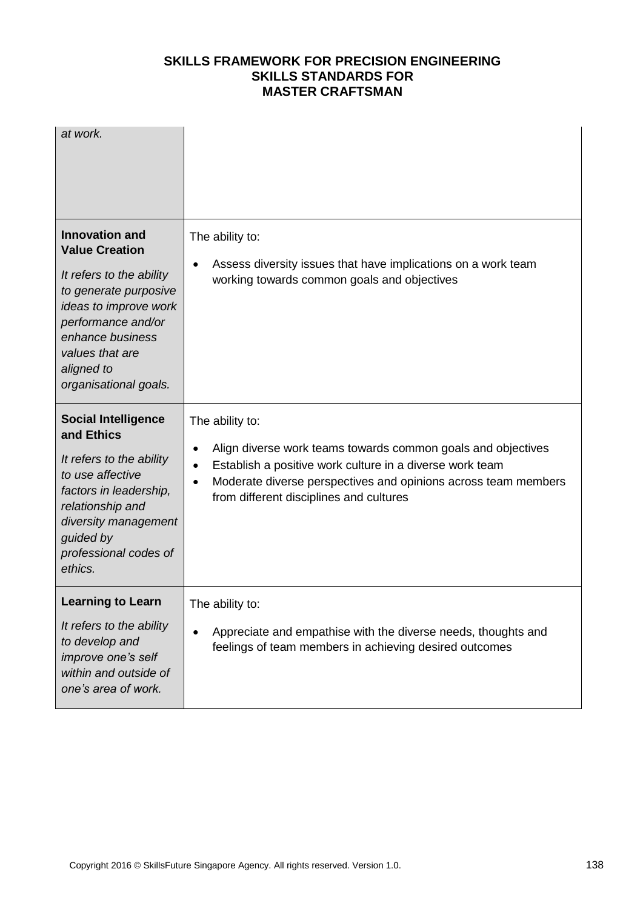| at work.                                                                                                                                                                                                                         |                                                                                                                                                                                                                                                          |
|----------------------------------------------------------------------------------------------------------------------------------------------------------------------------------------------------------------------------------|----------------------------------------------------------------------------------------------------------------------------------------------------------------------------------------------------------------------------------------------------------|
| <b>Innovation and</b><br><b>Value Creation</b><br>It refers to the ability<br>to generate purposive<br>ideas to improve work<br>performance and/or<br>enhance business<br>values that are<br>aligned to<br>organisational goals. | The ability to:<br>Assess diversity issues that have implications on a work team<br>working towards common goals and objectives                                                                                                                          |
| <b>Social Intelligence</b><br>and Ethics<br>It refers to the ability<br>to use affective<br>factors in leadership,<br>relationship and<br>diversity management<br>guided by<br>professional codes of<br>ethics.                  | The ability to:<br>Align diverse work teams towards common goals and objectives<br>Establish a positive work culture in a diverse work team<br>Moderate diverse perspectives and opinions across team members<br>from different disciplines and cultures |
| <b>Learning to Learn</b><br>It refers to the ability<br>to develop and<br>improve one's self<br>within and outside of<br>one's area of work.                                                                                     | The ability to:<br>Appreciate and empathise with the diverse needs, thoughts and<br>feelings of team members in achieving desired outcomes                                                                                                               |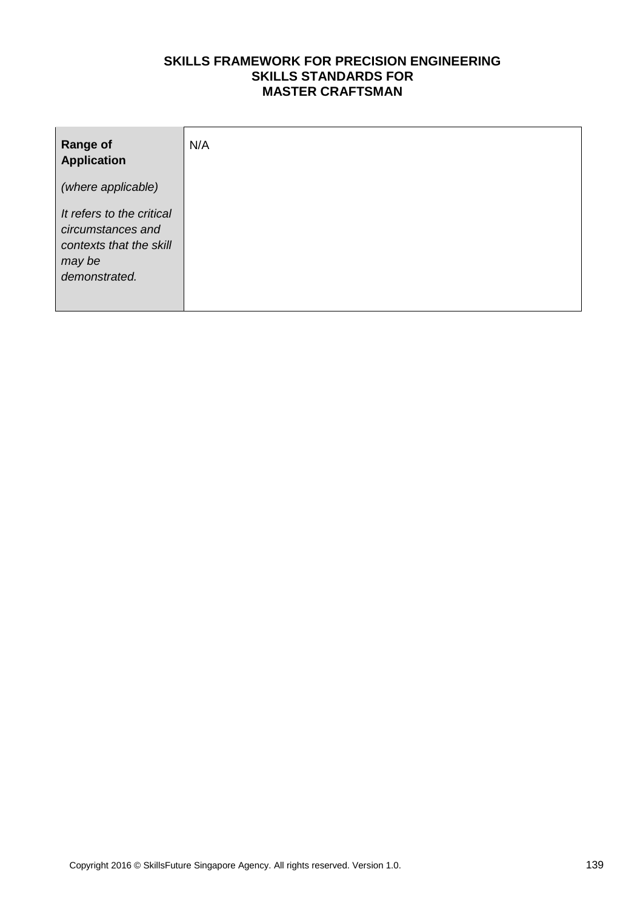| <b>Range of</b><br><b>Application</b>                                                                | N/A |
|------------------------------------------------------------------------------------------------------|-----|
| (where applicable)                                                                                   |     |
| It refers to the critical<br>circumstances and<br>contexts that the skill<br>may be<br>demonstrated. |     |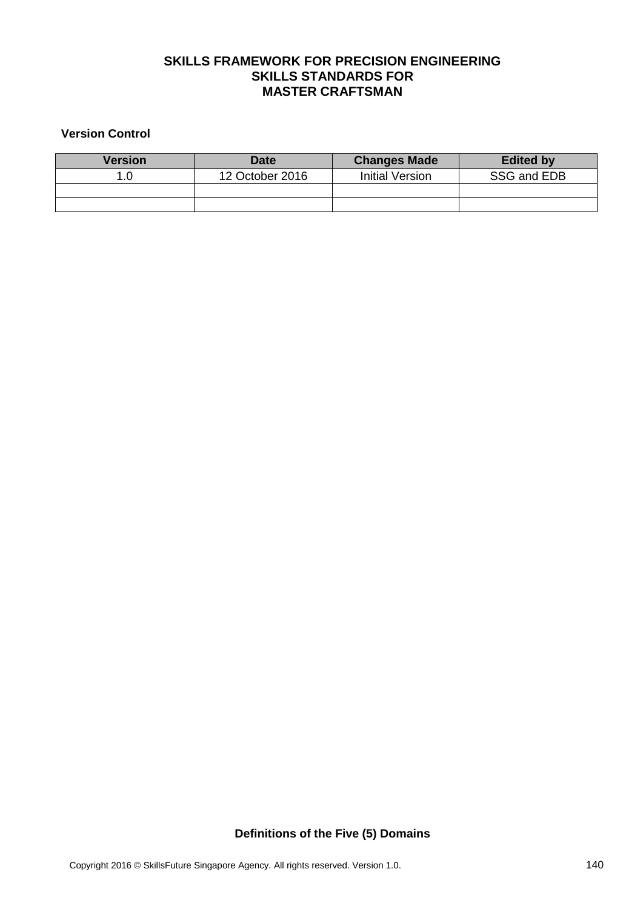#### **Version Control**

| Version | <b>Date</b>     | <b>Changes Made</b> | <b>Edited by</b> |
|---------|-----------------|---------------------|------------------|
|         | 12 October 2016 | Initial Version     | SSG and EDB      |
|         |                 |                     |                  |
|         |                 |                     |                  |

**Definitions of the Five (5) Domains**